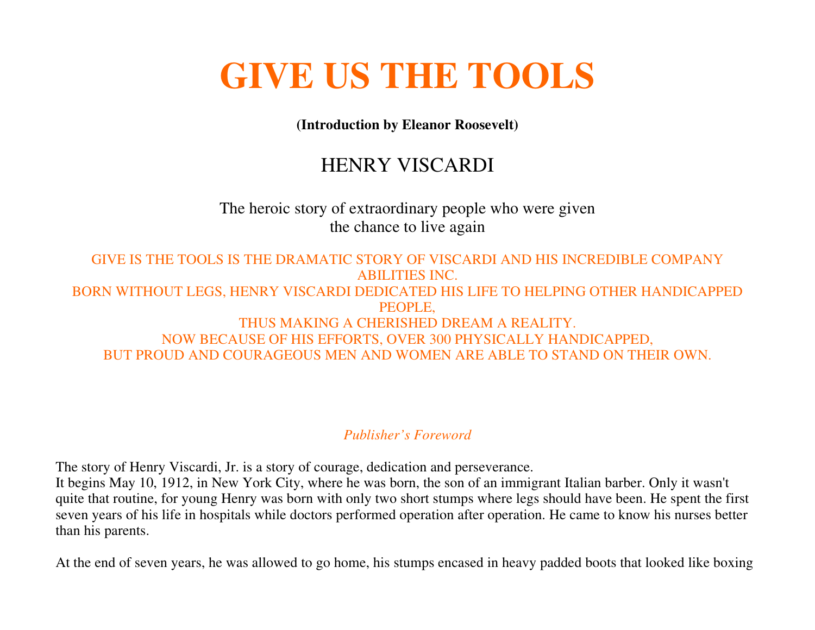# **GIVE US THE TOOLS**

**(Introduction by Eleanor Roosevelt)**

# HENRY VISCARDI

The heroic story of extraordinary people who were given the chance to live again

GIVE IS THE TOOLS IS THE DRAMATIC STORY OF VISCARDI AND HIS INCREDIBLE COMPANY ABILITIES INC. BORN WITHOUT LEGS, HENRY VISCARDI DEDICATED HIS LIFE TO HELPING OTHER HANDICAPPED PEOPLE. THUS MAKING A CHERISHED DREAM A REALITY. NOW BECAUSE OF HIS EFFORTS, OVER 300 PHYSICALLY HANDICAPPED, BUT PROUD AND COURAGEOUS MEN AND WOMEN ARE ABLE TO STAND ON THEIR OWN.

#### *Publisher's Foreword*

The story of Henry Viscardi, Jr. is a story of courage, dedication and perseverance.

 It begins May 10, 1912, in New York City, where he was born, the son of an immigrant Italian barber. Only it wasn't quite that routine, for young Henry was born with only two short stumps where legs should have been. He spent the first seven years of his life in hospitals while doctors performed operation after operation. He came to know his nurses better than his parents.

At the end of seven years, he was allowed to go home, his stumps encased in heavy padded boots that looked like boxing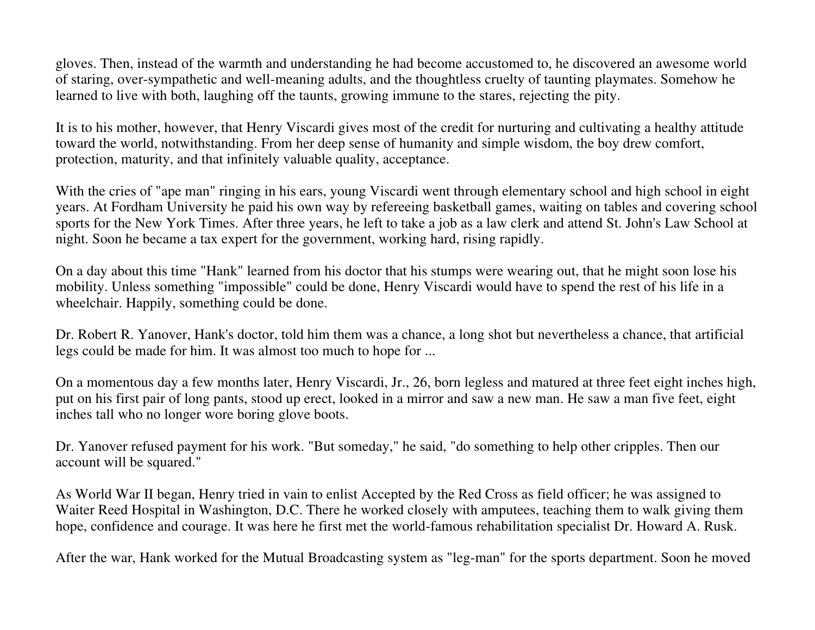gloves. Then, instead of the warmth and understanding he had become accustomed to, he discovered an awesome world of staring, over-sympathetic and well-meaning adults, and the thoughtless cruelty of taunting playmates. Somehow he learned to live with both, laughing off the taunts, growing immune to the stares, rejecting the pity.

It is to his mother, however, that Henry Viscardi gives most of the credit for nurturing and cultivating a healthy attitude toward the world, notwithstanding. From her deep sense of humanity and simple wisdom, the boy drew comfort, protection, maturity, and that infinitely valuable quality, acceptance.

With the cries of "ape man" ringing in his ears, young Viscardi went through elementary school and high school in eight years. At Fordham University he paid his own way by refereeing basketball games, waiting on tables and covering school sports for the New York Times. After three years, he left to take a job as a law clerk and attend St. John's Law School at night. Soon he became a tax expert for the government, working hard, rising rapidly.

On a day about this time "Hank" learned from his doctor that his stumps were wearing out, that he might soon lose his mobility. Unless something "impossible" could be done, Henry Viscardi would have to spend the rest of his life in a wheelchair. Happily, something could be done.

Dr. Robert R. Yanover, Hank's doctor, told him them was a chance, a long shot but nevertheless a chance, that artificial legs could be made for him. It was almost too much to hope for ...

On a momentous day a few months later, Henry Viscardi, Jr., 26, born legless and matured at three feet eight inches high, put on his first pair of long pants, stood up erect, looked in a mirror and saw a new man. He saw a man five feet, eight inches tall who no longer wore boring glove boots.

Dr. Yanover refused payment for his work. "But someday," he said, "do something to help other cripples. Then our account will be squared."

As World War II began, Henry tried in vain to enlist Accepted by the Red Cross as field officer; he was assigned to Waiter Reed Hospital in Washington, D.C. There he worked closely with amputees, teaching them to walk giving them hope, confidence and courage. It was here he first met the world-famous rehabilitation specialist Dr. Howard A. Rusk.

After the war, Hank worked for the Mutual Broadcasting system as "leg-man" for the sports department. Soon he moved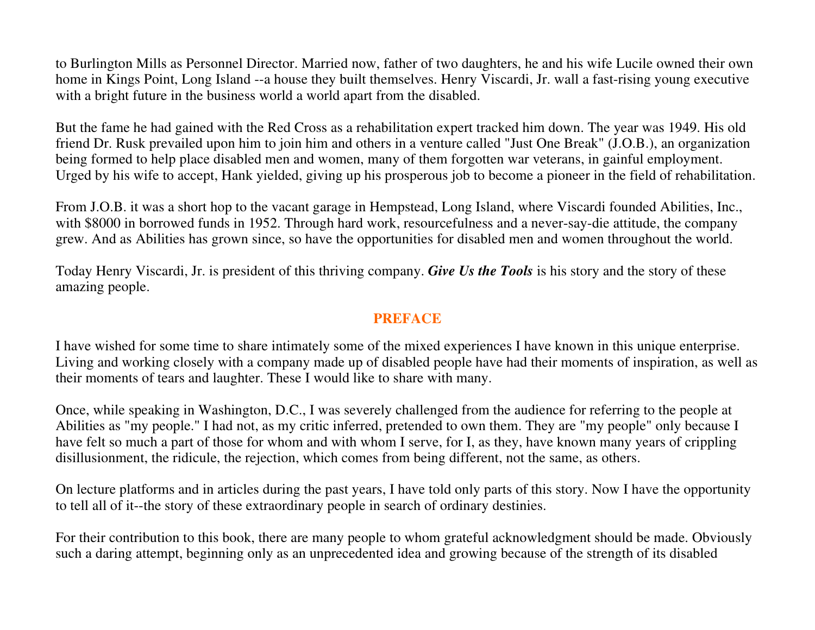to Burlington Mills as Personnel Director. Married now, father of two daughters, he and his wife Lucile owned their own home in Kings Point, Long Island --a house they built themselves. Henry Viscardi, Jr. wall a fast-rising young executive with a bright future in the business world a world apart from the disabled.

But the fame he had gained with the Red Cross as a rehabilitation expert tracked him down. The year was 1949. His old friend Dr. Rusk prevailed upon him to join him and others in a venture called "Just One Break" (J.O.B.), an organization being formed to help place disabled men and women, many of them forgotten war veterans, in gainful employment. Urged by his wife to accept, Hank yielded, giving up his prosperous job to become a pioneer in the field of rehabilitation.

From J.O.B. it was a short hop to the vacant garage in Hempstead, Long Island, where Viscardi founded Abilities, Inc., with \$8000 in borrowed funds in 1952. Through hard work, resourcefulness and a never-say-die attitude, the company grew. And as Abilities has grown since, so have the opportunities for disabled men and women throughout the world.

Today Henry Viscardi, Jr. is president of this thriving company. *Give Us the Tools* is his story and the story of these amazing people.

#### **PREFACE**

I have wished for some time to share intimately some of the mixed experiences I have known in this unique enterprise. Living and working closely with a company made up of disabled people have had their moments of inspiration, as well as their moments of tears and laughter. These I would like to share with many.

Once, while speaking in Washington, D.C., I was severely challenged from the audience for referring to the people at Abilities as "my people." I had not, as my critic inferred, pretended to own them. They are "my people" only because I have felt so much a part of those for whom and with whom I serve, for I, as they, have known many years of crippling disillusionment, the ridicule, the rejection, which comes from being different, not the same, as others.

On lecture platforms and in articles during the past years, I have told only parts of this story. Now I have the opportunity to tell all of it--the story of these extraordinary people in search of ordinary destinies.

For their contribution to this book, there are many people to whom grateful acknowledgment should be made. Obviously such a daring attempt, beginning only as an unprecedented idea and growing because of the strength of its disabled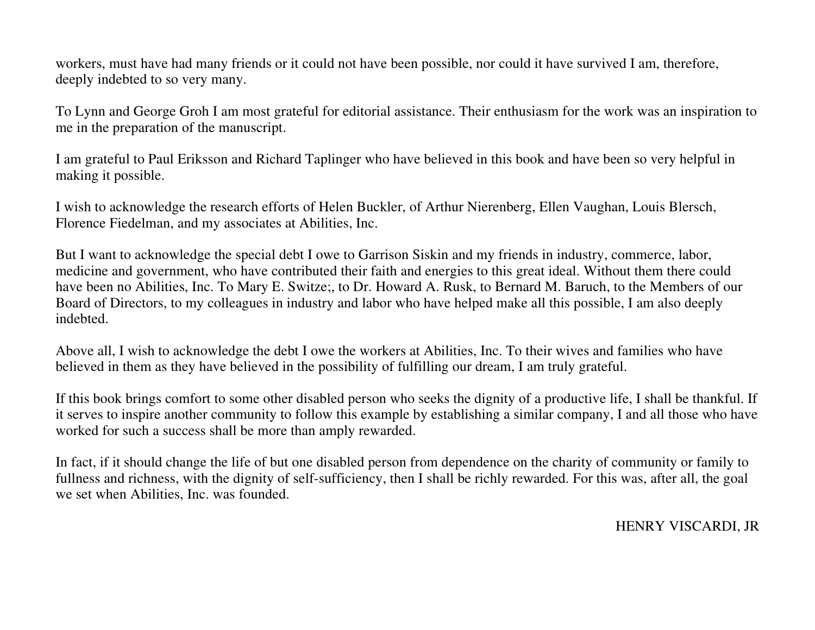workers, must have had many friends or it could not have been possible, nor could it have survived I am, therefore, deeply indebted to so very many.

To Lynn and George Groh I am most grateful for editorial assistance. Their enthusiasm for the work was an inspiration to me in the preparation of the manuscript.

I am grateful to Paul Eriksson and Richard Taplinger who have believed in this book and have been so very helpful in making it possible.

I wish to acknowledge the research efforts of Helen Buckler, of Arthur Nierenberg, Ellen Vaughan, Louis Blersch, Florence Fiedelman, and my associates at Abilities, Inc.

But I want to acknowledge the special debt I owe to Garrison Siskin and my friends in industry, commerce, labor, medicine and government, who have contributed their faith and energies to this great ideal. Without them there could have been no Abilities, Inc. To Mary E. Switze;, to Dr. Howard A. Rusk, to Bernard M. Baruch, to the Members of our Board of Directors, to my colleagues in industry and labor who have helped make all this possible, I am also deeply indebted.

Above all, I wish to acknowledge the debt I owe the workers at Abilities, Inc. To their wives and families who have believed in them as they have believed in the possibility of fulfilling our dream, I am truly grateful.

If this book brings comfort to some other disabled person who seeks the dignity of a productive life, I shall be thankful. If it serves to inspire another community to follow this example by establishing a similar company, I and all those who have worked for such a success shall be more than amply rewarded.

In fact, if it should change the life of but one disabled person from dependence on the charity of community or family to fullness and richness, with the dignity of self-sufficiency, then I shall be richly rewarded. For this was, after all, the goal we set when Abilities, Inc. was founded.

HENRY VISCARDI, JR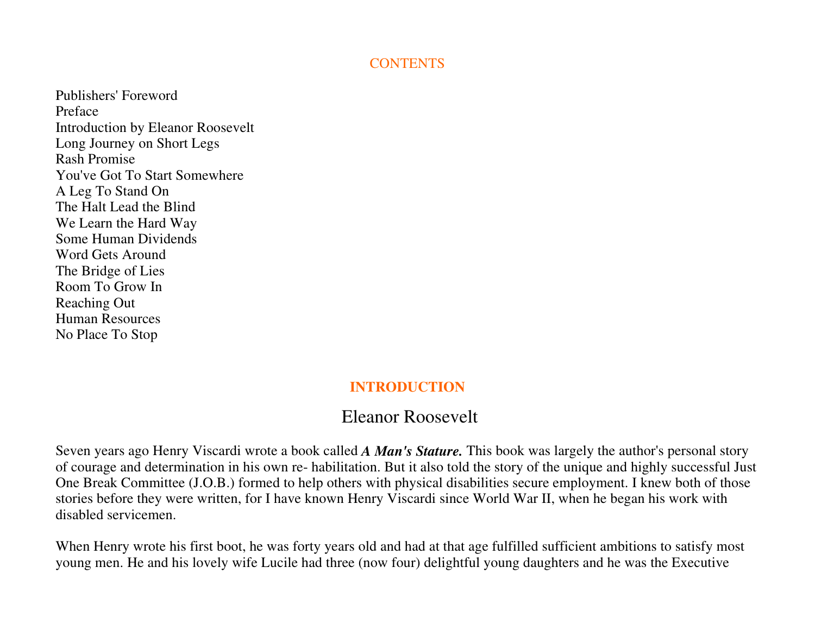#### **CONTENTS**

Publishers' Foreword Preface Introduction by Eleanor Roosevelt Long Journey on Short Legs Rash Promise You've Got To Start SomewhereA Leg To Stand On The Halt Lead the Blind We Learn the Hard Way Some Human Dividends Word Gets Around The Bridge of Lies Room To Grow In Reaching Out Human Resources No Place To Stop

#### **INTRODUCTION**

# Eleanor Roosevelt

Seven years ago Henry Viscardi wrote a book called *A Man's Stature.* This book was largely the author's personal story of courage and determination in his own re- habilitation. But it also told the story of the unique and highly successful Just One Break Committee (J.O.B.) formed to help others with physical disabilities secure employment. I knew both of those stories before they were written, for I have known Henry Viscardi since World War II, when he began his work with disabled servicemen.

When Henry wrote his first boot, he was forty years old and had at that age fulfilled sufficient ambitions to satisfy most young men. He and his lovely wife Lucile had three (now four) delightful young daughters and he was the Executive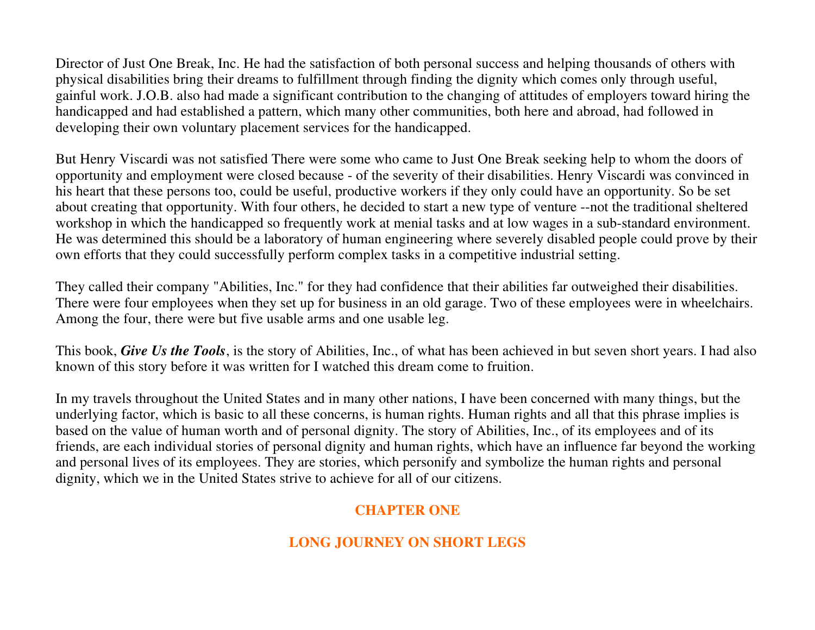Director of Just One Break, Inc. He had the satisfaction of both personal success and helping thousands of others with physical disabilities bring their dreams to fulfillment through finding the dignity which comes only through useful, gainful work. J.O.B. also had made a significant contribution to the changing of attitudes of employers toward hiring the handicapped and had established a pattern, which many other communities, both here and abroad, had followed in developing their own voluntary placement services for the handicapped.

But Henry Viscardi was not satisfied There were some who came to Just One Break seeking help to whom the doors of opportunity and employment were closed because - of the severity of their disabilities. Henry Viscardi was convinced in his heart that these persons too, could be useful, productive workers if they only could have an opportunity. So be set about creating that opportunity. With four others, he decided to start a new type of venture --not the traditional sheltered workshop in which the handicapped so frequently work at menial tasks and at low wages in a sub-standard environment. He was determined this should be a laboratory of human engineering where severely disabled people could prove by their own efforts that they could successfully perform complex tasks in a competitive industrial setting.

They called their company "Abilities, Inc." for they had confidence that their abilities far outweighed their disabilities. There were four employees when they set up for business in an old garage. Two of these employees were in wheelchairs. Among the four, there were but five usable arms and one usable leg.

This book, *Give Us the Tools*, is the story of Abilities, Inc., of what has been achieved in but seven short years. I had also known of this story before it was written for I watched this dream come to fruition.

In my travels throughout the United States and in many other nations, I have been concerned with many things, but the underlying factor, which is basic to all these concerns, is human rights. Human rights and all that this phrase implies is based on the value of human worth and of personal dignity. The story of Abilities, Inc., of its employees and of its friends, are each individual stories of personal dignity and human rights, which have an influence far beyond the working and personal lives of its employees. They are stories, which personify and symbolize the human rights and personal dignity, which we in the United States strive to achieve for all of our citizens.

#### **CHAPTER ONE**

#### **LONG JOURNEY ON SHORT LEGS**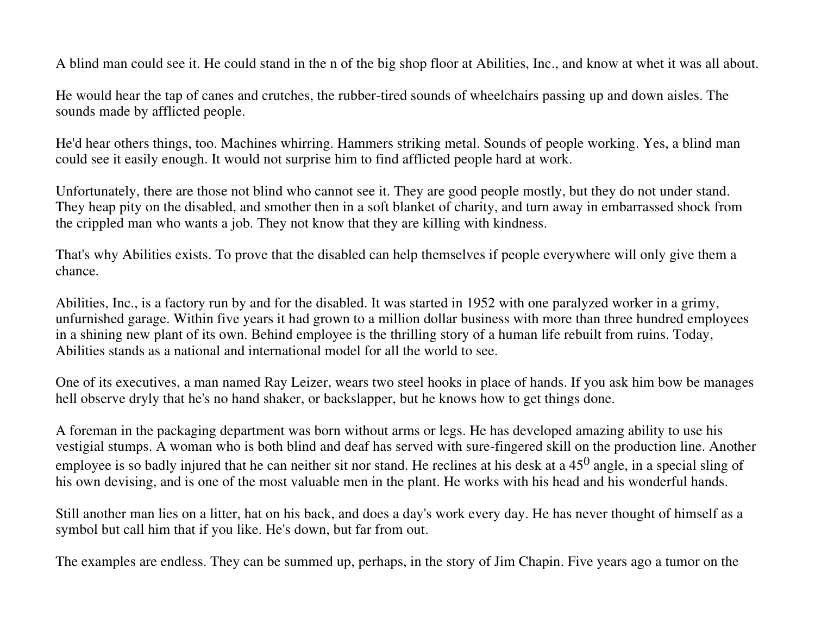A blind man could see it. He could stand in the n of the big shop floor at Abilities, Inc., and know at whet it was all about.

He would hear the tap of canes and crutches, the rubber-tired sounds of wheelchairs passing up and down aisles. The sounds made by afflicted people.

He'd hear others things, too. Machines whirring. Hammers striking metal. Sounds of people working. Yes, a blind man could see it easily enough. It would not surprise him to find afflicted people hard at work.

Unfortunately, there are those not blind who cannot see it. They are good people mostly, but they do not under stand. They heap pity on the disabled, and smother then in a soft blanket of charity, and turn away in embarrassed shock from the crippled man who wants a job. They not know that they are killing with kindness.

That's why Abilities exists. To prove that the disabled can help themselves if people everywhere will only give them a chance.

Abilities, Inc., is a factory run by and for the disabled. It was started in 1952 with one paralyzed worker in a grimy, unfurnished garage. Within five years it had grown to a million dollar business with more than three hundred employees in a shining new plant of its own. Behind employee is the thrilling story of a human life rebuilt from ruins. Today, Abilities stands as a national and international model for all the world to see.

One of its executives, a man named Ray Leizer, wears two steel hooks in place of hands. If you ask him bow be manages hell observe dryly that he's no hand shaker, or backslapper, but he knows how to get things done.

A foreman in the packaging department was born without arms or legs. He has developed amazing ability to use his vestigial stumps. A woman who is both blind and deaf has served with sure-fingered skill on the production line. Another employee is so badly injured that he can neither sit nor stand. He reclines at his desk at a  $45^0$  angle, in a special sling of his own devising, and is one of the most valuable men in the plant. He works with his head and his wonderful hands.

Still another man lies on a litter, hat on his back, and does a day's work every day. He has never thought of himself as a symbol but call him that if you like. He's down, but far from out.

The examples are endless. They can be summed up, perhaps, in the story of Jim Chapin. Five years ago a tumor on the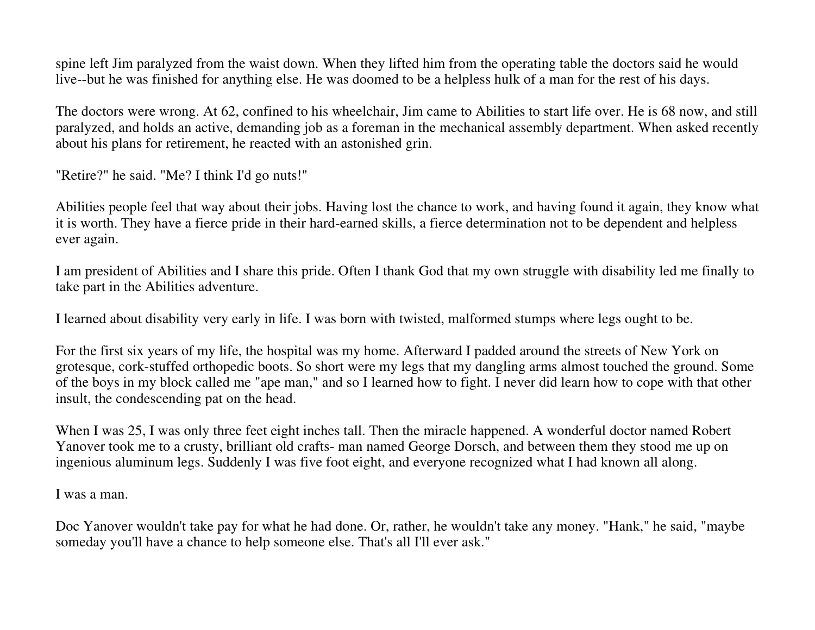spine left Jim paralyzed from the waist down. When they lifted him from the operating table the doctors said he would live--but he was finished for anything else. He was doomed to be a helpless hulk of a man for the rest of his days.

The doctors were wrong. At 62, confined to his wheelchair, Jim came to Abilities to start life over. He is 68 now, and still paralyzed, and holds an active, demanding job as a foreman in the mechanical assembly department. When asked recently about his plans for retirement, he reacted with an astonished grin.

"Retire?" he said. "Me? I think I'd go nuts!"

Abilities people feel that way about their jobs. Having lost the chance to work, and having found it again, they know what it is worth. They have a fierce pride in their hard-earned skills, a fierce determination not to be dependent and helpless ever again.

I am president of Abilities and I share this pride. Often I thank God that my own struggle with disability led me finally to take part in the Abilities adventure.

I learned about disability very early in life. I was born with twisted, malformed stumps where legs ought to be.

For the first six years of my life, the hospital was my home. Afterward I padded around the streets of New York on grotesque, cork-stuffed orthopedic boots. So short were my legs that my dangling arms almost touched the ground. Some of the boys in my block called me "ape man," and so I learned how to fight. I never did learn how to cope with that other insult, the condescending pat on the head.

When I was 25, I was only three feet eight inches tall. Then the miracle happened. A wonderful doctor named Robert Yanover took me to a crusty, brilliant old crafts- man named George Dorsch, and between them they stood me up on ingenious aluminum legs. Suddenly I was five foot eight, and everyone recognized what I had known all along.

I was a man.

Doc Yanover wouldn't take pay for what he had done. Or, rather, he wouldn't take any money. "Hank," he said, "maybe someday you'll have a chance to help someone else. That's all I'll ever ask."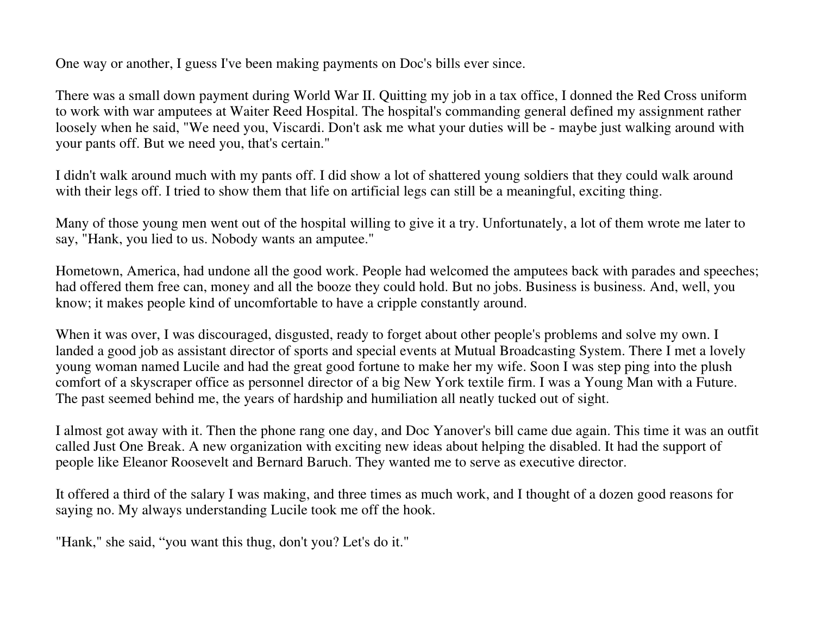One way or another, I guess I've been making payments on Doc's bills ever since.

There was a small down payment during World War II. Quitting my job in a tax office, I donned the Red Cross uniform to work with war amputees at Waiter Reed Hospital. The hospital's commanding general defined my assignment rather loosely when he said, "We need you, Viscardi. Don't ask me what your duties will be - maybe just walking around with your pants off. But we need you, that's certain."

I didn't walk around much with my pants off. I did show a lot of shattered young soldiers that they could walk around with their legs off. I tried to show them that life on artificial legs can still be a meaningful, exciting thing.

Many of those young men went out of the hospital willing to give it a try. Unfortunately, a lot of them wrote me later to say, "Hank, you lied to us. Nobody wants an amputee."

Hometown, America, had undone all the good work. People had welcomed the amputees back with parades and speeches; had offered them free can, money and all the booze they could hold. But no jobs. Business is business. And, well, you know; it makes people kind of uncomfortable to have a cripple constantly around.

When it was over, I was discouraged, disgusted, ready to forget about other people's problems and solve my own. I landed a good job as assistant director of sports and special events at Mutual Broadcasting System. There I met a lovely young woman named Lucile and had the great good fortune to make her my wife. Soon I was step ping into the plush comfort of a skyscraper office as personnel director of a big New York textile firm. I was a Young Man with a Future. The past seemed behind me, the years of hardship and humiliation all neatly tucked out of sight.

I almost got away with it. Then the phone rang one day, and Doc Yanover's bill came due again. This time it was an outfit called Just One Break. A new organization with exciting new ideas about helping the disabled. It had the support of people like Eleanor Roosevelt and Bernard Baruch. They wanted me to serve as executive director.

It offered a third of the salary I was making, and three times as much work, and I thought of a dozen good reasons for saying no. My always understanding Lucile took me off the hook.

"Hank," she said, "you want this thug, don't you? Let's do it."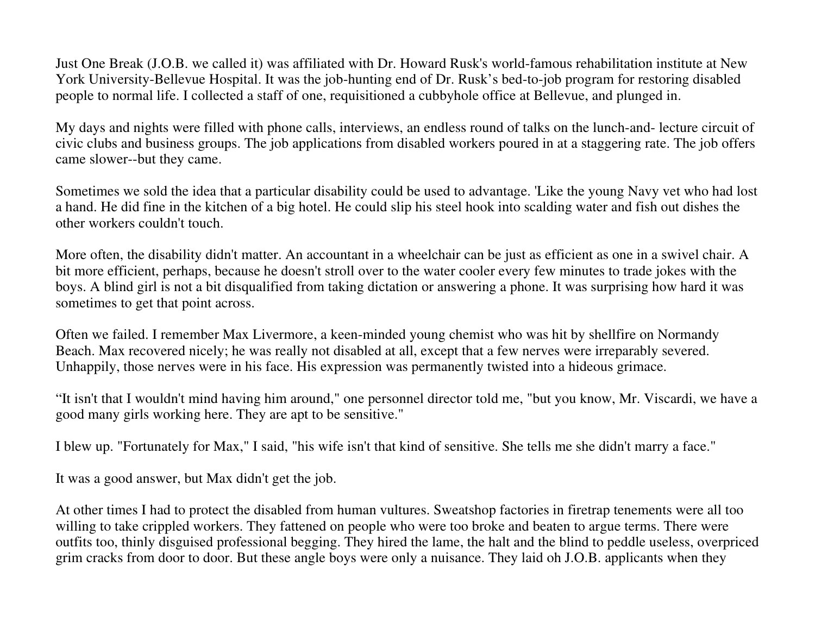Just One Break (J.O.B. we called it) was affiliated with Dr. Howard Rusk's world-famous rehabilitation institute at New York University-Bellevue Hospital. It was the job-hunting end of Dr. Rusk's bed-to-job program for restoring disabled people to normal life. I collected a staff of one, requisitioned a cubbyhole office at Bellevue, and plunged in.

My days and nights were filled with phone calls, interviews, an endless round of talks on the lunch-and- lecture circuit of civic clubs and business groups. The job applications from disabled workers poured in at a staggering rate. The job offers came slower--but they came.

Sometimes we sold the idea that a particular disability could be used to advantage. 'Like the young Navy vet who had lost a hand. He did fine in the kitchen of a big hotel. He could slip his steel hook into scalding water and fish out dishes the other workers couldn't touch.

More often, the disability didn't matter. An accountant in a wheelchair can be just as efficient as one in a swivel chair. A bit more efficient, perhaps, because he doesn't stroll over to the water cooler every few minutes to trade jokes with the boys. A blind girl is not a bit disqualified from taking dictation or answering a phone. It was surprising how hard it was sometimes to get that point across.

Often we failed. I remember Max Livermore, a keen-minded young chemist who was hit by shellfire on Normandy Beach. Max recovered nicely; he was really not disabled at all, except that a few nerves were irreparably severed. Unhappily, those nerves were in his face. His expression was permanently twisted into a hideous grimace.

"It isn't that I wouldn't mind having him around," one personnel director told me, "but you know, Mr. Viscardi, we have a good many girls working here. They are apt to be sensitive."

I blew up. "Fortunately for Max," I said, "his wife isn't that kind of sensitive. She tells me she didn't marry a face."

It was a good answer, but Max didn't get the job.

At other times I had to protect the disabled from human vultures. Sweatshop factories in firetrap tenements were all too willing to take crippled workers. They fattened on people who were too broke and beaten to argue terms. There were outfits too, thinly disguised professional begging. They hired the lame, the halt and the blind to peddle useless, overpriced grim cracks from door to door. But these angle boys were only a nuisance. They laid oh J.O.B. applicants when they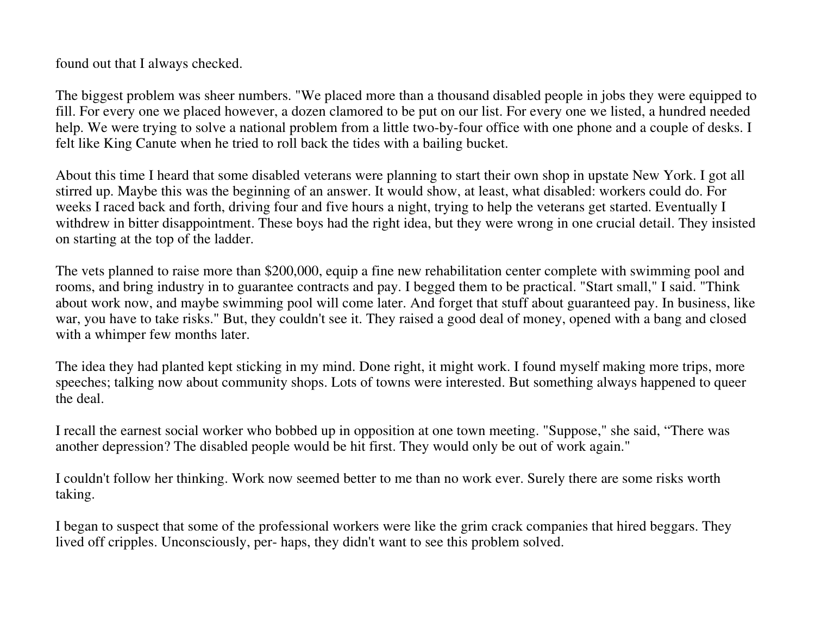found out that I always checked.

The biggest problem was sheer numbers. "We placed more than a thousand disabled people in jobs they were equipped to fill. For every one we placed however, a dozen clamored to be put on our list. For every one we listed, a hundred needed help. We were trying to solve a national problem from a little two-by-four office with one phone and a couple of desks. I felt like King Canute when he tried to roll back the tides with a bailing bucket.

About this time I heard that some disabled veterans were planning to start their own shop in upstate New York. I got all stirred up. Maybe this was the beginning of an answer. It would show, at least, what disabled: workers could do. For weeks I raced back and forth, driving four and five hours a night, trying to help the veterans get started. Eventually I withdrew in bitter disappointment. These boys had the right idea, but they were wrong in one crucial detail. They insisted on starting at the top of the ladder.

The vets planned to raise more than \$200,000, equip a fine new rehabilitation center complete with swimming pool and rooms, and bring industry in to guarantee contracts and pay. I begged them to be practical. "Start small," I said. "Think about work now, and maybe swimming pool will come later. And forget that stuff about guaranteed pay. In business, like war, you have to take risks." But, they couldn't see it. They raised a good deal of money, opened with a bang and closed with a whimper few months later.

The idea they had planted kept sticking in my mind. Done right, it might work. I found myself making more trips, more speeches; talking now about community shops. Lots of towns were interested. But something always happened to queer the deal.

I recall the earnest social worker who bobbed up in opposition at one town meeting. "Suppose," she said, "There was another depression? The disabled people would be hit first. They would only be out of work again."

I couldn't follow her thinking. Work now seemed better to me than no work ever. Surely there are some risks worth taking.

I began to suspect that some of the professional workers were like the grim crack companies that hired beggars. They lived off cripples. Unconsciously, per- haps, they didn't want to see this problem solved.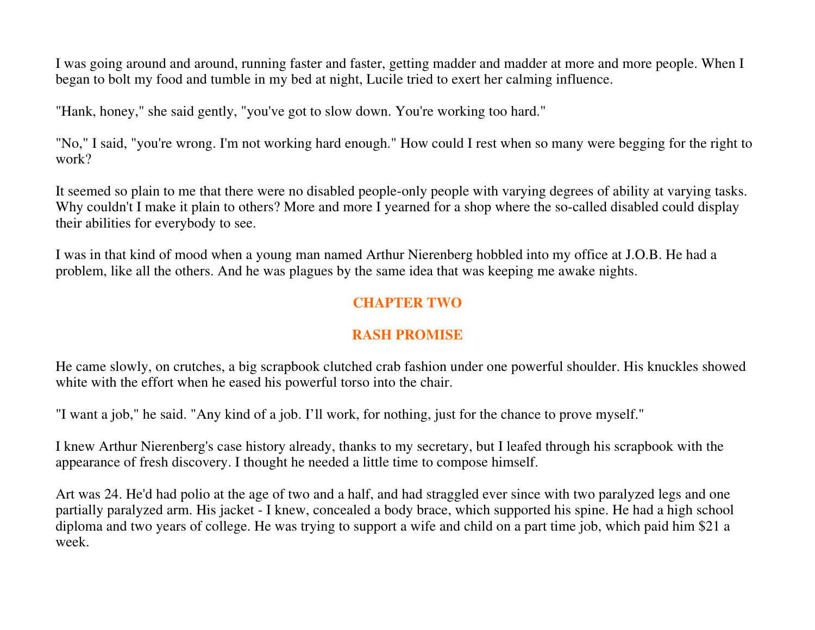I was going around and around, running faster and faster, getting madder and madder at more and more people. When I began to bolt my food and tumble in my bed at night, Lucile tried to exert her calming influence.

"Hank, honey," she said gently, "you've got to slow down. You're working too hard."

"No," I said, "you're wrong. I'm not working hard enough." How could I rest when so many were begging for the right to work?

It seemed so plain to me that there were no disabled people-only people with varying degrees of ability at varying tasks. Why couldn't I make it plain to others? More and more I yearned for a shop where the so-called disabled could display their abilities for everybody to see.

I was in that kind of mood when a young man named Arthur Nierenberg hobbled into my office at J.O.B. He had a problem, like all the others. And he was plagues by the same idea that was keeping me awake nights.

#### **CHAPTER TWO**

### **RASH PROMISE**

He came slowly, on crutches, a big scrapbook clutched crab fashion under one powerful shoulder. His knuckles showed white with the effort when he eased his powerful torso into the chair.

"I want a job," he said. "Any kind of a job. I'll work, for nothing, just for the chance to prove myself."

I knew Arthur Nierenberg's case history already, thanks to my secretary, but I leafed through his scrapbook with the appearance of fresh discovery. I thought he needed a little time to compose himself.

Art was 24. He'd had polio at the age of two and a half, and had straggled ever since with two paralyzed legs and one partially paralyzed arm. His jacket - I knew, concealed a body brace, which supported his spine. He had a high school diploma and two years of college. He was trying to support a wife and child on a part time job, which paid him \$21 a week.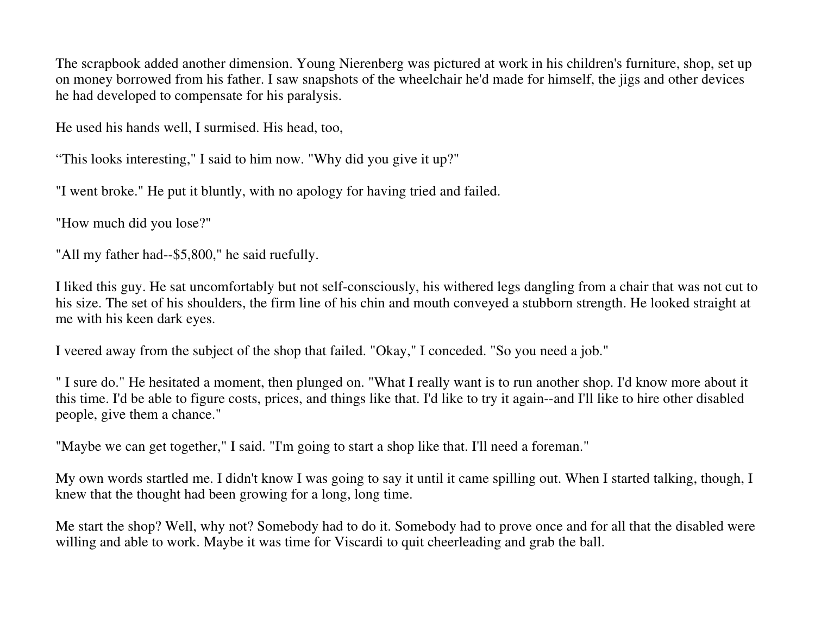The scrapbook added another dimension. Young Nierenberg was pictured at work in his children's furniture, shop, set up on money borrowed from his father. I saw snapshots of the wheelchair he'd made for himself, the jigs and other devices he had developed to compensate for his paralysis.

He used his hands well, I surmised. His head, too,

"This looks interesting," I said to him now. "Why did you give it up?"

"I went broke." He put it bluntly, with no apology for having tried and failed.

"How much did you lose?"

"All my father had--\$5,800," he said ruefully.

I liked this guy. He sat uncomfortably but not self-consciously, his withered legs dangling from a chair that was not cut to his size. The set of his shoulders, the firm line of his chin and mouth conveyed a stubborn strength. He looked straight at me with his keen dark eyes.

I veered away from the subject of the shop that failed. "Okay," I conceded. "So you need a job."

" I sure do." He hesitated a moment, then plunged on. "What I really want is to run another shop. I'd know more about it this time. I'd be able to figure costs, prices, and things like that. I'd like to try it again--and I'll like to hire other disabled people, give them a chance."

"Maybe we can get together," I said. "I'm going to start a shop like that. I'll need a foreman."

My own words startled me. I didn't know I was going to say it until it came spilling out. When I started talking, though, I knew that the thought had been growing for a long, long time.

Me start the shop? Well, why not? Somebody had to do it. Somebody had to prove once and for all that the disabled were willing and able to work. Maybe it was time for Viscardi to quit cheerleading and grab the ball.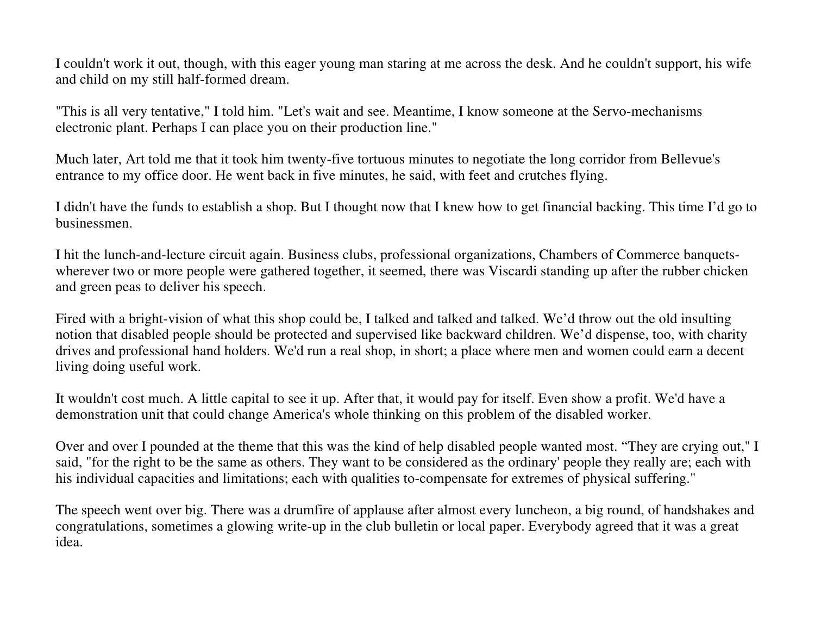I couldn't work it out, though, with this eager young man staring at me across the desk. And he couldn't support, his wife and child on my still half-formed dream.

"This is all very tentative," I told him. "Let's wait and see. Meantime, I know someone at the Servo-mechanisms electronic plant. Perhaps I can place you on their production line."

Much later, Art told me that it took him twenty-five tortuous minutes to negotiate the long corridor from Bellevue's entrance to my office door. He went back in five minutes, he said, with feet and crutches flying.

I didn't have the funds to establish a shop. But I thought now that I knew how to get financial backing. This time I'd go to businessmen.

I hit the lunch-and-lecture circuit again. Business clubs, professional organizations, Chambers of Commerce banquetswherever two or more people were gathered together, it seemed, there was Viscardi standing up after the rubber chicken and green peas to deliver his speech.

Fired with a bright-vision of what this shop could be, I talked and talked and talked. We'd throw out the old insulting notion that disabled people should be protected and supervised like backward children. We'd dispense, too, with charity drives and professional hand holders. We'd run a real shop, in short; a place where men and women could earn a decent living doing useful work.

It wouldn't cost much. A little capital to see it up. After that, it would pay for itself. Even show a profit. We'd have a demonstration unit that could change America's whole thinking on this problem of the disabled worker.

Over and over I pounded at the theme that this was the kind of help disabled people wanted most. "They are crying out," I said, "for the right to be the same as others. They want to be considered as the ordinary' people they really are; each with his individual capacities and limitations; each with qualities to-compensate for extremes of physical suffering."

The speech went over big. There was a drumfire of applause after almost every luncheon, a big round, of handshakes and congratulations, sometimes a glowing write-up in the club bulletin or local paper. Everybody agreed that it was a great idea.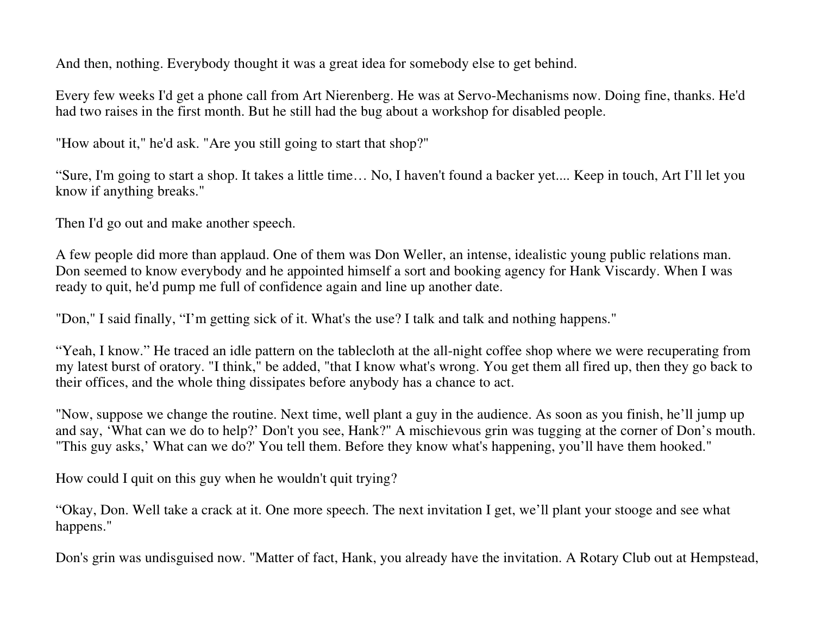And then, nothing. Everybody thought it was a great idea for somebody else to get behind.

Every few weeks I'd get a phone call from Art Nierenberg. He was at Servo-Mechanisms now. Doing fine, thanks. He'd had two raises in the first month. But he still had the bug about a workshop for disabled people.

"How about it," he'd ask. "Are you still going to start that shop?"

"Sure, I'm going to start a shop. It takes a little time… No, I haven't found a backer yet.... Keep in touch, Art I'll let you know if anything breaks."

Then I'd go out and make another speech.

A few people did more than applaud. One of them was Don Weller, an intense, idealistic young public relations man. Don seemed to know everybody and he appointed himself a sort and booking agency for Hank Viscardy. When I was ready to quit, he'd pump me full of confidence again and line up another date.

"Don," I said finally, "I'm getting sick of it. What's the use? I talk and talk and nothing happens."

"Yeah, I know." He traced an idle pattern on the tablecloth at the all-night coffee shop where we were recuperating from my latest burst of oratory. "I think," be added, "that I know what's wrong. You get them all fired up, then they go back to their offices, and the whole thing dissipates before anybody has a chance to act.

"Now, suppose we change the routine. Next time, well plant a guy in the audience. As soon as you finish, he'll jump up and say, 'What can we do to help?' Don't you see, Hank?" A mischievous grin was tugging at the corner of Don's mouth. "This guy asks,' What can we do?' You tell them. Before they know what's happening, you'll have them hooked."

How could I quit on this guy when he wouldn't quit trying?

"Okay, Don. Well take a crack at it. One more speech. The next invitation I get, we'll plant your stooge and see what happens."

Don's grin was undisguised now. "Matter of fact, Hank, you already have the invitation. A Rotary Club out at Hempstead,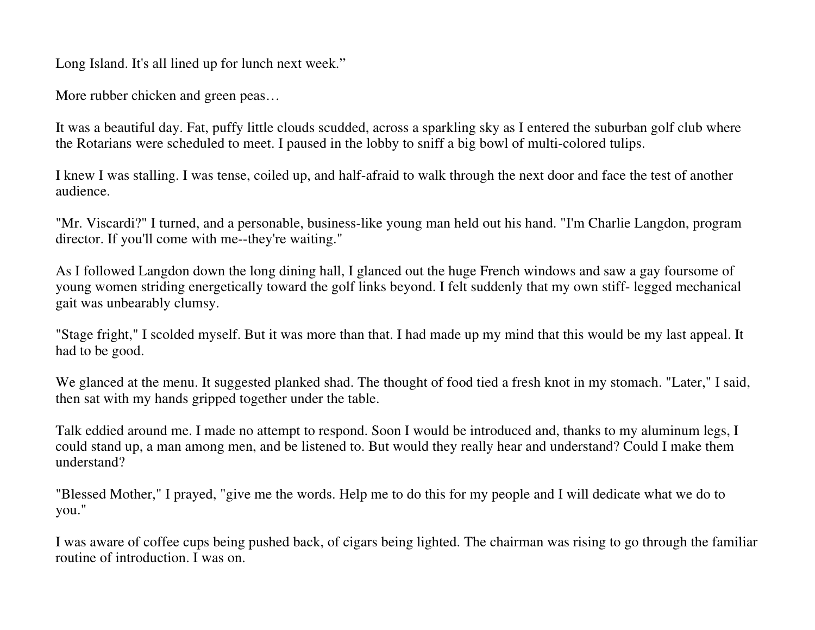Long Island. It's all lined up for lunch next week."

More rubber chicken and green peas…

It was a beautiful day. Fat, puffy little clouds scudded, across a sparkling sky as I entered the suburban golf club where the Rotarians were scheduled to meet. I paused in the lobby to sniff a big bowl of multi-colored tulips.

I knew I was stalling. I was tense, coiled up, and half-afraid to walk through the next door and face the test of another audience.

"Mr. Viscardi?" I turned, and a personable, business-like young man held out his hand. "I'm Charlie Langdon, program director. If you'll come with me--they're waiting."

As I followed Langdon down the long dining hall, I glanced out the huge French windows and saw a gay foursome of young women striding energetically toward the golf links beyond. I felt suddenly that my own stiff- legged mechanical gait was unbearably clumsy.

"Stage fright," I scolded myself. But it was more than that. I had made up my mind that this would be my last appeal. It had to be good.

We glanced at the menu. It suggested planked shad. The thought of food tied a fresh knot in my stomach. "Later," I said, then sat with my hands gripped together under the table.

Talk eddied around me. I made no attempt to respond. Soon I would be introduced and, thanks to my aluminum legs, I could stand up, a man among men, and be listened to. But would they really hear and understand? Could I make them understand?

"Blessed Mother," I prayed, "give me the words. Help me to do this for my people and I will dedicate what we do to you."

I was aware of coffee cups being pushed back, of cigars being lighted. The chairman was rising to go through the familiar routine of introduction. I was on.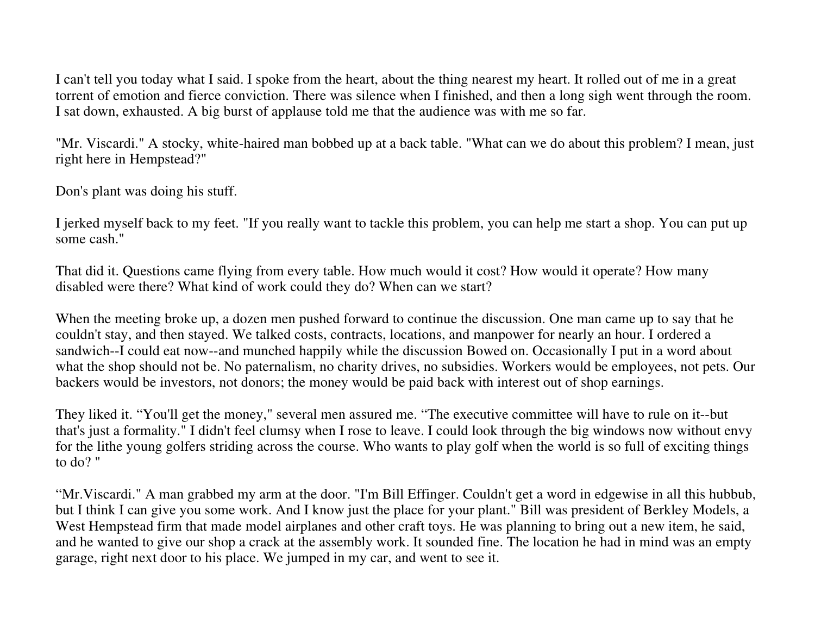I can't tell you today what I said. I spoke from the heart, about the thing nearest my heart. It rolled out of me in a great torrent of emotion and fierce conviction. There was silence when I finished, and then a long sigh went through the room. I sat down, exhausted. A big burst of applause told me that the audience was with me so far.

"Mr. Viscardi." A stocky, white-haired man bobbed up at a back table. "What can we do about this problem? I mean, just right here in Hempstead?"

Don's plant was doing his stuff.

I jerked myself back to my feet. "If you really want to tackle this problem, you can help me start a shop. You can put up some cash."

That did it. Questions came flying from every table. How much would it cost? How would it operate? How many disabled were there? What kind of work could they do? When can we start?

When the meeting broke up, a dozen men pushed forward to continue the discussion. One man came up to say that he couldn't stay, and then stayed. We talked costs, contracts, locations, and manpower for nearly an hour. I ordered a sandwich--I could eat now--and munched happily while the discussion Bowed on. Occasionally I put in a word about what the shop should not be. No paternalism, no charity drives, no subsidies. Workers would be employees, not pets. Our backers would be investors, not donors; the money would be paid back with interest out of shop earnings.

They liked it. "You'll get the money," several men assured me. "The executive committee will have to rule on it--but that's just a formality." I didn't feel clumsy when I rose to leave. I could look through the big windows now without envy for the lithe young golfers striding across the course. Who wants to play golf when the world is so full of exciting things to do? "

"Mr.Viscardi." A man grabbed my arm at the door. "I'm Bill Effinger. Couldn't get a word in edgewise in all this hubbub, but I think I can give you some work. And I know just the place for your plant." Bill was president of Berkley Models, a West Hempstead firm that made model airplanes and other craft toys. He was planning to bring out a new item, he said, and he wanted to give our shop a crack at the assembly work. It sounded fine. The location he had in mind was an empty garage, right next door to his place. We jumped in my car, and went to see it.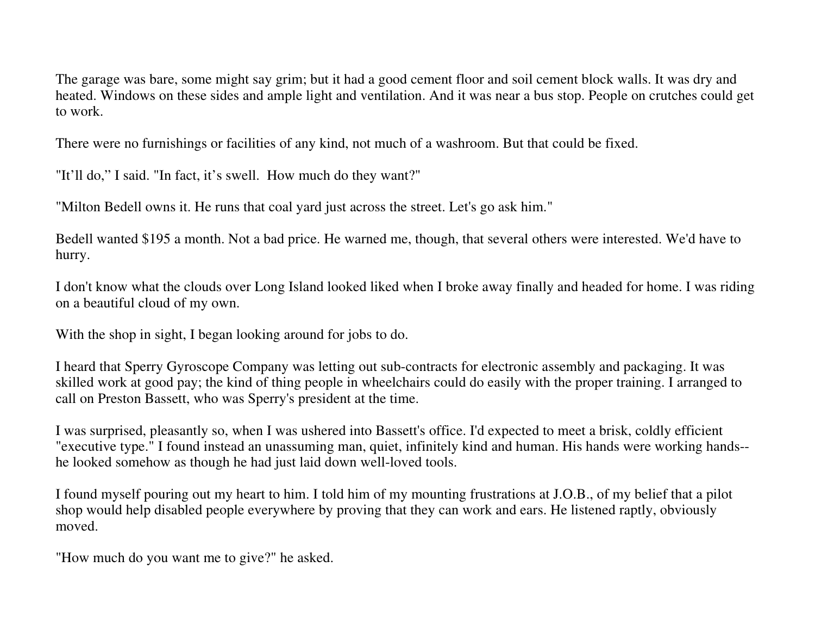The garage was bare, some might say grim; but it had a good cement floor and soil cement block walls. It was dry and heated. Windows on these sides and ample light and ventilation. And it was near a bus stop. People on crutches could get to work.

There were no furnishings or facilities of any kind, not much of a washroom. But that could be fixed.

"It'll do," I said. "In fact, it's swell. How much do they want?"

"Milton Bedell owns it. He runs that coal yard just across the street. Let's go ask him."

Bedell wanted \$195 a month. Not a bad price. He warned me, though, that several others were interested. We'd have to hurry.

I don't know what the clouds over Long Island looked liked when I broke away finally and headed for home. I was riding on a beautiful cloud of my own.

With the shop in sight, I began looking around for jobs to do.

I heard that Sperry Gyroscope Company was letting out sub-contracts for electronic assembly and packaging. It was skilled work at good pay; the kind of thing people in wheelchairs could do easily with the proper training. I arranged to call on Preston Bassett, who was Sperry's president at the time.

I was surprised, pleasantly so, when I was ushered into Bassett's office. I'd expected to meet a brisk, coldly efficient "executive type." I found instead an unassuming man, quiet, infinitely kind and human. His hands were working hands-he looked somehow as though he had just laid down well-loved tools.

I found myself pouring out my heart to him. I told him of my mounting frustrations at J.O.B., of my belief that a pilot shop would help disabled people everywhere by proving that they can work and ears. He listened raptly, obviously moved.

"How much do you want me to give?" he asked.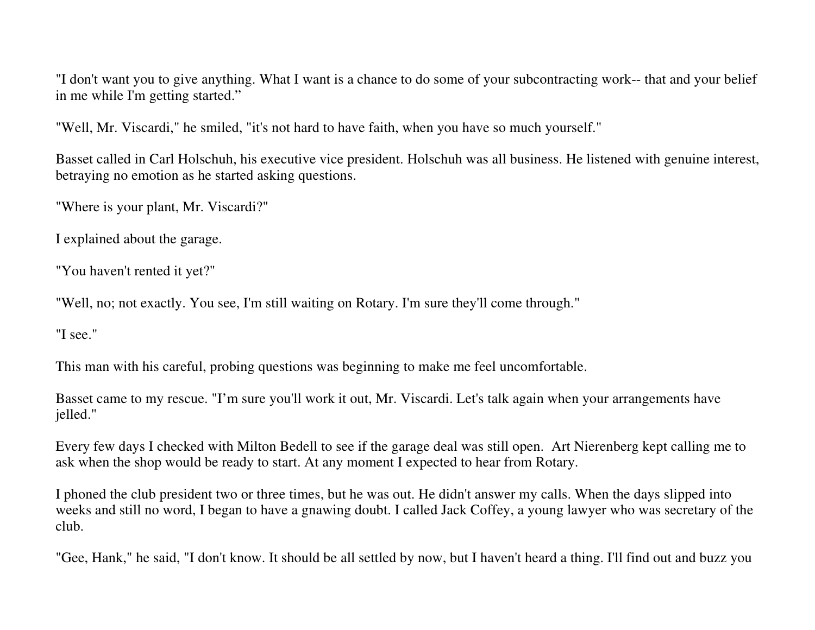"I don't want you to give anything. What I want is a chance to do some of your subcontracting work-- that and your belief in me while I'm getting started."

"Well, Mr. Viscardi," he smiled, "it's not hard to have faith, when you have so much yourself."

Basset called in Carl Holschuh, his executive vice president. Holschuh was all business. He listened with genuine interest, betraying no emotion as he started asking questions.

"Where is your plant, Mr. Viscardi?"

I explained about the garage.

"You haven't rented it yet?"

"Well, no; not exactly. You see, I'm still waiting on Rotary. I'm sure they'll come through."

"I see."

This man with his careful, probing questions was beginning to make me feel uncomfortable.

Basset came to my rescue. "I'm sure you'll work it out, Mr. Viscardi. Let's talk again when your arrangements have jelled."

Every few days I checked with Milton Bedell to see if the garage deal was still open. Art Nierenberg kept calling me to ask when the shop would be ready to start. At any moment I expected to hear from Rotary.

I phoned the club president two or three times, but he was out. He didn't answer my calls. When the days slipped into weeks and still no word, I began to have a gnawing doubt. I called Jack Coffey, a young lawyer who was secretary of the club.

"Gee, Hank," he said, "I don't know. It should be all settled by now, but I haven't heard a thing. I'll find out and buzz you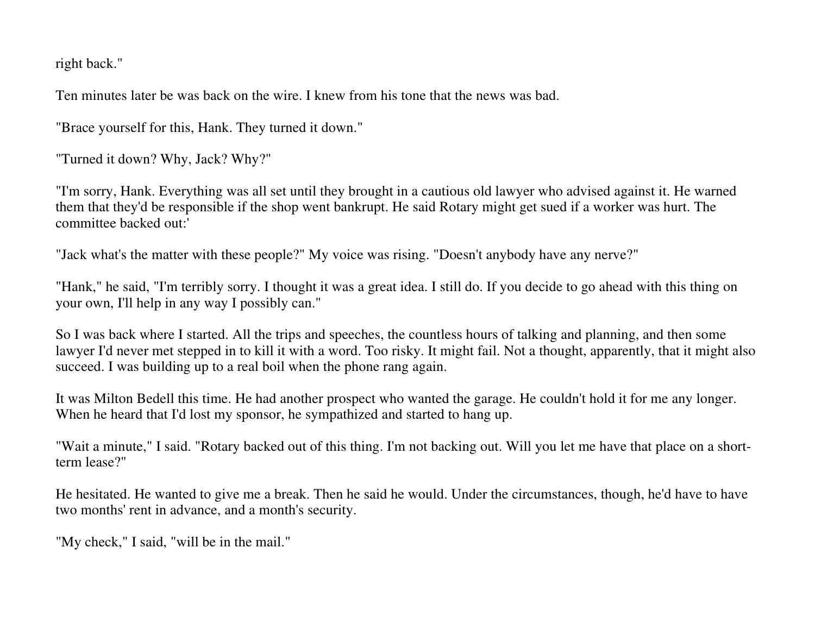right back."

Ten minutes later be was back on the wire. I knew from his tone that the news was bad.

"Brace yourself for this, Hank. They turned it down."

"Turned it down? Why, Jack? Why?"

"I'm sorry, Hank. Everything was all set until they brought in a cautious old lawyer who advised against it. He warned them that they'd be responsible if the shop went bankrupt. He said Rotary might get sued if a worker was hurt. The committee backed out:'

"Jack what's the matter with these people?" My voice was rising. "Doesn't anybody have any nerve?"

"Hank," he said, "I'm terribly sorry. I thought it was a great idea. I still do. If you decide to go ahead with this thing on your own, I'll help in any way I possibly can."

So I was back where I started. All the trips and speeches, the countless hours of talking and planning, and then some lawyer I'd never met stepped in to kill it with a word. Too risky. It might fail. Not a thought, apparently, that it might also succeed. I was building up to a real boil when the phone rang again.

It was Milton Bedell this time. He had another prospect who wanted the garage. He couldn't hold it for me any longer. When he heard that I'd lost my sponsor, he sympathized and started to hang up.

"Wait a minute," I said. "Rotary backed out of this thing. I'm not backing out. Will you let me have that place on a shortterm lease?"

He hesitated. He wanted to give me a break. Then he said he would. Under the circumstances, though, he'd have to have two months' rent in advance, and a month's security.

"My check," I said, "will be in the mail."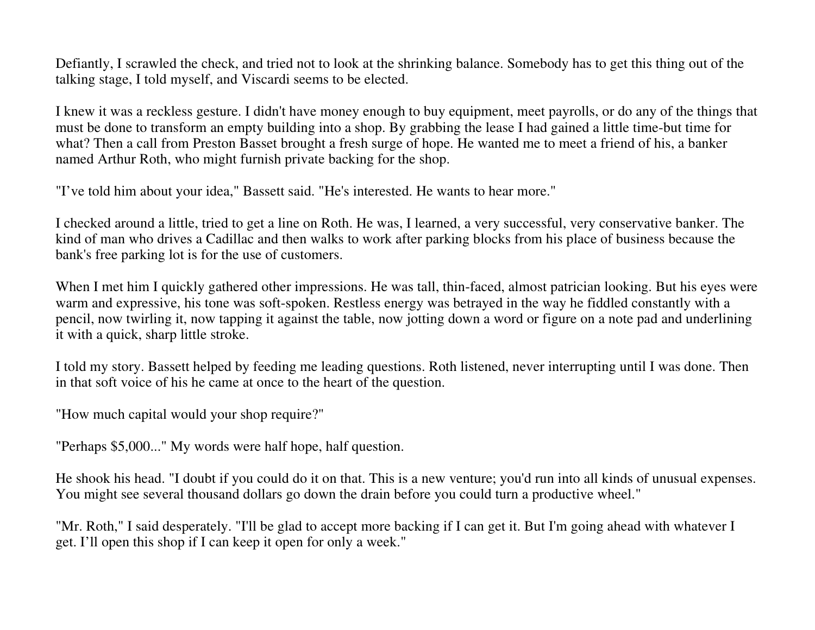Defiantly, I scrawled the check, and tried not to look at the shrinking balance. Somebody has to get this thing out of the talking stage, I told myself, and Viscardi seems to be elected.

I knew it was a reckless gesture. I didn't have money enough to buy equipment, meet payrolls, or do any of the things that must be done to transform an empty building into a shop. By grabbing the lease I had gained a little time-but time for what? Then a call from Preston Basset brought a fresh surge of hope. He wanted me to meet a friend of his, a banker named Arthur Roth, who might furnish private backing for the shop.

"I've told him about your idea," Bassett said. "He's interested. He wants to hear more."

I checked around a little, tried to get a line on Roth. He was, I learned, a very successful, very conservative banker. The kind of man who drives a Cadillac and then walks to work after parking blocks from his place of business because the bank's free parking lot is for the use of customers.

When I met him I quickly gathered other impressions. He was tall, thin-faced, almost patrician looking. But his eyes were warm and expressive, his tone was soft-spoken. Restless energy was betrayed in the way he fiddled constantly with a pencil, now twirling it, now tapping it against the table, now jotting down a word or figure on a note pad and underlining it with a quick, sharp little stroke.

I told my story. Bassett helped by feeding me leading questions. Roth listened, never interrupting until I was done. Then in that soft voice of his he came at once to the heart of the question.

"How much capital would your shop require?"

"Perhaps \$5,000..." My words were half hope, half question.

He shook his head. "I doubt if you could do it on that. This is a new venture; you'd run into all kinds of unusual expenses. You might see several thousand dollars go down the drain before you could turn a productive wheel."

"Mr. Roth," I said desperately. "I'll be glad to accept more backing if I can get it. But I'm going ahead with whatever I get. I'll open this shop if I can keep it open for only a week."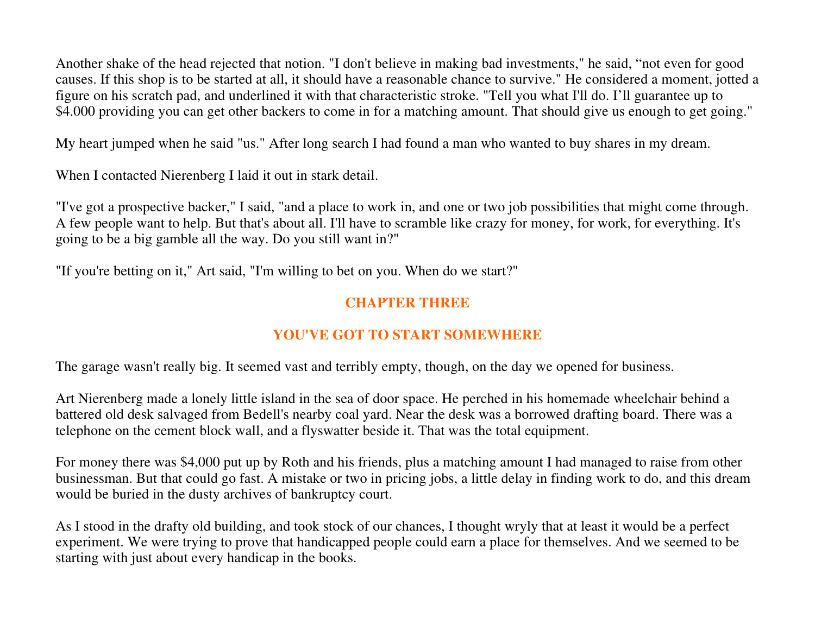Another shake of the head rejected that notion. "I don't believe in making bad investments," he said, "not even for good causes. If this shop is to be started at all, it should have a reasonable chance to survive." He considered a moment, jotted a figure on his scratch pad, and underlined it with that characteristic stroke. "Tell you what I'll do. I'll guarantee up to \$4.000 providing you can get other backers to come in for a matching amount. That should give us enough to get going."

My heart jumped when he said "us." After long search I had found a man who wanted to buy shares in my dream.

When I contacted Nierenberg I laid it out in stark detail.

"I've got a prospective backer," I said, "and a place to work in, and one or two job possibilities that might come through. A few people want to help. But that's about all. I'll have to scramble like crazy for money, for work, for everything. It's going to be a big gamble all the way. Do you still want in?"

"If you're betting on it," Art said, "I'm willing to bet on you. When do we start?"

#### **CHAPTER THREE**

#### **YOU'VE GOT TO START SOMEWHERE**

The garage wasn't really big. It seemed vast and terribly empty, though, on the day we opened for business.

Art Nierenberg made a lonely little island in the sea of door space. He perched in his homemade wheelchair behind a battered old desk salvaged from Bedell's nearby coal yard. Near the desk was a borrowed drafting board. There was a telephone on the cement block wall, and a flyswatter beside it. That was the total equipment.

For money there was \$4,000 put up by Roth and his friends, plus a matching amount I had managed to raise from other businessman. But that could go fast. A mistake or two in pricing jobs, a little delay in finding work to do, and this dream would be buried in the dusty archives of bankruptcy court.

As I stood in the drafty old building, and took stock of our chances, I thought wryly that at least it would be a perfect experiment. We were trying to prove that handicapped people could earn a place for themselves. And we seemed to be starting with just about every handicap in the books.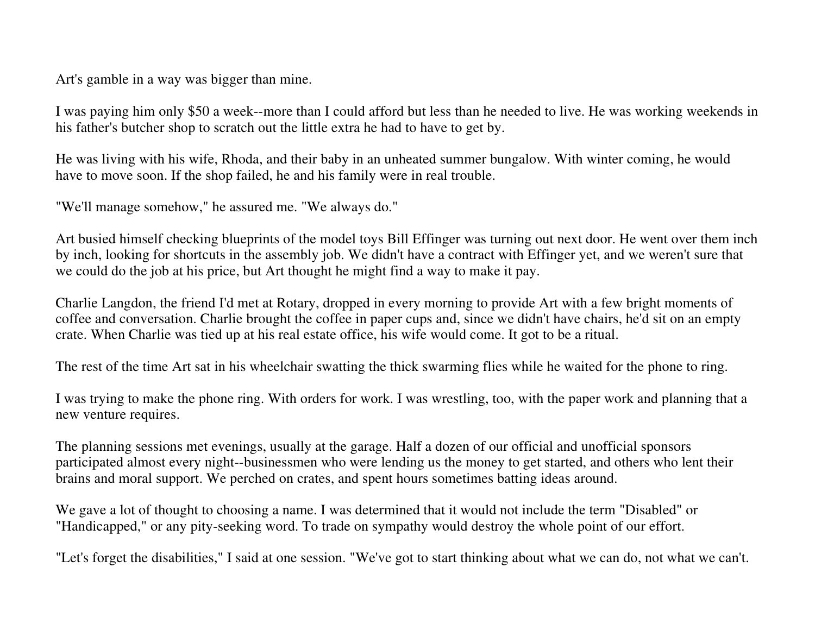Art's gamble in a way was bigger than mine.

I was paying him only \$50 a week--more than I could afford but less than he needed to live. He was working weekends in his father's butcher shop to scratch out the little extra he had to have to get by.

He was living with his wife, Rhoda, and their baby in an unheated summer bungalow. With winter coming, he would have to move soon. If the shop failed, he and his family were in real trouble.

"We'll manage somehow," he assured me. "We always do."

Art busied himself checking blueprints of the model toys Bill Effinger was turning out next door. He went over them inch by inch, looking for shortcuts in the assembly job. We didn't have a contract with Effinger yet, and we weren't sure that we could do the job at his price, but Art thought he might find a way to make it pay.

Charlie Langdon, the friend I'd met at Rotary, dropped in every morning to provide Art with a few bright moments of coffee and conversation. Charlie brought the coffee in paper cups and, since we didn't have chairs, he'd sit on an empty crate. When Charlie was tied up at his real estate office, his wife would come. It got to be a ritual.

The rest of the time Art sat in his wheelchair swatting the thick swarming flies while he waited for the phone to ring.

I was trying to make the phone ring. With orders for work. I was wrestling, too, with the paper work and planning that a new venture requires.

The planning sessions met evenings, usually at the garage. Half a dozen of our official and unofficial sponsors participated almost every night--businessmen who were lending us the money to get started, and others who lent their brains and moral support. We perched on crates, and spent hours sometimes batting ideas around.

We gave a lot of thought to choosing a name. I was determined that it would not include the term "Disabled" or "Handicapped," or any pity-seeking word. To trade on sympathy would destroy the whole point of our effort.

"Let's forget the disabilities," I said at one session. "We've got to start thinking about what we can do, not what we can't.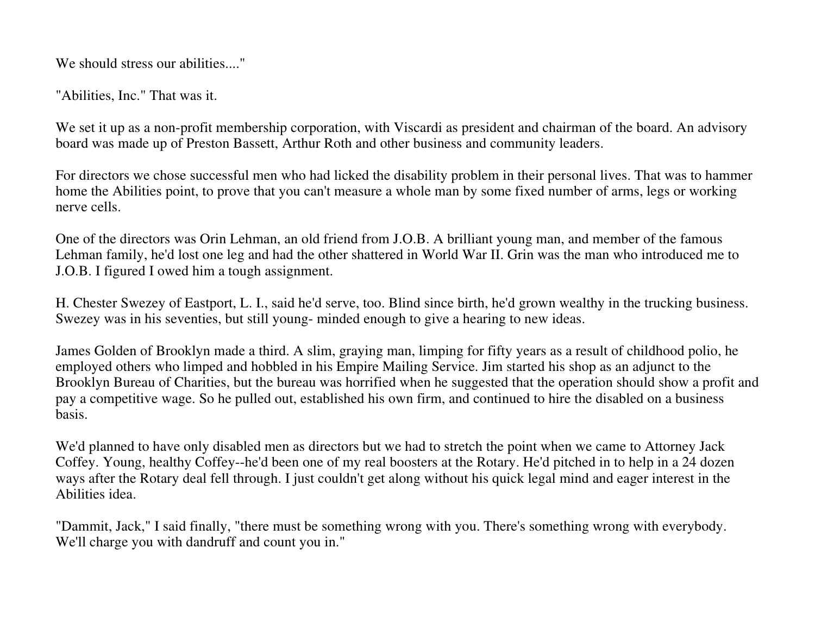We should stress our abilities...."

"Abilities, Inc." That was it.

We set it up as a non-profit membership corporation, with Viscardi as president and chairman of the board. An advisory board was made up of Preston Bassett, Arthur Roth and other business and community leaders.

For directors we chose successful men who had licked the disability problem in their personal lives. That was to hammer home the Abilities point, to prove that you can't measure a whole man by some fixed number of arms, legs or working nerve cells.

One of the directors was Orin Lehman, an old friend from J.O.B. A brilliant young man, and member of the famous Lehman family, he'd lost one leg and had the other shattered in World War II. Grin was the man who introduced me to J.O.B. I figured I owed him a tough assignment.

H. Chester Swezey of Eastport, L. I., said he'd serve, too. Blind since birth, he'd grown wealthy in the trucking business. Swezey was in his seventies, but still young- minded enough to give a hearing to new ideas.

James Golden of Brooklyn made a third. A slim, graying man, limping for fifty years as a result of childhood polio, he employed others who limped and hobbled in his Empire Mailing Service. Jim started his shop as an adjunct to the Brooklyn Bureau of Charities, but the bureau was horrified when he suggested that the operation should show a profit and pay a competitive wage. So he pulled out, established his own firm, and continued to hire the disabled on a business basis.

We'd planned to have only disabled men as directors but we had to stretch the point when we came to Attorney Jack Coffey. Young, healthy Coffey--he'd been one of my real boosters at the Rotary. He'd pitched in to help in a 24 dozen ways after the Rotary deal fell through. I just couldn't get along without his quick legal mind and eager interest in the Abilities idea.

"Dammit, Jack," I said finally, "there must be something wrong with you. There's something wrong with everybody. We'll charge you with dandruff and count you in."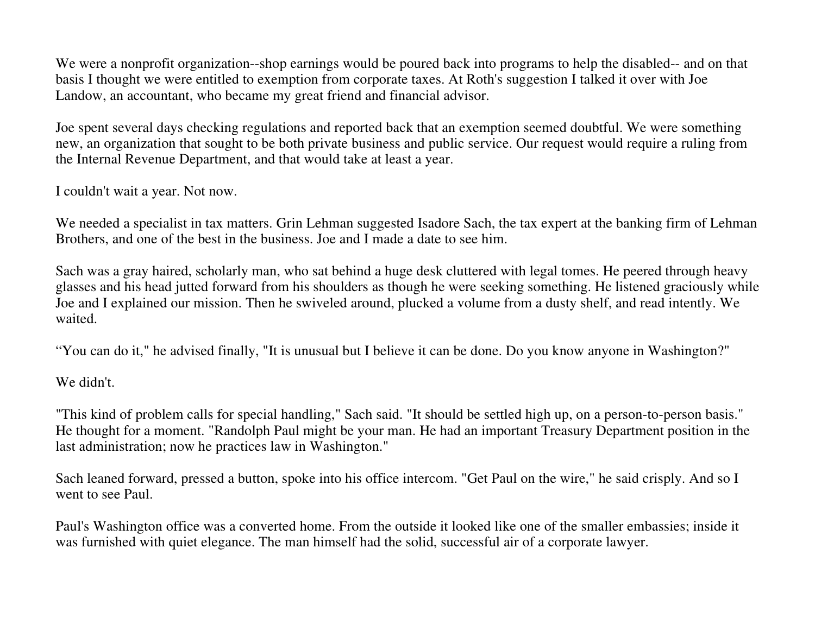We were a nonprofit organization--shop earnings would be poured back into programs to help the disabled-- and on that basis I thought we were entitled to exemption from corporate taxes. At Roth's suggestion I talked it over with Joe Landow, an accountant, who became my great friend and financial advisor.

Joe spent several days checking regulations and reported back that an exemption seemed doubtful. We were something new, an organization that sought to be both private business and public service. Our request would require a ruling from the Internal Revenue Department, and that would take at least a year.

I couldn't wait a year. Not now.

We needed a specialist in tax matters. Grin Lehman suggested Isadore Sach, the tax expert at the banking firm of Lehman Brothers, and one of the best in the business. Joe and I made a date to see him.

Sach was a gray haired, scholarly man, who sat behind a huge desk cluttered with legal tomes. He peered through heavy glasses and his head jutted forward from his shoulders as though he were seeking something. He listened graciously while Joe and I explained our mission. Then he swiveled around, plucked a volume from a dusty shelf, and read intently. We waited.

"You can do it," he advised finally, "It is unusual but I believe it can be done. Do you know anyone in Washington?"

We didn't.

"This kind of problem calls for special handling," Sach said. "It should be settled high up, on a person-to-person basis." He thought for a moment. "Randolph Paul might be your man. He had an important Treasury Department position in the last administration; now he practices law in Washington."

Sach leaned forward, pressed a button, spoke into his office intercom. "Get Paul on the wire," he said crisply. And so I went to see Paul.

Paul's Washington office was a converted home. From the outside it looked like one of the smaller embassies; inside it was furnished with quiet elegance. The man himself had the solid, successful air of a corporate lawyer.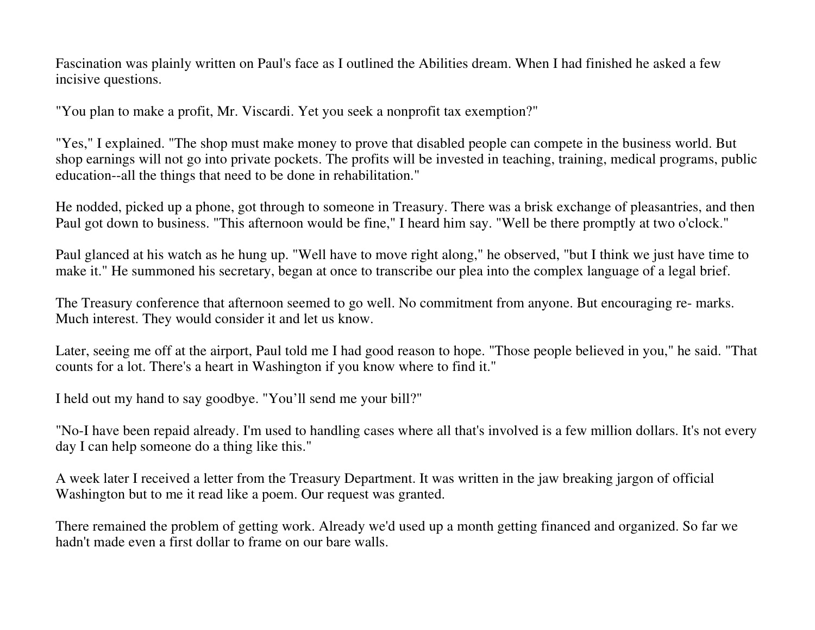Fascination was plainly written on Paul's face as I outlined the Abilities dream. When I had finished he asked a few incisive questions.

"You plan to make a profit, Mr. Viscardi. Yet you seek a nonprofit tax exemption?"

"Yes," I explained. "The shop must make money to prove that disabled people can compete in the business world. But shop earnings will not go into private pockets. The profits will be invested in teaching, training, medical programs, public education--all the things that need to be done in rehabilitation."

He nodded, picked up a phone, got through to someone in Treasury. There was a brisk exchange of pleasantries, and then Paul got down to business. "This afternoon would be fine," I heard him say. "Well be there promptly at two o'clock."

Paul glanced at his watch as he hung up. "Well have to move right along," he observed, "but I think we just have time to make it." He summoned his secretary, began at once to transcribe our plea into the complex language of a legal brief.

The Treasury conference that afternoon seemed to go well. No commitment from anyone. But encouraging re- marks. Much interest. They would consider it and let us know.

Later, seeing me off at the airport, Paul told me I had good reason to hope. "Those people believed in you," he said. "That counts for a lot. There's a heart in Washington if you know where to find it."

I held out my hand to say goodbye. "You'll send me your bill?"

"No-I have been repaid already. I'm used to handling cases where all that's involved is a few million dollars. It's not every day I can help someone do a thing like this."

A week later I received a letter from the Treasury Department. It was written in the jaw breaking jargon of official Washington but to me it read like a poem. Our request was granted.

There remained the problem of getting work. Already we'd used up a month getting financed and organized. So far we hadn't made even a first dollar to frame on our bare walls.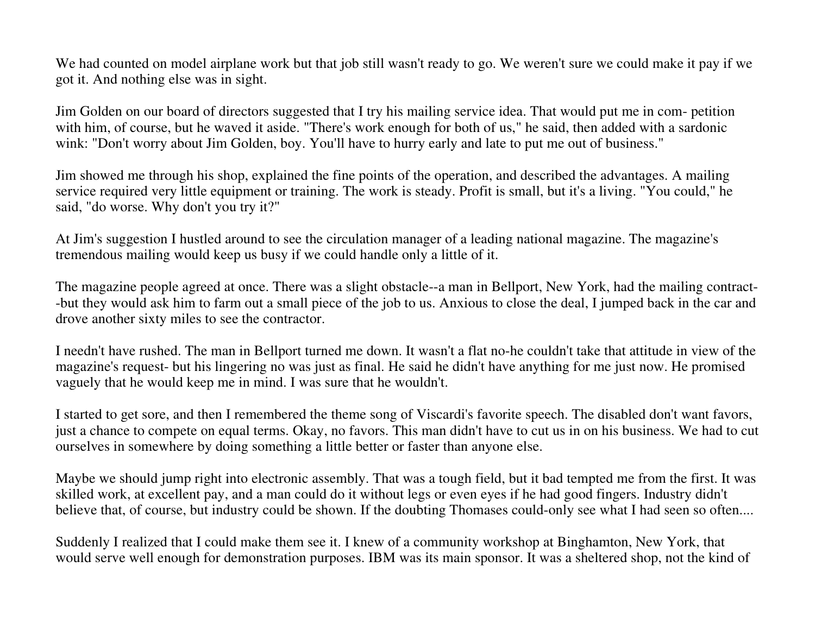We had counted on model airplane work but that job still wasn't ready to go. We weren't sure we could make it pay if we got it. And nothing else was in sight.

Jim Golden on our board of directors suggested that I try his mailing service idea. That would put me in com- petition with him, of course, but he waved it aside. "There's work enough for both of us," he said, then added with a sardonic wink: "Don't worry about Jim Golden, boy. You'll have to hurry early and late to put me out of business."

Jim showed me through his shop, explained the fine points of the operation, and described the advantages. A mailing service required very little equipment or training. The work is steady. Profit is small, but it's a living. "You could," he said, "do worse. Why don't you try it?"

At Jim's suggestion I hustled around to see the circulation manager of a leading national magazine. The magazine's tremendous mailing would keep us busy if we could handle only a little of it.

The magazine people agreed at once. There was a slight obstacle--a man in Bellport, New York, had the mailing contract- -but they would ask him to farm out a small piece of the job to us. Anxious to close the deal, I jumped back in the car and drove another sixty miles to see the contractor.

I needn't have rushed. The man in Bellport turned me down. It wasn't a flat no-he couldn't take that attitude in view of the magazine's request- but his lingering no was just as final. He said he didn't have anything for me just now. He promised vaguely that he would keep me in mind. I was sure that he wouldn't.

I started to get sore, and then I remembered the theme song of Viscardi's favorite speech. The disabled don't want favors, just a chance to compete on equal terms. Okay, no favors. This man didn't have to cut us in on his business. We had to cut ourselves in somewhere by doing something a little better or faster than anyone else.

Maybe we should jump right into electronic assembly. That was a tough field, but it bad tempted me from the first. It was skilled work, at excellent pay, and a man could do it without legs or even eyes if he had good fingers. Industry didn't believe that, of course, but industry could be shown. If the doubting Thomases could-only see what I had seen so often....

Suddenly I realized that I could make them see it. I knew of a community workshop at Binghamton, New York, that would serve well enough for demonstration purposes. IBM was its main sponsor. It was a sheltered shop, not the kind of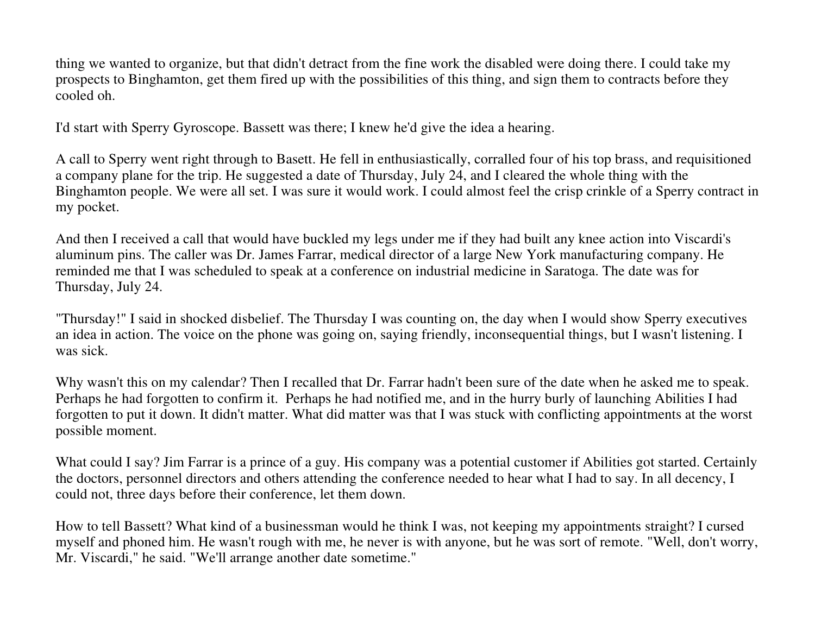thing we wanted to organize, but that didn't detract from the fine work the disabled were doing there. I could take my prospects to Binghamton, get them fired up with the possibilities of this thing, and sign them to contracts before they cooled oh.

I'd start with Sperry Gyroscope. Bassett was there; I knew he'd give the idea a hearing.

A call to Sperry went right through to Basett. He fell in enthusiastically, corralled four of his top brass, and requisitioned a company plane for the trip. He suggested a date of Thursday, July 24, and I cleared the whole thing with the Binghamton people. We were all set. I was sure it would work. I could almost feel the crisp crinkle of a Sperry contract in my pocket.

And then I received a call that would have buckled my legs under me if they had built any knee action into Viscardi's aluminum pins. The caller was Dr. James Farrar, medical director of a large New York manufacturing company. He reminded me that I was scheduled to speak at a conference on industrial medicine in Saratoga. The date was for Thursday, July 24.

"Thursday!" I said in shocked disbelief. The Thursday I was counting on, the day when I would show Sperry executives an idea in action. The voice on the phone was going on, saying friendly, inconsequential things, but I wasn't listening. I was sick.

Why wasn't this on my calendar? Then I recalled that Dr. Farrar hadn't been sure of the date when he asked me to speak. Perhaps he had forgotten to confirm it. Perhaps he had notified me, and in the hurry burly of launching Abilities I had forgotten to put it down. It didn't matter. What did matter was that I was stuck with conflicting appointments at the worst possible moment.

What could I say? Jim Farrar is a prince of a guy. His company was a potential customer if Abilities got started. Certainly the doctors, personnel directors and others attending the conference needed to hear what I had to say. In all decency, I could not, three days before their conference, let them down.

How to tell Bassett? What kind of a businessman would he think I was, not keeping my appointments straight? I cursed myself and phoned him. He wasn't rough with me, he never is with anyone, but he was sort of remote. "Well, don't worry, Mr. Viscardi," he said. "We'll arrange another date sometime."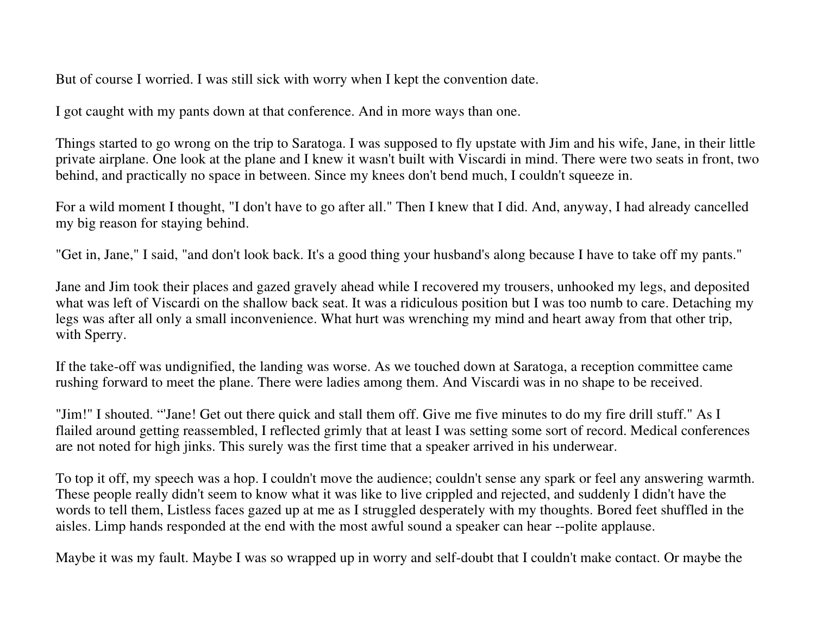But of course I worried. I was still sick with worry when I kept the convention date.

I got caught with my pants down at that conference. And in more ways than one.

Things started to go wrong on the trip to Saratoga. I was supposed to fly upstate with Jim and his wife, Jane, in their little private airplane. One look at the plane and I knew it wasn't built with Viscardi in mind. There were two seats in front, two behind, and practically no space in between. Since my knees don't bend much, I couldn't squeeze in.

For a wild moment I thought, "I don't have to go after all." Then I knew that I did. And, anyway, I had already cancelled my big reason for staying behind.

"Get in, Jane," I said, "and don't look back. It's a good thing your husband's along because I have to take off my pants."

Jane and Jim took their places and gazed gravely ahead while I recovered my trousers, unhooked my legs, and deposited what was left of Viscardi on the shallow back seat. It was a ridiculous position but I was too numb to care. Detaching my legs was after all only a small inconvenience. What hurt was wrenching my mind and heart away from that other trip, with Sperry.

If the take-off was undignified, the landing was worse. As we touched down at Saratoga, a reception committee came rushing forward to meet the plane. There were ladies among them. And Viscardi was in no shape to be received.

"Jim!" I shouted. "'Jane! Get out there quick and stall them off. Give me five minutes to do my fire drill stuff." As I flailed around getting reassembled, I reflected grimly that at least I was setting some sort of record. Medical conferences are not noted for high jinks. This surely was the first time that a speaker arrived in his underwear.

To top it off, my speech was a hop. I couldn't move the audience; couldn't sense any spark or feel any answering warmth. These people really didn't seem to know what it was like to live crippled and rejected, and suddenly I didn't have the words to tell them, Listless faces gazed up at me as I struggled desperately with my thoughts. Bored feet shuffled in the aisles. Limp hands responded at the end with the most awful sound a speaker can hear --polite applause.

Maybe it was my fault. Maybe I was so wrapped up in worry and self-doubt that I couldn't make contact. Or maybe the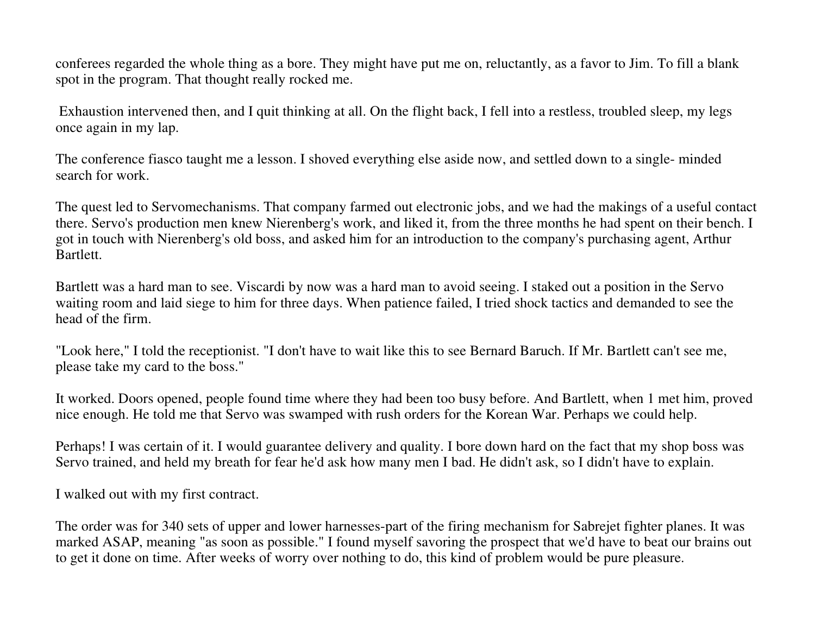conferees regarded the whole thing as a bore. They might have put me on, reluctantly, as a favor to Jim. To fill a blank spot in the program. That thought really rocked me.

 Exhaustion intervened then, and I quit thinking at all. On the flight back, I fell into a restless, troubled sleep, my legs once again in my lap.

The conference fiasco taught me a lesson. I shoved everything else aside now, and settled down to a single- minded search for work.

The quest led to Servomechanisms. That company farmed out electronic jobs, and we had the makings of a useful contact there. Servo's production men knew Nierenberg's work, and liked it, from the three months he had spent on their bench. I got in touch with Nierenberg's old boss, and asked him for an introduction to the company's purchasing agent, Arthur Bartlett.

Bartlett was a hard man to see. Viscardi by now was a hard man to avoid seeing. I staked out a position in the Servo waiting room and laid siege to him for three days. When patience failed, I tried shock tactics and demanded to see the head of the firm.

"Look here," I told the receptionist. "I don't have to wait like this to see Bernard Baruch. If Mr. Bartlett can't see me, please take my card to the boss."

It worked. Doors opened, people found time where they had been too busy before. And Bartlett, when 1 met him, proved nice enough. He told me that Servo was swamped with rush orders for the Korean War. Perhaps we could help.

Perhaps! I was certain of it. I would guarantee delivery and quality. I bore down hard on the fact that my shop boss was Servo trained, and held my breath for fear he'd ask how many men I bad. He didn't ask, so I didn't have to explain.

I walked out with my first contract.

The order was for 340 sets of upper and lower harnesses-part of the firing mechanism for Sabrejet fighter planes. It was marked ASAP, meaning "as soon as possible." I found myself savoring the prospect that we'd have to beat our brains out to get it done on time. After weeks of worry over nothing to do, this kind of problem would be pure pleasure.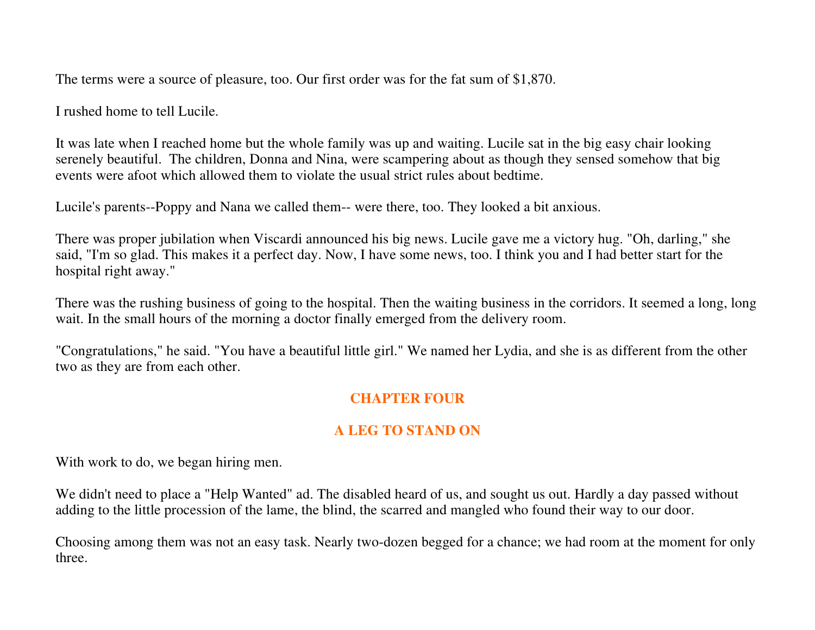The terms were a source of pleasure, too. Our first order was for the fat sum of \$1,870.

I rushed home to tell Lucile.

It was late when I reached home but the whole family was up and waiting. Lucile sat in the big easy chair looking serenely beautiful. The children, Donna and Nina, were scampering about as though they sensed somehow that big events were afoot which allowed them to violate the usual strict rules about bedtime.

Lucile's parents--Poppy and Nana we called them-- were there, too. They looked a bit anxious.

There was proper jubilation when Viscardi announced his big news. Lucile gave me a victory hug. "Oh, darling," she said, "I'm so glad. This makes it a perfect day. Now, I have some news, too. I think you and I had better start for the hospital right away."

There was the rushing business of going to the hospital. Then the waiting business in the corridors. It seemed a long, long wait. In the small hours of the morning a doctor finally emerged from the delivery room.

"Congratulations," he said. "You have a beautiful little girl." We named her Lydia, and she is as different from the other two as they are from each other.

#### **CHAPTER FOUR**

## **A LEG TO STAND ON**

With work to do, we began hiring men.

We didn't need to place a "Help Wanted" ad. The disabled heard of us, and sought us out. Hardly a day passed without adding to the little procession of the lame, the blind, the scarred and mangled who found their way to our door.

Choosing among them was not an easy task. Nearly two-dozen begged for a chance; we had room at the moment for only three.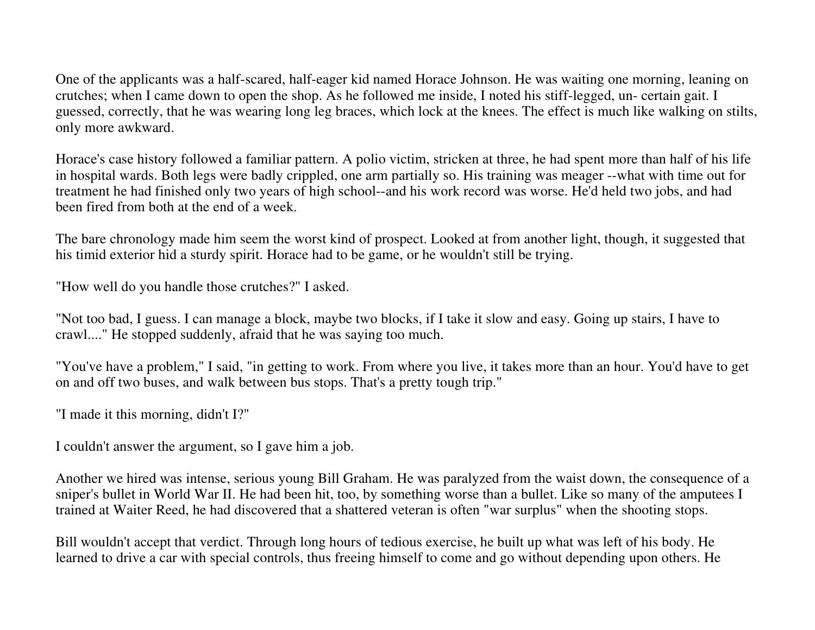One of the applicants was a half-scared, half-eager kid named Horace Johnson. He was waiting one morning, leaning on crutches; when I came down to open the shop. As he followed me inside, I noted his stiff-legged, un- certain gait. I guessed, correctly, that he was wearing long leg braces, which lock at the knees. The effect is much like walking on stilts, only more awkward.

Horace's case history followed a familiar pattern. A polio victim, stricken at three, he had spent more than half of his life in hospital wards. Both legs were badly crippled, one arm partially so. His training was meager --what with time out for treatment he had finished only two years of high school--and his work record was worse. He'd held two jobs, and had been fired from both at the end of a week.

The bare chronology made him seem the worst kind of prospect. Looked at from another light, though, it suggested that his timid exterior hid a sturdy spirit. Horace had to be game, or he wouldn't still be trying.

"How well do you handle those crutches?" I asked.

"Not too bad, I guess. I can manage a block, maybe two blocks, if I take it slow and easy. Going up stairs, I have to crawl...." He stopped suddenly, afraid that he was saying too much.

"You've have a problem," I said, "in getting to work. From where you live, it takes more than an hour. You'd have to get on and off two buses, and walk between bus stops. That's a pretty tough trip."

"I made it this morning, didn't I?"

I couldn't answer the argument, so I gave him a job.

Another we hired was intense, serious young Bill Graham. He was paralyzed from the waist down, the consequence of a sniper's bullet in World War II. He had been hit, too, by something worse than a bullet. Like so many of the amputees I trained at Waiter Reed, he had discovered that a shattered veteran is often "war surplus" when the shooting stops.

Bill wouldn't accept that verdict. Through long hours of tedious exercise, he built up what was left of his body. He learned to drive a car with special controls, thus freeing himself to come and go without depending upon others. He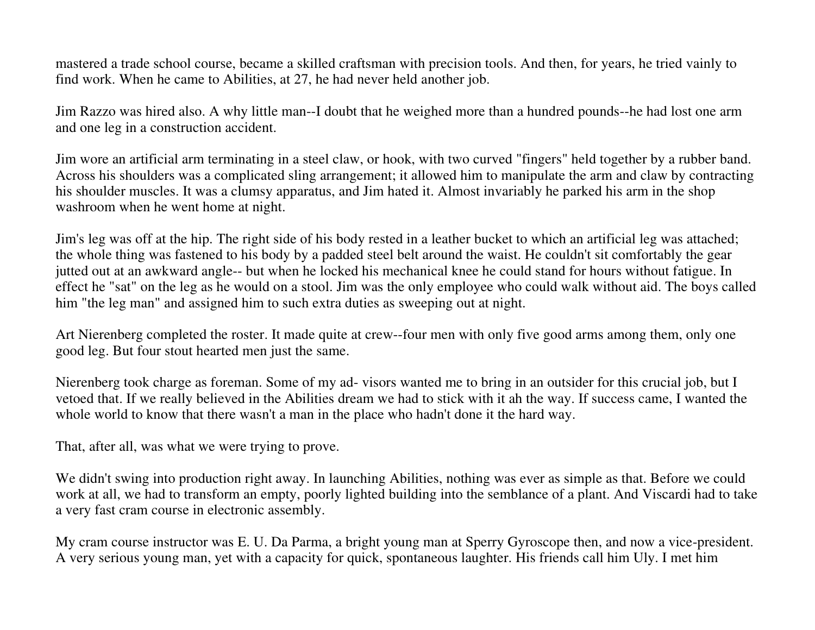mastered a trade school course, became a skilled craftsman with precision tools. And then, for years, he tried vainly to find work. When he came to Abilities, at 27, he had never held another job.

Jim Razzo was hired also. A why little man--I doubt that he weighed more than a hundred pounds--he had lost one arm and one leg in a construction accident.

Jim wore an artificial arm terminating in a steel claw, or hook, with two curved "fingers" held together by a rubber band. Across his shoulders was a complicated sling arrangement; it allowed him to manipulate the arm and claw by contracting his shoulder muscles. It was a clumsy apparatus, and Jim hated it. Almost invariably he parked his arm in the shop washroom when he went home at night.

Jim's leg was off at the hip. The right side of his body rested in a leather bucket to which an artificial leg was attached; the whole thing was fastened to his body by a padded steel belt around the waist. He couldn't sit comfortably the gear jutted out at an awkward angle-- but when he locked his mechanical knee he could stand for hours without fatigue. In effect he "sat" on the leg as he would on a stool. Jim was the only employee who could walk without aid. The boys called him "the leg man" and assigned him to such extra duties as sweeping out at night.

Art Nierenberg completed the roster. It made quite at crew--four men with only five good arms among them, only one good leg. But four stout hearted men just the same.

Nierenberg took charge as foreman. Some of my ad- visors wanted me to bring in an outsider for this crucial job, but I vetoed that. If we really believed in the Abilities dream we had to stick with it ah the way. If success came, I wanted the whole world to know that there wasn't a man in the place who hadn't done it the hard way.

That, after all, was what we were trying to prove.

We didn't swing into production right away. In launching Abilities, nothing was ever as simple as that. Before we could work at all, we had to transform an empty, poorly lighted building into the semblance of a plant. And Viscardi had to take a very fast cram course in electronic assembly.

My cram course instructor was E. U. Da Parma, a bright young man at Sperry Gyroscope then, and now a vice-president. A very serious young man, yet with a capacity for quick, spontaneous laughter. His friends call him Uly. I met him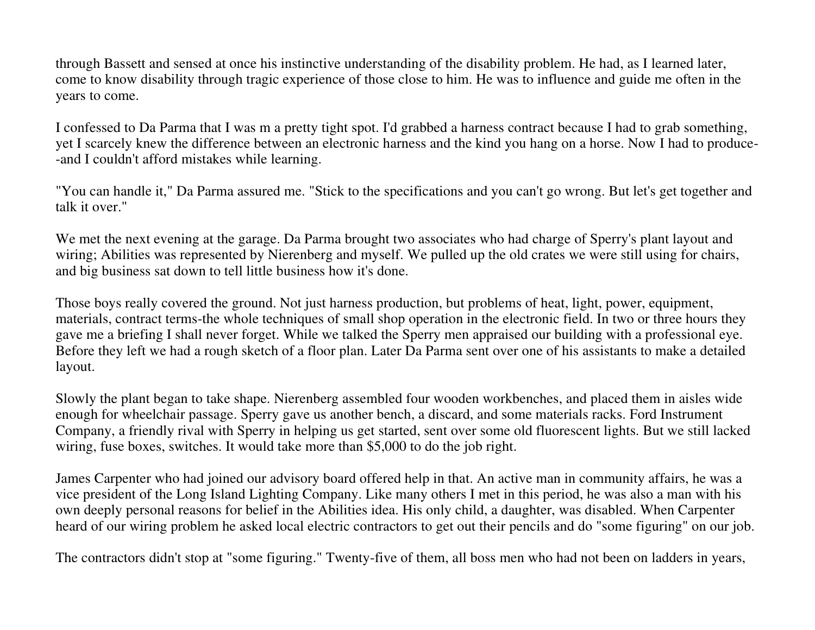through Bassett and sensed at once his instinctive understanding of the disability problem. He had, as I learned later, come to know disability through tragic experience of those close to him. He was to influence and guide me often in the years to come.

I confessed to Da Parma that I was m a pretty tight spot. I'd grabbed a harness contract because I had to grab something, yet I scarcely knew the difference between an electronic harness and the kind you hang on a horse. Now I had to produce--and I couldn't afford mistakes while learning.

"You can handle it," Da Parma assured me. "Stick to the specifications and you can't go wrong. But let's get together and talk it over."

We met the next evening at the garage. Da Parma brought two associates who had charge of Sperry's plant layout and wiring; Abilities was represented by Nierenberg and myself. We pulled up the old crates we were still using for chairs, and big business sat down to tell little business how it's done.

Those boys really covered the ground. Not just harness production, but problems of heat, light, power, equipment, materials, contract terms-the whole techniques of small shop operation in the electronic field. In two or three hours they gave me a briefing I shall never forget. While we talked the Sperry men appraised our building with a professional eye. Before they left we had a rough sketch of a floor plan. Later Da Parma sent over one of his assistants to make a detailed layout.

Slowly the plant began to take shape. Nierenberg assembled four wooden workbenches, and placed them in aisles wide enough for wheelchair passage. Sperry gave us another bench, a discard, and some materials racks. Ford Instrument Company, a friendly rival with Sperry in helping us get started, sent over some old fluorescent lights. But we still lacked wiring, fuse boxes, switches. It would take more than \$5,000 to do the job right.

James Carpenter who had joined our advisory board offered help in that. An active man in community affairs, he was a vice president of the Long Island Lighting Company. Like many others I met in this period, he was also a man with his own deeply personal reasons for belief in the Abilities idea. His only child, a daughter, was disabled. When Carpenter heard of our wiring problem he asked local electric contractors to get out their pencils and do "some figuring" on our job.

The contractors didn't stop at "some figuring." Twenty-five of them, all boss men who had not been on ladders in years,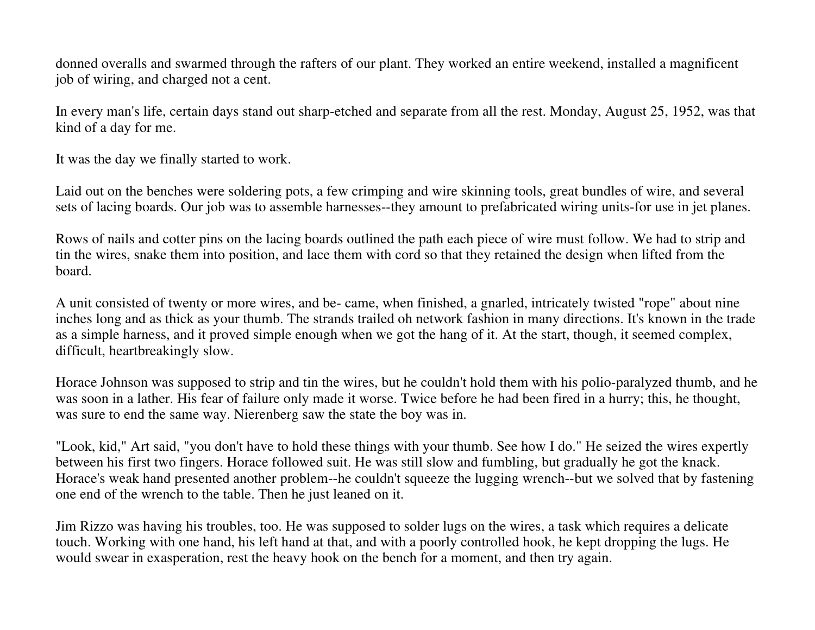donned overalls and swarmed through the rafters of our plant. They worked an entire weekend, installed a magnificent job of wiring, and charged not a cent.

In every man's life, certain days stand out sharp-etched and separate from all the rest. Monday, August 25, 1952, was that kind of a day for me.

It was the day we finally started to work.

Laid out on the benches were soldering pots, a few crimping and wire skinning tools, great bundles of wire, and several sets of lacing boards. Our job was to assemble harnesses--they amount to prefabricated wiring units-for use in jet planes.

Rows of nails and cotter pins on the lacing boards outlined the path each piece of wire must follow. We had to strip and tin the wires, snake them into position, and lace them with cord so that they retained the design when lifted from the board.

A unit consisted of twenty or more wires, and be- came, when finished, a gnarled, intricately twisted "rope" about nine inches long and as thick as your thumb. The strands trailed oh network fashion in many directions. It's known in the trade as a simple harness, and it proved simple enough when we got the hang of it. At the start, though, it seemed complex, difficult, heartbreakingly slow.

Horace Johnson was supposed to strip and tin the wires, but he couldn't hold them with his polio-paralyzed thumb, and he was soon in a lather. His fear of failure only made it worse. Twice before he had been fired in a hurry; this, he thought, was sure to end the same way. Nierenberg saw the state the boy was in.

"Look, kid," Art said, "you don't have to hold these things with your thumb. See how I do." He seized the wires expertly between his first two fingers. Horace followed suit. He was still slow and fumbling, but gradually he got the knack. Horace's weak hand presented another problem--he couldn't squeeze the lugging wrench--but we solved that by fastening one end of the wrench to the table. Then he just leaned on it.

Jim Rizzo was having his troubles, too. He was supposed to solder lugs on the wires, a task which requires a delicate touch. Working with one hand, his left hand at that, and with a poorly controlled hook, he kept dropping the lugs. He would swear in exasperation, rest the heavy hook on the bench for a moment, and then try again.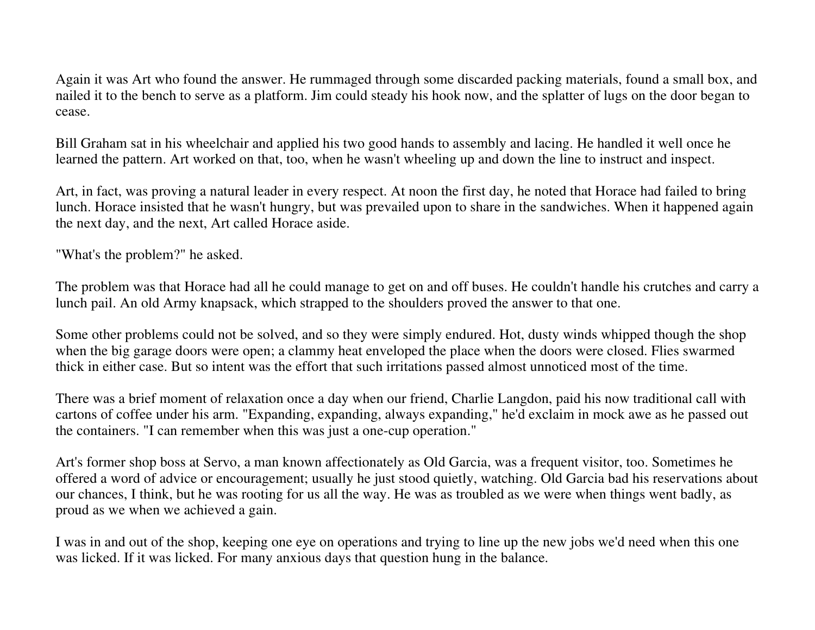Again it was Art who found the answer. He rummaged through some discarded packing materials, found a small box, and nailed it to the bench to serve as a platform. Jim could steady his hook now, and the splatter of lugs on the door began to cease.

Bill Graham sat in his wheelchair and applied his two good hands to assembly and lacing. He handled it well once he learned the pattern. Art worked on that, too, when he wasn't wheeling up and down the line to instruct and inspect.

Art, in fact, was proving a natural leader in every respect. At noon the first day, he noted that Horace had failed to bring lunch. Horace insisted that he wasn't hungry, but was prevailed upon to share in the sandwiches. When it happened again the next day, and the next, Art called Horace aside.

"What's the problem?" he asked.

The problem was that Horace had all he could manage to get on and off buses. He couldn't handle his crutches and carry a lunch pail. An old Army knapsack, which strapped to the shoulders proved the answer to that one.

Some other problems could not be solved, and so they were simply endured. Hot, dusty winds whipped though the shop when the big garage doors were open; a clammy heat enveloped the place when the doors were closed. Flies swarmed thick in either case. But so intent was the effort that such irritations passed almost unnoticed most of the time.

There was a brief moment of relaxation once a day when our friend, Charlie Langdon, paid his now traditional call with cartons of coffee under his arm. "Expanding, expanding, always expanding," he'd exclaim in mock awe as he passed out the containers. "I can remember when this was just a one-cup operation."

Art's former shop boss at Servo, a man known affectionately as Old Garcia, was a frequent visitor, too. Sometimes he offered a word of advice or encouragement; usually he just stood quietly, watching. Old Garcia bad his reservations about our chances, I think, but he was rooting for us all the way. He was as troubled as we were when things went badly, as proud as we when we achieved a gain.

I was in and out of the shop, keeping one eye on operations and trying to line up the new jobs we'd need when this one was licked. If it was licked. For many anxious days that question hung in the balance.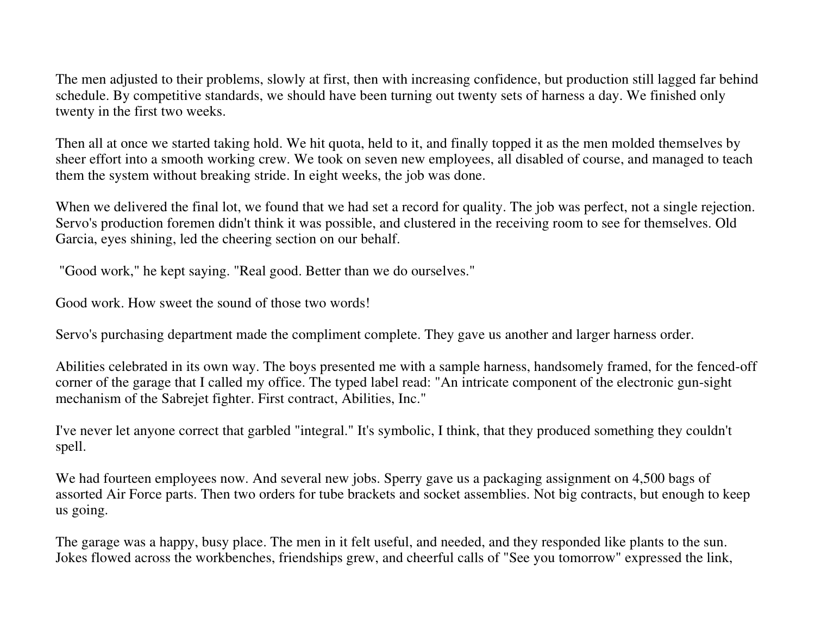The men adjusted to their problems, slowly at first, then with increasing confidence, but production still lagged far behind schedule. By competitive standards, we should have been turning out twenty sets of harness a day. We finished only twenty in the first two weeks.

Then all at once we started taking hold. We hit quota, held to it, and finally topped it as the men molded themselves by sheer effort into a smooth working crew. We took on seven new employees, all disabled of course, and managed to teach them the system without breaking stride. In eight weeks, the job was done.

When we delivered the final lot, we found that we had set a record for quality. The job was perfect, not a single rejection. Servo's production foremen didn't think it was possible, and clustered in the receiving room to see for themselves. Old Garcia, eyes shining, led the cheering section on our behalf.

"Good work," he kept saying. "Real good. Better than we do ourselves."

Good work. How sweet the sound of those two words!

Servo's purchasing department made the compliment complete. They gave us another and larger harness order.

Abilities celebrated in its own way. The boys presented me with a sample harness, handsomely framed, for the fenced-off corner of the garage that I called my office. The typed label read: "An intricate component of the electronic gun-sight mechanism of the Sabrejet fighter. First contract, Abilities, Inc."

I've never let anyone correct that garbled "integral." It's symbolic, I think, that they produced something they couldn't spell.

We had fourteen employees now. And several new jobs. Sperry gave us a packaging assignment on 4,500 bags of assorted Air Force parts. Then two orders for tube brackets and socket assemblies. Not big contracts, but enough to keep us going.

The garage was a happy, busy place. The men in it felt useful, and needed, and they responded like plants to the sun. Jokes flowed across the workbenches, friendships grew, and cheerful calls of "See you tomorrow" expressed the link,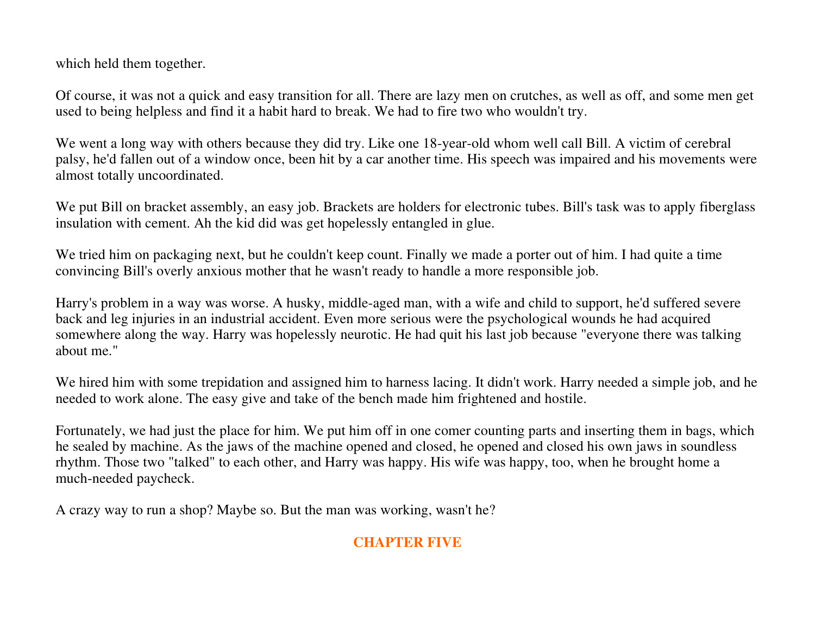which held them together.

Of course, it was not a quick and easy transition for all. There are lazy men on crutches, as well as off, and some men get used to being helpless and find it a habit hard to break. We had to fire two who wouldn't try.

We went a long way with others because they did try. Like one 18-year-old whom well call Bill. A victim of cerebral palsy, he'd fallen out of a window once, been hit by a car another time. His speech was impaired and his movements were almost totally uncoordinated.

We put Bill on bracket assembly, an easy job. Brackets are holders for electronic tubes. Bill's task was to apply fiberglass insulation with cement. Ah the kid did was get hopelessly entangled in glue.

We tried him on packaging next, but he couldn't keep count. Finally we made a porter out of him. I had quite a time convincing Bill's overly anxious mother that he wasn't ready to handle a more responsible job.

Harry's problem in a way was worse. A husky, middle-aged man, with a wife and child to support, he'd suffered severe back and leg injuries in an industrial accident. Even more serious were the psychological wounds he had acquired somewhere along the way. Harry was hopelessly neurotic. He had quit his last job because "everyone there was talking about me."

We hired him with some trepidation and assigned him to harness lacing. It didn't work. Harry needed a simple job, and he needed to work alone. The easy give and take of the bench made him frightened and hostile.

Fortunately, we had just the place for him. We put him off in one comer counting parts and inserting them in bags, which he sealed by machine. As the jaws of the machine opened and closed, he opened and closed his own jaws in soundless rhythm. Those two "talked" to each other, and Harry was happy. His wife was happy, too, when he brought home a much-needed paycheck.

A crazy way to run a shop? Maybe so. But the man was working, wasn't he?

# **CHAPTER FIVE**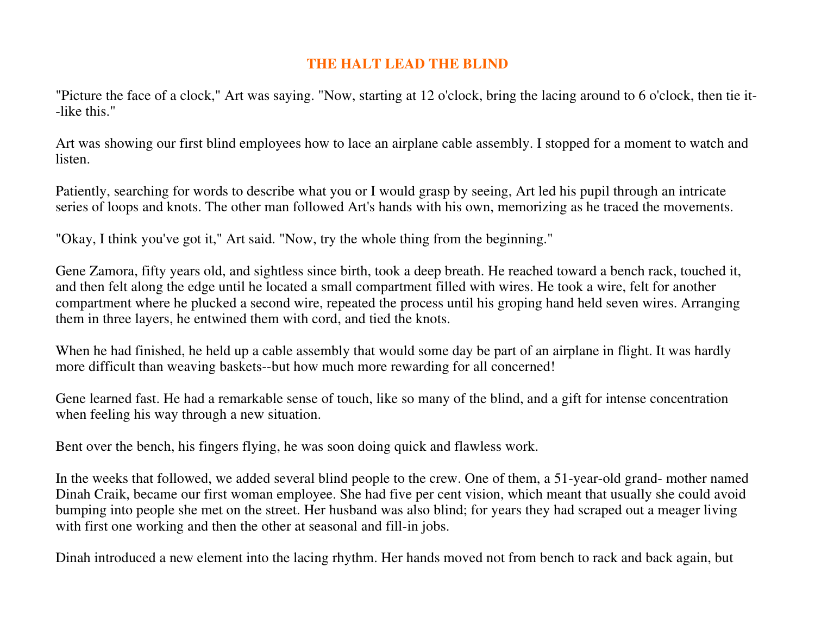### **THE HALT LEAD THE BLIND**

"Picture the face of a clock," Art was saying. "Now, starting at 12 o'clock, bring the lacing around to 6 o'clock, then tie it--like this."

Art was showing our first blind employees how to lace an airplane cable assembly. I stopped for a moment to watch and listen.

Patiently, searching for words to describe what you or I would grasp by seeing, Art led his pupil through an intricate series of loops and knots. The other man followed Art's hands with his own, memorizing as he traced the movements.

"Okay, I think you've got it," Art said. "Now, try the whole thing from the beginning."

Gene Zamora, fifty years old, and sightless since birth, took a deep breath. He reached toward a bench rack, touched it, and then felt along the edge until he located a small compartment filled with wires. He took a wire, felt for another compartment where he plucked a second wire, repeated the process until his groping hand held seven wires. Arranging them in three layers, he entwined them with cord, and tied the knots.

When he had finished, he held up a cable assembly that would some day be part of an airplane in flight. It was hardly more difficult than weaving baskets--but how much more rewarding for all concerned!

Gene learned fast. He had a remarkable sense of touch, like so many of the blind, and a gift for intense concentration when feeling his way through a new situation.

Bent over the bench, his fingers flying, he was soon doing quick and flawless work.

In the weeks that followed, we added several blind people to the crew. One of them, a 51-year-old grand- mother named Dinah Craik, became our first woman employee. She had five per cent vision, which meant that usually she could avoid bumping into people she met on the street. Her husband was also blind; for years they had scraped out a meager living with first one working and then the other at seasonal and fill-in jobs.

Dinah introduced a new element into the lacing rhythm. Her hands moved not from bench to rack and back again, but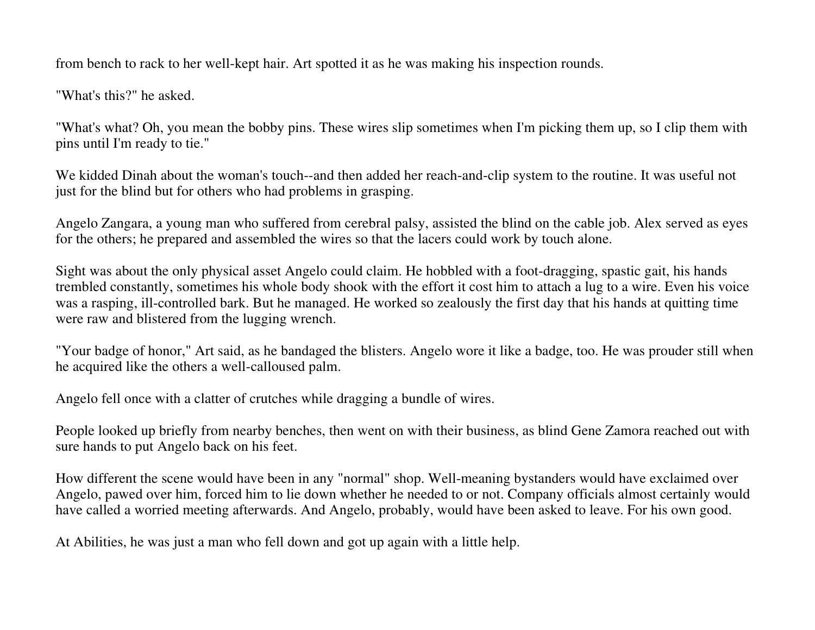from bench to rack to her well-kept hair. Art spotted it as he was making his inspection rounds.

"What's this?" he asked.

"What's what? Oh, you mean the bobby pins. These wires slip sometimes when I'm picking them up, so I clip them with pins until I'm ready to tie."

We kidded Dinah about the woman's touch--and then added her reach-and-clip system to the routine. It was useful not just for the blind but for others who had problems in grasping.

Angelo Zangara, a young man who suffered from cerebral palsy, assisted the blind on the cable job. Alex served as eyes for the others; he prepared and assembled the wires so that the lacers could work by touch alone.

Sight was about the only physical asset Angelo could claim. He hobbled with a foot-dragging, spastic gait, his hands trembled constantly, sometimes his whole body shook with the effort it cost him to attach a lug to a wire. Even his voice was a rasping, ill-controlled bark. But he managed. He worked so zealously the first day that his hands at quitting time were raw and blistered from the lugging wrench.

"Your badge of honor," Art said, as he bandaged the blisters. Angelo wore it like a badge, too. He was prouder still when he acquired like the others a well-calloused palm.

Angelo fell once with a clatter of crutches while dragging a bundle of wires.

People looked up briefly from nearby benches, then went on with their business, as blind Gene Zamora reached out with sure hands to put Angelo back on his feet.

How different the scene would have been in any "normal" shop. Well-meaning bystanders would have exclaimed over Angelo, pawed over him, forced him to lie down whether he needed to or not. Company officials almost certainly would have called a worried meeting afterwards. And Angelo, probably, would have been asked to leave. For his own good.

At Abilities, he was just a man who fell down and got up again with a little help.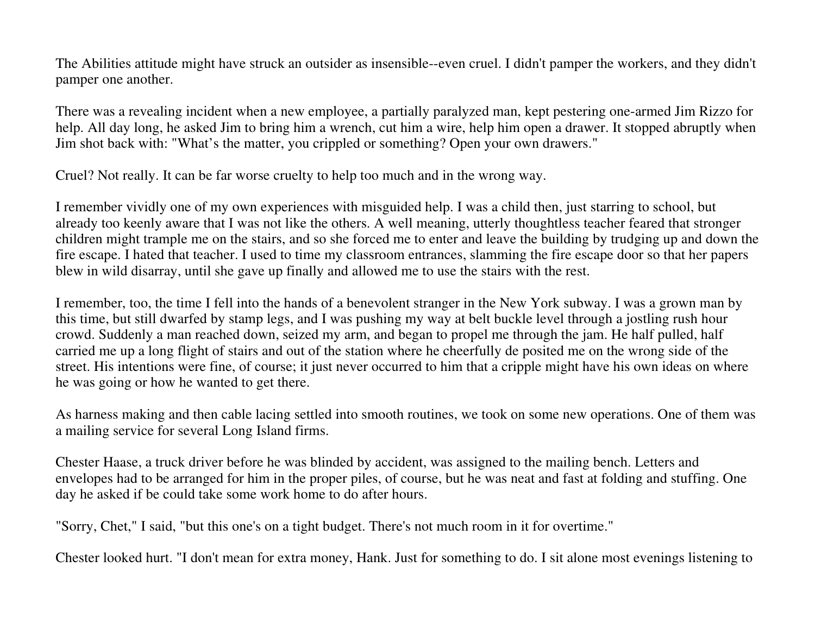The Abilities attitude might have struck an outsider as insensible--even cruel. I didn't pamper the workers, and they didn't pamper one another.

There was a revealing incident when a new employee, a partially paralyzed man, kept pestering one-armed Jim Rizzo for help. All day long, he asked Jim to bring him a wrench, cut him a wire, help him open a drawer. It stopped abruptly when Jim shot back with: "What's the matter, you crippled or something? Open your own drawers."

Cruel? Not really. It can be far worse cruelty to help too much and in the wrong way.

I remember vividly one of my own experiences with misguided help. I was a child then, just starring to school, but already too keenly aware that I was not like the others. A well meaning, utterly thoughtless teacher feared that stronger children might trample me on the stairs, and so she forced me to enter and leave the building by trudging up and down the fire escape. I hated that teacher. I used to time my classroom entrances, slamming the fire escape door so that her papers blew in wild disarray, until she gave up finally and allowed me to use the stairs with the rest.

I remember, too, the time I fell into the hands of a benevolent stranger in the New York subway. I was a grown man by this time, but still dwarfed by stamp legs, and I was pushing my way at belt buckle level through a jostling rush hour crowd. Suddenly a man reached down, seized my arm, and began to propel me through the jam. He half pulled, half carried me up a long flight of stairs and out of the station where he cheerfully de posited me on the wrong side of the street. His intentions were fine, of course; it just never occurred to him that a cripple might have his own ideas on where he was going or how he wanted to get there.

As harness making and then cable lacing settled into smooth routines, we took on some new operations. One of them was a mailing service for several Long Island firms.

Chester Haase, a truck driver before he was blinded by accident, was assigned to the mailing bench. Letters and envelopes had to be arranged for him in the proper piles, of course, but he was neat and fast at folding and stuffing. One day he asked if be could take some work home to do after hours.

"Sorry, Chet," I said, "but this one's on a tight budget. There's not much room in it for overtime."

Chester looked hurt. "I don't mean for extra money, Hank. Just for something to do. I sit alone most evenings listening to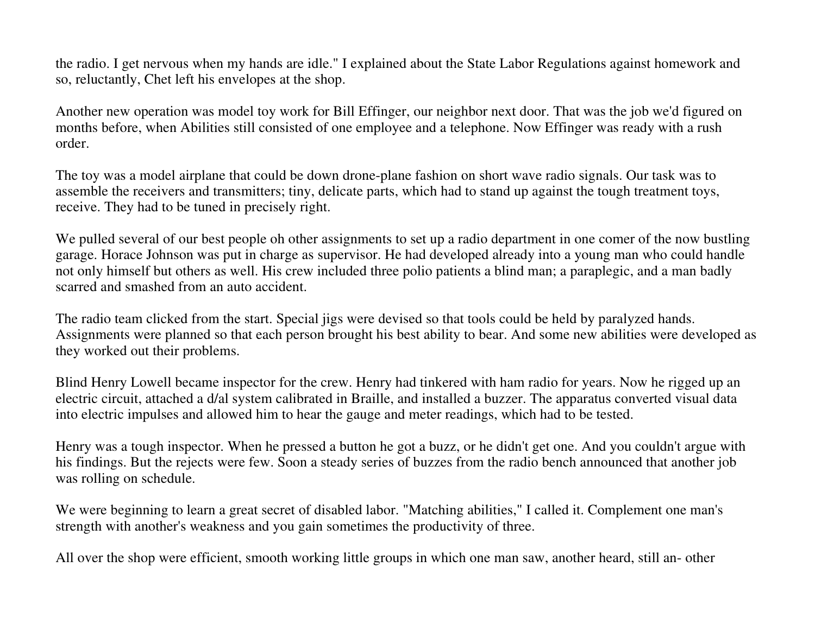the radio. I get nervous when my hands are idle." I explained about the State Labor Regulations against homework and so, reluctantly, Chet left his envelopes at the shop.

Another new operation was model toy work for Bill Effinger, our neighbor next door. That was the job we'd figured on months before, when Abilities still consisted of one employee and a telephone. Now Effinger was ready with a rush order.

The toy was a model airplane that could be down drone-plane fashion on short wave radio signals. Our task was to assemble the receivers and transmitters; tiny, delicate parts, which had to stand up against the tough treatment toys, receive. They had to be tuned in precisely right.

We pulled several of our best people oh other assignments to set up a radio department in one comer of the now bustling garage. Horace Johnson was put in charge as supervisor. He had developed already into a young man who could handle not only himself but others as well. His crew included three polio patients a blind man; a paraplegic, and a man badly scarred and smashed from an auto accident.

The radio team clicked from the start. Special jigs were devised so that tools could be held by paralyzed hands. Assignments were planned so that each person brought his best ability to bear. And some new abilities were developed as they worked out their problems.

Blind Henry Lowell became inspector for the crew. Henry had tinkered with ham radio for years. Now he rigged up an electric circuit, attached a d/al system calibrated in Braille, and installed a buzzer. The apparatus converted visual data into electric impulses and allowed him to hear the gauge and meter readings, which had to be tested.

Henry was a tough inspector. When he pressed a button he got a buzz, or he didn't get one. And you couldn't argue with his findings. But the rejects were few. Soon a steady series of buzzes from the radio bench announced that another job was rolling on schedule.

We were beginning to learn a great secret of disabled labor. "Matching abilities," I called it. Complement one man's strength with another's weakness and you gain sometimes the productivity of three.

All over the shop were efficient, smooth working little groups in which one man saw, another heard, still an- other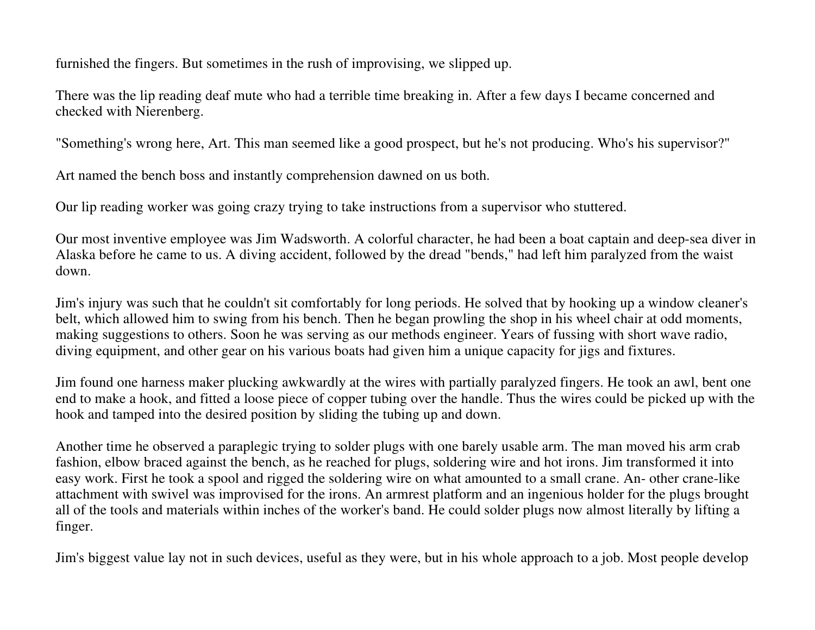furnished the fingers. But sometimes in the rush of improvising, we slipped up.

There was the lip reading deaf mute who had a terrible time breaking in. After a few days I became concerned and checked with Nierenberg.

"Something's wrong here, Art. This man seemed like a good prospect, but he's not producing. Who's his supervisor?"

Art named the bench boss and instantly comprehension dawned on us both.

Our lip reading worker was going crazy trying to take instructions from a supervisor who stuttered.

Our most inventive employee was Jim Wadsworth. A colorful character, he had been a boat captain and deep-sea diver in Alaska before he came to us. A diving accident, followed by the dread "bends," had left him paralyzed from the waist down.

Jim's injury was such that he couldn't sit comfortably for long periods. He solved that by hooking up a window cleaner's belt, which allowed him to swing from his bench. Then he began prowling the shop in his wheel chair at odd moments, making suggestions to others. Soon he was serving as our methods engineer. Years of fussing with short wave radio, diving equipment, and other gear on his various boats had given him a unique capacity for jigs and fixtures.

Jim found one harness maker plucking awkwardly at the wires with partially paralyzed fingers. He took an awl, bent one end to make a hook, and fitted a loose piece of copper tubing over the handle. Thus the wires could be picked up with the hook and tamped into the desired position by sliding the tubing up and down.

Another time he observed a paraplegic trying to solder plugs with one barely usable arm. The man moved his arm crab fashion, elbow braced against the bench, as he reached for plugs, soldering wire and hot irons. Jim transformed it into easy work. First he took a spool and rigged the soldering wire on what amounted to a small crane. An- other crane-like attachment with swivel was improvised for the irons. An armrest platform and an ingenious holder for the plugs brought all of the tools and materials within inches of the worker's band. He could solder plugs now almost literally by lifting a finger.

Jim's biggest value lay not in such devices, useful as they were, but in his whole approach to a job. Most people develop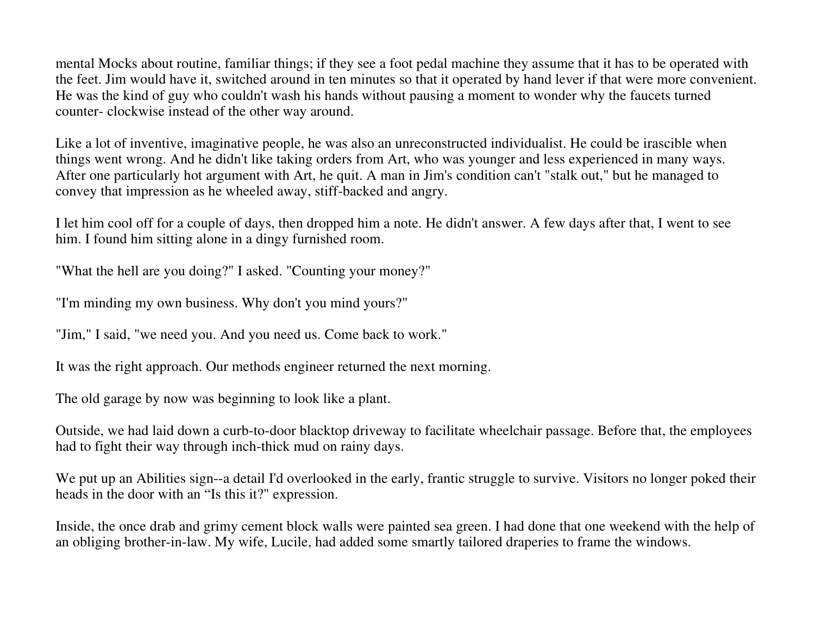mental Mocks about routine, familiar things; if they see a foot pedal machine they assume that it has to be operated with the feet. Jim would have it, switched around in ten minutes so that it operated by hand lever if that were more convenient. He was the kind of guy who couldn't wash his hands without pausing a moment to wonder why the faucets turned counter- clockwise instead of the other way around.

Like a lot of inventive, imaginative people, he was also an unreconstructed individualist. He could be irascible when things went wrong. And he didn't like taking orders from Art, who was younger and less experienced in many ways. After one particularly hot argument with Art, he quit. A man in Jim's condition can't "stalk out," but he managed to convey that impression as he wheeled away, stiff-backed and angry.

I let him cool off for a couple of days, then dropped him a note. He didn't answer. A few days after that, I went to see him. I found him sitting alone in a dingy furnished room.

"What the hell are you doing?" I asked. "Counting your money?"

"I'm minding my own business. Why don't you mind yours?"

"Jim," I said, "we need you. And you need us. Come back to work."

It was the right approach. Our methods engineer returned the next morning.

The old garage by now was beginning to look like a plant.

Outside, we had laid down a curb-to-door blacktop driveway to facilitate wheelchair passage. Before that, the employees had to fight their way through inch-thick mud on rainy days.

We put up an Abilities sign--a detail I'd overlooked in the early, frantic struggle to survive. Visitors no longer poked their heads in the door with an "Is this it?" expression.

Inside, the once drab and grimy cement block walls were painted sea green. I had done that one weekend with the help of an obliging brother-in-law. My wife, Lucile, had added some smartly tailored draperies to frame the windows.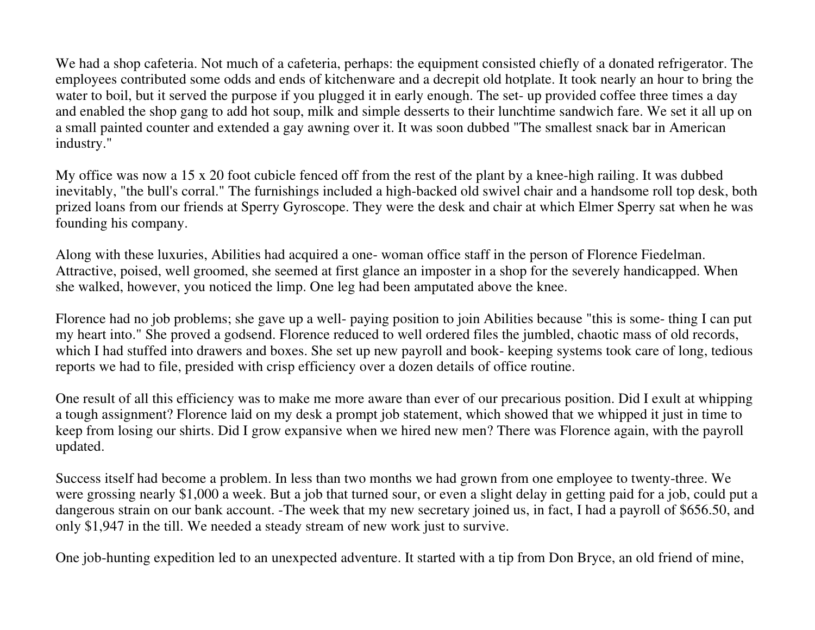We had a shop cafeteria. Not much of a cafeteria, perhaps: the equipment consisted chiefly of a donated refrigerator. The employees contributed some odds and ends of kitchenware and a decrepit old hotplate. It took nearly an hour to bring the water to boil, but it served the purpose if you plugged it in early enough. The set- up provided coffee three times a day and enabled the shop gang to add hot soup, milk and simple desserts to their lunchtime sandwich fare. We set it all up on a small painted counter and extended a gay awning over it. It was soon dubbed "The smallest snack bar in American industry."

My office was now a 15 x 20 foot cubicle fenced off from the rest of the plant by a knee-high railing. It was dubbed inevitably, "the bull's corral." The furnishings included a high-backed old swivel chair and a handsome roll top desk, both prized loans from our friends at Sperry Gyroscope. They were the desk and chair at which Elmer Sperry sat when he was founding his company.

Along with these luxuries, Abilities had acquired a one- woman office staff in the person of Florence Fiedelman. Attractive, poised, well groomed, she seemed at first glance an imposter in a shop for the severely handicapped. When she walked, however, you noticed the limp. One leg had been amputated above the knee.

Florence had no job problems; she gave up a well- paying position to join Abilities because "this is some- thing I can put my heart into." She proved a godsend. Florence reduced to well ordered files the jumbled, chaotic mass of old records, which I had stuffed into drawers and boxes. She set up new payroll and book- keeping systems took care of long, tedious reports we had to file, presided with crisp efficiency over a dozen details of office routine.

One result of all this efficiency was to make me more aware than ever of our precarious position. Did I exult at whipping a tough assignment? Florence laid on my desk a prompt job statement, which showed that we whipped it just in time to keep from losing our shirts. Did I grow expansive when we hired new men? There was Florence again, with the payroll updated.

Success itself had become a problem. In less than two months we had grown from one employee to twenty-three. We were grossing nearly \$1,000 a week. But a job that turned sour, or even a slight delay in getting paid for a job, could put a dangerous strain on our bank account. -The week that my new secretary joined us, in fact, I had a payroll of \$656.50, and only \$1,947 in the till. We needed a steady stream of new work just to survive.

One job-hunting expedition led to an unexpected adventure. It started with a tip from Don Bryce, an old friend of mine,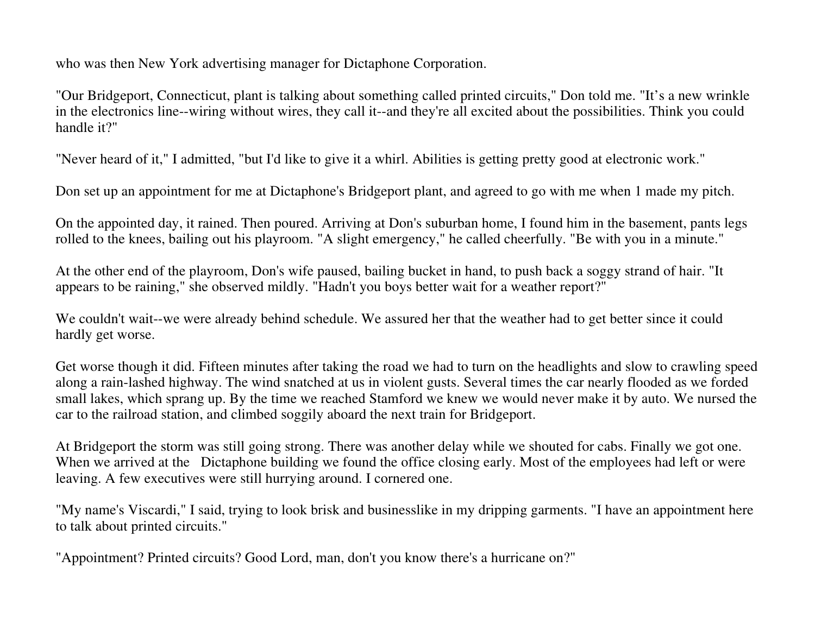who was then New York advertising manager for Dictaphone Corporation.

"Our Bridgeport, Connecticut, plant is talking about something called printed circuits," Don told me. "It's a new wrinkle in the electronics line--wiring without wires, they call it--and they're all excited about the possibilities. Think you could handle it?"

"Never heard of it," I admitted, "but I'd like to give it a whirl. Abilities is getting pretty good at electronic work."

Don set up an appointment for me at Dictaphone's Bridgeport plant, and agreed to go with me when 1 made my pitch.

On the appointed day, it rained. Then poured. Arriving at Don's suburban home, I found him in the basement, pants legs rolled to the knees, bailing out his playroom. "A slight emergency," he called cheerfully. "Be with you in a minute."

At the other end of the playroom, Don's wife paused, bailing bucket in hand, to push back a soggy strand of hair. "It appears to be raining," she observed mildly. "Hadn't you boys better wait for a weather report?"

We couldn't wait--we were already behind schedule. We assured her that the weather had to get better since it could hardly get worse.

Get worse though it did. Fifteen minutes after taking the road we had to turn on the headlights and slow to crawling speed along a rain-lashed highway. The wind snatched at us in violent gusts. Several times the car nearly flooded as we forded small lakes, which sprang up. By the time we reached Stamford we knew we would never make it by auto. We nursed the car to the railroad station, and climbed soggily aboard the next train for Bridgeport.

At Bridgeport the storm was still going strong. There was another delay while we shouted for cabs. Finally we got one. When we arrived at the Dictaphone building we found the office closing early. Most of the employees had left or were leaving. A few executives were still hurrying around. I cornered one.

"My name's Viscardi," I said, trying to look brisk and businesslike in my dripping garments. "I have an appointment here to talk about printed circuits."

"Appointment? Printed circuits? Good Lord, man, don't you know there's a hurricane on?"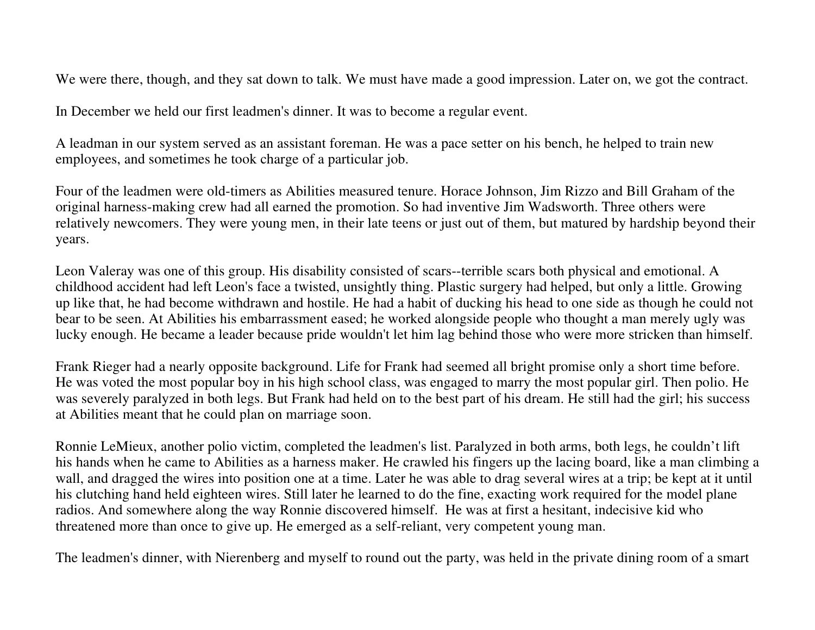We were there, though, and they sat down to talk. We must have made a good impression. Later on, we got the contract.

In December we held our first leadmen's dinner. It was to become a regular event.

A leadman in our system served as an assistant foreman. He was a pace setter on his bench, he helped to train new employees, and sometimes he took charge of a particular job.

Four of the leadmen were old-timers as Abilities measured tenure. Horace Johnson, Jim Rizzo and Bill Graham of the original harness-making crew had all earned the promotion. So had inventive Jim Wadsworth. Three others were relatively newcomers. They were young men, in their late teens or just out of them, but matured by hardship beyond their years.

Leon Valeray was one of this group. His disability consisted of scars--terrible scars both physical and emotional. A childhood accident had left Leon's face a twisted, unsightly thing. Plastic surgery had helped, but only a little. Growing up like that, he had become withdrawn and hostile. He had a habit of ducking his head to one side as though he could not bear to be seen. At Abilities his embarrassment eased; he worked alongside people who thought a man merely ugly was lucky enough. He became a leader because pride wouldn't let him lag behind those who were more stricken than himself.

Frank Rieger had a nearly opposite background. Life for Frank had seemed all bright promise only a short time before. He was voted the most popular boy in his high school class, was engaged to marry the most popular girl. Then polio. He was severely paralyzed in both legs. But Frank had held on to the best part of his dream. He still had the girl; his success at Abilities meant that he could plan on marriage soon.

Ronnie LeMieux, another polio victim, completed the leadmen's list. Paralyzed in both arms, both legs, he couldn't lift his hands when he came to Abilities as a harness maker. He crawled his fingers up the lacing board, like a man climbing a wall, and dragged the wires into position one at a time. Later he was able to drag several wires at a trip; be kept at it until his clutching hand held eighteen wires. Still later he learned to do the fine, exacting work required for the model plane radios. And somewhere along the way Ronnie discovered himself. He was at first a hesitant, indecisive kid who threatened more than once to give up. He emerged as a self-reliant, very competent young man.

The leadmen's dinner, with Nierenberg and myself to round out the party, was held in the private dining room of a smart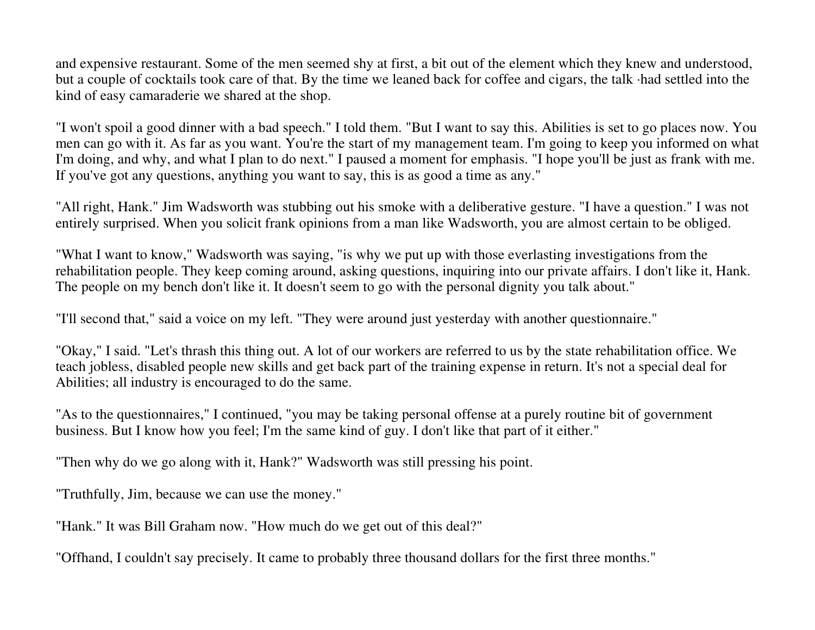and expensive restaurant. Some of the men seemed shy at first, a bit out of the element which they knew and understood, but a couple of cocktails took care of that. By the time we leaned back for coffee and cigars, the talk ·had settled into the kind of easy camaraderie we shared at the shop.

"I won't spoil a good dinner with a bad speech." I told them. "But I want to say this. Abilities is set to go places now. You men can go with it. As far as you want. You're the start of my management team. I'm going to keep you informed on what I'm doing, and why, and what I plan to do next." I paused a moment for emphasis. "I hope you'll be just as frank with me. If you've got any questions, anything you want to say, this is as good a time as any."

"All right, Hank." Jim Wadsworth was stubbing out his smoke with a deliberative gesture. "I have a question." I was not entirely surprised. When you solicit frank opinions from a man like Wadsworth, you are almost certain to be obliged.

"What I want to know," Wadsworth was saying, "is why we put up with those everlasting investigations from the rehabilitation people. They keep coming around, asking questions, inquiring into our private affairs. I don't like it, Hank. The people on my bench don't like it. It doesn't seem to go with the personal dignity you talk about."

"I'll second that," said a voice on my left. "They were around just yesterday with another questionnaire."

"Okay," I said. "Let's thrash this thing out. A lot of our workers are referred to us by the state rehabilitation office. We teach jobless, disabled people new skills and get back part of the training expense in return. It's not a special deal for Abilities; all industry is encouraged to do the same.

"As to the questionnaires," I continued, "you may be taking personal offense at a purely routine bit of government business. But I know how you feel; I'm the same kind of guy. I don't like that part of it either."

"Then why do we go along with it, Hank?" Wadsworth was still pressing his point.

"Truthfully, Jim, because we can use the money."

"Hank." It was Bill Graham now. "How much do we get out of this deal?"

"Offhand, I couldn't say precisely. It came to probably three thousand dollars for the first three months."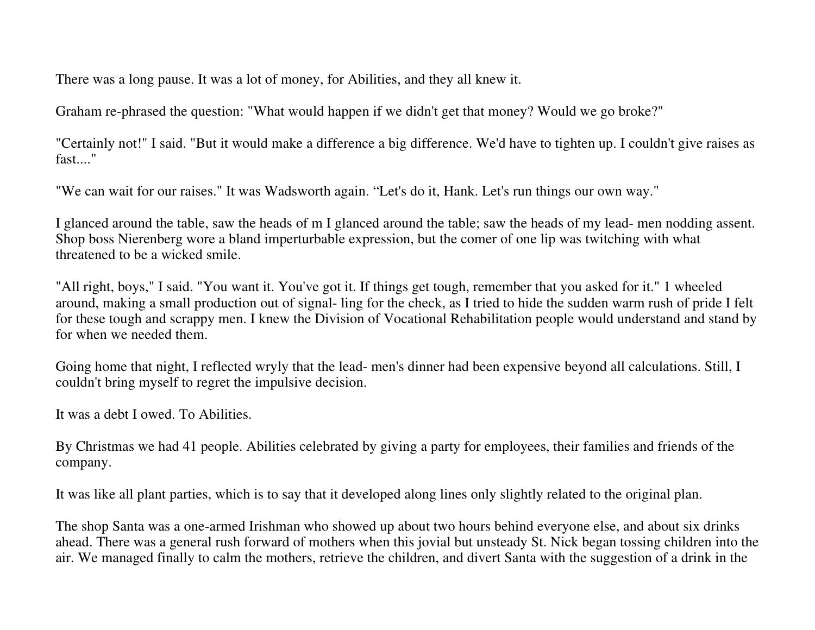There was a long pause. It was a lot of money, for Abilities, and they all knew it.

Graham re-phrased the question: "What would happen if we didn't get that money? Would we go broke?"

"Certainly not!" I said. "But it would make a difference a big difference. We'd have to tighten up. I couldn't give raises as fast...."

"We can wait for our raises." It was Wadsworth again. "Let's do it, Hank. Let's run things our own way."

I glanced around the table, saw the heads of m I glanced around the table; saw the heads of my lead- men nodding assent. Shop boss Nierenberg wore a bland imperturbable expression, but the comer of one lip was twitching with what threatened to be a wicked smile.

"All right, boys," I said. "You want it. You've got it. If things get tough, remember that you asked for it." 1 wheeled around, making a small production out of signal- ling for the check, as I tried to hide the sudden warm rush of pride I felt for these tough and scrappy men. I knew the Division of Vocational Rehabilitation people would understand and stand by for when we needed them.

Going home that night, I reflected wryly that the lead- men's dinner had been expensive beyond all calculations. Still, I couldn't bring myself to regret the impulsive decision.

It was a debt I owed. To Abilities.

By Christmas we had 41 people. Abilities celebrated by giving a party for employees, their families and friends of the company.

It was like all plant parties, which is to say that it developed along lines only slightly related to the original plan.

The shop Santa was a one-armed Irishman who showed up about two hours behind everyone else, and about six drinks ahead. There was a general rush forward of mothers when this jovial but unsteady St. Nick began tossing children into the air. We managed finally to calm the mothers, retrieve the children, and divert Santa with the suggestion of a drink in the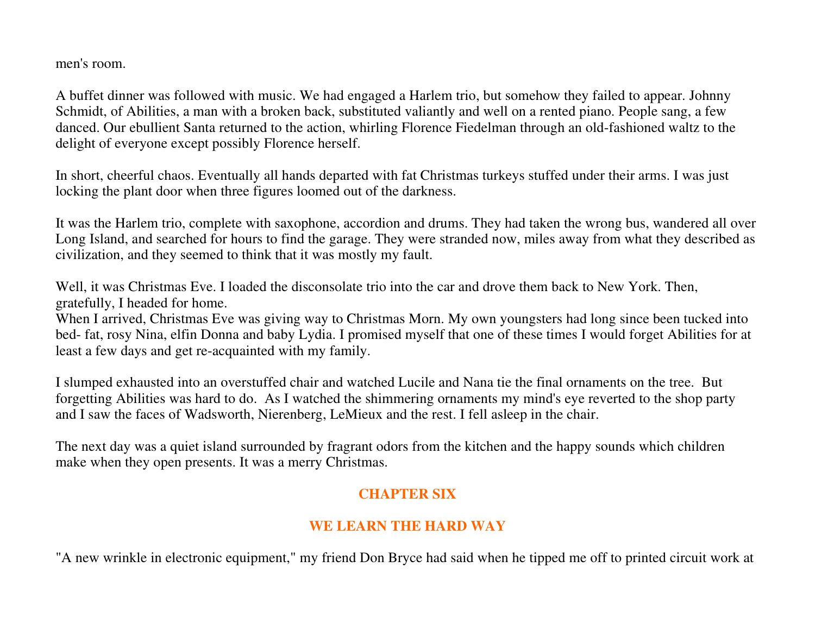men's room.

A buffet dinner was followed with music. We had engaged a Harlem trio, but somehow they failed to appear. Johnny Schmidt, of Abilities, a man with a broken back, substituted valiantly and well on a rented piano. People sang, a few danced. Our ebullient Santa returned to the action, whirling Florence Fiedelman through an old-fashioned waltz to the delight of everyone except possibly Florence herself.

In short, cheerful chaos. Eventually all hands departed with fat Christmas turkeys stuffed under their arms. I was just locking the plant door when three figures loomed out of the darkness.

It was the Harlem trio, complete with saxophone, accordion and drums. They had taken the wrong bus, wandered all over Long Island, and searched for hours to find the garage. They were stranded now, miles away from what they described as civilization, and they seemed to think that it was mostly my fault.

Well, it was Christmas Eve. I loaded the disconsolate trio into the car and drove them back to New York. Then, gratefully, I headed for home.

 When I arrived, Christmas Eve was giving way to Christmas Morn. My own youngsters had long since been tucked into bed- fat, rosy Nina, elfin Donna and baby Lydia. I promised myself that one of these times I would forget Abilities for at least a few days and get re-acquainted with my family.

I slumped exhausted into an overstuffed chair and watched Lucile and Nana tie the final ornaments on the tree. But forgetting Abilities was hard to do. As I watched the shimmering ornaments my mind's eye reverted to the shop party and I saw the faces of Wadsworth, Nierenberg, LeMieux and the rest. I fell asleep in the chair.

The next day was a quiet island surrounded by fragrant odors from the kitchen and the happy sounds which children make when they open presents. It was a merry Christmas.

# **CHAPTER SIX**

## **WE LEARN THE HARD WAY**

"A new wrinkle in electronic equipment," my friend Don Bryce had said when he tipped me off to printed circuit work at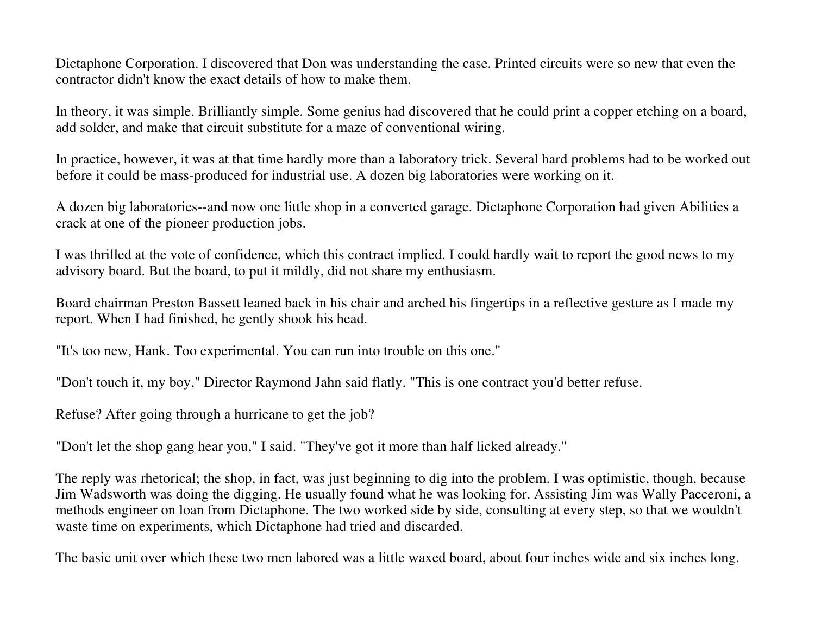Dictaphone Corporation. I discovered that Don was understanding the case. Printed circuits were so new that even the contractor didn't know the exact details of how to make them.

In theory, it was simple. Brilliantly simple. Some genius had discovered that he could print a copper etching on a board, add solder, and make that circuit substitute for a maze of conventional wiring.

In practice, however, it was at that time hardly more than a laboratory trick. Several hard problems had to be worked out before it could be mass-produced for industrial use. A dozen big laboratories were working on it.

A dozen big laboratories--and now one little shop in a converted garage. Dictaphone Corporation had given Abilities a crack at one of the pioneer production jobs.

I was thrilled at the vote of confidence, which this contract implied. I could hardly wait to report the good news to my advisory board. But the board, to put it mildly, did not share my enthusiasm.

Board chairman Preston Bassett leaned back in his chair and arched his fingertips in a reflective gesture as I made my report. When I had finished, he gently shook his head.

"It's too new, Hank. Too experimental. You can run into trouble on this one."

"Don't touch it, my boy," Director Raymond Jahn said flatly. "This is one contract you'd better refuse.

Refuse? After going through a hurricane to get the job?

"Don't let the shop gang hear you," I said. "They've got it more than half licked already."

The reply was rhetorical; the shop, in fact, was just beginning to dig into the problem. I was optimistic, though, because Jim Wadsworth was doing the digging. He usually found what he was looking for. Assisting Jim was Wally Pacceroni, a methods engineer on loan from Dictaphone. The two worked side by side, consulting at every step, so that we wouldn't waste time on experiments, which Dictaphone had tried and discarded.

The basic unit over which these two men labored was a little waxed board, about four inches wide and six inches long.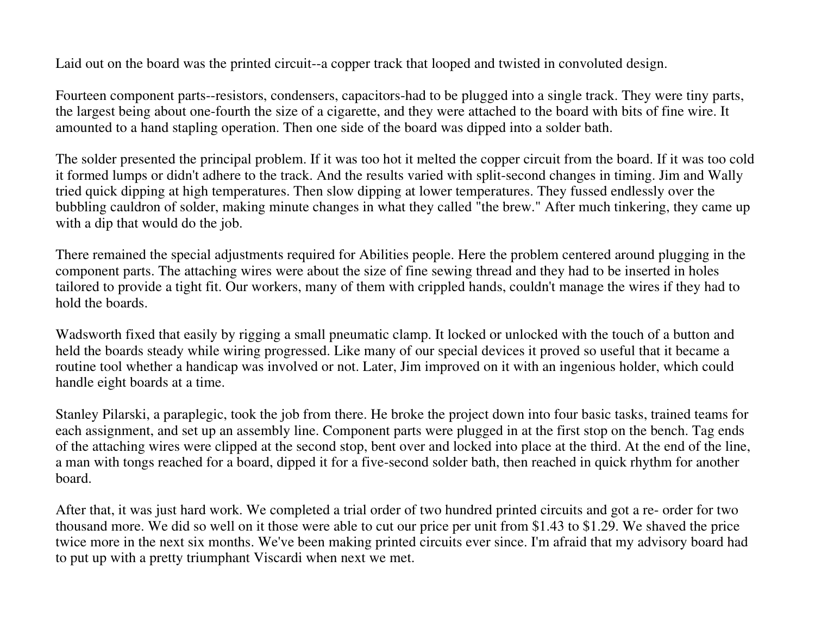Laid out on the board was the printed circuit--a copper track that looped and twisted in convoluted design.

Fourteen component parts--resistors, condensers, capacitors-had to be plugged into a single track. They were tiny parts, the largest being about one-fourth the size of a cigarette, and they were attached to the board with bits of fine wire. It amounted to a hand stapling operation. Then one side of the board was dipped into a solder bath.

The solder presented the principal problem. If it was too hot it melted the copper circuit from the board. If it was too cold it formed lumps or didn't adhere to the track. And the results varied with split-second changes in timing. Jim and Wally tried quick dipping at high temperatures. Then slow dipping at lower temperatures. They fussed endlessly over the bubbling cauldron of solder, making minute changes in what they called "the brew." After much tinkering, they came up with a dip that would do the job.

There remained the special adjustments required for Abilities people. Here the problem centered around plugging in the component parts. The attaching wires were about the size of fine sewing thread and they had to be inserted in holes tailored to provide a tight fit. Our workers, many of them with crippled hands, couldn't manage the wires if they had to hold the boards.

Wadsworth fixed that easily by rigging a small pneumatic clamp. It locked or unlocked with the touch of a button and held the boards steady while wiring progressed. Like many of our special devices it proved so useful that it became a routine tool whether a handicap was involved or not. Later, Jim improved on it with an ingenious holder, which could handle eight boards at a time.

Stanley Pilarski, a paraplegic, took the job from there. He broke the project down into four basic tasks, trained teams for each assignment, and set up an assembly line. Component parts were plugged in at the first stop on the bench. Tag ends of the attaching wires were clipped at the second stop, bent over and locked into place at the third. At the end of the line, a man with tongs reached for a board, dipped it for a five-second solder bath, then reached in quick rhythm for another board.

After that, it was just hard work. We completed a trial order of two hundred printed circuits and got a re- order for two thousand more. We did so well on it those were able to cut our price per unit from \$1.43 to \$1.29. We shaved the price twice more in the next six months. We've been making printed circuits ever since. I'm afraid that my advisory board had to put up with a pretty triumphant Viscardi when next we met.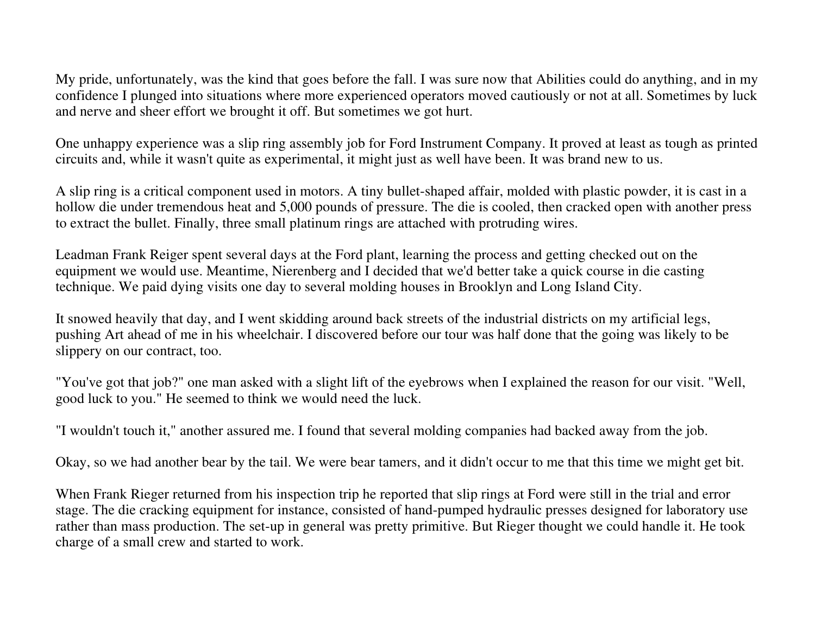My pride, unfortunately, was the kind that goes before the fall. I was sure now that Abilities could do anything, and in my confidence I plunged into situations where more experienced operators moved cautiously or not at all. Sometimes by luck and nerve and sheer effort we brought it off. But sometimes we got hurt.

One unhappy experience was a slip ring assembly job for Ford Instrument Company. It proved at least as tough as printed circuits and, while it wasn't quite as experimental, it might just as well have been. It was brand new to us.

A slip ring is a critical component used in motors. A tiny bullet-shaped affair, molded with plastic powder, it is cast in a hollow die under tremendous heat and 5,000 pounds of pressure. The die is cooled, then cracked open with another press to extract the bullet. Finally, three small platinum rings are attached with protruding wires.

Leadman Frank Reiger spent several days at the Ford plant, learning the process and getting checked out on the equipment we would use. Meantime, Nierenberg and I decided that we'd better take a quick course in die casting technique. We paid dying visits one day to several molding houses in Brooklyn and Long Island City.

It snowed heavily that day, and I went skidding around back streets of the industrial districts on my artificial legs, pushing Art ahead of me in his wheelchair. I discovered before our tour was half done that the going was likely to be slippery on our contract, too.

"You've got that job?" one man asked with a slight lift of the eyebrows when I explained the reason for our visit. "Well, good luck to you." He seemed to think we would need the luck.

"I wouldn't touch it," another assured me. I found that several molding companies had backed away from the job.

Okay, so we had another bear by the tail. We were bear tamers, and it didn't occur to me that this time we might get bit.

When Frank Rieger returned from his inspection trip he reported that slip rings at Ford were still in the trial and error stage. The die cracking equipment for instance, consisted of hand-pumped hydraulic presses designed for laboratory use rather than mass production. The set-up in general was pretty primitive. But Rieger thought we could handle it. He took charge of a small crew and started to work.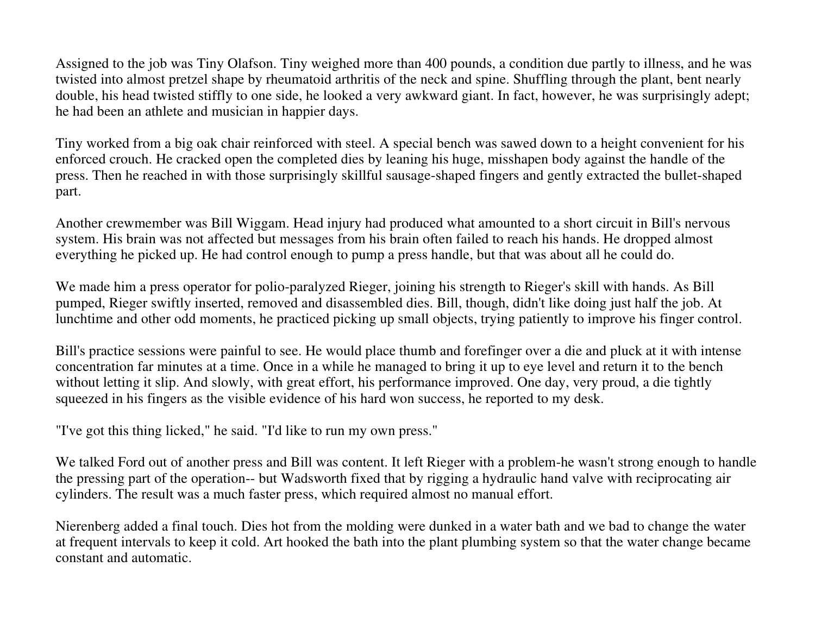Assigned to the job was Tiny Olafson. Tiny weighed more than 400 pounds, a condition due partly to illness, and he was twisted into almost pretzel shape by rheumatoid arthritis of the neck and spine. Shuffling through the plant, bent nearly double, his head twisted stiffly to one side, he looked a very awkward giant. In fact, however, he was surprisingly adept; he had been an athlete and musician in happier days.

Tiny worked from a big oak chair reinforced with steel. A special bench was sawed down to a height convenient for his enforced crouch. He cracked open the completed dies by leaning his huge, misshapen body against the handle of the press. Then he reached in with those surprisingly skillful sausage-shaped fingers and gently extracted the bullet-shaped part.

Another crewmember was Bill Wiggam. Head injury had produced what amounted to a short circuit in Bill's nervous system. His brain was not affected but messages from his brain often failed to reach his hands. He dropped almost everything he picked up. He had control enough to pump a press handle, but that was about all he could do.

We made him a press operator for polio-paralyzed Rieger, joining his strength to Rieger's skill with hands. As Bill pumped, Rieger swiftly inserted, removed and disassembled dies. Bill, though, didn't like doing just half the job. At lunchtime and other odd moments, he practiced picking up small objects, trying patiently to improve his finger control.

Bill's practice sessions were painful to see. He would place thumb and forefinger over a die and pluck at it with intense concentration far minutes at a time. Once in a while he managed to bring it up to eye level and return it to the bench without letting it slip. And slowly, with great effort, his performance improved. One day, very proud, a die tightly squeezed in his fingers as the visible evidence of his hard won success, he reported to my desk.

"I've got this thing licked," he said. "I'd like to run my own press."

We talked Ford out of another press and Bill was content. It left Rieger with a problem-he wasn't strong enough to handle the pressing part of the operation-- but Wadsworth fixed that by rigging a hydraulic hand valve with reciprocating air cylinders. The result was a much faster press, which required almost no manual effort.

Nierenberg added a final touch. Dies hot from the molding were dunked in a water bath and we bad to change the water at frequent intervals to keep it cold. Art hooked the bath into the plant plumbing system so that the water change became constant and automatic.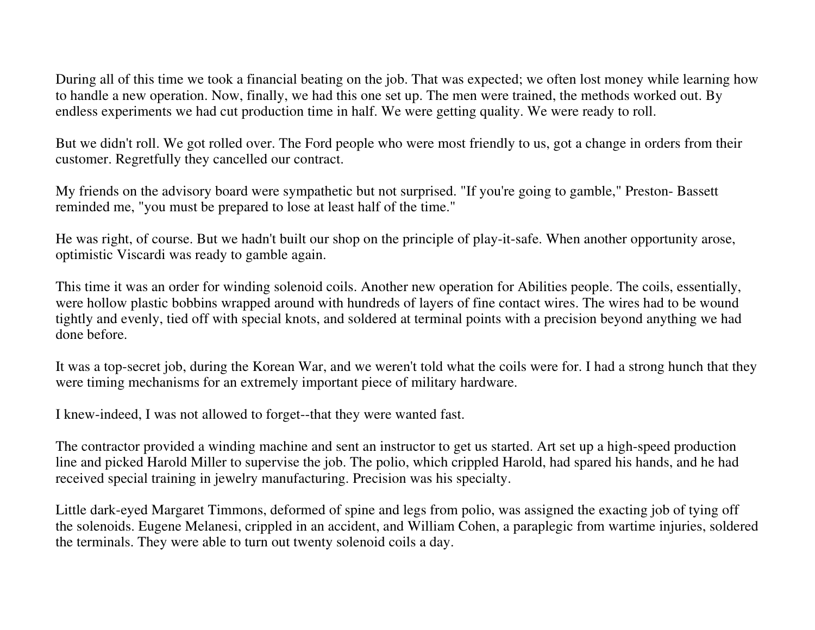During all of this time we took a financial beating on the job. That was expected; we often lost money while learning how to handle a new operation. Now, finally, we had this one set up. The men were trained, the methods worked out. By endless experiments we had cut production time in half. We were getting quality. We were ready to roll.

But we didn't roll. We got rolled over. The Ford people who were most friendly to us, got a change in orders from their customer. Regretfully they cancelled our contract.

My friends on the advisory board were sympathetic but not surprised. "If you're going to gamble," Preston- Bassett reminded me, "you must be prepared to lose at least half of the time."

He was right, of course. But we hadn't built our shop on the principle of play-it-safe. When another opportunity arose, optimistic Viscardi was ready to gamble again.

This time it was an order for winding solenoid coils. Another new operation for Abilities people. The coils, essentially, were hollow plastic bobbins wrapped around with hundreds of layers of fine contact wires. The wires had to be wound tightly and evenly, tied off with special knots, and soldered at terminal points with a precision beyond anything we had done before.

It was a top-secret job, during the Korean War, and we weren't told what the coils were for. I had a strong hunch that they were timing mechanisms for an extremely important piece of military hardware.

I knew-indeed, I was not allowed to forget--that they were wanted fast.

The contractor provided a winding machine and sent an instructor to get us started. Art set up a high-speed production line and picked Harold Miller to supervise the job. The polio, which crippled Harold, had spared his hands, and he had received special training in jewelry manufacturing. Precision was his specialty.

Little dark-eyed Margaret Timmons, deformed of spine and legs from polio, was assigned the exacting job of tying off the solenoids. Eugene Melanesi, crippled in an accident, and William Cohen, a paraplegic from wartime injuries, soldered the terminals. They were able to turn out twenty solenoid coils a day.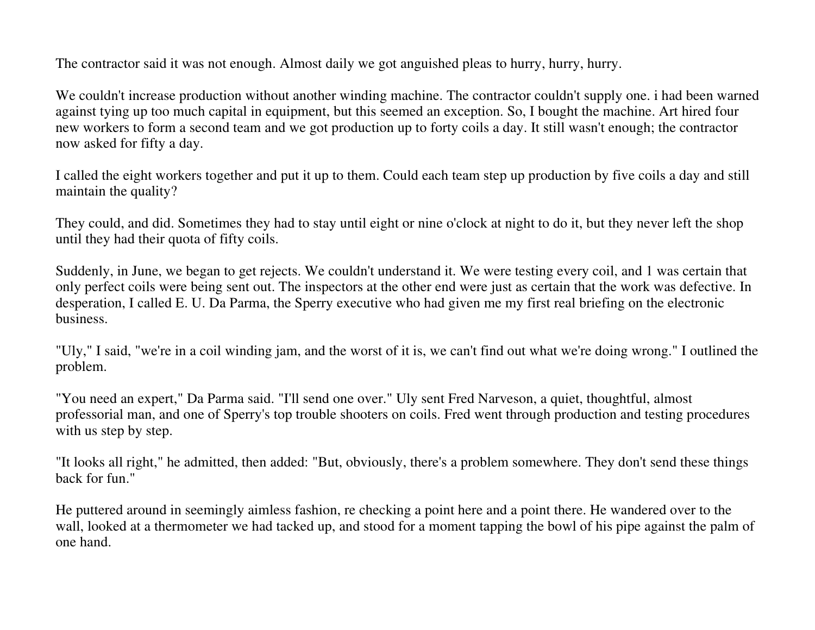The contractor said it was not enough. Almost daily we got anguished pleas to hurry, hurry, hurry.

We couldn't increase production without another winding machine. The contractor couldn't supply one. i had been warned against tying up too much capital in equipment, but this seemed an exception. So, I bought the machine. Art hired four new workers to form a second team and we got production up to forty coils a day. It still wasn't enough; the contractor now asked for fifty a day.

I called the eight workers together and put it up to them. Could each team step up production by five coils a day and still maintain the quality?

They could, and did. Sometimes they had to stay until eight or nine o'clock at night to do it, but they never left the shop until they had their quota of fifty coils.

Suddenly, in June, we began to get rejects. We couldn't understand it. We were testing every coil, and 1 was certain that only perfect coils were being sent out. The inspectors at the other end were just as certain that the work was defective. In desperation, I called E. U. Da Parma, the Sperry executive who had given me my first real briefing on the electronic business.

"Uly," I said, "we're in a coil winding jam, and the worst of it is, we can't find out what we're doing wrong." I outlined the problem.

"You need an expert," Da Parma said. "I'll send one over." Uly sent Fred Narveson, a quiet, thoughtful, almost professorial man, and one of Sperry's top trouble shooters on coils. Fred went through production and testing procedures with us step by step.

"It looks all right," he admitted, then added: "But, obviously, there's a problem somewhere. They don't send these things back for fun."

He puttered around in seemingly aimless fashion, re checking a point here and a point there. He wandered over to the wall, looked at a thermometer we had tacked up, and stood for a moment tapping the bowl of his pipe against the palm of one hand.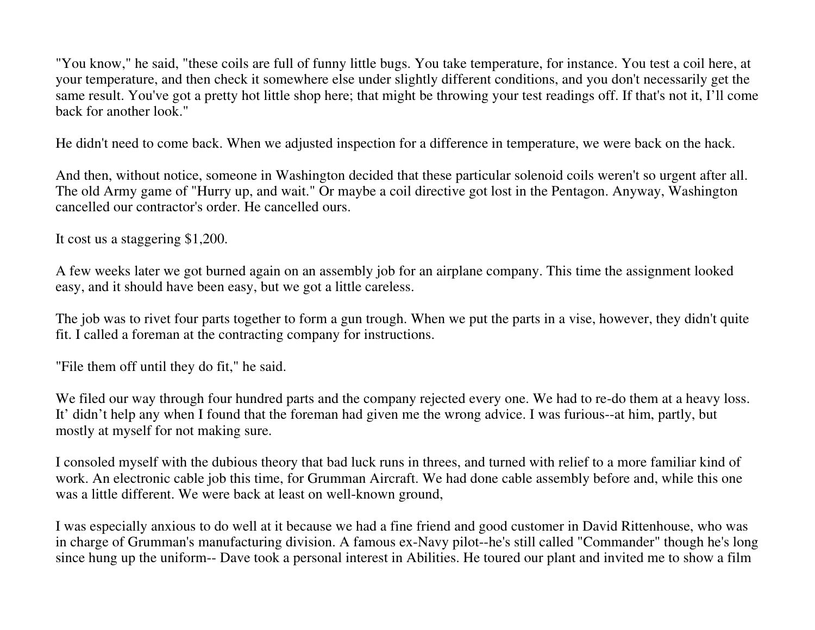"You know," he said, "these coils are full of funny little bugs. You take temperature, for instance. You test a coil here, at your temperature, and then check it somewhere else under slightly different conditions, and you don't necessarily get the same result. You've got a pretty hot little shop here; that might be throwing your test readings off. If that's not it, I'll come back for another look."

He didn't need to come back. When we adjusted inspection for a difference in temperature, we were back on the hack.

And then, without notice, someone in Washington decided that these particular solenoid coils weren't so urgent after all. The old Army game of "Hurry up, and wait." Or maybe a coil directive got lost in the Pentagon. Anyway, Washington cancelled our contractor's order. He cancelled ours.

It cost us a staggering \$1,200.

A few weeks later we got burned again on an assembly job for an airplane company. This time the assignment looked easy, and it should have been easy, but we got a little careless.

The job was to rivet four parts together to form a gun trough. When we put the parts in a vise, however, they didn't quite fit. I called a foreman at the contracting company for instructions.

"File them off until they do fit," he said.

We filed our way through four hundred parts and the company rejected every one. We had to re-do them at a heavy loss. It' didn't help any when I found that the foreman had given me the wrong advice. I was furious--at him, partly, but mostly at myself for not making sure.

I consoled myself with the dubious theory that bad luck runs in threes, and turned with relief to a more familiar kind of work. An electronic cable job this time, for Grumman Aircraft. We had done cable assembly before and, while this one was a little different. We were back at least on well-known ground,

I was especially anxious to do well at it because we had a fine friend and good customer in David Rittenhouse, who was in charge of Grumman's manufacturing division. A famous ex-Navy pilot--he's still called "Commander" though he's long since hung up the uniform-- Dave took a personal interest in Abilities. He toured our plant and invited me to show a film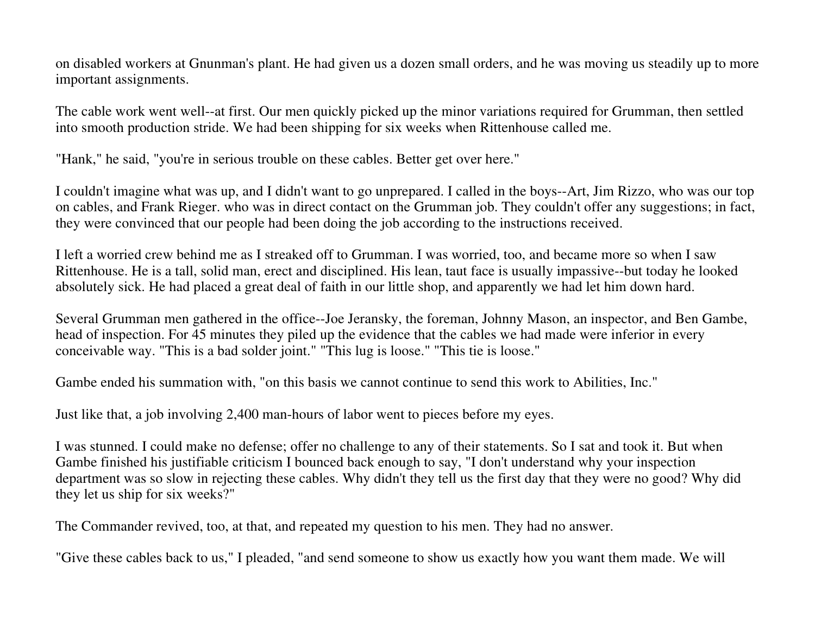on disabled workers at Gnunman's plant. He had given us a dozen small orders, and he was moving us steadily up to more important assignments.

The cable work went well--at first. Our men quickly picked up the minor variations required for Grumman, then settled into smooth production stride. We had been shipping for six weeks when Rittenhouse called me.

"Hank," he said, "you're in serious trouble on these cables. Better get over here."

I couldn't imagine what was up, and I didn't want to go unprepared. I called in the boys--Art, Jim Rizzo, who was our top on cables, and Frank Rieger. who was in direct contact on the Grumman job. They couldn't offer any suggestions; in fact, they were convinced that our people had been doing the job according to the instructions received.

I left a worried crew behind me as I streaked off to Grumman. I was worried, too, and became more so when I saw Rittenhouse. He is a tall, solid man, erect and disciplined. His lean, taut face is usually impassive--but today he looked absolutely sick. He had placed a great deal of faith in our little shop, and apparently we had let him down hard.

Several Grumman men gathered in the office--Joe Jeransky, the foreman, Johnny Mason, an inspector, and Ben Gambe, head of inspection. For 45 minutes they piled up the evidence that the cables we had made were inferior in every conceivable way. "This is a bad solder joint." "This lug is loose." "This tie is loose."

Gambe ended his summation with, "on this basis we cannot continue to send this work to Abilities, Inc."

Just like that, a job involving 2,400 man-hours of labor went to pieces before my eyes.

I was stunned. I could make no defense; offer no challenge to any of their statements. So I sat and took it. But when Gambe finished his justifiable criticism I bounced back enough to say, "I don't understand why your inspection department was so slow in rejecting these cables. Why didn't they tell us the first day that they were no good? Why did they let us ship for six weeks?"

The Commander revived, too, at that, and repeated my question to his men. They had no answer.

"Give these cables back to us," I pleaded, "and send someone to show us exactly how you want them made. We will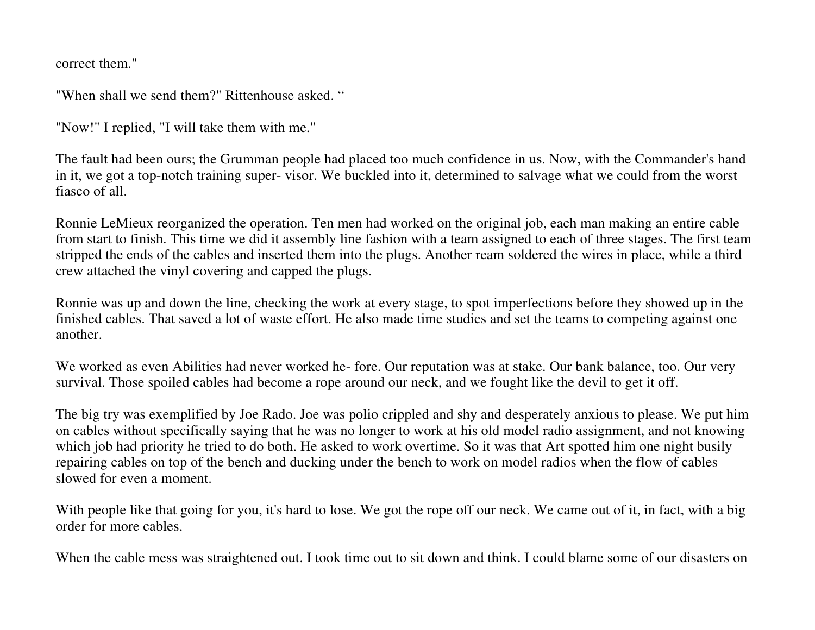correct them."

"When shall we send them?" Rittenhouse asked. "

"Now!" I replied, "I will take them with me."

The fault had been ours; the Grumman people had placed too much confidence in us. Now, with the Commander's hand in it, we got a top-notch training super- visor. We buckled into it, determined to salvage what we could from the worst fiasco of all.

Ronnie LeMieux reorganized the operation. Ten men had worked on the original job, each man making an entire cable from start to finish. This time we did it assembly line fashion with a team assigned to each of three stages. The first team stripped the ends of the cables and inserted them into the plugs. Another ream soldered the wires in place, while a third crew attached the vinyl covering and capped the plugs.

Ronnie was up and down the line, checking the work at every stage, to spot imperfections before they showed up in the finished cables. That saved a lot of waste effort. He also made time studies and set the teams to competing against one another.

We worked as even Abilities had never worked he- fore. Our reputation was at stake. Our bank balance, too. Our very survival. Those spoiled cables had become a rope around our neck, and we fought like the devil to get it off.

The big try was exemplified by Joe Rado. Joe was polio crippled and shy and desperately anxious to please. We put him on cables without specifically saying that he was no longer to work at his old model radio assignment, and not knowing which job had priority he tried to do both. He asked to work overtime. So it was that Art spotted him one night busily repairing cables on top of the bench and ducking under the bench to work on model radios when the flow of cables slowed for even a moment.

With people like that going for you, it's hard to lose. We got the rope off our neck. We came out of it, in fact, with a big order for more cables.

When the cable mess was straightened out. I took time out to sit down and think. I could blame some of our disasters on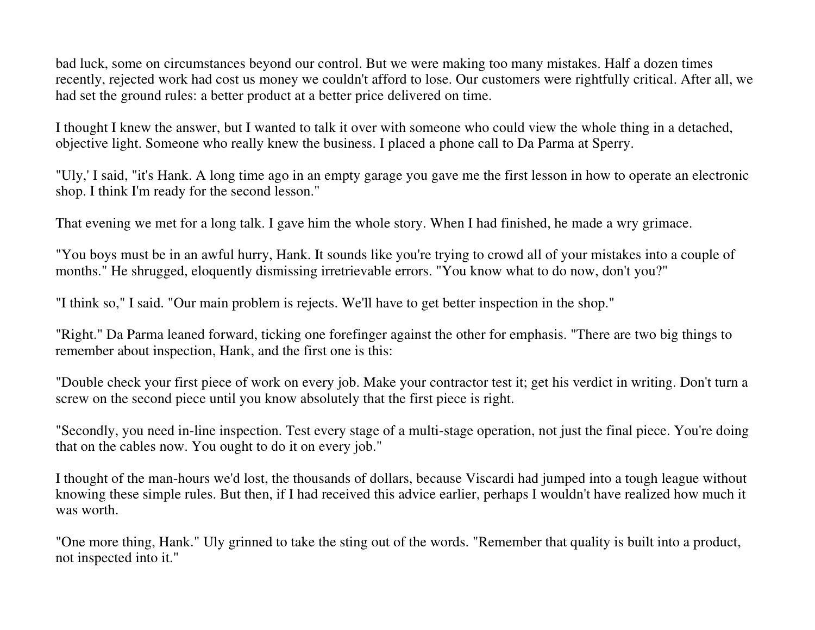bad luck, some on circumstances beyond our control. But we were making too many mistakes. Half a dozen times recently, rejected work had cost us money we couldn't afford to lose. Our customers were rightfully critical. After all, we had set the ground rules: a better product at a better price delivered on time.

I thought I knew the answer, but I wanted to talk it over with someone who could view the whole thing in a detached, objective light. Someone who really knew the business. I placed a phone call to Da Parma at Sperry.

"Uly,' I said, "it's Hank. A long time ago in an empty garage you gave me the first lesson in how to operate an electronic shop. I think I'm ready for the second lesson."

That evening we met for a long talk. I gave him the whole story. When I had finished, he made a wry grimace.

"You boys must be in an awful hurry, Hank. It sounds like you're trying to crowd all of your mistakes into a couple of months." He shrugged, eloquently dismissing irretrievable errors. "You know what to do now, don't you?"

"I think so," I said. "Our main problem is rejects. We'll have to get better inspection in the shop."

"Right." Da Parma leaned forward, ticking one forefinger against the other for emphasis. "There are two big things to remember about inspection, Hank, and the first one is this:

"Double check your first piece of work on every job. Make your contractor test it; get his verdict in writing. Don't turn a screw on the second piece until you know absolutely that the first piece is right.

"Secondly, you need in-line inspection. Test every stage of a multi-stage operation, not just the final piece. You're doing that on the cables now. You ought to do it on every job."

I thought of the man-hours we'd lost, the thousands of dollars, because Viscardi had jumped into a tough league without knowing these simple rules. But then, if I had received this advice earlier, perhaps I wouldn't have realized how much it was worth.

"One more thing, Hank." Uly grinned to take the sting out of the words. "Remember that quality is built into a product, not inspected into it."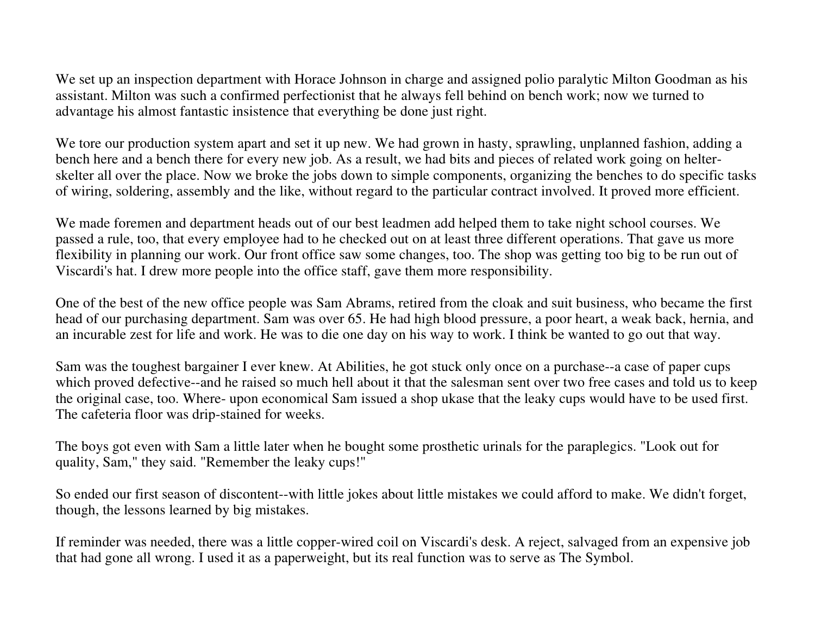We set up an inspection department with Horace Johnson in charge and assigned polio paralytic Milton Goodman as his assistant. Milton was such a confirmed perfectionist that he always fell behind on bench work; now we turned to advantage his almost fantastic insistence that everything be done just right.

We tore our production system apart and set it up new. We had grown in hasty, sprawling, unplanned fashion, adding a bench here and a bench there for every new job. As a result, we had bits and pieces of related work going on helterskelter all over the place. Now we broke the jobs down to simple components, organizing the benches to do specific tasks of wiring, soldering, assembly and the like, without regard to the particular contract involved. It proved more efficient.

We made foremen and department heads out of our best leadmen add helped them to take night school courses. We passed a rule, too, that every employee had to he checked out on at least three different operations. That gave us more flexibility in planning our work. Our front office saw some changes, too. The shop was getting too big to be run out of Viscardi's hat. I drew more people into the office staff, gave them more responsibility.

One of the best of the new office people was Sam Abrams, retired from the cloak and suit business, who became the first head of our purchasing department. Sam was over 65. He had high blood pressure, a poor heart, a weak back, hernia, and an incurable zest for life and work. He was to die one day on his way to work. I think be wanted to go out that way.

Sam was the toughest bargainer I ever knew. At Abilities, he got stuck only once on a purchase--a case of paper cups which proved defective--and he raised so much hell about it that the salesman sent over two free cases and told us to keep the original case, too. Where- upon economical Sam issued a shop ukase that the leaky cups would have to be used first. The cafeteria floor was drip-stained for weeks.

The boys got even with Sam a little later when he bought some prosthetic urinals for the paraplegics. "Look out for quality, Sam," they said. "Remember the leaky cups!"

So ended our first season of discontent--with little jokes about little mistakes we could afford to make. We didn't forget, though, the lessons learned by big mistakes.

If reminder was needed, there was a little copper-wired coil on Viscardi's desk. A reject, salvaged from an expensive job that had gone all wrong. I used it as a paperweight, but its real function was to serve as The Symbol.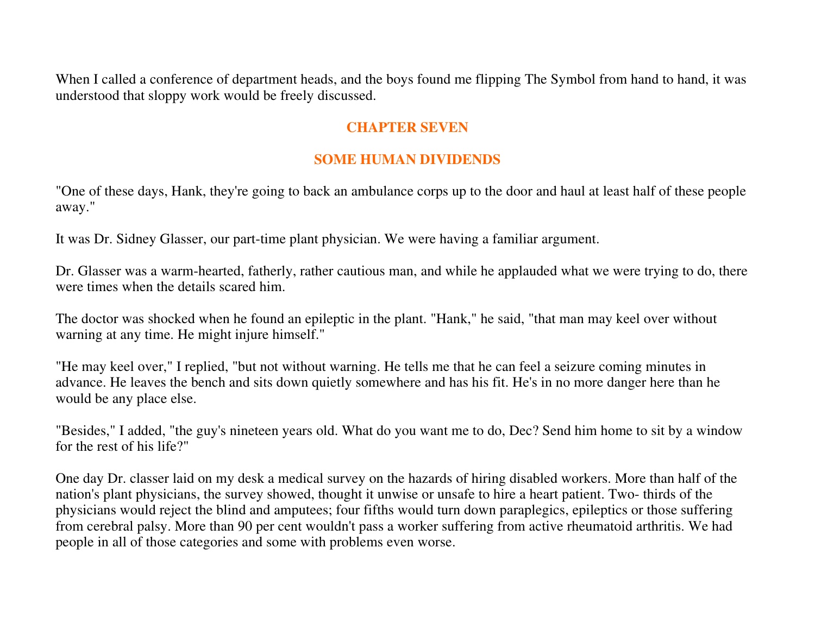When I called a conference of department heads, and the boys found me flipping The Symbol from hand to hand, it was understood that sloppy work would be freely discussed.

### **CHAPTER SEVEN**

### **SOME HUMAN DIVIDENDS**

"One of these days, Hank, they're going to back an ambulance corps up to the door and haul at least half of these people away."

It was Dr. Sidney Glasser, our part-time plant physician. We were having a familiar argument.

Dr. Glasser was a warm-hearted, fatherly, rather cautious man, and while he applauded what we were trying to do, there were times when the details scared him.

The doctor was shocked when he found an epileptic in the plant. "Hank," he said, "that man may keel over without warning at any time. He might injure himself."

"He may keel over," I replied, "but not without warning. He tells me that he can feel a seizure coming minutes in advance. He leaves the bench and sits down quietly somewhere and has his fit. He's in no more danger here than he would be any place else.

"Besides," I added, "the guy's nineteen years old. What do you want me to do, Dec? Send him home to sit by a window for the rest of his life?"

One day Dr. classer laid on my desk a medical survey on the hazards of hiring disabled workers. More than half of the nation's plant physicians, the survey showed, thought it unwise or unsafe to hire a heart patient. Two- thirds of the physicians would reject the blind and amputees; four fifths would turn down paraplegics, epileptics or those suffering from cerebral palsy. More than 90 per cent wouldn't pass a worker suffering from active rheumatoid arthritis. We had people in all of those categories and some with problems even worse.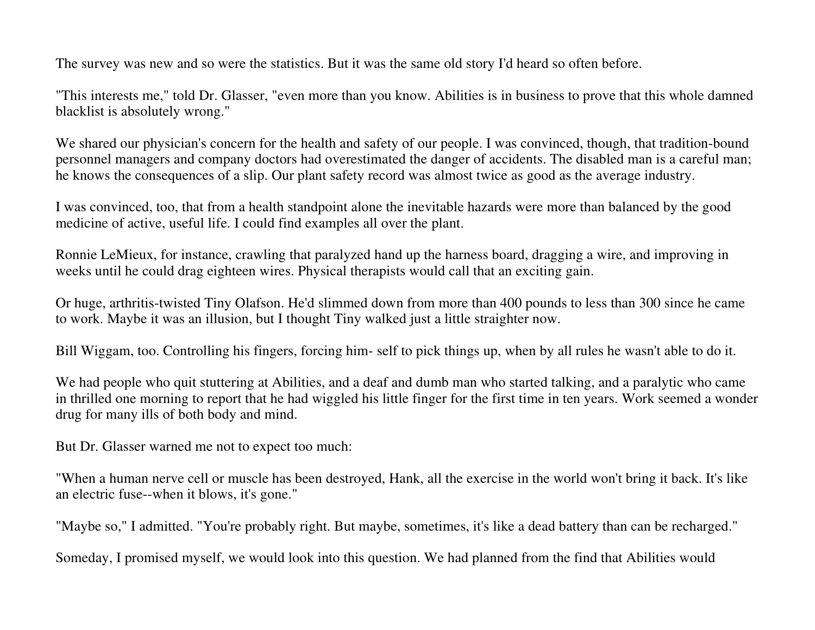The survey was new and so were the statistics. But it was the same old story I'd heard so often before.

"This interests me," told Dr. Glasser, "even more than you know. Abilities is in business to prove that this whole damned blacklist is absolutely wrong."

We shared our physician's concern for the health and safety of our people. I was convinced, though, that tradition-bound personnel managers and company doctors had overestimated the danger of accidents. The disabled man is a careful man; he knows the consequences of a slip. Our plant safety record was almost twice as good as the average industry.

I was convinced, too, that from a health standpoint alone the inevitable hazards were more than balanced by the good medicine of active, useful life. I could find examples all over the plant.

Ronnie LeMieux, for instance, crawling that paralyzed hand up the harness board, dragging a wire, and improving in weeks until he could drag eighteen wires. Physical therapists would call that an exciting gain.

Or huge, arthritis-twisted Tiny Olafson. He'd slimmed down from more than 400 pounds to less than 300 since he came to work. Maybe it was an illusion, but I thought Tiny walked just a little straighter now.

Bill Wiggam, too. Controlling his fingers, forcing him- self to pick things up, when by all rules he wasn't able to do it.

We had people who quit stuttering at Abilities, and a deaf and dumb man who started talking, and a paralytic who came in thrilled one morning to report that he had wiggled his little finger for the first time in ten years. Work seemed a wonder drug for many ills of both body and mind.

But Dr. Glasser warned me not to expect too much:

"When a human nerve cell or muscle has been destroyed, Hank, all the exercise in the world won't bring it back. It's like an electric fuse--when it blows, it's gone."

"Maybe so," I admitted. "You're probably right. But maybe, sometimes, it's like a dead battery than can be recharged."

Someday, I promised myself, we would look into this question. We had planned from the find that Abilities would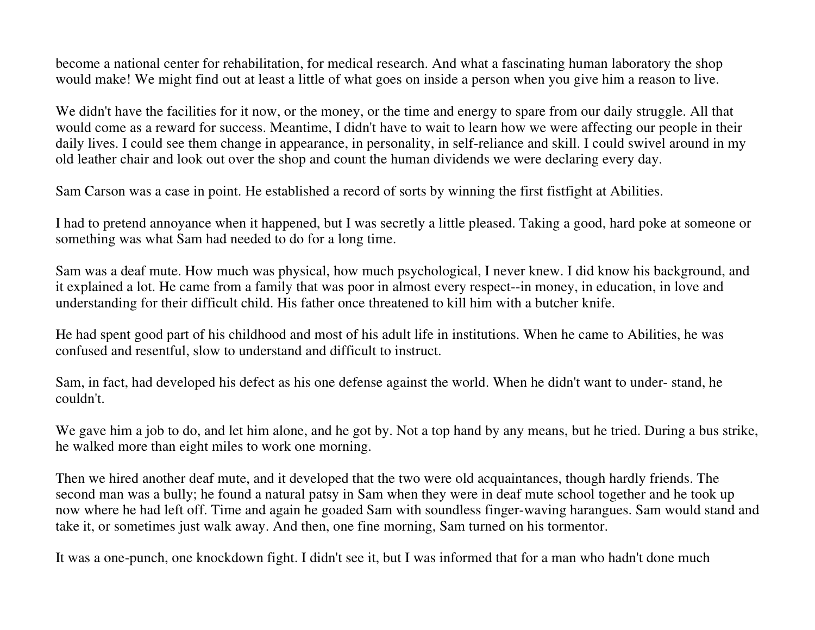become a national center for rehabilitation, for medical research. And what a fascinating human laboratory the shop would make! We might find out at least a little of what goes on inside a person when you give him a reason to live.

We didn't have the facilities for it now, or the money, or the time and energy to spare from our daily struggle. All that would come as a reward for success. Meantime, I didn't have to wait to learn how we were affecting our people in their daily lives. I could see them change in appearance, in personality, in self-reliance and skill. I could swivel around in my old leather chair and look out over the shop and count the human dividends we were declaring every day.

Sam Carson was a case in point. He established a record of sorts by winning the first fistfight at Abilities.

I had to pretend annoyance when it happened, but I was secretly a little pleased. Taking a good, hard poke at someone or something was what Sam had needed to do for a long time.

Sam was a deaf mute. How much was physical, how much psychological, I never knew. I did know his background, and it explained a lot. He came from a family that was poor in almost every respect--in money, in education, in love and understanding for their difficult child. His father once threatened to kill him with a butcher knife.

He had spent good part of his childhood and most of his adult life in institutions. When he came to Abilities, he was confused and resentful, slow to understand and difficult to instruct.

Sam, in fact, had developed his defect as his one defense against the world. When he didn't want to under- stand, he couldn't.

We gave him a job to do, and let him alone, and he got by. Not a top hand by any means, but he tried. During a bus strike, he walked more than eight miles to work one morning.

Then we hired another deaf mute, and it developed that the two were old acquaintances, though hardly friends. The second man was a bully; he found a natural patsy in Sam when they were in deaf mute school together and he took up now where he had left off. Time and again he goaded Sam with soundless finger-waving harangues. Sam would stand and take it, or sometimes just walk away. And then, one fine morning, Sam turned on his tormentor.

It was a one-punch, one knockdown fight. I didn't see it, but I was informed that for a man who hadn't done much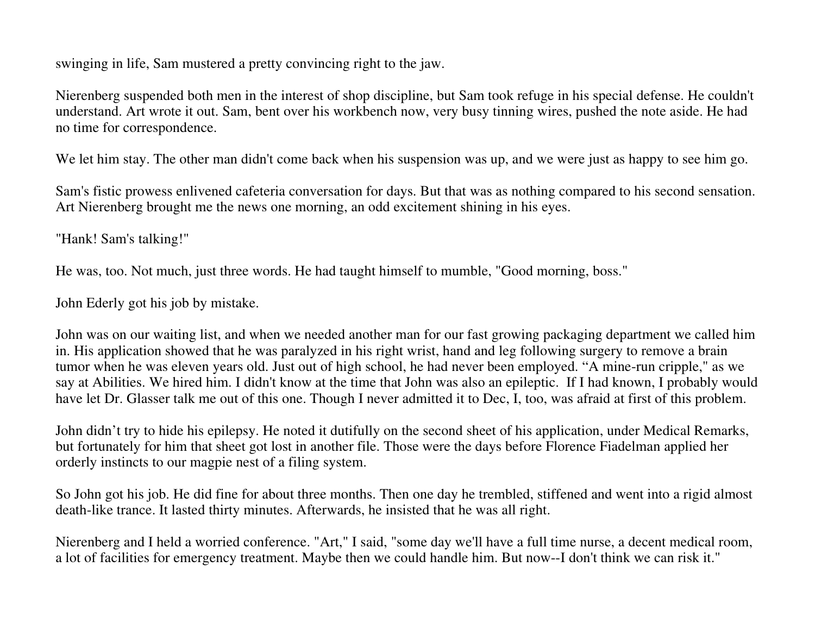swinging in life, Sam mustered a pretty convincing right to the jaw.

Nierenberg suspended both men in the interest of shop discipline, but Sam took refuge in his special defense. He couldn't understand. Art wrote it out. Sam, bent over his workbench now, very busy tinning wires, pushed the note aside. He had no time for correspondence.

We let him stay. The other man didn't come back when his suspension was up, and we were just as happy to see him go.

Sam's fistic prowess enlivened cafeteria conversation for days. But that was as nothing compared to his second sensation. Art Nierenberg brought me the news one morning, an odd excitement shining in his eyes.

"Hank! Sam's talking!"

He was, too. Not much, just three words. He had taught himself to mumble, "Good morning, boss."

John Ederly got his job by mistake.

John was on our waiting list, and when we needed another man for our fast growing packaging department we called him in. His application showed that he was paralyzed in his right wrist, hand and leg following surgery to remove a brain tumor when he was eleven years old. Just out of high school, he had never been employed. "A mine-run cripple," as we say at Abilities. We hired him. I didn't know at the time that John was also an epileptic. If I had known, I probably would have let Dr. Glasser talk me out of this one. Though I never admitted it to Dec, I, too, was afraid at first of this problem.

John didn't try to hide his epilepsy. He noted it dutifully on the second sheet of his application, under Medical Remarks, but fortunately for him that sheet got lost in another file. Those were the days before Florence Fiadelman applied her orderly instincts to our magpie nest of a filing system.

So John got his job. He did fine for about three months. Then one day he trembled, stiffened and went into a rigid almost death-like trance. It lasted thirty minutes. Afterwards, he insisted that he was all right.

Nierenberg and I held a worried conference. "Art," I said, "some day we'll have a full time nurse, a decent medical room, a lot of facilities for emergency treatment. Maybe then we could handle him. But now--I don't think we can risk it."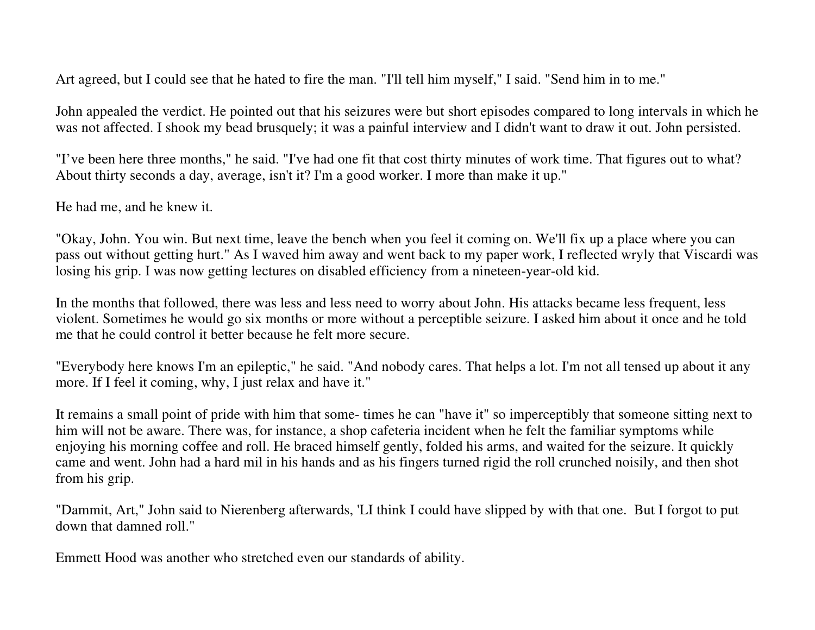Art agreed, but I could see that he hated to fire the man. "I'll tell him myself," I said. "Send him in to me."

John appealed the verdict. He pointed out that his seizures were but short episodes compared to long intervals in which he was not affected. I shook my bead brusquely; it was a painful interview and I didn't want to draw it out. John persisted.

"I've been here three months," he said. "I've had one fit that cost thirty minutes of work time. That figures out to what? About thirty seconds a day, average, isn't it? I'm a good worker. I more than make it up."

He had me, and he knew it.

"Okay, John. You win. But next time, leave the bench when you feel it coming on. We'll fix up a place where you can pass out without getting hurt." As I waved him away and went back to my paper work, I reflected wryly that Viscardi was losing his grip. I was now getting lectures on disabled efficiency from a nineteen-year-old kid.

In the months that followed, there was less and less need to worry about John. His attacks became less frequent, less violent. Sometimes he would go six months or more without a perceptible seizure. I asked him about it once and he told me that he could control it better because he felt more secure.

"Everybody here knows I'm an epileptic," he said. "And nobody cares. That helps a lot. I'm not all tensed up about it any more. If I feel it coming, why, I just relax and have it."

It remains a small point of pride with him that some- times he can "have it" so imperceptibly that someone sitting next to him will not be aware. There was, for instance, a shop cafeteria incident when he felt the familiar symptoms while enjoying his morning coffee and roll. He braced himself gently, folded his arms, and waited for the seizure. It quickly came and went. John had a hard mil in his hands and as his fingers turned rigid the roll crunched noisily, and then shot from his grip.

"Dammit, Art," John said to Nierenberg afterwards, 'LI think I could have slipped by with that one. But I forgot to put down that damned roll."

Emmett Hood was another who stretched even our standards of ability.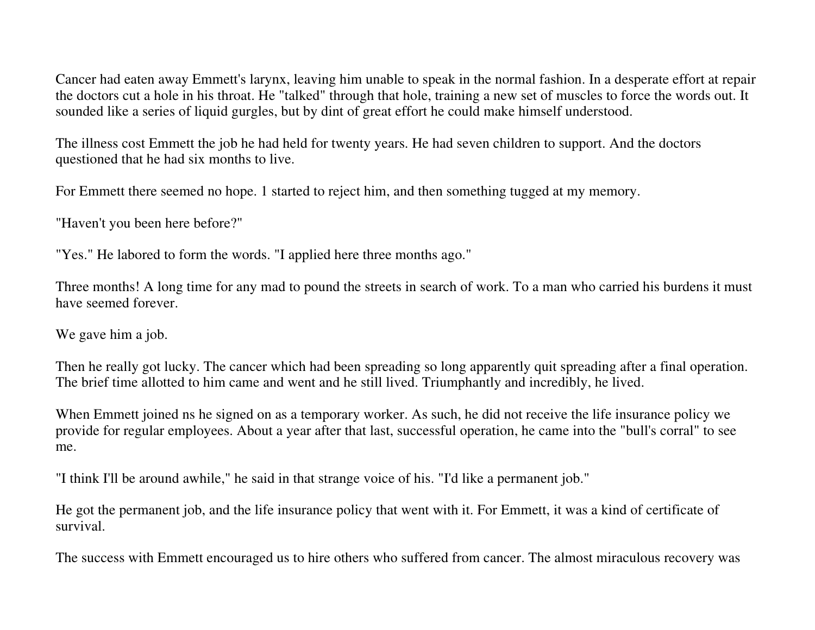Cancer had eaten away Emmett's larynx, leaving him unable to speak in the normal fashion. In a desperate effort at repair the doctors cut a hole in his throat. He "talked" through that hole, training a new set of muscles to force the words out. It sounded like a series of liquid gurgles, but by dint of great effort he could make himself understood.

The illness cost Emmett the job he had held for twenty years. He had seven children to support. And the doctors questioned that he had six months to live.

For Emmett there seemed no hope. 1 started to reject him, and then something tugged at my memory.

"Haven't you been here before?"

"Yes." He labored to form the words. "I applied here three months ago."

Three months! A long time for any mad to pound the streets in search of work. To a man who carried his burdens it must have seemed forever.

We gave him a job.

Then he really got lucky. The cancer which had been spreading so long apparently quit spreading after a final operation. The brief time allotted to him came and went and he still lived. Triumphantly and incredibly, he lived.

When Emmett joined ns he signed on as a temporary worker. As such, he did not receive the life insurance policy we provide for regular employees. About a year after that last, successful operation, he came into the "bull's corral" to see me.

"I think I'll be around awhile," he said in that strange voice of his. "I'd like a permanent job."

He got the permanent job, and the life insurance policy that went with it. For Emmett, it was a kind of certificate of survival.

The success with Emmett encouraged us to hire others who suffered from cancer. The almost miraculous recovery was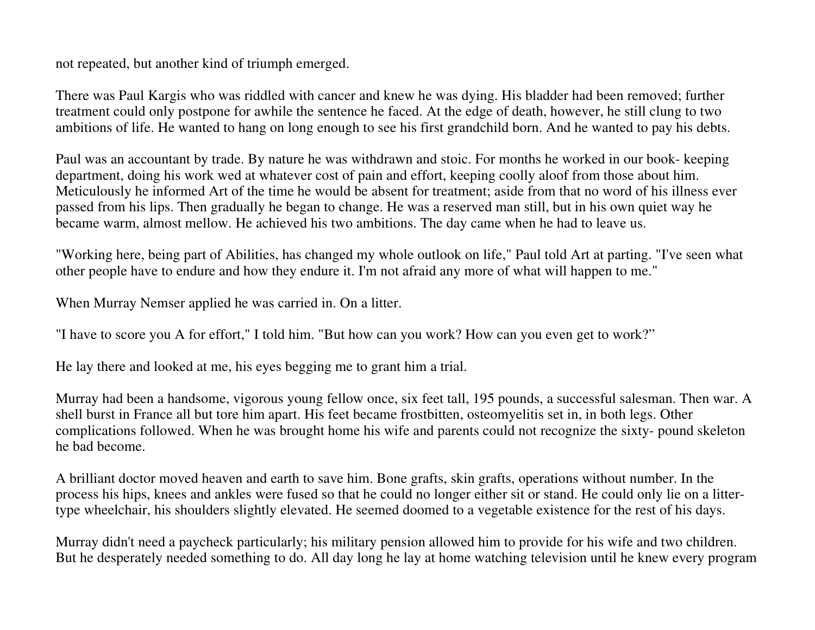not repeated, but another kind of triumph emerged.

There was Paul Kargis who was riddled with cancer and knew he was dying. His bladder had been removed; further treatment could only postpone for awhile the sentence he faced. At the edge of death, however, he still clung to two ambitions of life. He wanted to hang on long enough to see his first grandchild born. And he wanted to pay his debts.

Paul was an accountant by trade. By nature he was withdrawn and stoic. For months he worked in our book- keeping department, doing his work wed at whatever cost of pain and effort, keeping coolly aloof from those about him. Meticulously he informed Art of the time he would be absent for treatment; aside from that no word of his illness ever passed from his lips. Then gradually he began to change. He was a reserved man still, but in his own quiet way he became warm, almost mellow. He achieved his two ambitions. The day came when he had to leave us.

"Working here, being part of Abilities, has changed my whole outlook on life," Paul told Art at parting. "I've seen what other people have to endure and how they endure it. I'm not afraid any more of what will happen to me."

When Murray Nemser applied he was carried in. On a litter.

"I have to score you A for effort," I told him. "But how can you work? How can you even get to work?"

He lay there and looked at me, his eyes begging me to grant him a trial.

Murray had been a handsome, vigorous young fellow once, six feet tall, 195 pounds, a successful salesman. Then war. A shell burst in France all but tore him apart. His feet became frostbitten, osteomyelitis set in, in both legs. Other complications followed. When he was brought home his wife and parents could not recognize the sixty- pound skeleton he bad become.

A brilliant doctor moved heaven and earth to save him. Bone grafts, skin grafts, operations without number. In the process his hips, knees and ankles were fused so that he could no longer either sit or stand. He could only lie on a littertype wheelchair, his shoulders slightly elevated. He seemed doomed to a vegetable existence for the rest of his days.

Murray didn't need a paycheck particularly; his military pension allowed him to provide for his wife and two children. But he desperately needed something to do. All day long he lay at home watching television until he knew every program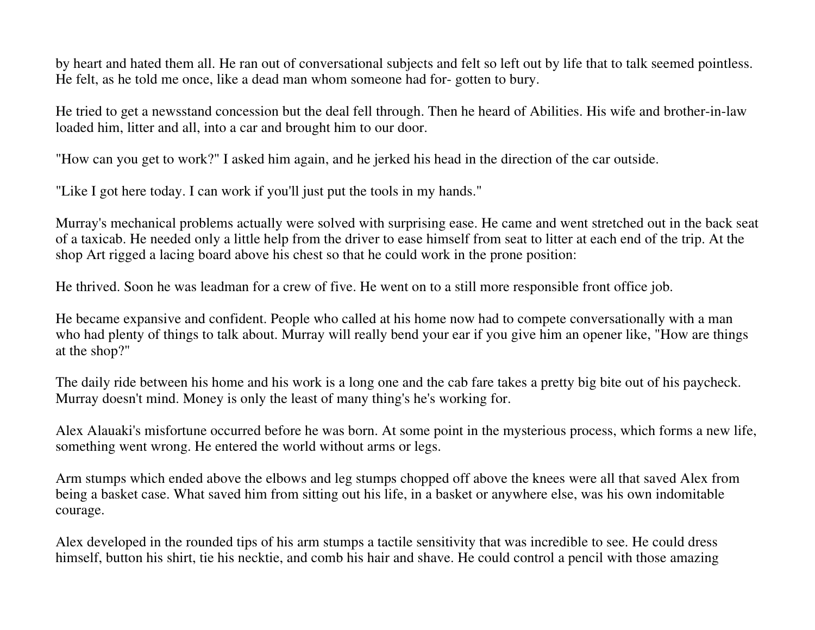by heart and hated them all. He ran out of conversational subjects and felt so left out by life that to talk seemed pointless. He felt, as he told me once, like a dead man whom someone had for- gotten to bury.

He tried to get a newsstand concession but the deal fell through. Then he heard of Abilities. His wife and brother-in-law loaded him, litter and all, into a car and brought him to our door.

"How can you get to work?" I asked him again, and he jerked his head in the direction of the car outside.

"Like I got here today. I can work if you'll just put the tools in my hands."

Murray's mechanical problems actually were solved with surprising ease. He came and went stretched out in the back seat of a taxicab. He needed only a little help from the driver to ease himself from seat to litter at each end of the trip. At the shop Art rigged a lacing board above his chest so that he could work in the prone position:

He thrived. Soon he was leadman for a crew of five. He went on to a still more responsible front office job.

He became expansive and confident. People who called at his home now had to compete conversationally with a man who had plenty of things to talk about. Murray will really bend your ear if you give him an opener like, "How are things at the shop?"

The daily ride between his home and his work is a long one and the cab fare takes a pretty big bite out of his paycheck. Murray doesn't mind. Money is only the least of many thing's he's working for.

Alex Alauaki's misfortune occurred before he was born. At some point in the mysterious process, which forms a new life, something went wrong. He entered the world without arms or legs.

Arm stumps which ended above the elbows and leg stumps chopped off above the knees were all that saved Alex from being a basket case. What saved him from sitting out his life, in a basket or anywhere else, was his own indomitable courage.

Alex developed in the rounded tips of his arm stumps a tactile sensitivity that was incredible to see. He could dress himself, button his shirt, tie his necktie, and comb his hair and shave. He could control a pencil with those amazing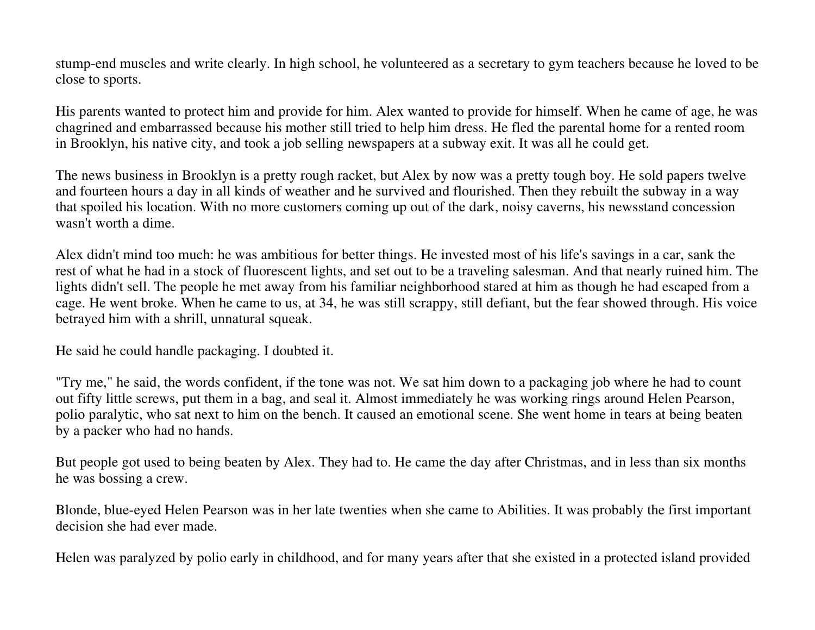stump-end muscles and write clearly. In high school, he volunteered as a secretary to gym teachers because he loved to be close to sports.

His parents wanted to protect him and provide for him. Alex wanted to provide for himself. When he came of age, he was chagrined and embarrassed because his mother still tried to help him dress. He fled the parental home for a rented room in Brooklyn, his native city, and took a job selling newspapers at a subway exit. It was all he could get.

The news business in Brooklyn is a pretty rough racket, but Alex by now was a pretty tough boy. He sold papers twelve and fourteen hours a day in all kinds of weather and he survived and flourished. Then they rebuilt the subway in a way that spoiled his location. With no more customers coming up out of the dark, noisy caverns, his newsstand concession wasn't worth a dime.

Alex didn't mind too much: he was ambitious for better things. He invested most of his life's savings in a car, sank the rest of what he had in a stock of fluorescent lights, and set out to be a traveling salesman. And that nearly ruined him. The lights didn't sell. The people he met away from his familiar neighborhood stared at him as though he had escaped from a cage. He went broke. When he came to us, at 34, he was still scrappy, still defiant, but the fear showed through. His voice betrayed him with a shrill, unnatural squeak.

He said he could handle packaging. I doubted it.

"Try me," he said, the words confident, if the tone was not. We sat him down to a packaging job where he had to count out fifty little screws, put them in a bag, and seal it. Almost immediately he was working rings around Helen Pearson, polio paralytic, who sat next to him on the bench. It caused an emotional scene. She went home in tears at being beaten by a packer who had no hands.

But people got used to being beaten by Alex. They had to. He came the day after Christmas, and in less than six months he was bossing a crew.

Blonde, blue-eyed Helen Pearson was in her late twenties when she came to Abilities. It was probably the first important decision she had ever made.

Helen was paralyzed by polio early in childhood, and for many years after that she existed in a protected island provided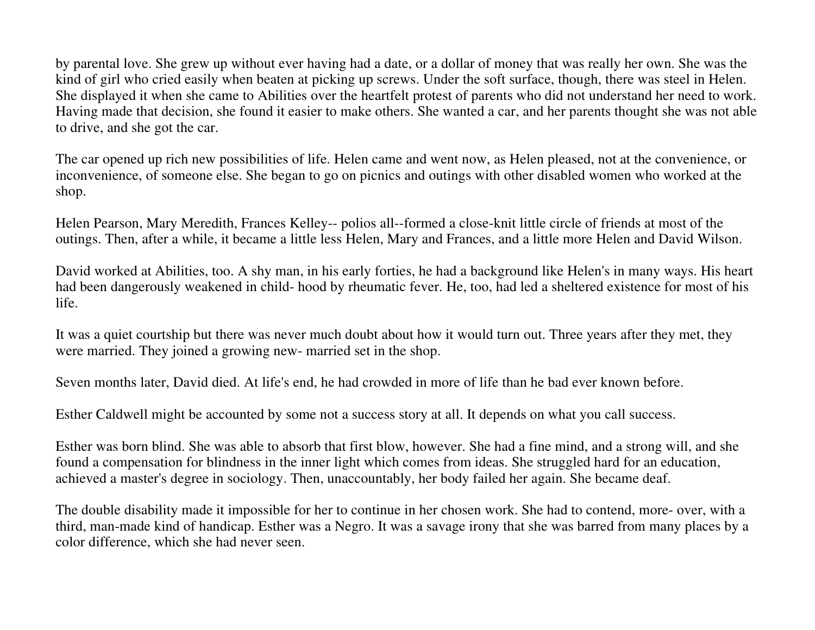by parental love. She grew up without ever having had a date, or a dollar of money that was really her own. She was the kind of girl who cried easily when beaten at picking up screws. Under the soft surface, though, there was steel in Helen. She displayed it when she came to Abilities over the heartfelt protest of parents who did not understand her need to work. Having made that decision, she found it easier to make others. She wanted a car, and her parents thought she was not able to drive, and she got the car.

The car opened up rich new possibilities of life. Helen came and went now, as Helen pleased, not at the convenience, or inconvenience, of someone else. She began to go on picnics and outings with other disabled women who worked at the shop.

Helen Pearson, Mary Meredith, Frances Kelley-- polios all--formed a close-knit little circle of friends at most of the outings. Then, after a while, it became a little less Helen, Mary and Frances, and a little more Helen and David Wilson.

David worked at Abilities, too. A shy man, in his early forties, he had a background like Helen's in many ways. His heart had been dangerously weakened in child- hood by rheumatic fever. He, too, had led a sheltered existence for most of his life.

It was a quiet courtship but there was never much doubt about how it would turn out. Three years after they met, they were married. They joined a growing new- married set in the shop.

Seven months later, David died. At life's end, he had crowded in more of life than he bad ever known before.

Esther Caldwell might be accounted by some not a success story at all. It depends on what you call success.

Esther was born blind. She was able to absorb that first blow, however. She had a fine mind, and a strong will, and she found a compensation for blindness in the inner light which comes from ideas. She struggled hard for an education, achieved a master's degree in sociology. Then, unaccountably, her body failed her again. She became deaf.

The double disability made it impossible for her to continue in her chosen work. She had to contend, more- over, with a third, man-made kind of handicap. Esther was a Negro. It was a savage irony that she was barred from many places by a color difference, which she had never seen.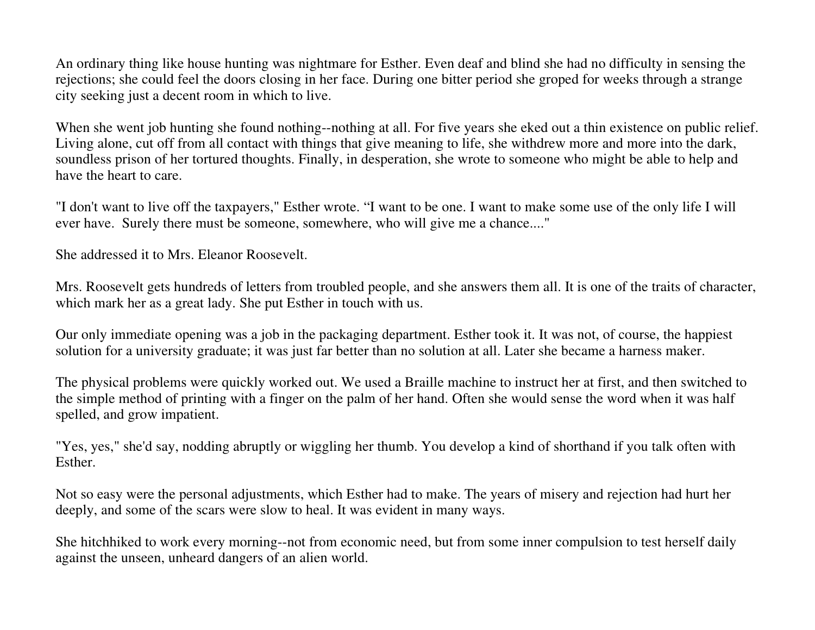An ordinary thing like house hunting was nightmare for Esther. Even deaf and blind she had no difficulty in sensing the rejections; she could feel the doors closing in her face. During one bitter period she groped for weeks through a strange city seeking just a decent room in which to live.

When she went job hunting she found nothing--nothing at all. For five years she eked out a thin existence on public relief. Living alone, cut off from all contact with things that give meaning to life, she withdrew more and more into the dark, soundless prison of her tortured thoughts. Finally, in desperation, she wrote to someone who might be able to help and have the heart to care.

"I don't want to live off the taxpayers," Esther wrote. "I want to be one. I want to make some use of the only life I will ever have. Surely there must be someone, somewhere, who will give me a chance...."

She addressed it to Mrs. Eleanor Roosevelt.

Mrs. Roosevelt gets hundreds of letters from troubled people, and she answers them all. It is one of the traits of character, which mark her as a great lady. She put Esther in touch with us.

Our only immediate opening was a job in the packaging department. Esther took it. It was not, of course, the happiest solution for a university graduate; it was just far better than no solution at all. Later she became a harness maker.

The physical problems were quickly worked out. We used a Braille machine to instruct her at first, and then switched to the simple method of printing with a finger on the palm of her hand. Often she would sense the word when it was half spelled, and grow impatient.

"Yes, yes," she'd say, nodding abruptly or wiggling her thumb. You develop a kind of shorthand if you talk often with Esther.

Not so easy were the personal adjustments, which Esther had to make. The years of misery and rejection had hurt her deeply, and some of the scars were slow to heal. It was evident in many ways.

She hitchhiked to work every morning--not from economic need, but from some inner compulsion to test herself daily against the unseen, unheard dangers of an alien world.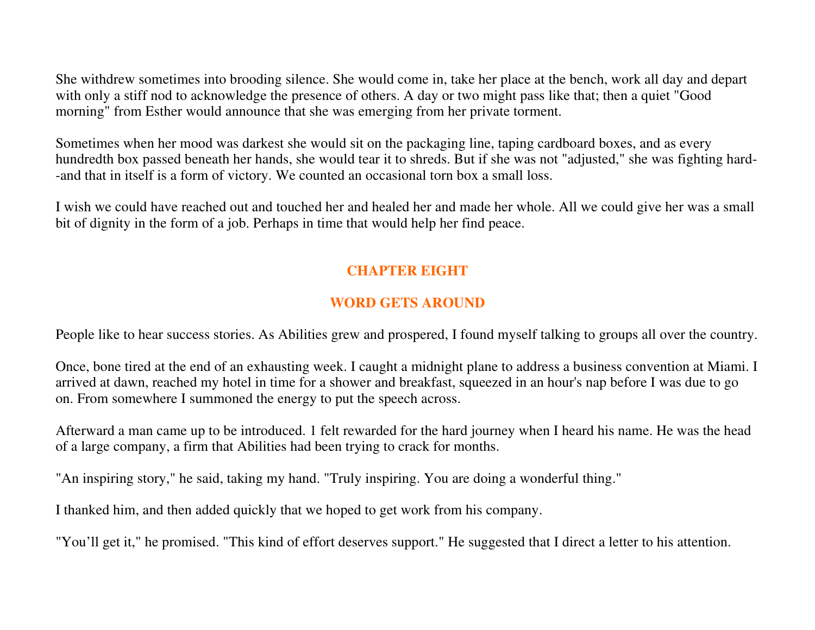She withdrew sometimes into brooding silence. She would come in, take her place at the bench, work all day and depart with only a stiff nod to acknowledge the presence of others. A day or two might pass like that; then a quiet "Good morning" from Esther would announce that she was emerging from her private torment.

Sometimes when her mood was darkest she would sit on the packaging line, taping cardboard boxes, and as every hundredth box passed beneath her hands, she would tear it to shreds. But if she was not "adjusted," she was fighting hard--and that in itself is a form of victory. We counted an occasional torn box a small loss.

I wish we could have reached out and touched her and healed her and made her whole. All we could give her was a small bit of dignity in the form of a job. Perhaps in time that would help her find peace.

# **CHAPTER EIGHT**

# **WORD GETS AROUND**

People like to hear success stories. As Abilities grew and prospered, I found myself talking to groups all over the country.

Once, bone tired at the end of an exhausting week. I caught a midnight plane to address a business convention at Miami. I arrived at dawn, reached my hotel in time for a shower and breakfast, squeezed in an hour's nap before I was due to go on. From somewhere I summoned the energy to put the speech across.

Afterward a man came up to be introduced. 1 felt rewarded for the hard journey when I heard his name. He was the head of a large company, a firm that Abilities had been trying to crack for months.

"An inspiring story," he said, taking my hand. "Truly inspiring. You are doing a wonderful thing."

I thanked him, and then added quickly that we hoped to get work from his company.

"You'll get it," he promised. "This kind of effort deserves support." He suggested that I direct a letter to his attention.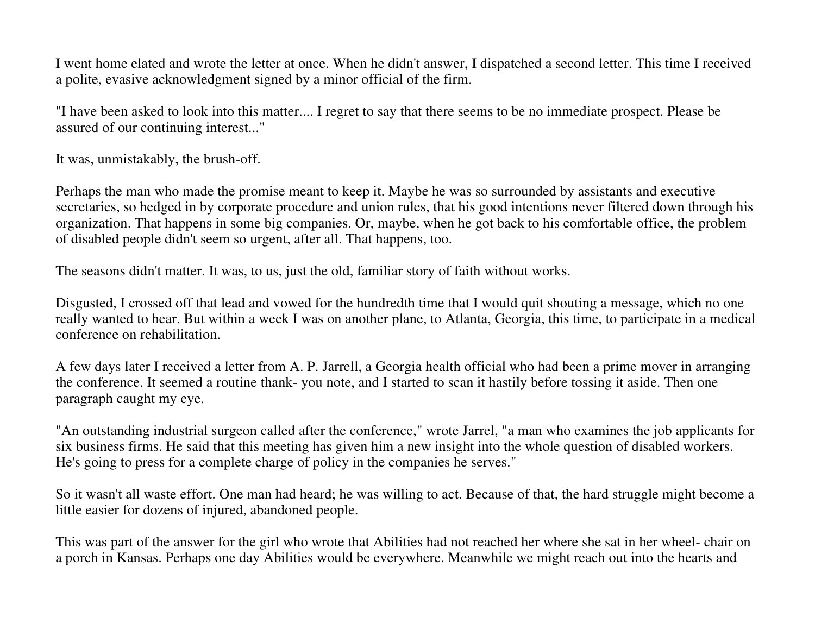I went home elated and wrote the letter at once. When he didn't answer, I dispatched a second letter. This time I received a polite, evasive acknowledgment signed by a minor official of the firm.

"I have been asked to look into this matter.... I regret to say that there seems to be no immediate prospect. Please be assured of our continuing interest..."

It was, unmistakably, the brush-off.

Perhaps the man who made the promise meant to keep it. Maybe he was so surrounded by assistants and executive secretaries, so hedged in by corporate procedure and union rules, that his good intentions never filtered down through his organization. That happens in some big companies. Or, maybe, when he got back to his comfortable office, the problem of disabled people didn't seem so urgent, after all. That happens, too.

The seasons didn't matter. It was, to us, just the old, familiar story of faith without works.

Disgusted, I crossed off that lead and vowed for the hundredth time that I would quit shouting a message, which no one really wanted to hear. But within a week I was on another plane, to Atlanta, Georgia, this time, to participate in a medical conference on rehabilitation.

A few days later I received a letter from A. P. Jarrell, a Georgia health official who had been a prime mover in arranging the conference. It seemed a routine thank- you note, and I started to scan it hastily before tossing it aside. Then one paragraph caught my eye.

"An outstanding industrial surgeon called after the conference," wrote Jarrel, "a man who examines the job applicants for six business firms. He said that this meeting has given him a new insight into the whole question of disabled workers. He's going to press for a complete charge of policy in the companies he serves."

So it wasn't all waste effort. One man had heard; he was willing to act. Because of that, the hard struggle might become a little easier for dozens of injured, abandoned people.

This was part of the answer for the girl who wrote that Abilities had not reached her where she sat in her wheel- chair on a porch in Kansas. Perhaps one day Abilities would be everywhere. Meanwhile we might reach out into the hearts and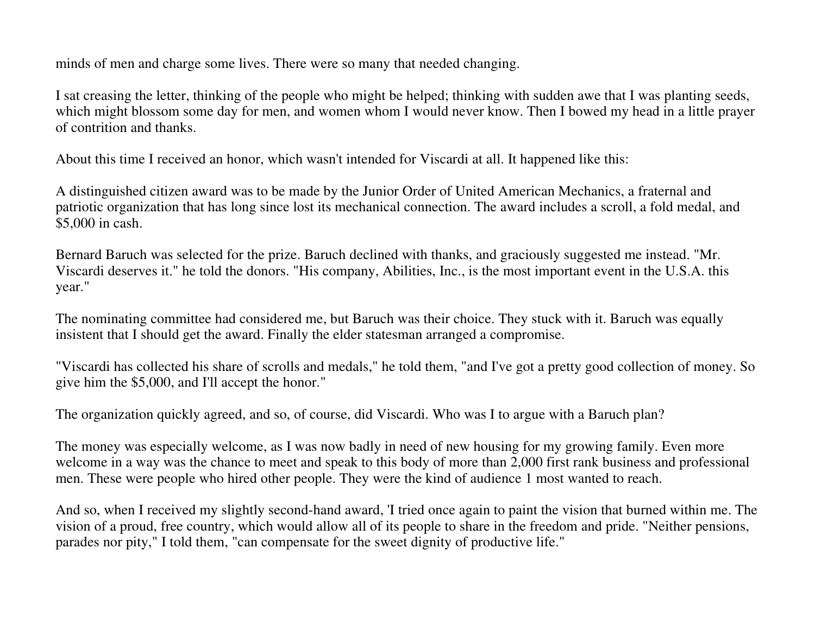minds of men and charge some lives. There were so many that needed changing.

I sat creasing the letter, thinking of the people who might be helped; thinking with sudden awe that I was planting seeds, which might blossom some day for men, and women whom I would never know. Then I bowed my head in a little prayer of contrition and thanks.

About this time I received an honor, which wasn't intended for Viscardi at all. It happened like this:

A distinguished citizen award was to be made by the Junior Order of United American Mechanics, a fraternal and patriotic organization that has long since lost its mechanical connection. The award includes a scroll, a fold medal, and \$5,000 in cash.

Bernard Baruch was selected for the prize. Baruch declined with thanks, and graciously suggested me instead. "Mr. Viscardi deserves it." he told the donors. "His company, Abilities, Inc., is the most important event in the U.S.A. this year."

The nominating committee had considered me, but Baruch was their choice. They stuck with it. Baruch was equally insistent that I should get the award. Finally the elder statesman arranged a compromise.

"Viscardi has collected his share of scrolls and medals," he told them, "and I've got a pretty good collection of money. So give him the \$5,000, and I'll accept the honor."

The organization quickly agreed, and so, of course, did Viscardi. Who was I to argue with a Baruch plan?

The money was especially welcome, as I was now badly in need of new housing for my growing family. Even more welcome in a way was the chance to meet and speak to this body of more than 2,000 first rank business and professional men. These were people who hired other people. They were the kind of audience 1 most wanted to reach.

And so, when I received my slightly second-hand award, 'I tried once again to paint the vision that burned within me. The vision of a proud, free country, which would allow all of its people to share in the freedom and pride. "Neither pensions, parades nor pity," I told them, "can compensate for the sweet dignity of productive life."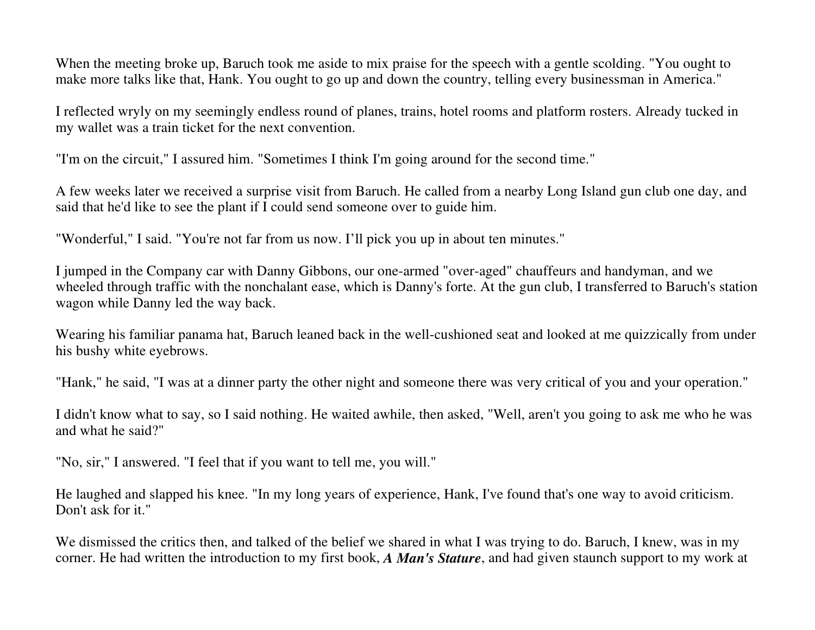When the meeting broke up, Baruch took me aside to mix praise for the speech with a gentle scolding. "You ought to make more talks like that, Hank. You ought to go up and down the country, telling every businessman in America."

I reflected wryly on my seemingly endless round of planes, trains, hotel rooms and platform rosters. Already tucked in my wallet was a train ticket for the next convention.

"I'm on the circuit," I assured him. "Sometimes I think I'm going around for the second time."

A few weeks later we received a surprise visit from Baruch. He called from a nearby Long Island gun club one day, and said that he'd like to see the plant if I could send someone over to guide him.

"Wonderful," I said. "You're not far from us now. I'll pick you up in about ten minutes."

I jumped in the Company car with Danny Gibbons, our one-armed "over-aged" chauffeurs and handyman, and we wheeled through traffic with the nonchalant ease, which is Danny's forte. At the gun club, I transferred to Baruch's station wagon while Danny led the way back.

Wearing his familiar panama hat, Baruch leaned back in the well-cushioned seat and looked at me quizzically from under his bushy white eyebrows.

"Hank," he said, "I was at a dinner party the other night and someone there was very critical of you and your operation."

I didn't know what to say, so I said nothing. He waited awhile, then asked, "Well, aren't you going to ask me who he was and what he said?"

"No, sir," I answered. "I feel that if you want to tell me, you will."

He laughed and slapped his knee. "In my long years of experience, Hank, I've found that's one way to avoid criticism. Don't ask for it."

We dismissed the critics then, and talked of the belief we shared in what I was trying to do. Baruch, I knew, was in my corner. He had written the introduction to my first book, *A Man's Stature*, and had given staunch support to my work at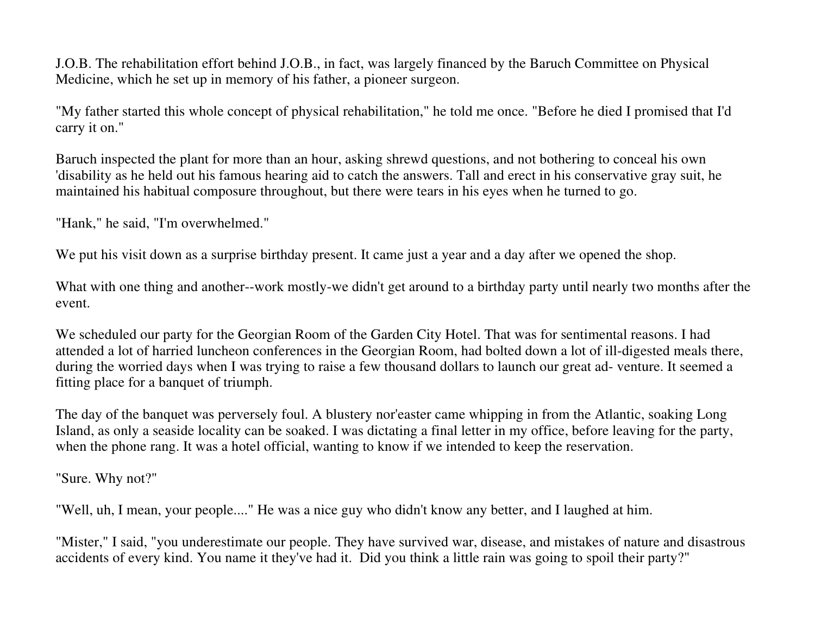J.O.B. The rehabilitation effort behind J.O.B., in fact, was largely financed by the Baruch Committee on Physical Medicine, which he set up in memory of his father, a pioneer surgeon.

"My father started this whole concept of physical rehabilitation," he told me once. "Before he died I promised that I'd carry it on."

Baruch inspected the plant for more than an hour, asking shrewd questions, and not bothering to conceal his own 'disability as he held out his famous hearing aid to catch the answers. Tall and erect in his conservative gray suit, he maintained his habitual composure throughout, but there were tears in his eyes when he turned to go.

"Hank," he said, "I'm overwhelmed."

We put his visit down as a surprise birthday present. It came just a year and a day after we opened the shop.

What with one thing and another--work mostly-we didn't get around to a birthday party until nearly two months after the event.

We scheduled our party for the Georgian Room of the Garden City Hotel. That was for sentimental reasons. I had attended a lot of harried luncheon conferences in the Georgian Room, had bolted down a lot of ill-digested meals there, during the worried days when I was trying to raise a few thousand dollars to launch our great ad- venture. It seemed a fitting place for a banquet of triumph.

The day of the banquet was perversely foul. A blustery nor'easter came whipping in from the Atlantic, soaking Long Island, as only a seaside locality can be soaked. I was dictating a final letter in my office, before leaving for the party, when the phone rang. It was a hotel official, wanting to know if we intended to keep the reservation.

"Sure. Why not?"

"Well, uh, I mean, your people...." He was a nice guy who didn't know any better, and I laughed at him.

"Mister," I said, "you underestimate our people. They have survived war, disease, and mistakes of nature and disastrous accidents of every kind. You name it they've had it. Did you think a little rain was going to spoil their party?"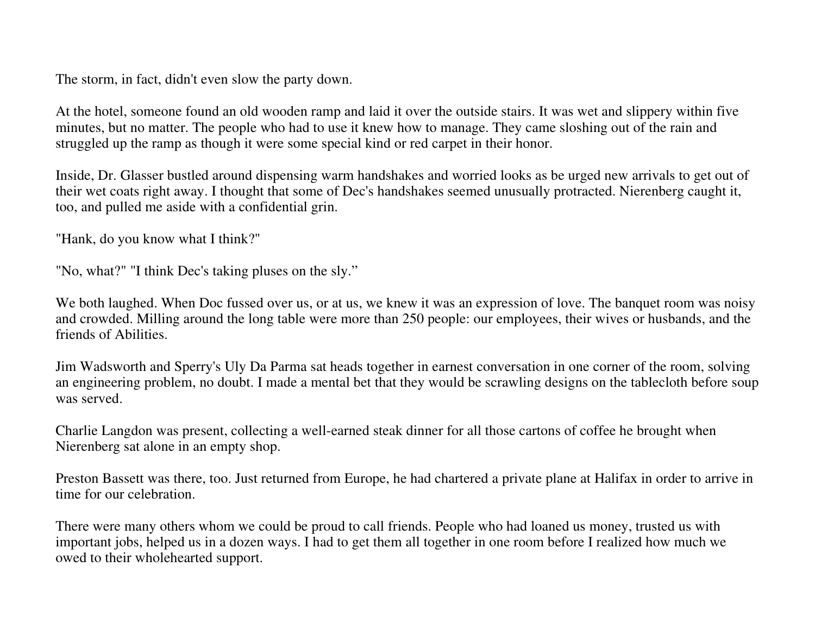The storm, in fact, didn't even slow the party down.

At the hotel, someone found an old wooden ramp and laid it over the outside stairs. It was wet and slippery within five minutes, but no matter. The people who had to use it knew how to manage. They came sloshing out of the rain and struggled up the ramp as though it were some special kind or red carpet in their honor.

Inside, Dr. Glasser bustled around dispensing warm handshakes and worried looks as be urged new arrivals to get out of their wet coats right away. I thought that some of Dec's handshakes seemed unusually protracted. Nierenberg caught it, too, and pulled me aside with a confidential grin.

"Hank, do you know what I think?"

"No, what?" "I think Dec's taking pluses on the sly."

We both laughed. When Doc fussed over us, or at us, we knew it was an expression of love. The banquet room was noisy and crowded. Milling around the long table were more than 250 people: our employees, their wives or husbands, and the friends of Abilities.

Jim Wadsworth and Sperry's Uly Da Parma sat heads together in earnest conversation in one corner of the room, solving an engineering problem, no doubt. I made a mental bet that they would be scrawling designs on the tablecloth before soup was served.

Charlie Langdon was present, collecting a well-earned steak dinner for all those cartons of coffee he brought when Nierenberg sat alone in an empty shop.

Preston Bassett was there, too. Just returned from Europe, he had chartered a private plane at Halifax in order to arrive in time for our celebration.

There were many others whom we could be proud to call friends. People who had loaned us money, trusted us with important jobs, helped us in a dozen ways. I had to get them all together in one room before I realized how much we owed to their wholehearted support.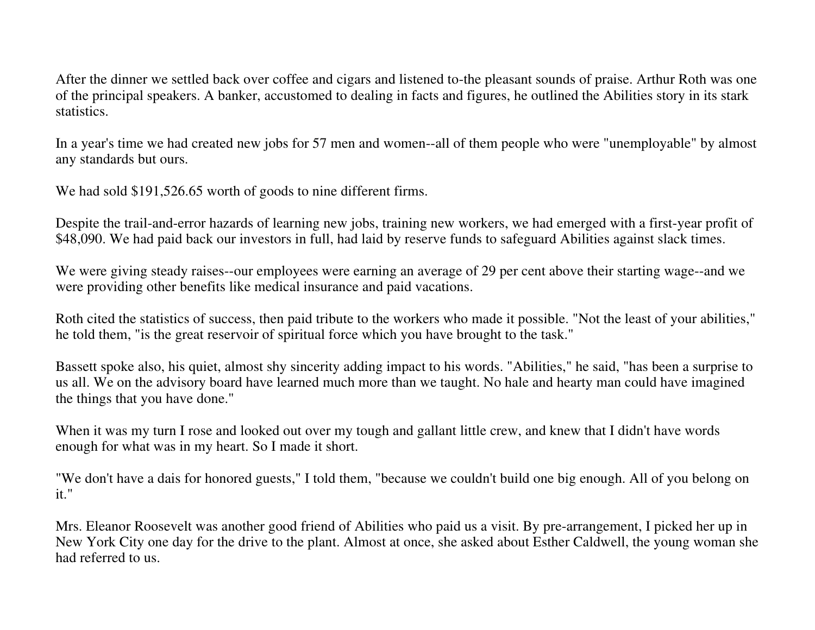After the dinner we settled back over coffee and cigars and listened to-the pleasant sounds of praise. Arthur Roth was one of the principal speakers. A banker, accustomed to dealing in facts and figures, he outlined the Abilities story in its stark statistics.

In a year's time we had created new jobs for 57 men and women--all of them people who were "unemployable" by almost any standards but ours.

We had sold \$191,526.65 worth of goods to nine different firms.

Despite the trail-and-error hazards of learning new jobs, training new workers, we had emerged with a first-year profit of \$48,090. We had paid back our investors in full, had laid by reserve funds to safeguard Abilities against slack times.

We were giving steady raises--our employees were earning an average of 29 per cent above their starting wage--and we were providing other benefits like medical insurance and paid vacations.

Roth cited the statistics of success, then paid tribute to the workers who made it possible. "Not the least of your abilities," he told them, "is the great reservoir of spiritual force which you have brought to the task."

Bassett spoke also, his quiet, almost shy sincerity adding impact to his words. "Abilities," he said, "has been a surprise to us all. We on the advisory board have learned much more than we taught. No hale and hearty man could have imagined the things that you have done."

When it was my turn I rose and looked out over my tough and gallant little crew, and knew that I didn't have words enough for what was in my heart. So I made it short.

"We don't have a dais for honored guests," I told them, "because we couldn't build one big enough. All of you belong on it."

Mrs. Eleanor Roosevelt was another good friend of Abilities who paid us a visit. By pre-arrangement, I picked her up in New York City one day for the drive to the plant. Almost at once, she asked about Esther Caldwell, the young woman she had referred to us.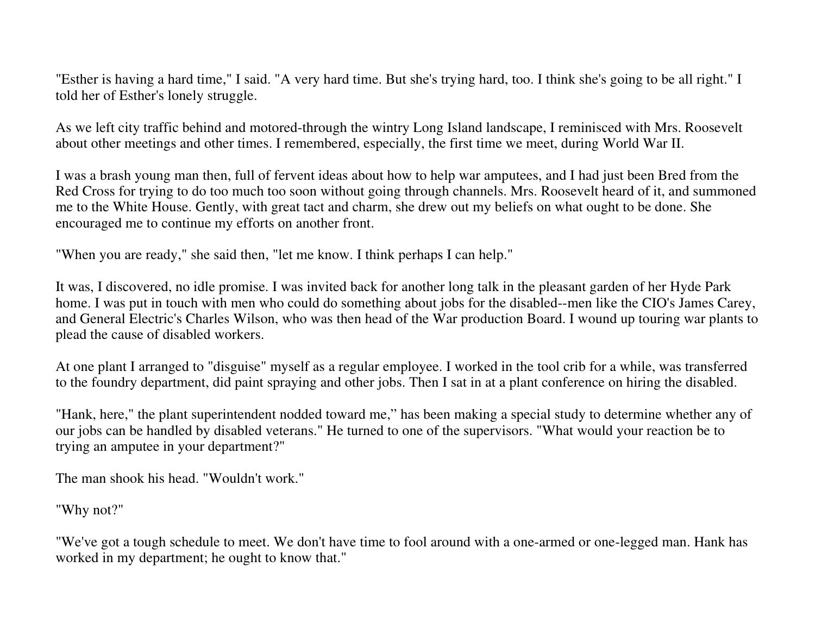"Esther is having a hard time," I said. "A very hard time. But she's trying hard, too. I think she's going to be all right." I told her of Esther's lonely struggle.

As we left city traffic behind and motored-through the wintry Long Island landscape, I reminisced with Mrs. Roosevelt about other meetings and other times. I remembered, especially, the first time we meet, during World War II.

I was a brash young man then, full of fervent ideas about how to help war amputees, and I had just been Bred from the Red Cross for trying to do too much too soon without going through channels. Mrs. Roosevelt heard of it, and summoned me to the White House. Gently, with great tact and charm, she drew out my beliefs on what ought to be done. She encouraged me to continue my efforts on another front.

"When you are ready," she said then, "let me know. I think perhaps I can help."

It was, I discovered, no idle promise. I was invited back for another long talk in the pleasant garden of her Hyde Park home. I was put in touch with men who could do something about jobs for the disabled--men like the CIO's James Carey, and General Electric's Charles Wilson, who was then head of the War production Board. I wound up touring war plants to plead the cause of disabled workers.

At one plant I arranged to "disguise" myself as a regular employee. I worked in the tool crib for a while, was transferred to the foundry department, did paint spraying and other jobs. Then I sat in at a plant conference on hiring the disabled.

"Hank, here," the plant superintendent nodded toward me," has been making a special study to determine whether any of our jobs can be handled by disabled veterans." He turned to one of the supervisors. "What would your reaction be to trying an amputee in your department?"

The man shook his head. "Wouldn't work."

"Why not?"

"We've got a tough schedule to meet. We don't have time to fool around with a one-armed or one-legged man. Hank has worked in my department; he ought to know that."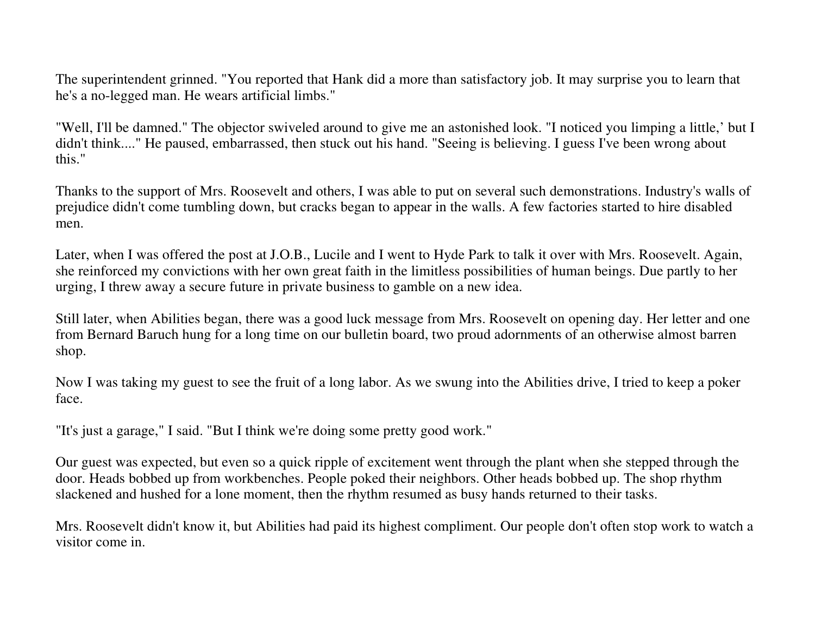The superintendent grinned. "You reported that Hank did a more than satisfactory job. It may surprise you to learn that he's a no-legged man. He wears artificial limbs."

"Well, I'll be damned." The objector swiveled around to give me an astonished look. "I noticed you limping a little,' but I didn't think...." He paused, embarrassed, then stuck out his hand. "Seeing is believing. I guess I've been wrong about this."

Thanks to the support of Mrs. Roosevelt and others, I was able to put on several such demonstrations. Industry's walls of prejudice didn't come tumbling down, but cracks began to appear in the walls. A few factories started to hire disabled men.

Later, when I was offered the post at J.O.B., Lucile and I went to Hyde Park to talk it over with Mrs. Roosevelt. Again, she reinforced my convictions with her own great faith in the limitless possibilities of human beings. Due partly to her urging, I threw away a secure future in private business to gamble on a new idea.

Still later, when Abilities began, there was a good luck message from Mrs. Roosevelt on opening day. Her letter and one from Bernard Baruch hung for a long time on our bulletin board, two proud adornments of an otherwise almost barren shop.

Now I was taking my guest to see the fruit of a long labor. As we swung into the Abilities drive, I tried to keep a poker face.

"It's just a garage," I said. "But I think we're doing some pretty good work."

Our guest was expected, but even so a quick ripple of excitement went through the plant when she stepped through the door. Heads bobbed up from workbenches. People poked their neighbors. Other heads bobbed up. The shop rhythm slackened and hushed for a lone moment, then the rhythm resumed as busy hands returned to their tasks.

Mrs. Roosevelt didn't know it, but Abilities had paid its highest compliment. Our people don't often stop work to watch a visitor come in.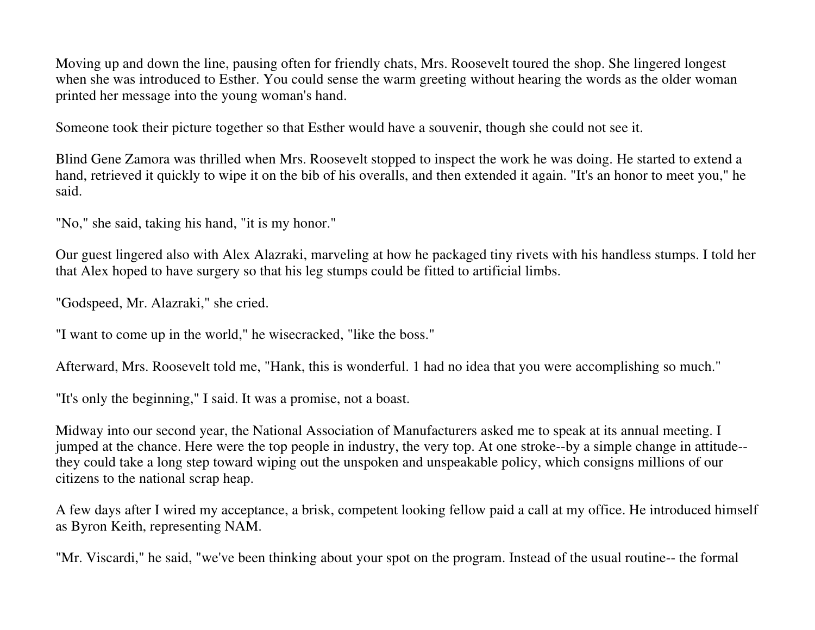Moving up and down the line, pausing often for friendly chats, Mrs. Roosevelt toured the shop. She lingered longest when she was introduced to Esther. You could sense the warm greeting without hearing the words as the older woman printed her message into the young woman's hand.

Someone took their picture together so that Esther would have a souvenir, though she could not see it.

Blind Gene Zamora was thrilled when Mrs. Roosevelt stopped to inspect the work he was doing. He started to extend a hand, retrieved it quickly to wipe it on the bib of his overalls, and then extended it again. "It's an honor to meet you," he said.

"No," she said, taking his hand, "it is my honor."

Our guest lingered also with Alex Alazraki, marveling at how he packaged tiny rivets with his handless stumps. I told her that Alex hoped to have surgery so that his leg stumps could be fitted to artificial limbs.

"Godspeed, Mr. Alazraki," she cried.

"I want to come up in the world," he wisecracked, "like the boss."

Afterward, Mrs. Roosevelt told me, "Hank, this is wonderful. 1 had no idea that you were accomplishing so much."

"It's only the beginning," I said. It was a promise, not a boast.

Midway into our second year, the National Association of Manufacturers asked me to speak at its annual meeting. I jumped at the chance. Here were the top people in industry, the very top. At one stroke--by a simple change in attitude-they could take a long step toward wiping out the unspoken and unspeakable policy, which consigns millions of our citizens to the national scrap heap.

A few days after I wired my acceptance, a brisk, competent looking fellow paid a call at my office. He introduced himself as Byron Keith, representing NAM.

"Mr. Viscardi," he said, "we've been thinking about your spot on the program. Instead of the usual routine-- the formal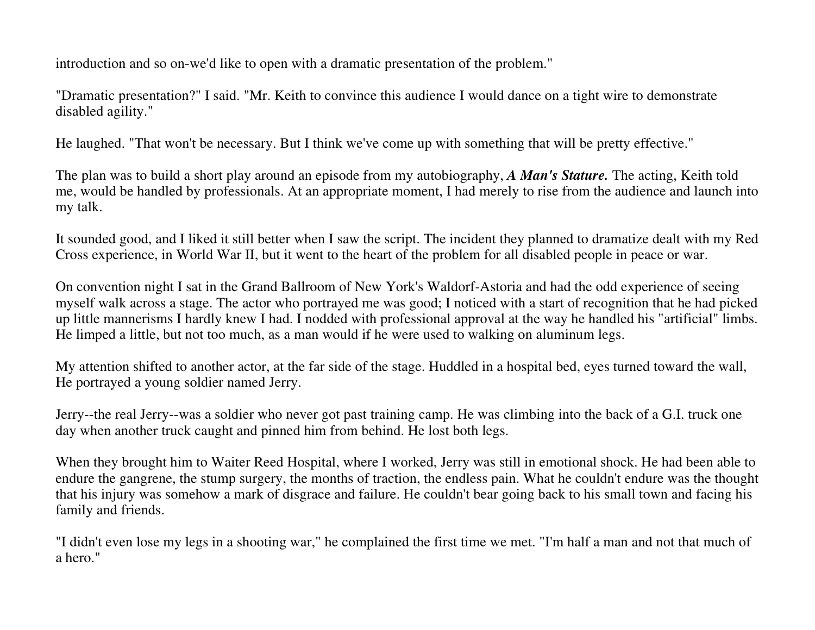introduction and so on-we'd like to open with a dramatic presentation of the problem."

"Dramatic presentation?" I said. "Mr. Keith to convince this audience I would dance on a tight wire to demonstrate disabled agility."

He laughed. "That won't be necessary. But I think we've come up with something that will be pretty effective."

The plan was to build a short play around an episode from my autobiography, *A Man's Stature.* The acting, Keith told me, would be handled by professionals. At an appropriate moment, I had merely to rise from the audience and launch into my talk.

It sounded good, and I liked it still better when I saw the script. The incident they planned to dramatize dealt with my Red Cross experience, in World War II, but it went to the heart of the problem for all disabled people in peace or war.

On convention night I sat in the Grand Ballroom of New York's Waldorf-Astoria and had the odd experience of seeing myself walk across a stage. The actor who portrayed me was good; I noticed with a start of recognition that he had picked up little mannerisms I hardly knew I had. I nodded with professional approval at the way he handled his "artificial" limbs. He limped a little, but not too much, as a man would if he were used to walking on aluminum legs.

My attention shifted to another actor, at the far side of the stage. Huddled in a hospital bed, eyes turned toward the wall, He portrayed a young soldier named Jerry.

Jerry--the real Jerry--was a soldier who never got past training camp. He was climbing into the back of a G.I. truck one day when another truck caught and pinned him from behind. He lost both legs.

When they brought him to Waiter Reed Hospital, where I worked, Jerry was still in emotional shock. He had been able to endure the gangrene, the stump surgery, the months of traction, the endless pain. What he couldn't endure was the thought that his injury was somehow a mark of disgrace and failure. He couldn't bear going back to his small town and facing his family and friends.

"I didn't even lose my legs in a shooting war," he complained the first time we met. "I'm half a man and not that much of a hero."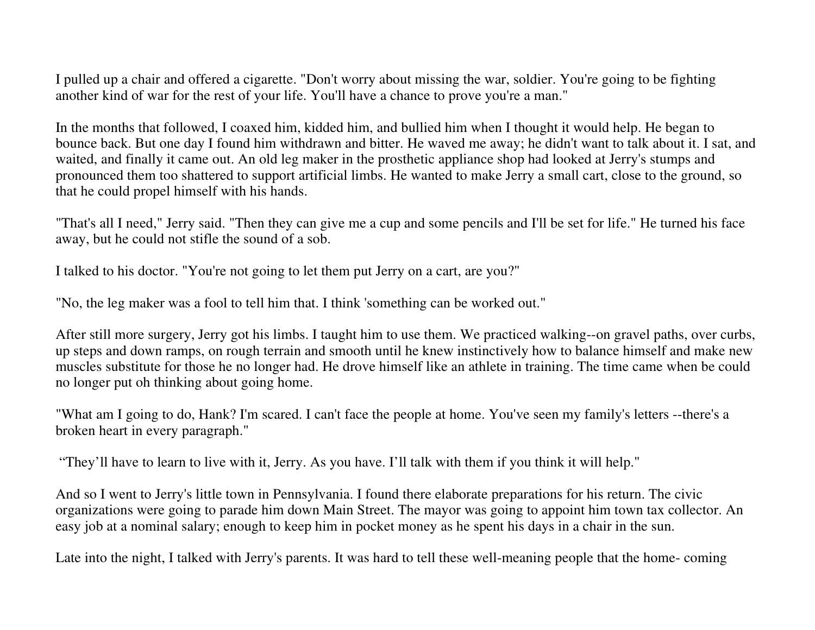I pulled up a chair and offered a cigarette. "Don't worry about missing the war, soldier. You're going to be fighting another kind of war for the rest of your life. You'll have a chance to prove you're a man."

In the months that followed, I coaxed him, kidded him, and bullied him when I thought it would help. He began to bounce back. But one day I found him withdrawn and bitter. He waved me away; he didn't want to talk about it. I sat, and waited, and finally it came out. An old leg maker in the prosthetic appliance shop had looked at Jerry's stumps and pronounced them too shattered to support artificial limbs. He wanted to make Jerry a small cart, close to the ground, so that he could propel himself with his hands.

"That's all I need," Jerry said. "Then they can give me a cup and some pencils and I'll be set for life." He turned his face away, but he could not stifle the sound of a sob.

I talked to his doctor. "You're not going to let them put Jerry on a cart, are you?"

"No, the leg maker was a fool to tell him that. I think 'something can be worked out."

After still more surgery, Jerry got his limbs. I taught him to use them. We practiced walking--on gravel paths, over curbs, up steps and down ramps, on rough terrain and smooth until he knew instinctively how to balance himself and make new muscles substitute for those he no longer had. He drove himself like an athlete in training. The time came when be could no longer put oh thinking about going home.

"What am I going to do, Hank? I'm scared. I can't face the people at home. You've seen my family's letters --there's a broken heart in every paragraph."

"They'll have to learn to live with it, Jerry. As you have. I'll talk with them if you think it will help."

And so I went to Jerry's little town in Pennsylvania. I found there elaborate preparations for his return. The civic organizations were going to parade him down Main Street. The mayor was going to appoint him town tax collector. An easy job at a nominal salary; enough to keep him in pocket money as he spent his days in a chair in the sun.

Late into the night, I talked with Jerry's parents. It was hard to tell these well-meaning people that the home- coming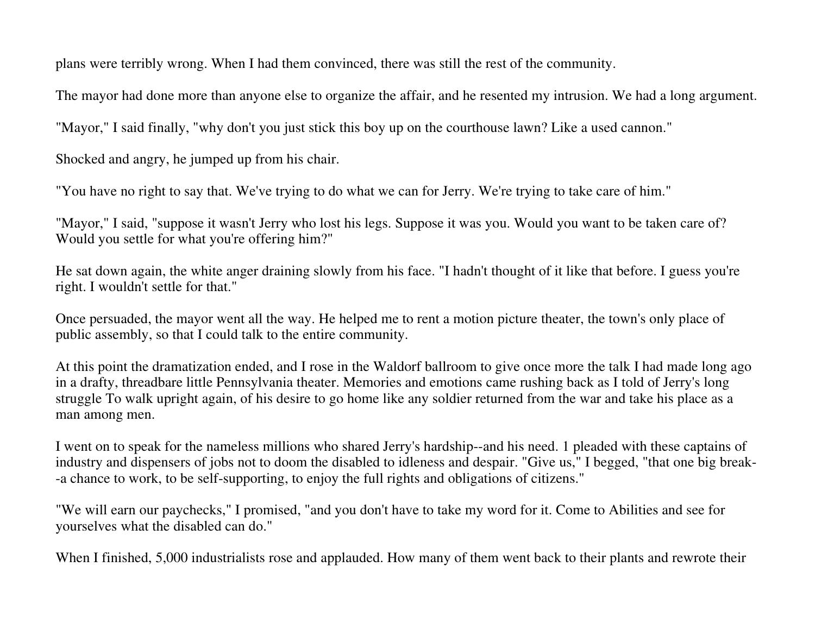plans were terribly wrong. When I had them convinced, there was still the rest of the community.

The mayor had done more than anyone else to organize the affair, and he resented my intrusion. We had a long argument.

"Mayor," I said finally, "why don't you just stick this boy up on the courthouse lawn? Like a used cannon."

Shocked and angry, he jumped up from his chair.

"You have no right to say that. We've trying to do what we can for Jerry. We're trying to take care of him."

"Mayor," I said, "suppose it wasn't Jerry who lost his legs. Suppose it was you. Would you want to be taken care of? Would you settle for what you're offering him?"

He sat down again, the white anger draining slowly from his face. "I hadn't thought of it like that before. I guess you're right. I wouldn't settle for that."

Once persuaded, the mayor went all the way. He helped me to rent a motion picture theater, the town's only place of public assembly, so that I could talk to the entire community.

At this point the dramatization ended, and I rose in the Waldorf ballroom to give once more the talk I had made long ago in a drafty, threadbare little Pennsylvania theater. Memories and emotions came rushing back as I told of Jerry's long struggle To walk upright again, of his desire to go home like any soldier returned from the war and take his place as a man among men.

I went on to speak for the nameless millions who shared Jerry's hardship--and his need. 1 pleaded with these captains of industry and dispensers of jobs not to doom the disabled to idleness and despair. "Give us," I begged, "that one big break--a chance to work, to be self-supporting, to enjoy the full rights and obligations of citizens."

"We will earn our paychecks," I promised, "and you don't have to take my word for it. Come to Abilities and see for yourselves what the disabled can do."

When I finished, 5,000 industrialists rose and applauded. How many of them went back to their plants and rewrote their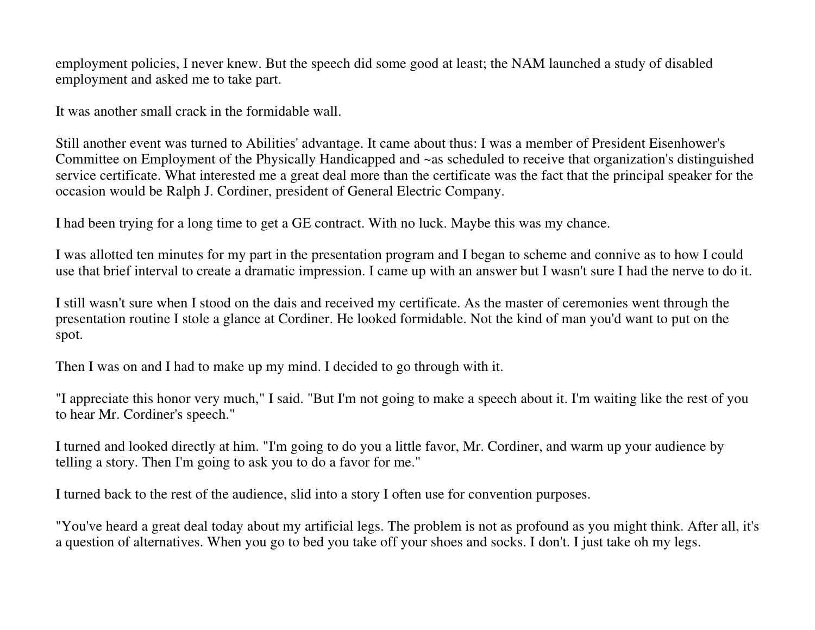employment policies, I never knew. But the speech did some good at least; the NAM launched a study of disabled employment and asked me to take part.

It was another small crack in the formidable wall.

Still another event was turned to Abilities' advantage. It came about thus: I was a member of President Eisenhower's Committee on Employment of the Physically Handicapped and ~as scheduled to receive that organization's distinguished service certificate. What interested me a great deal more than the certificate was the fact that the principal speaker for the occasion would be Ralph J. Cordiner, president of General Electric Company.

I had been trying for a long time to get a GE contract. With no luck. Maybe this was my chance.

I was allotted ten minutes for my part in the presentation program and I began to scheme and connive as to how I could use that brief interval to create a dramatic impression. I came up with an answer but I wasn't sure I had the nerve to do it.

I still wasn't sure when I stood on the dais and received my certificate. As the master of ceremonies went through the presentation routine I stole a glance at Cordiner. He looked formidable. Not the kind of man you'd want to put on the spot.

Then I was on and I had to make up my mind. I decided to go through with it.

"I appreciate this honor very much," I said. "But I'm not going to make a speech about it. I'm waiting like the rest of you to hear Mr. Cordiner's speech."

I turned and looked directly at him. "I'm going to do you a little favor, Mr. Cordiner, and warm up your audience by telling a story. Then I'm going to ask you to do a favor for me."

I turned back to the rest of the audience, slid into a story I often use for convention purposes.

"You've heard a great deal today about my artificial legs. The problem is not as profound as you might think. After all, it's a question of alternatives. When you go to bed you take off your shoes and socks. I don't. I just take oh my legs.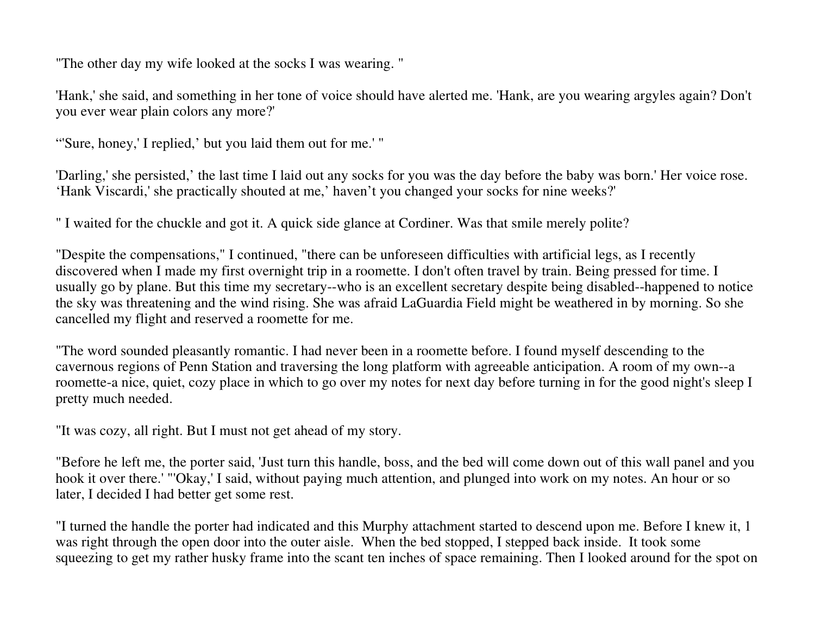"The other day my wife looked at the socks I was wearing. "

'Hank,' she said, and something in her tone of voice should have alerted me. 'Hank, are you wearing argyles again? Don't you ever wear plain colors any more?'

"'Sure, honey,' I replied,' but you laid them out for me.' "

'Darling,' she persisted,' the last time I laid out any socks for you was the day before the baby was born.' Her voice rose. 'Hank Viscardi,' she practically shouted at me,' haven't you changed your socks for nine weeks?'

" I waited for the chuckle and got it. A quick side glance at Cordiner. Was that smile merely polite?

"Despite the compensations," I continued, "there can be unforeseen difficulties with artificial legs, as I recently discovered when I made my first overnight trip in a roomette. I don't often travel by train. Being pressed for time. I usually go by plane. But this time my secretary--who is an excellent secretary despite being disabled--happened to notice the sky was threatening and the wind rising. She was afraid LaGuardia Field might be weathered in by morning. So she cancelled my flight and reserved a roomette for me.

"The word sounded pleasantly romantic. I had never been in a roomette before. I found myself descending to the cavernous regions of Penn Station and traversing the long platform with agreeable anticipation. A room of my own--a roomette-a nice, quiet, cozy place in which to go over my notes for next day before turning in for the good night's sleep I pretty much needed.

"It was cozy, all right. But I must not get ahead of my story.

"Before he left me, the porter said, 'Just turn this handle, boss, and the bed will come down out of this wall panel and you hook it over there.' "'Okay,' I said, without paying much attention, and plunged into work on my notes. An hour or so later, I decided I had better get some rest.

"I turned the handle the porter had indicated and this Murphy attachment started to descend upon me. Before I knew it, 1 was right through the open door into the outer aisle. When the bed stopped, I stepped back inside. It took some squeezing to get my rather husky frame into the scant ten inches of space remaining. Then I looked around for the spot on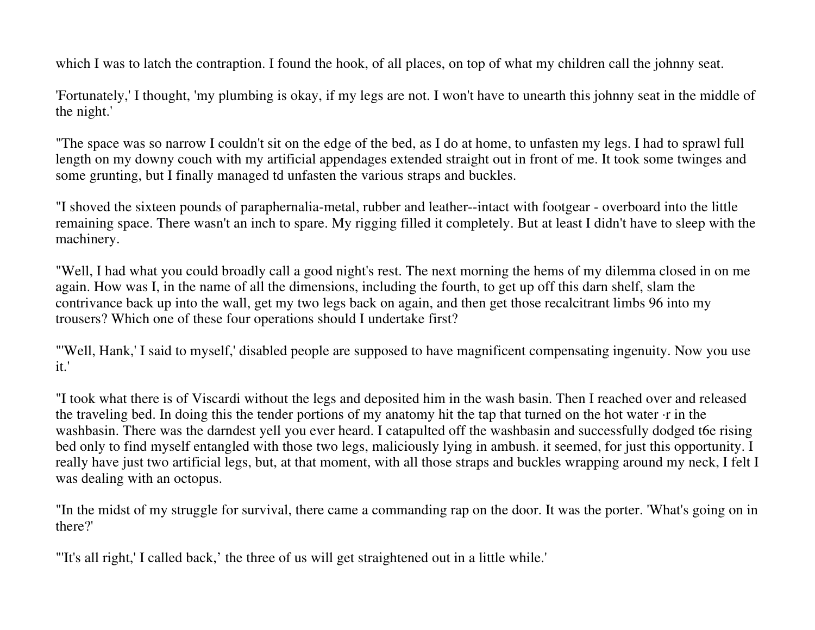which I was to latch the contraption. I found the hook, of all places, on top of what my children call the johnny seat.

'Fortunately,' I thought, 'my plumbing is okay, if my legs are not. I won't have to unearth this johnny seat in the middle of the night.'

"The space was so narrow I couldn't sit on the edge of the bed, as I do at home, to unfasten my legs. I had to sprawl full length on my downy couch with my artificial appendages extended straight out in front of me. It took some twinges and some grunting, but I finally managed td unfasten the various straps and buckles.

"I shoved the sixteen pounds of paraphernalia-metal, rubber and leather--intact with footgear - overboard into the little remaining space. There wasn't an inch to spare. My rigging filled it completely. But at least I didn't have to sleep with the machinery.

"Well, I had what you could broadly call a good night's rest. The next morning the hems of my dilemma closed in on me again. How was I, in the name of all the dimensions, including the fourth, to get up off this darn shelf, slam the contrivance back up into the wall, get my two legs back on again, and then get those recalcitrant limbs 96 into my trousers? Which one of these four operations should I undertake first?

"'Well, Hank,' I said to myself,' disabled people are supposed to have magnificent compensating ingenuity. Now you use it.'

"I took what there is of Viscardi without the legs and deposited him in the wash basin. Then I reached over and released the traveling bed. In doing this the tender portions of my anatomy hit the tap that turned on the hot water ·r in the washbasin. There was the darndest yell you ever heard. I catapulted off the washbasin and successfully dodged t6e rising bed only to find myself entangled with those two legs, maliciously lying in ambush. it seemed, for just this opportunity. I really have just two artificial legs, but, at that moment, with all those straps and buckles wrapping around my neck, I felt I was dealing with an octopus.

"In the midst of my struggle for survival, there came a commanding rap on the door. It was the porter. 'What's going on in there?'

"'It's all right,' I called back,' the three of us will get straightened out in a little while.'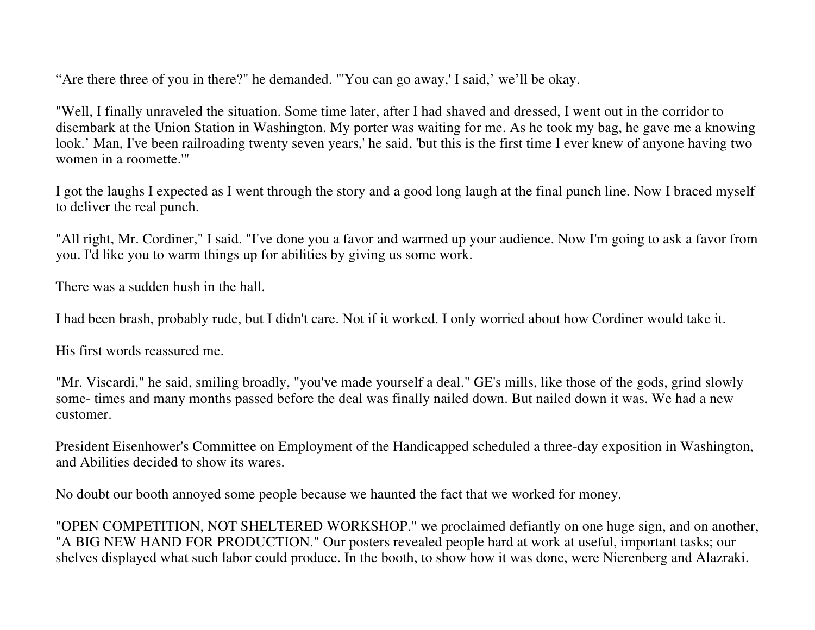"Are there three of you in there?" he demanded. "'You can go away,' I said,' we'll be okay.

"Well, I finally unraveled the situation. Some time later, after I had shaved and dressed, I went out in the corridor to disembark at the Union Station in Washington. My porter was waiting for me. As he took my bag, he gave me a knowing look.' Man, I've been railroading twenty seven years,' he said, 'but this is the first time I ever knew of anyone having two women in a roomette.'"

I got the laughs I expected as I went through the story and a good long laugh at the final punch line. Now I braced myself to deliver the real punch.

"All right, Mr. Cordiner," I said. "I've done you a favor and warmed up your audience. Now I'm going to ask a favor from you. I'd like you to warm things up for abilities by giving us some work.

There was a sudden hush in the hall.

I had been brash, probably rude, but I didn't care. Not if it worked. I only worried about how Cordiner would take it.

His first words reassured me.

"Mr. Viscardi," he said, smiling broadly, "you've made yourself a deal." GE's mills, like those of the gods, grind slowly some- times and many months passed before the deal was finally nailed down. But nailed down it was. We had a new customer.

President Eisenhower's Committee on Employment of the Handicapped scheduled a three-day exposition in Washington, and Abilities decided to show its wares.

No doubt our booth annoyed some people because we haunted the fact that we worked for money.

"OPEN COMPETITION, NOT SHELTERED WORKSHOP." we proclaimed defiantly on one huge sign, and on another, "A BIG NEW HAND FOR PRODUCTION." Our posters revealed people hard at work at useful, important tasks; our shelves displayed what such labor could produce. In the booth, to show how it was done, were Nierenberg and Alazraki.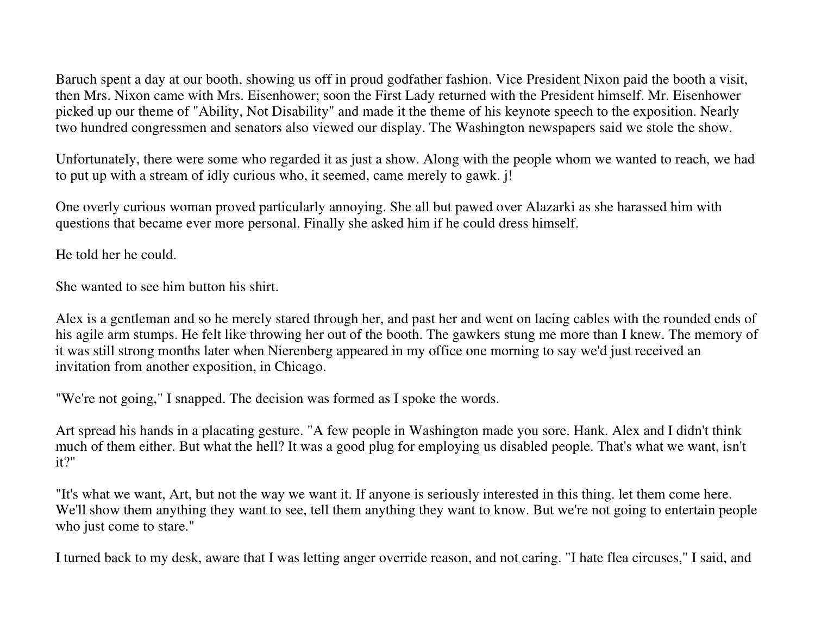Baruch spent a day at our booth, showing us off in proud godfather fashion. Vice President Nixon paid the booth a visit, then Mrs. Nixon came with Mrs. Eisenhower; soon the First Lady returned with the President himself. Mr. Eisenhower picked up our theme of "Ability, Not Disability" and made it the theme of his keynote speech to the exposition. Nearly two hundred congressmen and senators also viewed our display. The Washington newspapers said we stole the show.

Unfortunately, there were some who regarded it as just a show. Along with the people whom we wanted to reach, we had to put up with a stream of idly curious who, it seemed, came merely to gawk. j!

One overly curious woman proved particularly annoying. She all but pawed over Alazarki as she harassed him with questions that became ever more personal. Finally she asked him if he could dress himself.

He told her he could.

She wanted to see him button his shirt.

Alex is a gentleman and so he merely stared through her, and past her and went on lacing cables with the rounded ends of his agile arm stumps. He felt like throwing her out of the booth. The gawkers stung me more than I knew. The memory of it was still strong months later when Nierenberg appeared in my office one morning to say we'd just received an invitation from another exposition, in Chicago.

"We're not going," I snapped. The decision was formed as I spoke the words.

Art spread his hands in a placating gesture. "A few people in Washington made you sore. Hank. Alex and I didn't think much of them either. But what the hell? It was a good plug for employing us disabled people. That's what we want, isn't it?"

"It's what we want, Art, but not the way we want it. If anyone is seriously interested in this thing. let them come here. We'll show them anything they want to see, tell them anything they want to know. But we're not going to entertain people who just come to stare."

I turned back to my desk, aware that I was letting anger override reason, and not caring. "I hate flea circuses," I said, and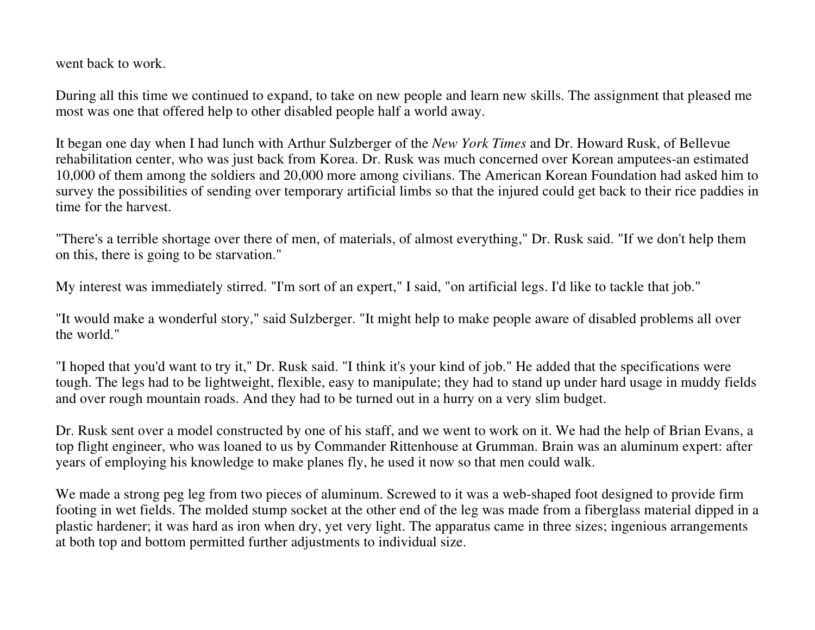went back to work.

During all this time we continued to expand, to take on new people and learn new skills. The assignment that pleased me most was one that offered help to other disabled people half a world away.

It began one day when I had lunch with Arthur Sulzberger of the *New York Times* and Dr. Howard Rusk, of Bellevue rehabilitation center, who was just back from Korea. Dr. Rusk was much concerned over Korean amputees-an estimated 10,000 of them among the soldiers and 20,000 more among civilians. The American Korean Foundation had asked him to survey the possibilities of sending over temporary artificial limbs so that the injured could get back to their rice paddies in time for the harvest.

"There's a terrible shortage over there of men, of materials, of almost everything," Dr. Rusk said. "If we don't help them on this, there is going to be starvation."

My interest was immediately stirred. "I'm sort of an expert," I said, "on artificial legs. I'd like to tackle that job."

"It would make a wonderful story," said Sulzberger. "It might help to make people aware of disabled problems all over the world."

"I hoped that you'd want to try it," Dr. Rusk said. "I think it's your kind of job." He added that the specifications were tough. The legs had to be lightweight, flexible, easy to manipulate; they had to stand up under hard usage in muddy fields and over rough mountain roads. And they had to be turned out in a hurry on a very slim budget.

Dr. Rusk sent over a model constructed by one of his staff, and we went to work on it. We had the help of Brian Evans, a top flight engineer, who was loaned to us by Commander Rittenhouse at Grumman. Brain was an aluminum expert: after years of employing his knowledge to make planes fly, he used it now so that men could walk.

We made a strong peg leg from two pieces of aluminum. Screwed to it was a web-shaped foot designed to provide firm footing in wet fields. The molded stump socket at the other end of the leg was made from a fiberglass material dipped in a plastic hardener; it was hard as iron when dry, yet very light. The apparatus came in three sizes; ingenious arrangements at both top and bottom permitted further adjustments to individual size.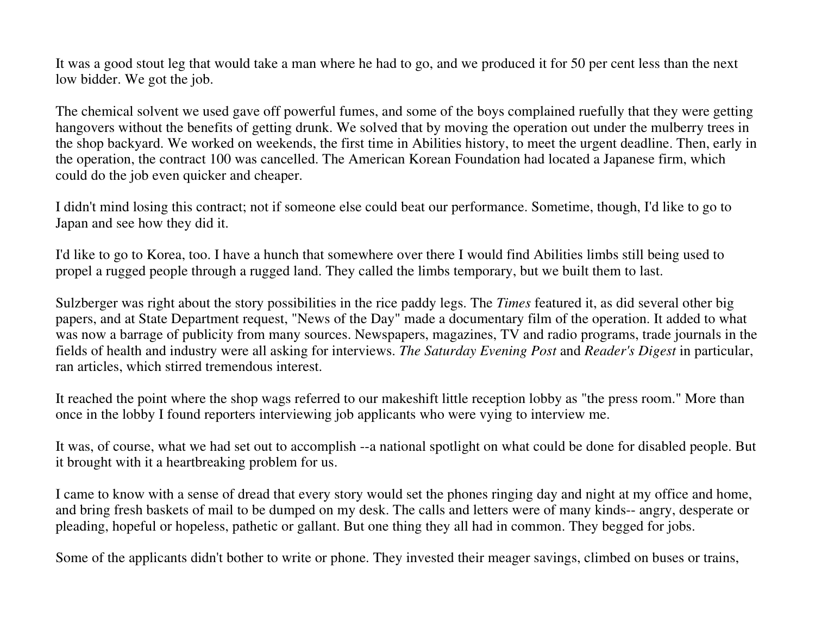It was a good stout leg that would take a man where he had to go, and we produced it for 50 per cent less than the next low bidder. We got the job.

The chemical solvent we used gave off powerful fumes, and some of the boys complained ruefully that they were getting hangovers without the benefits of getting drunk. We solved that by moving the operation out under the mulberry trees in the shop backyard. We worked on weekends, the first time in Abilities history, to meet the urgent deadline. Then, early in the operation, the contract 100 was cancelled. The American Korean Foundation had located a Japanese firm, which could do the job even quicker and cheaper.

I didn't mind losing this contract; not if someone else could beat our performance. Sometime, though, I'd like to go to Japan and see how they did it.

I'd like to go to Korea, too. I have a hunch that somewhere over there I would find Abilities limbs still being used to propel a rugged people through a rugged land. They called the limbs temporary, but we built them to last.

Sulzberger was right about the story possibilities in the rice paddy legs. The *Times* featured it, as did several other big papers, and at State Department request, "News of the Day" made a documentary film of the operation. It added to what was now a barrage of publicity from many sources. Newspapers, magazines, TV and radio programs, trade journals in the fields of health and industry were all asking for interviews. *The Saturday Evening Post* and *Reader's Digest* in particular, ran articles, which stirred tremendous interest.

It reached the point where the shop wags referred to our makeshift little reception lobby as "the press room." More than once in the lobby I found reporters interviewing job applicants who were vying to interview me.

It was, of course, what we had set out to accomplish --a national spotlight on what could be done for disabled people. But it brought with it a heartbreaking problem for us.

I came to know with a sense of dread that every story would set the phones ringing day and night at my office and home, and bring fresh baskets of mail to be dumped on my desk. The calls and letters were of many kinds-- angry, desperate or pleading, hopeful or hopeless, pathetic or gallant. But one thing they all had in common. They begged for jobs.

Some of the applicants didn't bother to write or phone. They invested their meager savings, climbed on buses or trains,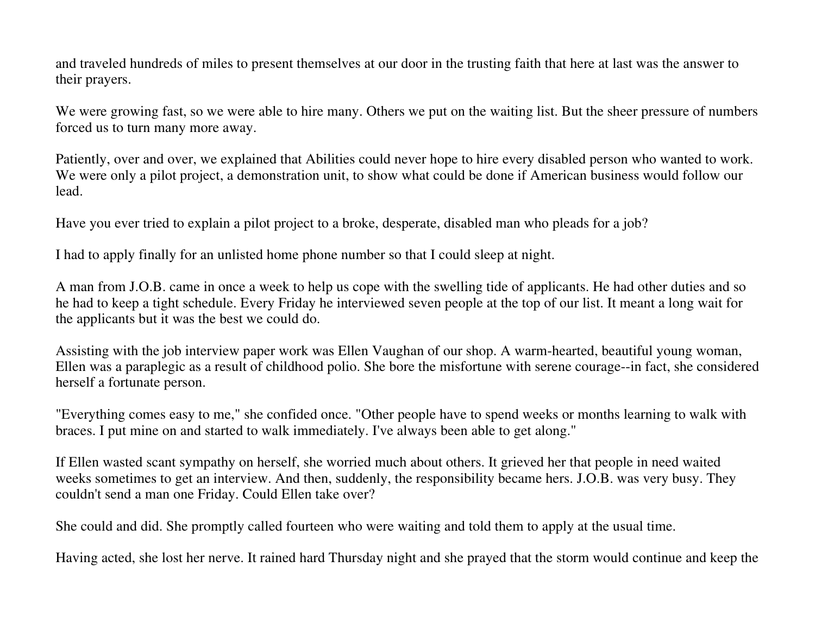and traveled hundreds of miles to present themselves at our door in the trusting faith that here at last was the answer to their prayers.

We were growing fast, so we were able to hire many. Others we put on the waiting list. But the sheer pressure of numbers forced us to turn many more away.

Patiently, over and over, we explained that Abilities could never hope to hire every disabled person who wanted to work. We were only a pilot project, a demonstration unit, to show what could be done if American business would follow our lead.

Have you ever tried to explain a pilot project to a broke, desperate, disabled man who pleads for a job?

I had to apply finally for an unlisted home phone number so that I could sleep at night.

A man from J.O.B. came in once a week to help us cope with the swelling tide of applicants. He had other duties and so he had to keep a tight schedule. Every Friday he interviewed seven people at the top of our list. It meant a long wait for the applicants but it was the best we could do.

Assisting with the job interview paper work was Ellen Vaughan of our shop. A warm-hearted, beautiful young woman, Ellen was a paraplegic as a result of childhood polio. She bore the misfortune with serene courage--in fact, she considered herself a fortunate person.

"Everything comes easy to me," she confided once. "Other people have to spend weeks or months learning to walk with braces. I put mine on and started to walk immediately. I've always been able to get along."

If Ellen wasted scant sympathy on herself, she worried much about others. It grieved her that people in need waited weeks sometimes to get an interview. And then, suddenly, the responsibility became hers. J.O.B. was very busy. They couldn't send a man one Friday. Could Ellen take over?

She could and did. She promptly called fourteen who were waiting and told them to apply at the usual time.

Having acted, she lost her nerve. It rained hard Thursday night and she prayed that the storm would continue and keep the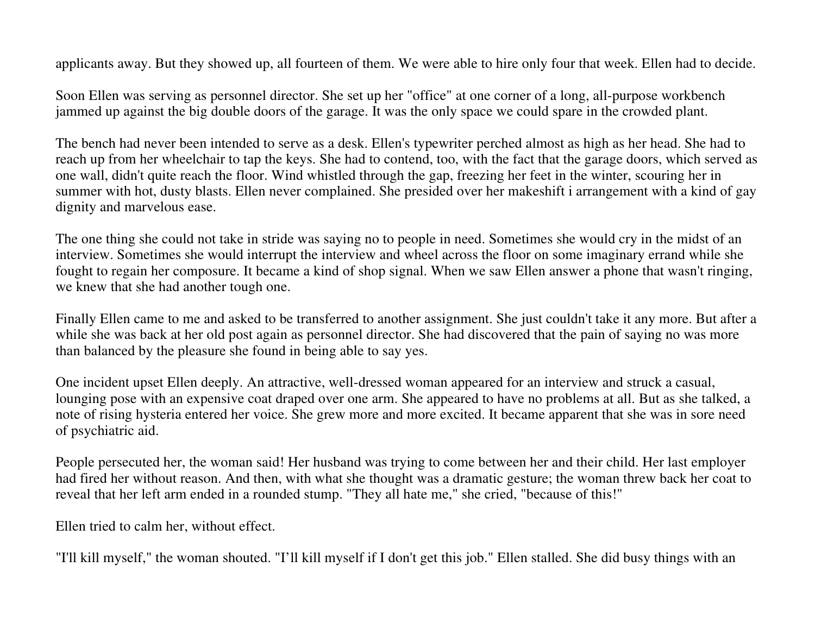applicants away. But they showed up, all fourteen of them. We were able to hire only four that week. Ellen had to decide.

Soon Ellen was serving as personnel director. She set up her "office" at one corner of a long, all-purpose workbench jammed up against the big double doors of the garage. It was the only space we could spare in the crowded plant.

The bench had never been intended to serve as a desk. Ellen's typewriter perched almost as high as her head. She had to reach up from her wheelchair to tap the keys. She had to contend, too, with the fact that the garage doors, which served as one wall, didn't quite reach the floor. Wind whistled through the gap, freezing her feet in the winter, scouring her in summer with hot, dusty blasts. Ellen never complained. She presided over her makeshift i arrangement with a kind of gay dignity and marvelous ease.

The one thing she could not take in stride was saying no to people in need. Sometimes she would cry in the midst of an interview. Sometimes she would interrupt the interview and wheel across the floor on some imaginary errand while she fought to regain her composure. It became a kind of shop signal. When we saw Ellen answer a phone that wasn't ringing, we knew that she had another tough one.

Finally Ellen came to me and asked to be transferred to another assignment. She just couldn't take it any more. But after a while she was back at her old post again as personnel director. She had discovered that the pain of saying no was more than balanced by the pleasure she found in being able to say yes.

One incident upset Ellen deeply. An attractive, well-dressed woman appeared for an interview and struck a casual, lounging pose with an expensive coat draped over one arm. She appeared to have no problems at all. But as she talked, a note of rising hysteria entered her voice. She grew more and more excited. It became apparent that she was in sore need of psychiatric aid.

People persecuted her, the woman said! Her husband was trying to come between her and their child. Her last employer had fired her without reason. And then, with what she thought was a dramatic gesture; the woman threw back her coat to reveal that her left arm ended in a rounded stump. "They all hate me," she cried, "because of this!"

Ellen tried to calm her, without effect.

"I'll kill myself," the woman shouted. "I'll kill myself if I don't get this job." Ellen stalled. She did busy things with an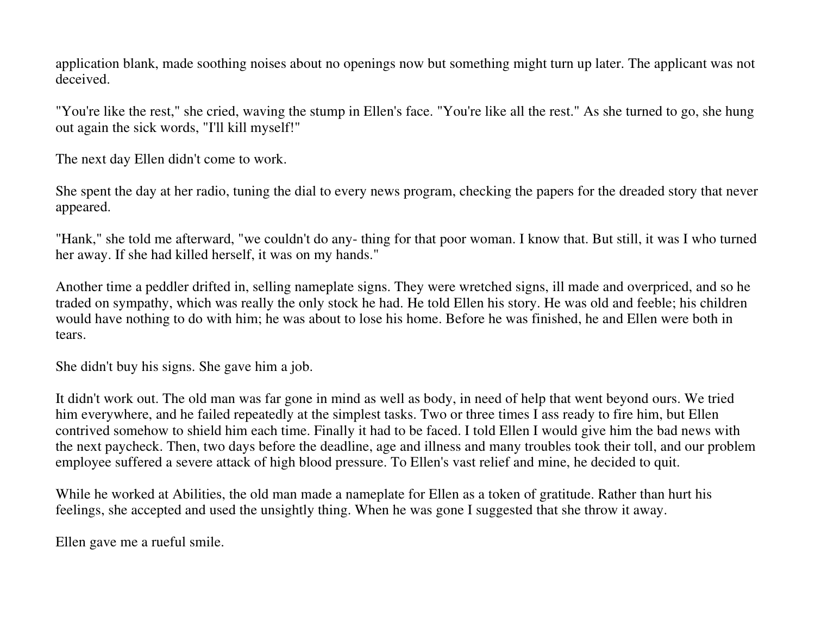application blank, made soothing noises about no openings now but something might turn up later. The applicant was not deceived.

"You're like the rest," she cried, waving the stump in Ellen's face. "You're like all the rest." As she turned to go, she hung out again the sick words, "I'll kill myself!"

The next day Ellen didn't come to work.

She spent the day at her radio, tuning the dial to every news program, checking the papers for the dreaded story that never appeared.

"Hank," she told me afterward, "we couldn't do any- thing for that poor woman. I know that. But still, it was I who turned her away. If she had killed herself, it was on my hands."

Another time a peddler drifted in, selling nameplate signs. They were wretched signs, ill made and overpriced, and so he traded on sympathy, which was really the only stock he had. He told Ellen his story. He was old and feeble; his children would have nothing to do with him; he was about to lose his home. Before he was finished, he and Ellen were both in tears.

She didn't buy his signs. She gave him a job.

It didn't work out. The old man was far gone in mind as well as body, in need of help that went beyond ours. We tried him everywhere, and he failed repeatedly at the simplest tasks. Two or three times I ass ready to fire him, but Ellen contrived somehow to shield him each time. Finally it had to be faced. I told Ellen I would give him the bad news with the next paycheck. Then, two days before the deadline, age and illness and many troubles took their toll, and our problem employee suffered a severe attack of high blood pressure. To Ellen's vast relief and mine, he decided to quit.

While he worked at Abilities, the old man made a nameplate for Ellen as a token of gratitude. Rather than hurt his feelings, she accepted and used the unsightly thing. When he was gone I suggested that she throw it away.

Ellen gave me a rueful smile.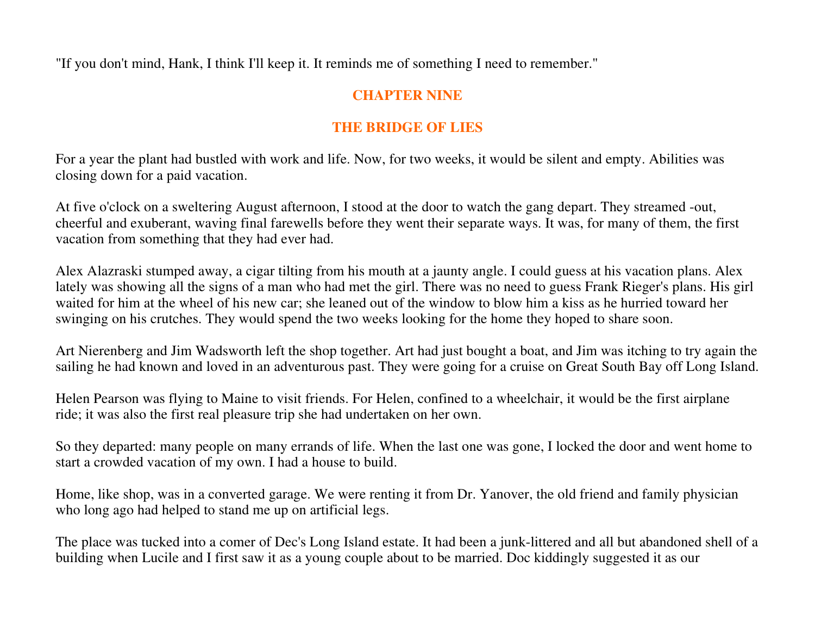"If you don't mind, Hank, I think I'll keep it. It reminds me of something I need to remember."

#### **CHAPTER NINE**

# **THE BRIDGE OF LIES**

For a year the plant had bustled with work and life. Now, for two weeks, it would be silent and empty. Abilities was closing down for a paid vacation.

At five o'clock on a sweltering August afternoon, I stood at the door to watch the gang depart. They streamed -out, cheerful and exuberant, waving final farewells before they went their separate ways. It was, for many of them, the first vacation from something that they had ever had.

Alex Alazraski stumped away, a cigar tilting from his mouth at a jaunty angle. I could guess at his vacation plans. Alex lately was showing all the signs of a man who had met the girl. There was no need to guess Frank Rieger's plans. His girl waited for him at the wheel of his new car; she leaned out of the window to blow him a kiss as he hurried toward her swinging on his crutches. They would spend the two weeks looking for the home they hoped to share soon.

Art Nierenberg and Jim Wadsworth left the shop together. Art had just bought a boat, and Jim was itching to try again the sailing he had known and loved in an adventurous past. They were going for a cruise on Great South Bay off Long Island.

Helen Pearson was flying to Maine to visit friends. For Helen, confined to a wheelchair, it would be the first airplane ride; it was also the first real pleasure trip she had undertaken on her own.

So they departed: many people on many errands of life. When the last one was gone, I locked the door and went home to start a crowded vacation of my own. I had a house to build.

Home, like shop, was in a converted garage. We were renting it from Dr. Yanover, the old friend and family physician who long ago had helped to stand me up on artificial legs.

The place was tucked into a comer of Dec's Long Island estate. It had been a junk-littered and all but abandoned shell of a building when Lucile and I first saw it as a young couple about to be married. Doc kiddingly suggested it as our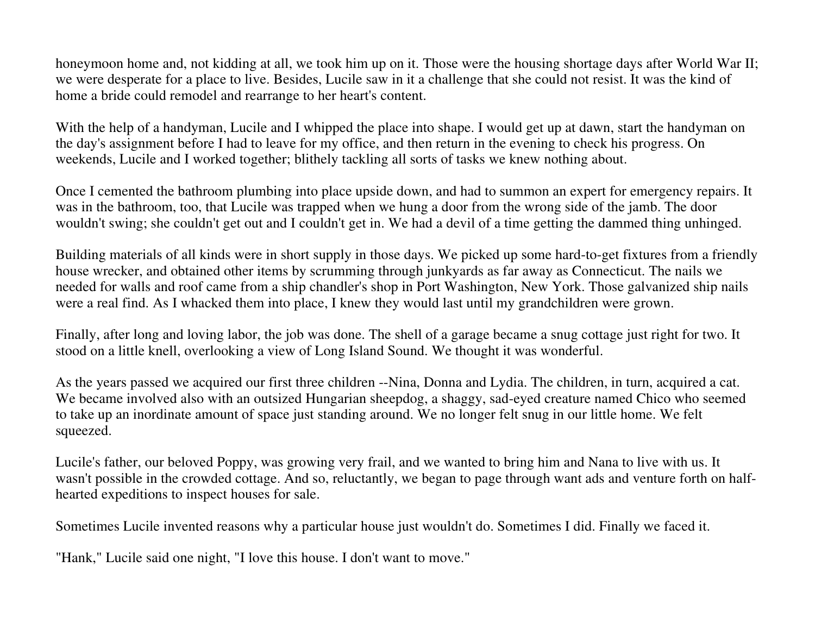honeymoon home and, not kidding at all, we took him up on it. Those were the housing shortage days after World War II; we were desperate for a place to live. Besides, Lucile saw in it a challenge that she could not resist. It was the kind of home a bride could remodel and rearrange to her heart's content.

With the help of a handyman, Lucile and I whipped the place into shape. I would get up at dawn, start the handyman on the day's assignment before I had to leave for my office, and then return in the evening to check his progress. On weekends, Lucile and I worked together; blithely tackling all sorts of tasks we knew nothing about.

Once I cemented the bathroom plumbing into place upside down, and had to summon an expert for emergency repairs. It was in the bathroom, too, that Lucile was trapped when we hung a door from the wrong side of the jamb. The door wouldn't swing; she couldn't get out and I couldn't get in. We had a devil of a time getting the dammed thing unhinged.

Building materials of all kinds were in short supply in those days. We picked up some hard-to-get fixtures from a friendly house wrecker, and obtained other items by scrumming through junkyards as far away as Connecticut. The nails we needed for walls and roof came from a ship chandler's shop in Port Washington, New York. Those galvanized ship nails were a real find. As I whacked them into place, I knew they would last until my grandchildren were grown.

Finally, after long and loving labor, the job was done. The shell of a garage became a snug cottage just right for two. It stood on a little knell, overlooking a view of Long Island Sound. We thought it was wonderful.

As the years passed we acquired our first three children --Nina, Donna and Lydia. The children, in turn, acquired a cat. We became involved also with an outsized Hungarian sheepdog, a shaggy, sad-eyed creature named Chico who seemed to take up an inordinate amount of space just standing around. We no longer felt snug in our little home. We felt squeezed.

Lucile's father, our beloved Poppy, was growing very frail, and we wanted to bring him and Nana to live with us. It wasn't possible in the crowded cottage. And so, reluctantly, we began to page through want ads and venture forth on halfhearted expeditions to inspect houses for sale.

Sometimes Lucile invented reasons why a particular house just wouldn't do. Sometimes I did. Finally we faced it.

"Hank," Lucile said one night, "I love this house. I don't want to move."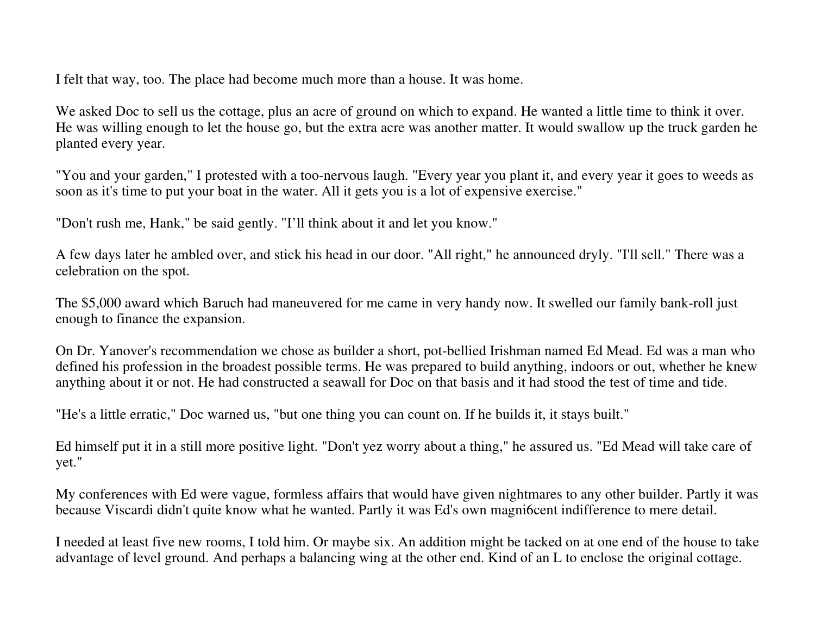I felt that way, too. The place had become much more than a house. It was home.

We asked Doc to sell us the cottage, plus an acre of ground on which to expand. He wanted a little time to think it over. He was willing enough to let the house go, but the extra acre was another matter. It would swallow up the truck garden he planted every year.

"You and your garden," I protested with a too-nervous laugh. "Every year you plant it, and every year it goes to weeds as soon as it's time to put your boat in the water. All it gets you is a lot of expensive exercise."

"Don't rush me, Hank," be said gently. "I'll think about it and let you know."

A few days later he ambled over, and stick his head in our door. "All right," he announced dryly. "I'll sell." There was a celebration on the spot.

The \$5,000 award which Baruch had maneuvered for me came in very handy now. It swelled our family bank-roll just enough to finance the expansion.

On Dr. Yanover's recommendation we chose as builder a short, pot-bellied Irishman named Ed Mead. Ed was a man who defined his profession in the broadest possible terms. He was prepared to build anything, indoors or out, whether he knew anything about it or not. He had constructed a seawall for Doc on that basis and it had stood the test of time and tide.

"He's a little erratic," Doc warned us, "but one thing you can count on. If he builds it, it stays built."

Ed himself put it in a still more positive light. "Don't yez worry about a thing," he assured us. "Ed Mead will take care of yet."

My conferences with Ed were vague, formless affairs that would have given nightmares to any other builder. Partly it was because Viscardi didn't quite know what he wanted. Partly it was Ed's own magni6cent indifference to mere detail.

I needed at least five new rooms, I told him. Or maybe six. An addition might be tacked on at one end of the house to take advantage of level ground. And perhaps a balancing wing at the other end. Kind of an L to enclose the original cottage.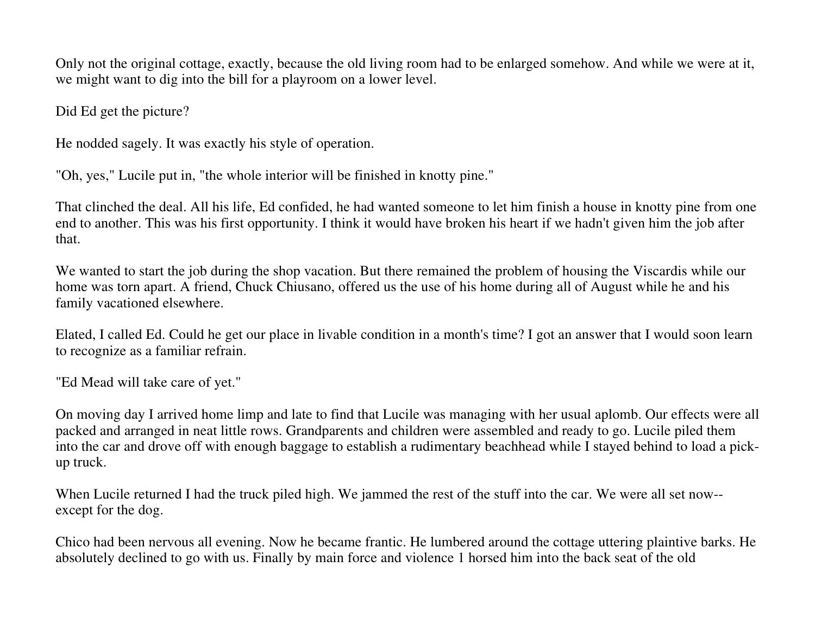Only not the original cottage, exactly, because the old living room had to be enlarged somehow. And while we were at it, we might want to dig into the bill for a playroom on a lower level.

Did Ed get the picture?

He nodded sagely. It was exactly his style of operation.

"Oh, yes," Lucile put in, "the whole interior will be finished in knotty pine."

That clinched the deal. All his life, Ed confided, he had wanted someone to let him finish a house in knotty pine from one end to another. This was his first opportunity. I think it would have broken his heart if we hadn't given him the job after that.

We wanted to start the job during the shop vacation. But there remained the problem of housing the Viscardis while our home was torn apart. A friend, Chuck Chiusano, offered us the use of his home during all of August while he and his family vacationed elsewhere.

Elated, I called Ed. Could he get our place in livable condition in a month's time? I got an answer that I would soon learn to recognize as a familiar refrain.

"Ed Mead will take care of yet."

On moving day I arrived home limp and late to find that Lucile was managing with her usual aplomb. Our effects were all packed and arranged in neat little rows. Grandparents and children were assembled and ready to go. Lucile piled them into the car and drove off with enough baggage to establish a rudimentary beachhead while I stayed behind to load a pickup truck.

When Lucile returned I had the truck piled high. We jammed the rest of the stuff into the car. We were all set now-except for the dog.

Chico had been nervous all evening. Now he became frantic. He lumbered around the cottage uttering plaintive barks. He absolutely declined to go with us. Finally by main force and violence 1 horsed him into the back seat of the old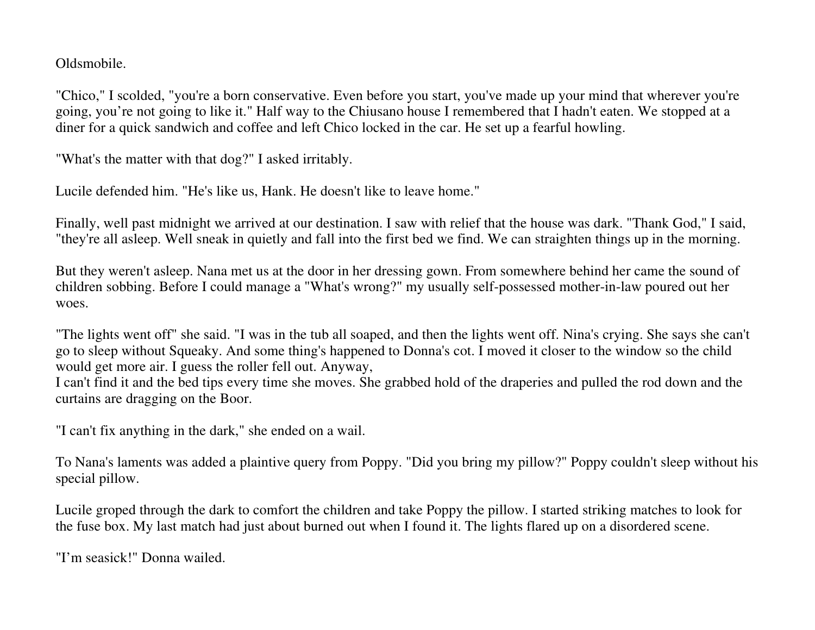Oldsmobile.

"Chico," I scolded, "you're a born conservative. Even before you start, you've made up your mind that wherever you're going, you're not going to like it." Half way to the Chiusano house I remembered that I hadn't eaten. We stopped at a diner for a quick sandwich and coffee and left Chico locked in the car. He set up a fearful howling.

"What's the matter with that dog?" I asked irritably.

Lucile defended him. "He's like us, Hank. He doesn't like to leave home."

Finally, well past midnight we arrived at our destination. I saw with relief that the house was dark. "Thank God," I said, "they're all asleep. Well sneak in quietly and fall into the first bed we find. We can straighten things up in the morning.

But they weren't asleep. Nana met us at the door in her dressing gown. From somewhere behind her came the sound of children sobbing. Before I could manage a "What's wrong?" my usually self-possessed mother-in-law poured out her woes.

"The lights went off" she said. "I was in the tub all soaped, and then the lights went off. Nina's crying. She says she can't go to sleep without Squeaky. And some thing's happened to Donna's cot. I moved it closer to the window so the child would get more air. I guess the roller fell out. Anyway,

 I can't find it and the bed tips every time she moves. She grabbed hold of the draperies and pulled the rod down and the curtains are dragging on the Boor.

"I can't fix anything in the dark," she ended on a wail.

To Nana's laments was added a plaintive query from Poppy. "Did you bring my pillow?" Poppy couldn't sleep without his special pillow.

Lucile groped through the dark to comfort the children and take Poppy the pillow. I started striking matches to look for the fuse box. My last match had just about burned out when I found it. The lights flared up on a disordered scene.

"I'm seasick!" Donna wailed.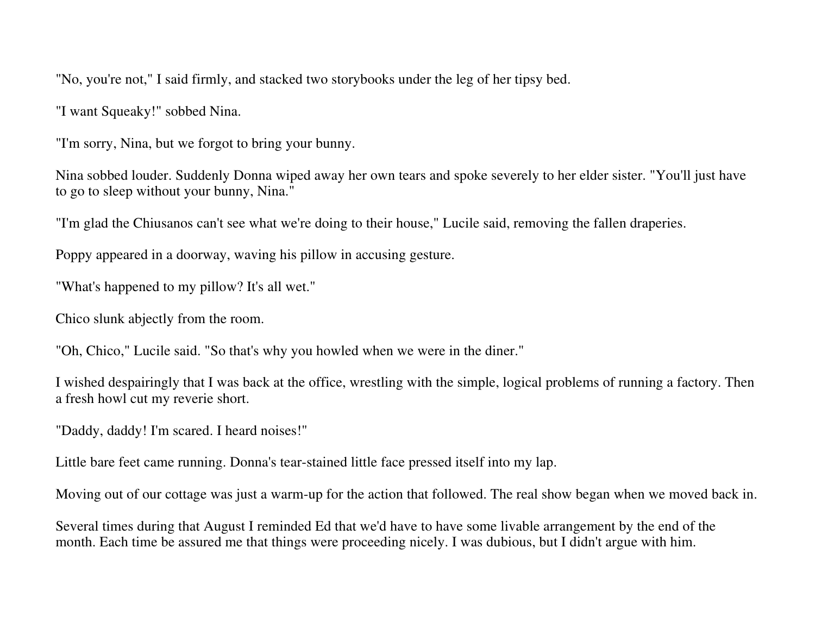"No, you're not," I said firmly, and stacked two storybooks under the leg of her tipsy bed.

"I want Squeaky!" sobbed Nina.

"I'm sorry, Nina, but we forgot to bring your bunny.

Nina sobbed louder. Suddenly Donna wiped away her own tears and spoke severely to her elder sister. "You'll just have to go to sleep without your bunny, Nina."

"I'm glad the Chiusanos can't see what we're doing to their house," Lucile said, removing the fallen draperies.

Poppy appeared in a doorway, waving his pillow in accusing gesture.

"What's happened to my pillow? It's all wet."

Chico slunk abjectly from the room.

"Oh, Chico," Lucile said. "So that's why you howled when we were in the diner."

I wished despairingly that I was back at the office, wrestling with the simple, logical problems of running a factory. Then a fresh howl cut my reverie short.

"Daddy, daddy! I'm scared. I heard noises!"

Little bare feet came running. Donna's tear-stained little face pressed itself into my lap.

Moving out of our cottage was just a warm-up for the action that followed. The real show began when we moved back in.

Several times during that August I reminded Ed that we'd have to have some livable arrangement by the end of the month. Each time be assured me that things were proceeding nicely. I was dubious, but I didn't argue with him.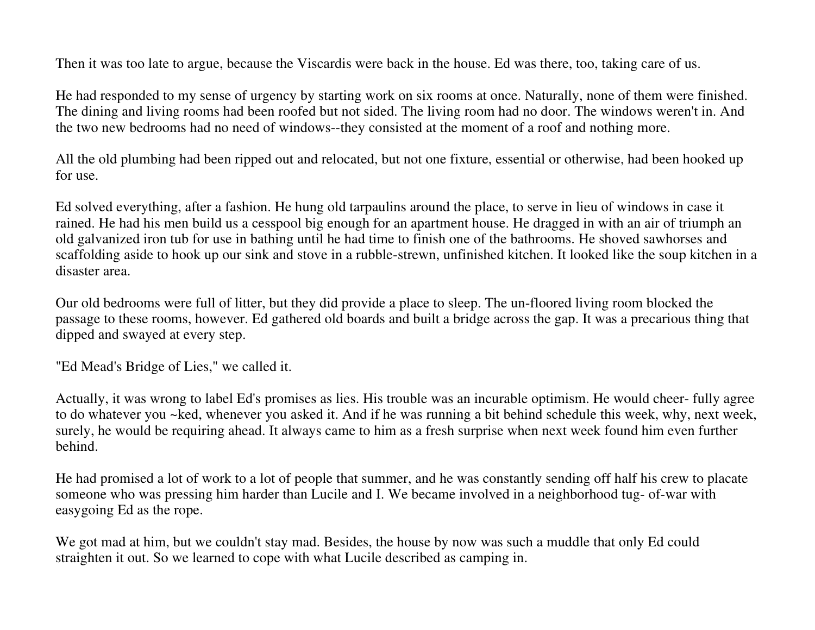Then it was too late to argue, because the Viscardis were back in the house. Ed was there, too, taking care of us.

He had responded to my sense of urgency by starting work on six rooms at once. Naturally, none of them were finished. The dining and living rooms had been roofed but not sided. The living room had no door. The windows weren't in. And the two new bedrooms had no need of windows--they consisted at the moment of a roof and nothing more.

All the old plumbing had been ripped out and relocated, but not one fixture, essential or otherwise, had been hooked up for use.

Ed solved everything, after a fashion. He hung old tarpaulins around the place, to serve in lieu of windows in case it rained. He had his men build us a cesspool big enough for an apartment house. He dragged in with an air of triumph an old galvanized iron tub for use in bathing until he had time to finish one of the bathrooms. He shoved sawhorses and scaffolding aside to hook up our sink and stove in a rubble-strewn, unfinished kitchen. It looked like the soup kitchen in a disaster area.

Our old bedrooms were full of litter, but they did provide a place to sleep. The un-floored living room blocked the passage to these rooms, however. Ed gathered old boards and built a bridge across the gap. It was a precarious thing that dipped and swayed at every step.

"Ed Mead's Bridge of Lies," we called it.

Actually, it was wrong to label Ed's promises as lies. His trouble was an incurable optimism. He would cheer- fully agree to do whatever you ~ked, whenever you asked it. And if he was running a bit behind schedule this week, why, next week, surely, he would be requiring ahead. It always came to him as a fresh surprise when next week found him even further behind.

He had promised a lot of work to a lot of people that summer, and he was constantly sending off half his crew to placate someone who was pressing him harder than Lucile and I. We became involved in a neighborhood tug- of-war with easygoing Ed as the rope.

We got mad at him, but we couldn't stay mad. Besides, the house by now was such a muddle that only Ed could straighten it out. So we learned to cope with what Lucile described as camping in.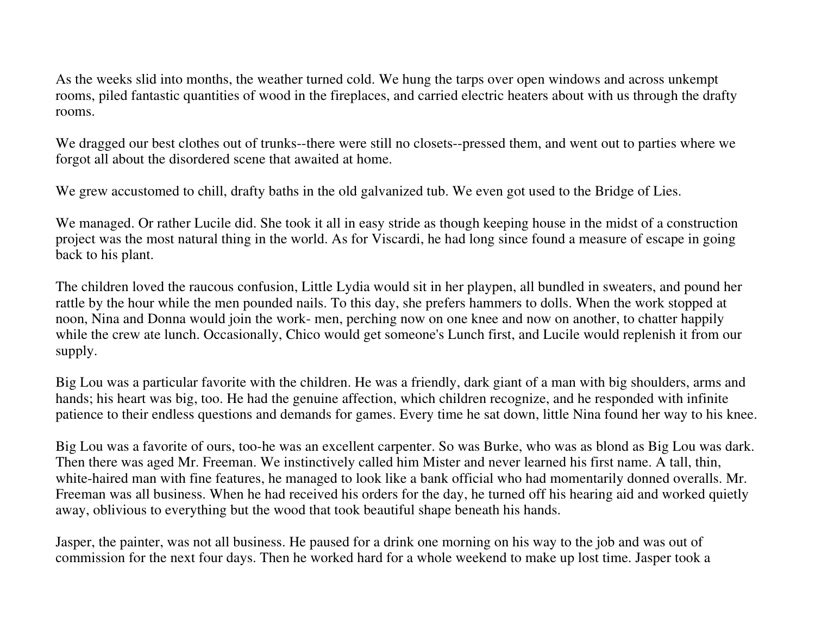As the weeks slid into months, the weather turned cold. We hung the tarps over open windows and across unkempt rooms, piled fantastic quantities of wood in the fireplaces, and carried electric heaters about with us through the drafty rooms.

We dragged our best clothes out of trunks--there were still no closets--pressed them, and went out to parties where we forgot all about the disordered scene that awaited at home.

We grew accustomed to chill, drafty baths in the old galvanized tub. We even got used to the Bridge of Lies.

We managed. Or rather Lucile did. She took it all in easy stride as though keeping house in the midst of a construction project was the most natural thing in the world. As for Viscardi, he had long since found a measure of escape in going back to his plant.

The children loved the raucous confusion, Little Lydia would sit in her playpen, all bundled in sweaters, and pound her rattle by the hour while the men pounded nails. To this day, she prefers hammers to dolls. When the work stopped at noon, Nina and Donna would join the work- men, perching now on one knee and now on another, to chatter happily while the crew ate lunch. Occasionally, Chico would get someone's Lunch first, and Lucile would replenish it from our supply.

Big Lou was a particular favorite with the children. He was a friendly, dark giant of a man with big shoulders, arms and hands; his heart was big, too. He had the genuine affection, which children recognize, and he responded with infinite patience to their endless questions and demands for games. Every time he sat down, little Nina found her way to his knee.

Big Lou was a favorite of ours, too-he was an excellent carpenter. So was Burke, who was as blond as Big Lou was dark. Then there was aged Mr. Freeman. We instinctively called him Mister and never learned his first name. A tall, thin, white-haired man with fine features, he managed to look like a bank official who had momentarily donned overalls. Mr. Freeman was all business. When he had received his orders for the day, he turned off his hearing aid and worked quietly away, oblivious to everything but the wood that took beautiful shape beneath his hands.

Jasper, the painter, was not all business. He paused for a drink one morning on his way to the job and was out of commission for the next four days. Then he worked hard for a whole weekend to make up lost time. Jasper took a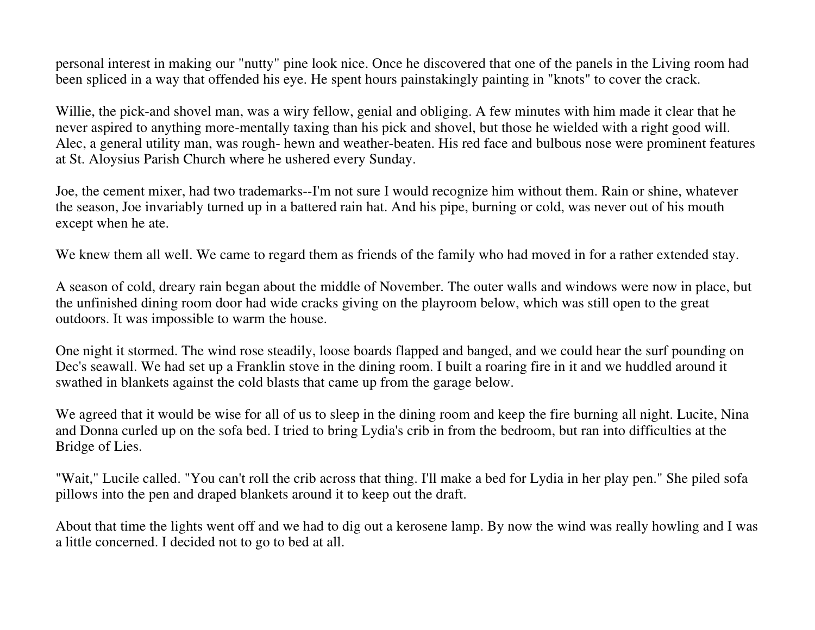personal interest in making our "nutty" pine look nice. Once he discovered that one of the panels in the Living room had been spliced in a way that offended his eye. He spent hours painstakingly painting in "knots" to cover the crack.

Willie, the pick-and shovel man, was a wiry fellow, genial and obliging. A few minutes with him made it clear that he never aspired to anything more-mentally taxing than his pick and shovel, but those he wielded with a right good will. Alec, a general utility man, was rough- hewn and weather-beaten. His red face and bulbous nose were prominent features at St. Aloysius Parish Church where he ushered every Sunday.

Joe, the cement mixer, had two trademarks--I'm not sure I would recognize him without them. Rain or shine, whatever the season, Joe invariably turned up in a battered rain hat. And his pipe, burning or cold, was never out of his mouth except when he ate.

We knew them all well. We came to regard them as friends of the family who had moved in for a rather extended stay.

A season of cold, dreary rain began about the middle of November. The outer walls and windows were now in place, but the unfinished dining room door had wide cracks giving on the playroom below, which was still open to the great outdoors. It was impossible to warm the house.

One night it stormed. The wind rose steadily, loose boards flapped and banged, and we could hear the surf pounding on Dec's seawall. We had set up a Franklin stove in the dining room. I built a roaring fire in it and we huddled around it swathed in blankets against the cold blasts that came up from the garage below.

We agreed that it would be wise for all of us to sleep in the dining room and keep the fire burning all night. Lucite, Nina and Donna curled up on the sofa bed. I tried to bring Lydia's crib in from the bedroom, but ran into difficulties at the Bridge of Lies.

"Wait," Lucile called. "You can't roll the crib across that thing. I'll make a bed for Lydia in her play pen." She piled sofa pillows into the pen and draped blankets around it to keep out the draft.

About that time the lights went off and we had to dig out a kerosene lamp. By now the wind was really howling and I was a little concerned. I decided not to go to bed at all.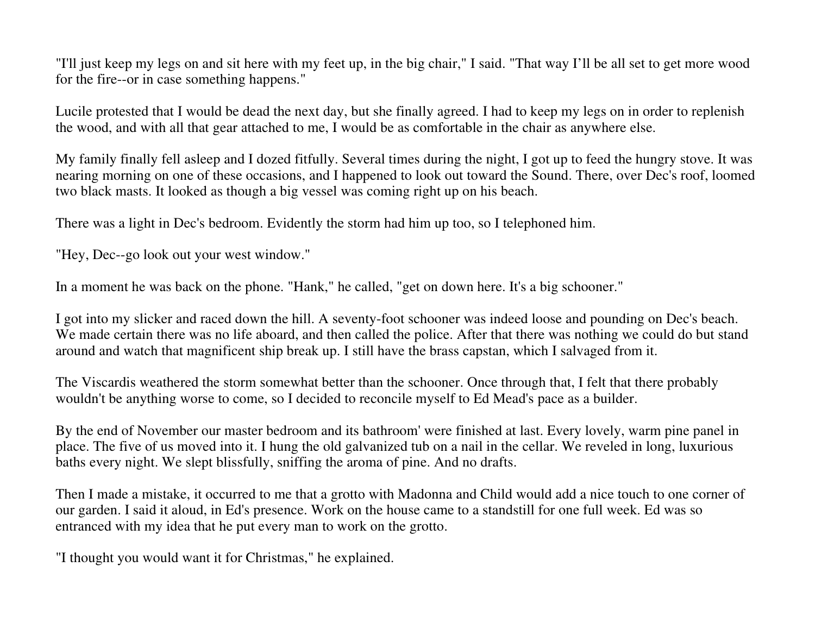"I'll just keep my legs on and sit here with my feet up, in the big chair," I said. "That way I'll be all set to get more wood for the fire--or in case something happens."

Lucile protested that I would be dead the next day, but she finally agreed. I had to keep my legs on in order to replenish the wood, and with all that gear attached to me, I would be as comfortable in the chair as anywhere else.

My family finally fell asleep and I dozed fitfully. Several times during the night, I got up to feed the hungry stove. It was nearing morning on one of these occasions, and I happened to look out toward the Sound. There, over Dec's roof, loomed two black masts. It looked as though a big vessel was coming right up on his beach.

There was a light in Dec's bedroom. Evidently the storm had him up too, so I telephoned him.

"Hey, Dec--go look out your west window."

In a moment he was back on the phone. "Hank," he called, "get on down here. It's a big schooner."

I got into my slicker and raced down the hill. A seventy-foot schooner was indeed loose and pounding on Dec's beach. We made certain there was no life aboard, and then called the police. After that there was nothing we could do but stand around and watch that magnificent ship break up. I still have the brass capstan, which I salvaged from it.

The Viscardis weathered the storm somewhat better than the schooner. Once through that, I felt that there probably wouldn't be anything worse to come, so I decided to reconcile myself to Ed Mead's pace as a builder.

By the end of November our master bedroom and its bathroom' were finished at last. Every lovely, warm pine panel in place. The five of us moved into it. I hung the old galvanized tub on a nail in the cellar. We reveled in long, luxurious baths every night. We slept blissfully, sniffing the aroma of pine. And no drafts.

Then I made a mistake, it occurred to me that a grotto with Madonna and Child would add a nice touch to one corner of our garden. I said it aloud, in Ed's presence. Work on the house came to a standstill for one full week. Ed was so entranced with my idea that he put every man to work on the grotto.

"I thought you would want it for Christmas," he explained.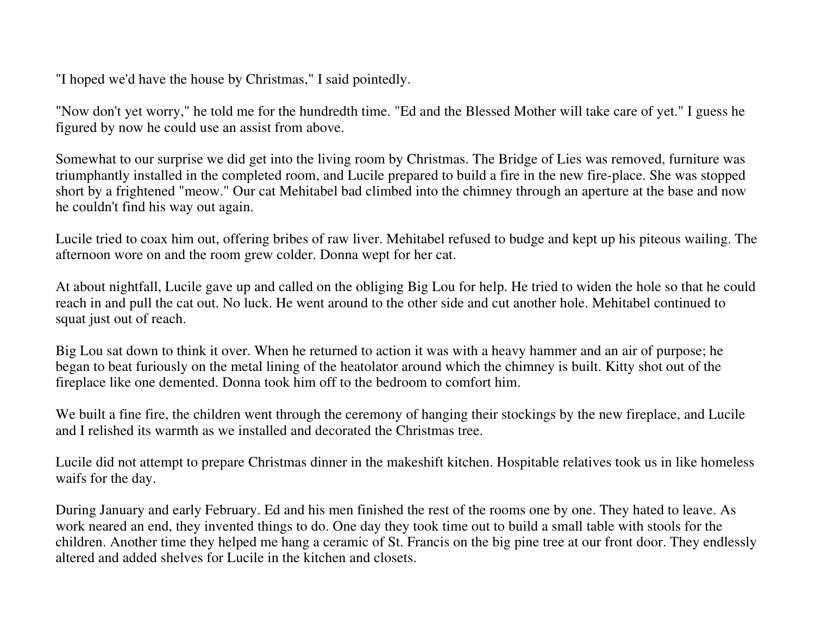"I hoped we'd have the house by Christmas," I said pointedly.

"Now don't yet worry," he told me for the hundredth time. "Ed and the Blessed Mother will take care of yet." I guess he figured by now he could use an assist from above.

Somewhat to our surprise we did get into the living room by Christmas. The Bridge of Lies was removed, furniture was triumphantly installed in the completed room, and Lucile prepared to build a fire in the new fire-place. She was stopped short by a frightened "meow." Our cat Mehitabel bad climbed into the chimney through an aperture at the base and now he couldn't find his way out again.

Lucile tried to coax him out, offering bribes of raw liver. Mehitabel refused to budge and kept up his piteous wailing. The afternoon wore on and the room grew colder. Donna wept for her cat.

At about nightfall, Lucile gave up and called on the obliging Big Lou for help. He tried to widen the hole so that he could reach in and pull the cat out. No luck. He went around to the other side and cut another hole. Mehitabel continued to squat just out of reach.

Big Lou sat down to think it over. When he returned to action it was with a heavy hammer and an air of purpose; he began to beat furiously on the metal lining of the heatolator around which the chimney is built. Kitty shot out of the fireplace like one demented. Donna took him off to the bedroom to comfort him.

We built a fine fire, the children went through the ceremony of hanging their stockings by the new fireplace, and Lucile and I relished its warmth as we installed and decorated the Christmas tree.

Lucile did not attempt to prepare Christmas dinner in the makeshift kitchen. Hospitable relatives took us in like homeless waifs for the day.

During January and early February. Ed and his men finished the rest of the rooms one by one. They hated to leave. As work neared an end, they invented things to do. One day they took time out to build a small table with stools for the children. Another time they helped me hang a ceramic of St. Francis on the big pine tree at our front door. They endlessly altered and added shelves for Lucile in the kitchen and closets.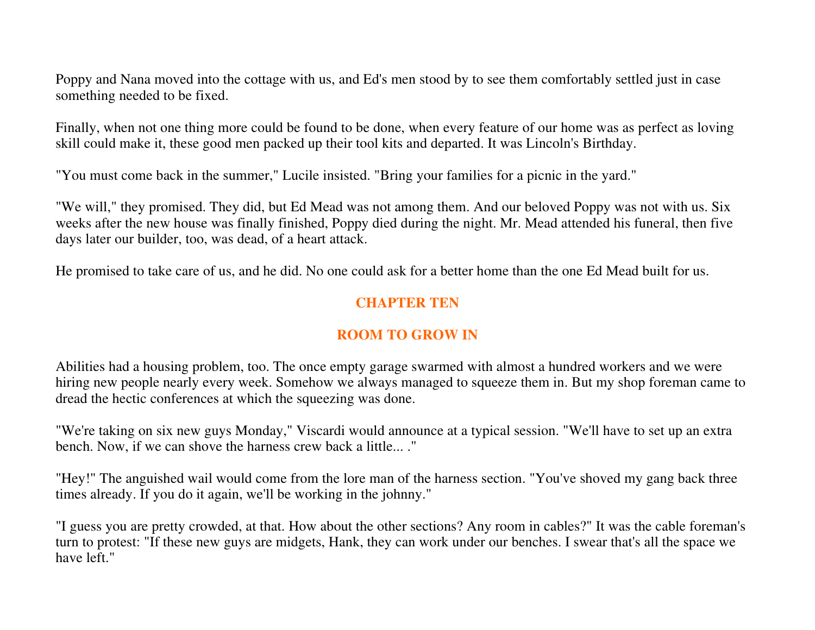Poppy and Nana moved into the cottage with us, and Ed's men stood by to see them comfortably settled just in case something needed to be fixed.

Finally, when not one thing more could be found to be done, when every feature of our home was as perfect as loving skill could make it, these good men packed up their tool kits and departed. It was Lincoln's Birthday.

"You must come back in the summer," Lucile insisted. "Bring your families for a picnic in the yard."

"We will," they promised. They did, but Ed Mead was not among them. And our beloved Poppy was not with us. Six weeks after the new house was finally finished, Poppy died during the night. Mr. Mead attended his funeral, then five days later our builder, too, was dead, of a heart attack.

He promised to take care of us, and he did. No one could ask for a better home than the one Ed Mead built for us.

#### **CHAPTER TEN**

# **ROOM TO GROW IN**

Abilities had a housing problem, too. The once empty garage swarmed with almost a hundred workers and we were hiring new people nearly every week. Somehow we always managed to squeeze them in. But my shop foreman came to dread the hectic conferences at which the squeezing was done.

"We're taking on six new guys Monday," Viscardi would announce at a typical session. "We'll have to set up an extra bench. Now, if we can shove the harness crew back a little... ."

"Hey!" The anguished wail would come from the lore man of the harness section. "You've shoved my gang back three times already. If you do it again, we'll be working in the johnny."

"I guess you are pretty crowded, at that. How about the other sections? Any room in cables?" It was the cable foreman's turn to protest: "If these new guys are midgets, Hank, they can work under our benches. I swear that's all the space we have left."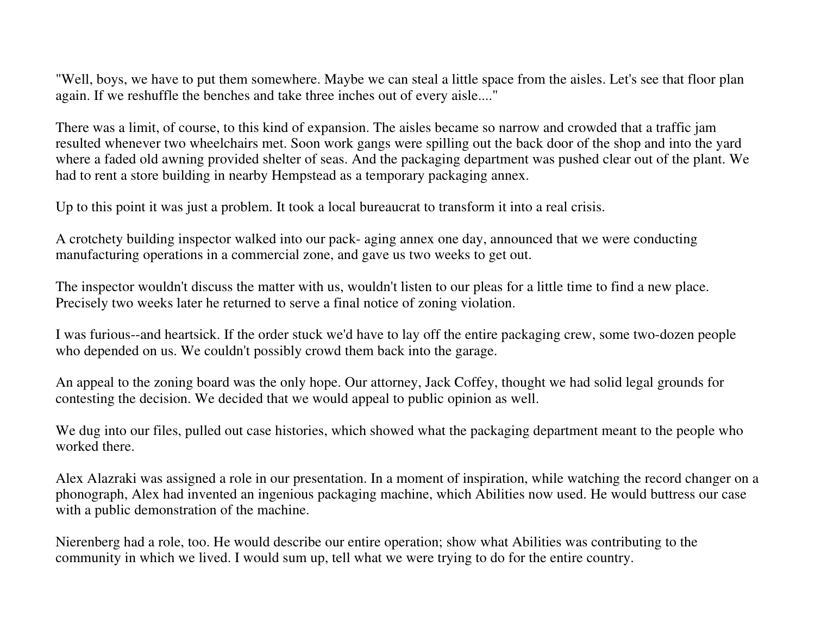"Well, boys, we have to put them somewhere. Maybe we can steal a little space from the aisles. Let's see that floor plan again. If we reshuffle the benches and take three inches out of every aisle...."

There was a limit, of course, to this kind of expansion. The aisles became so narrow and crowded that a traffic jam resulted whenever two wheelchairs met. Soon work gangs were spilling out the back door of the shop and into the yard where a faded old awning provided shelter of seas. And the packaging department was pushed clear out of the plant. We had to rent a store building in nearby Hempstead as a temporary packaging annex.

Up to this point it was just a problem. It took a local bureaucrat to transform it into a real crisis.

A crotchety building inspector walked into our pack- aging annex one day, announced that we were conducting manufacturing operations in a commercial zone, and gave us two weeks to get out.

The inspector wouldn't discuss the matter with us, wouldn't listen to our pleas for a little time to find a new place. Precisely two weeks later he returned to serve a final notice of zoning violation.

I was furious--and heartsick. If the order stuck we'd have to lay off the entire packaging crew, some two-dozen people who depended on us. We couldn't possibly crowd them back into the garage.

An appeal to the zoning board was the only hope. Our attorney, Jack Coffey, thought we had solid legal grounds for contesting the decision. We decided that we would appeal to public opinion as well.

We dug into our files, pulled out case histories, which showed what the packaging department meant to the people who worked there.

Alex Alazraki was assigned a role in our presentation. In a moment of inspiration, while watching the record changer on a phonograph, Alex had invented an ingenious packaging machine, which Abilities now used. He would buttress our case with a public demonstration of the machine.

Nierenberg had a role, too. He would describe our entire operation; show what Abilities was contributing to the community in which we lived. I would sum up, tell what we were trying to do for the entire country.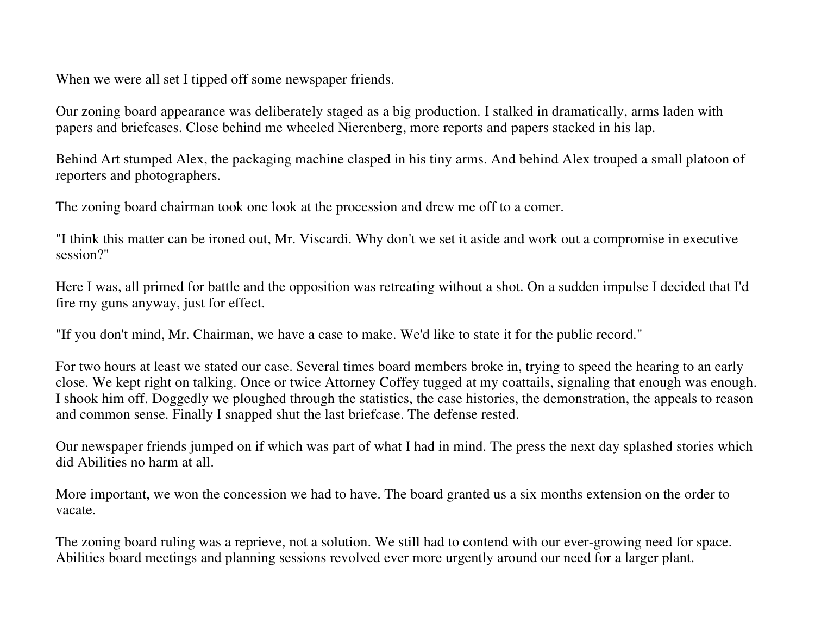When we were all set I tipped off some newspaper friends.

Our zoning board appearance was deliberately staged as a big production. I stalked in dramatically, arms laden with papers and briefcases. Close behind me wheeled Nierenberg, more reports and papers stacked in his lap.

Behind Art stumped Alex, the packaging machine clasped in his tiny arms. And behind Alex trouped a small platoon of reporters and photographers.

The zoning board chairman took one look at the procession and drew me off to a comer.

"I think this matter can be ironed out, Mr. Viscardi. Why don't we set it aside and work out a compromise in executive session?"

Here I was, all primed for battle and the opposition was retreating without a shot. On a sudden impulse I decided that I'd fire my guns anyway, just for effect.

"If you don't mind, Mr. Chairman, we have a case to make. We'd like to state it for the public record."

For two hours at least we stated our case. Several times board members broke in, trying to speed the hearing to an early close. We kept right on talking. Once or twice Attorney Coffey tugged at my coattails, signaling that enough was enough. I shook him off. Doggedly we ploughed through the statistics, the case histories, the demonstration, the appeals to reason and common sense. Finally I snapped shut the last briefcase. The defense rested.

Our newspaper friends jumped on if which was part of what I had in mind. The press the next day splashed stories which did Abilities no harm at all.

More important, we won the concession we had to have. The board granted us a six months extension on the order to vacate.

The zoning board ruling was a reprieve, not a solution. We still had to contend with our ever-growing need for space. Abilities board meetings and planning sessions revolved ever more urgently around our need for a larger plant.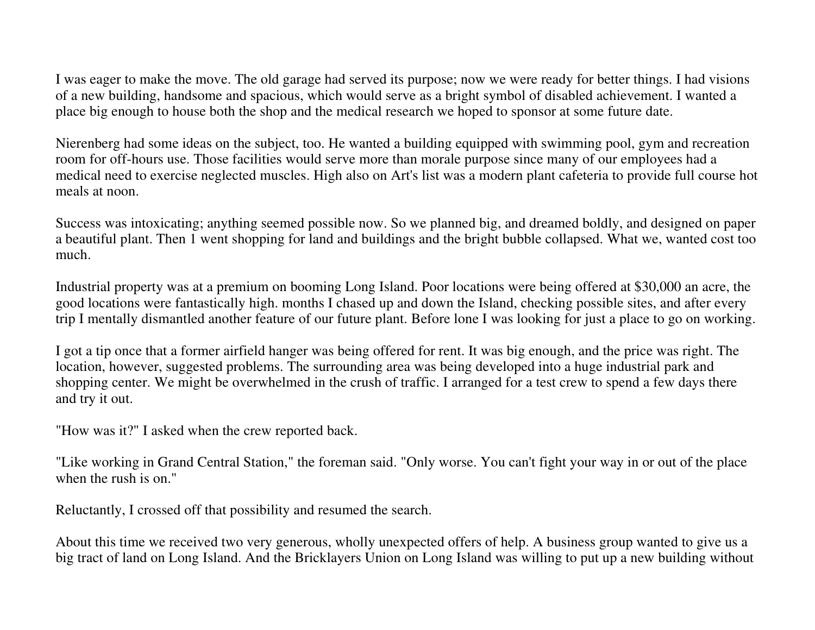I was eager to make the move. The old garage had served its purpose; now we were ready for better things. I had visions of a new building, handsome and spacious, which would serve as a bright symbol of disabled achievement. I wanted a place big enough to house both the shop and the medical research we hoped to sponsor at some future date.

Nierenberg had some ideas on the subject, too. He wanted a building equipped with swimming pool, gym and recreation room for off-hours use. Those facilities would serve more than morale purpose since many of our employees had a medical need to exercise neglected muscles. High also on Art's list was a modern plant cafeteria to provide full course hot meals at noon.

Success was intoxicating; anything seemed possible now. So we planned big, and dreamed boldly, and designed on paper a beautiful plant. Then 1 went shopping for land and buildings and the bright bubble collapsed. What we, wanted cost too much.

Industrial property was at a premium on booming Long Island. Poor locations were being offered at \$30,000 an acre, the good locations were fantastically high. months I chased up and down the Island, checking possible sites, and after every trip I mentally dismantled another feature of our future plant. Before lone I was looking for just a place to go on working.

I got a tip once that a former airfield hanger was being offered for rent. It was big enough, and the price was right. The location, however, suggested problems. The surrounding area was being developed into a huge industrial park and shopping center. We might be overwhelmed in the crush of traffic. I arranged for a test crew to spend a few days there and try it out.

"How was it?" I asked when the crew reported back.

"Like working in Grand Central Station," the foreman said. "Only worse. You can't fight your way in or out of the place when the rush is on."

Reluctantly, I crossed off that possibility and resumed the search.

About this time we received two very generous, wholly unexpected offers of help. A business group wanted to give us a big tract of land on Long Island. And the Bricklayers Union on Long Island was willing to put up a new building without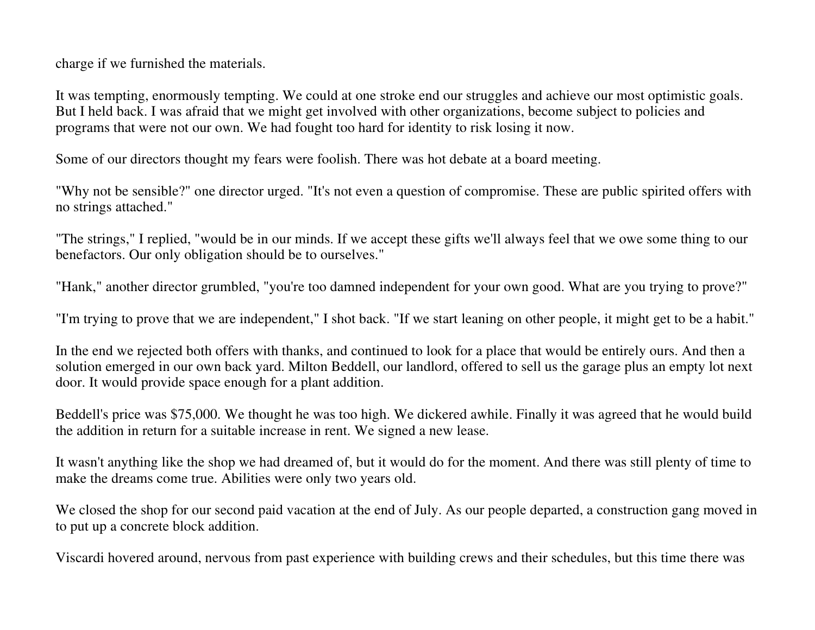charge if we furnished the materials.

It was tempting, enormously tempting. We could at one stroke end our struggles and achieve our most optimistic goals. But I held back. I was afraid that we might get involved with other organizations, become subject to policies and programs that were not our own. We had fought too hard for identity to risk losing it now.

Some of our directors thought my fears were foolish. There was hot debate at a board meeting.

"Why not be sensible?" one director urged. "It's not even a question of compromise. These are public spirited offers with no strings attached."

"The strings," I replied, "would be in our minds. If we accept these gifts we'll always feel that we owe some thing to our benefactors. Our only obligation should be to ourselves."

"Hank," another director grumbled, "you're too damned independent for your own good. What are you trying to prove?"

"I'm trying to prove that we are independent," I shot back. "If we start leaning on other people, it might get to be a habit."

In the end we rejected both offers with thanks, and continued to look for a place that would be entirely ours. And then a solution emerged in our own back yard. Milton Beddell, our landlord, offered to sell us the garage plus an empty lot next door. It would provide space enough for a plant addition.

Beddell's price was \$75,000. We thought he was too high. We dickered awhile. Finally it was agreed that he would build the addition in return for a suitable increase in rent. We signed a new lease.

It wasn't anything like the shop we had dreamed of, but it would do for the moment. And there was still plenty of time to make the dreams come true. Abilities were only two years old.

We closed the shop for our second paid vacation at the end of July. As our people departed, a construction gang moved in to put up a concrete block addition.

Viscardi hovered around, nervous from past experience with building crews and their schedules, but this time there was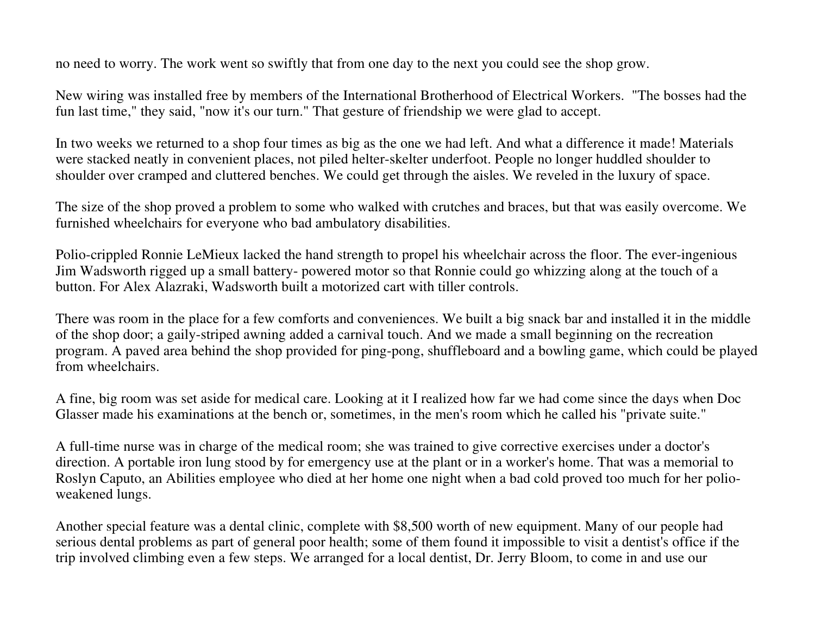no need to worry. The work went so swiftly that from one day to the next you could see the shop grow.

New wiring was installed free by members of the International Brotherhood of Electrical Workers. "The bosses had the fun last time," they said, "now it's our turn." That gesture of friendship we were glad to accept.

In two weeks we returned to a shop four times as big as the one we had left. And what a difference it made! Materials were stacked neatly in convenient places, not piled helter-skelter underfoot. People no longer huddled shoulder to shoulder over cramped and cluttered benches. We could get through the aisles. We reveled in the luxury of space.

The size of the shop proved a problem to some who walked with crutches and braces, but that was easily overcome. We furnished wheelchairs for everyone who bad ambulatory disabilities.

Polio-crippled Ronnie LeMieux lacked the hand strength to propel his wheelchair across the floor. The ever-ingenious Jim Wadsworth rigged up a small battery- powered motor so that Ronnie could go whizzing along at the touch of a button. For Alex Alazraki, Wadsworth built a motorized cart with tiller controls.

There was room in the place for a few comforts and conveniences. We built a big snack bar and installed it in the middle of the shop door; a gaily-striped awning added a carnival touch. And we made a small beginning on the recreation program. A paved area behind the shop provided for ping-pong, shuffleboard and a bowling game, which could be played from wheelchairs.

A fine, big room was set aside for medical care. Looking at it I realized how far we had come since the days when Doc Glasser made his examinations at the bench or, sometimes, in the men's room which he called his "private suite."

A full-time nurse was in charge of the medical room; she was trained to give corrective exercises under a doctor's direction. A portable iron lung stood by for emergency use at the plant or in a worker's home. That was a memorial to Roslyn Caputo, an Abilities employee who died at her home one night when a bad cold proved too much for her polioweakened lungs.

Another special feature was a dental clinic, complete with \$8,500 worth of new equipment. Many of our people had serious dental problems as part of general poor health; some of them found it impossible to visit a dentist's office if the trip involved climbing even a few steps. We arranged for a local dentist, Dr. Jerry Bloom, to come in and use our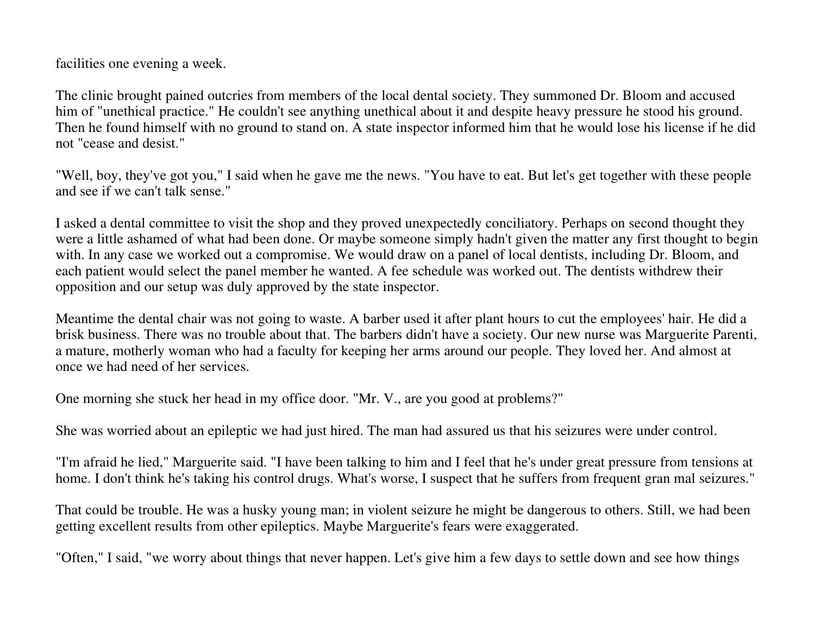facilities one evening a week.

The clinic brought pained outcries from members of the local dental society. They summoned Dr. Bloom and accused him of "unethical practice." He couldn't see anything unethical about it and despite heavy pressure he stood his ground. Then he found himself with no ground to stand on. A state inspector informed him that he would lose his license if he did not "cease and desist."

"Well, boy, they've got you," I said when he gave me the news. "You have to eat. But let's get together with these people and see if we can't talk sense."

I asked a dental committee to visit the shop and they proved unexpectedly conciliatory. Perhaps on second thought they were a little ashamed of what had been done. Or maybe someone simply hadn't given the matter any first thought to begin with. In any case we worked out a compromise. We would draw on a panel of local dentists, including Dr. Bloom, and each patient would select the panel member he wanted. A fee schedule was worked out. The dentists withdrew their opposition and our setup was duly approved by the state inspector.

Meantime the dental chair was not going to waste. A barber used it after plant hours to cut the employees' hair. He did a brisk business. There was no trouble about that. The barbers didn't have a society. Our new nurse was Marguerite Parenti, a mature, motherly woman who had a faculty for keeping her arms around our people. They loved her. And almost at once we had need of her services.

One morning she stuck her head in my office door. "Mr. V., are you good at problems?"

She was worried about an epileptic we had just hired. The man had assured us that his seizures were under control.

"I'm afraid he lied," Marguerite said. "I have been talking to him and I feel that he's under great pressure from tensions at home. I don't think he's taking his control drugs. What's worse, I suspect that he suffers from frequent gran mal seizures."

That could be trouble. He was a husky young man; in violent seizure he might be dangerous to others. Still, we had been getting excellent results from other epileptics. Maybe Marguerite's fears were exaggerated.

"Often," I said, "we worry about things that never happen. Let's give him a few days to settle down and see how things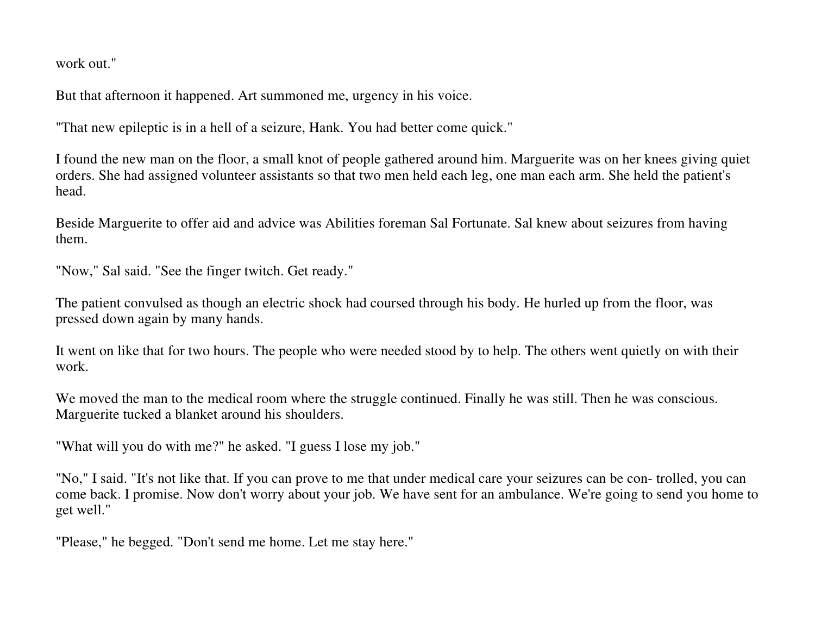work out."

But that afternoon it happened. Art summoned me, urgency in his voice.

"That new epileptic is in a hell of a seizure, Hank. You had better come quick."

I found the new man on the floor, a small knot of people gathered around him. Marguerite was on her knees giving quiet orders. She had assigned volunteer assistants so that two men held each leg, one man each arm. She held the patient's head.

Beside Marguerite to offer aid and advice was Abilities foreman Sal Fortunate. Sal knew about seizures from having them.

"Now," Sal said. "See the finger twitch. Get ready."

The patient convulsed as though an electric shock had coursed through his body. He hurled up from the floor, was pressed down again by many hands.

It went on like that for two hours. The people who were needed stood by to help. The others went quietly on with their work.

We moved the man to the medical room where the struggle continued. Finally he was still. Then he was conscious. Marguerite tucked a blanket around his shoulders.

"What will you do with me?" he asked. "I guess I lose my job."

"No," I said. "It's not like that. If you can prove to me that under medical care your seizures can be con- trolled, you can come back. I promise. Now don't worry about your job. We have sent for an ambulance. We're going to send you home to get well."

"Please," he begged. "Don't send me home. Let me stay here."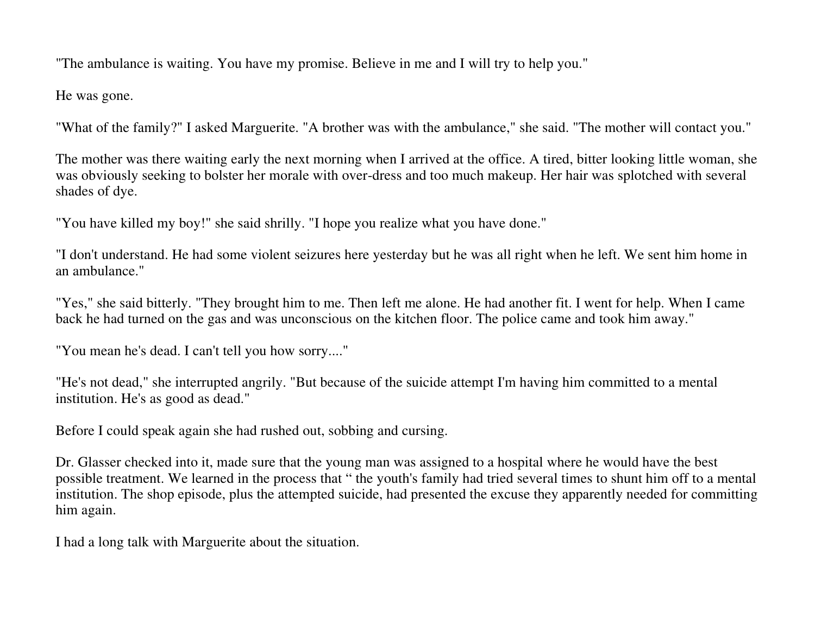"The ambulance is waiting. You have my promise. Believe in me and I will try to help you."

He was gone.

"What of the family?" I asked Marguerite. "A brother was with the ambulance," she said. "The mother will contact you."

The mother was there waiting early the next morning when I arrived at the office. A tired, bitter looking little woman, she was obviously seeking to bolster her morale with over-dress and too much makeup. Her hair was splotched with several shades of dye.

"You have killed my boy!" she said shrilly. "I hope you realize what you have done."

"I don't understand. He had some violent seizures here yesterday but he was all right when he left. We sent him home in an ambulance."

"Yes," she said bitterly. "They brought him to me. Then left me alone. He had another fit. I went for help. When I came back he had turned on the gas and was unconscious on the kitchen floor. The police came and took him away."

"You mean he's dead. I can't tell you how sorry...."

"He's not dead," she interrupted angrily. "But because of the suicide attempt I'm having him committed to a mental institution. He's as good as dead."

Before I could speak again she had rushed out, sobbing and cursing.

Dr. Glasser checked into it, made sure that the young man was assigned to a hospital where he would have the best possible treatment. We learned in the process that " the youth's family had tried several times to shunt him off to a mental institution. The shop episode, plus the attempted suicide, had presented the excuse they apparently needed for committing him again.

I had a long talk with Marguerite about the situation.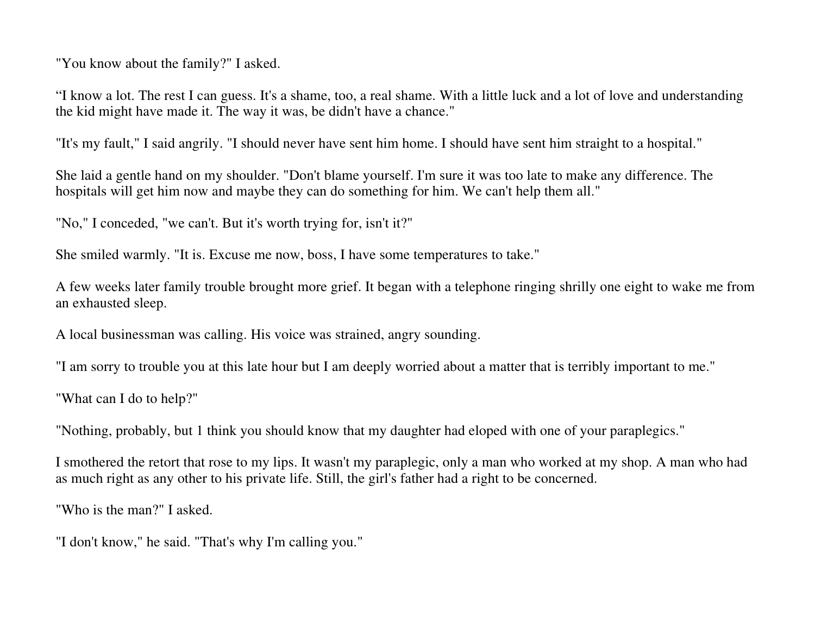"You know about the family?" I asked.

"I know a lot. The rest I can guess. It's a shame, too, a real shame. With a little luck and a lot of love and understanding the kid might have made it. The way it was, be didn't have a chance."

"It's my fault," I said angrily. "I should never have sent him home. I should have sent him straight to a hospital."

She laid a gentle hand on my shoulder. "Don't blame yourself. I'm sure it was too late to make any difference. The hospitals will get him now and maybe they can do something for him. We can't help them all."

"No," I conceded, "we can't. But it's worth trying for, isn't it?"

She smiled warmly. "It is. Excuse me now, boss, I have some temperatures to take."

A few weeks later family trouble brought more grief. It began with a telephone ringing shrilly one eight to wake me from an exhausted sleep.

A local businessman was calling. His voice was strained, angry sounding.

"I am sorry to trouble you at this late hour but I am deeply worried about a matter that is terribly important to me."

"What can I do to help?"

"Nothing, probably, but 1 think you should know that my daughter had eloped with one of your paraplegics."

I smothered the retort that rose to my lips. It wasn't my paraplegic, only a man who worked at my shop. A man who had as much right as any other to his private life. Still, the girl's father had a right to be concerned.

"Who is the man?" I asked.

"I don't know," he said. "That's why I'm calling you."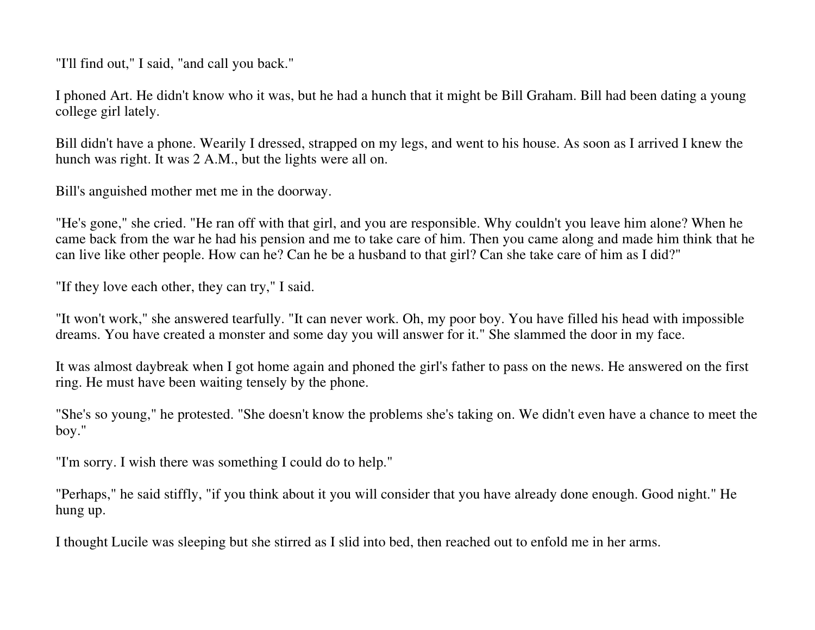"I'll find out," I said, "and call you back."

I phoned Art. He didn't know who it was, but he had a hunch that it might be Bill Graham. Bill had been dating a young college girl lately.

Bill didn't have a phone. Wearily I dressed, strapped on my legs, and went to his house. As soon as I arrived I knew the hunch was right. It was 2 A.M., but the lights were all on.

Bill's anguished mother met me in the doorway.

"He's gone," she cried. "He ran off with that girl, and you are responsible. Why couldn't you leave him alone? When he came back from the war he had his pension and me to take care of him. Then you came along and made him think that he can live like other people. How can he? Can he be a husband to that girl? Can she take care of him as I did?"

"If they love each other, they can try," I said.

"It won't work," she answered tearfully. "It can never work. Oh, my poor boy. You have filled his head with impossible dreams. You have created a monster and some day you will answer for it." She slammed the door in my face.

It was almost daybreak when I got home again and phoned the girl's father to pass on the news. He answered on the first ring. He must have been waiting tensely by the phone.

"She's so young," he protested. "She doesn't know the problems she's taking on. We didn't even have a chance to meet the boy."

"I'm sorry. I wish there was something I could do to help."

"Perhaps," he said stiffly, "if you think about it you will consider that you have already done enough. Good night." He hung up.

I thought Lucile was sleeping but she stirred as I slid into bed, then reached out to enfold me in her arms.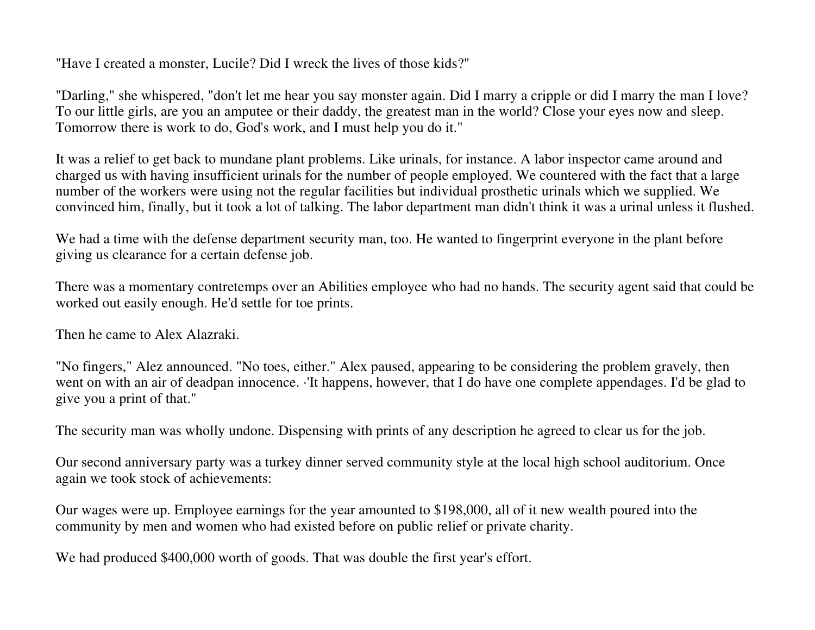"Have I created a monster, Lucile? Did I wreck the lives of those kids?"

"Darling," she whispered, "don't let me hear you say monster again. Did I marry a cripple or did I marry the man I love? To our little girls, are you an amputee or their daddy, the greatest man in the world? Close your eyes now and sleep. Tomorrow there is work to do, God's work, and I must help you do it."

It was a relief to get back to mundane plant problems. Like urinals, for instance. A labor inspector came around and charged us with having insufficient urinals for the number of people employed. We countered with the fact that a large number of the workers were using not the regular facilities but individual prosthetic urinals which we supplied. We convinced him, finally, but it took a lot of talking. The labor department man didn't think it was a urinal unless it flushed.

We had a time with the defense department security man, too. He wanted to fingerprint everyone in the plant before giving us clearance for a certain defense job.

There was a momentary contretemps over an Abilities employee who had no hands. The security agent said that could be worked out easily enough. He'd settle for toe prints.

Then he came to Alex Alazraki.

"No fingers," Alez announced. "No toes, either." Alex paused, appearing to be considering the problem gravely, then went on with an air of deadpan innocence. ·'It happens, however, that I do have one complete appendages. I'd be glad to give you a print of that."

The security man was wholly undone. Dispensing with prints of any description he agreed to clear us for the job.

Our second anniversary party was a turkey dinner served community style at the local high school auditorium. Once again we took stock of achievements:

Our wages were up. Employee earnings for the year amounted to \$198,000, all of it new wealth poured into the community by men and women who had existed before on public relief or private charity.

We had produced \$400,000 worth of goods. That was double the first year's effort.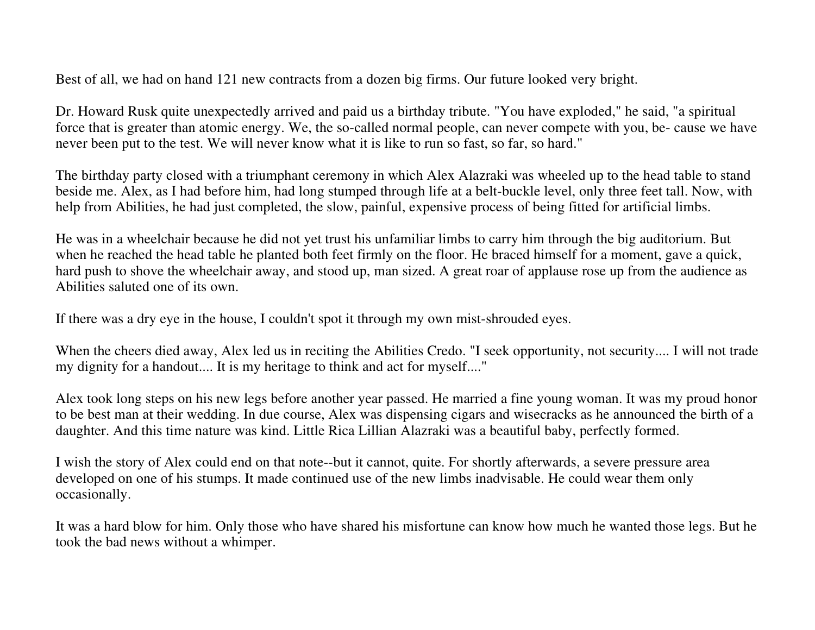Best of all, we had on hand 121 new contracts from a dozen big firms. Our future looked very bright.

Dr. Howard Rusk quite unexpectedly arrived and paid us a birthday tribute. "You have exploded," he said, "a spiritual force that is greater than atomic energy. We, the so-called normal people, can never compete with you, be- cause we have never been put to the test. We will never know what it is like to run so fast, so far, so hard."

The birthday party closed with a triumphant ceremony in which Alex Alazraki was wheeled up to the head table to stand beside me. Alex, as I had before him, had long stumped through life at a belt-buckle level, only three feet tall. Now, with help from Abilities, he had just completed, the slow, painful, expensive process of being fitted for artificial limbs.

He was in a wheelchair because he did not yet trust his unfamiliar limbs to carry him through the big auditorium. But when he reached the head table he planted both feet firmly on the floor. He braced himself for a moment, gave a quick, hard push to shove the wheelchair away, and stood up, man sized. A great roar of applause rose up from the audience as Abilities saluted one of its own.

If there was a dry eye in the house, I couldn't spot it through my own mist-shrouded eyes.

When the cheers died away, Alex led us in reciting the Abilities Credo. "I seek opportunity, not security.... I will not trade my dignity for a handout.... It is my heritage to think and act for myself...."

Alex took long steps on his new legs before another year passed. He married a fine young woman. It was my proud honor to be best man at their wedding. In due course, Alex was dispensing cigars and wisecracks as he announced the birth of a daughter. And this time nature was kind. Little Rica Lillian Alazraki was a beautiful baby, perfectly formed.

I wish the story of Alex could end on that note--but it cannot, quite. For shortly afterwards, a severe pressure area developed on one of his stumps. It made continued use of the new limbs inadvisable. He could wear them only occasionally.

It was a hard blow for him. Only those who have shared his misfortune can know how much he wanted those legs. But he took the bad news without a whimper.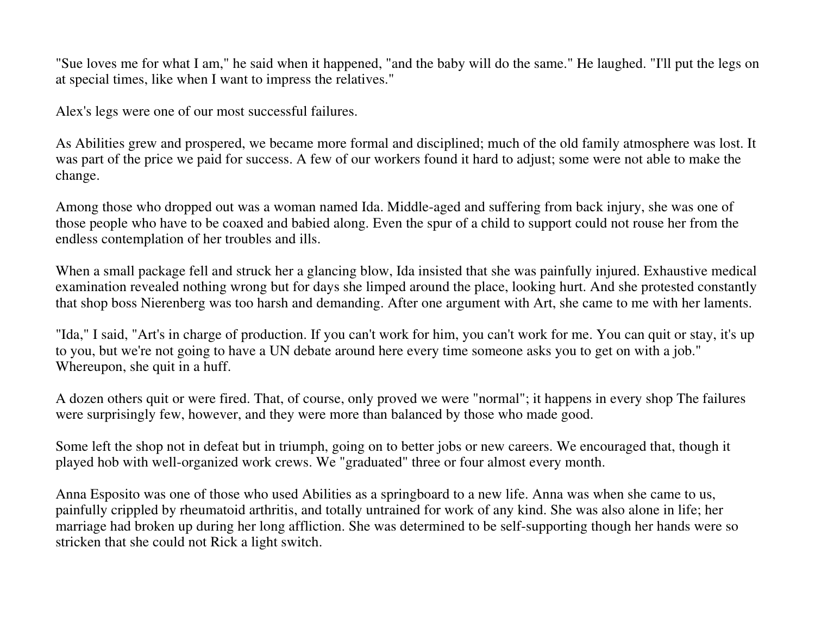"Sue loves me for what I am," he said when it happened, "and the baby will do the same." He laughed. "I'll put the legs on at special times, like when I want to impress the relatives."

Alex's legs were one of our most successful failures.

As Abilities grew and prospered, we became more formal and disciplined; much of the old family atmosphere was lost. It was part of the price we paid for success. A few of our workers found it hard to adjust; some were not able to make the change.

Among those who dropped out was a woman named Ida. Middle-aged and suffering from back injury, she was one of those people who have to be coaxed and babied along. Even the spur of a child to support could not rouse her from the endless contemplation of her troubles and ills.

When a small package fell and struck her a glancing blow, Ida insisted that she was painfully injured. Exhaustive medical examination revealed nothing wrong but for days she limped around the place, looking hurt. And she protested constantly that shop boss Nierenberg was too harsh and demanding. After one argument with Art, she came to me with her laments.

"Ida," I said, "Art's in charge of production. If you can't work for him, you can't work for me. You can quit or stay, it's up to you, but we're not going to have a UN debate around here every time someone asks you to get on with a job." Whereupon, she quit in a huff.

A dozen others quit or were fired. That, of course, only proved we were "normal"; it happens in every shop The failures were surprisingly few, however, and they were more than balanced by those who made good.

Some left the shop not in defeat but in triumph, going on to better jobs or new careers. We encouraged that, though it played hob with well-organized work crews. We "graduated" three or four almost every month.

Anna Esposito was one of those who used Abilities as a springboard to a new life. Anna was when she came to us, painfully crippled by rheumatoid arthritis, and totally untrained for work of any kind. She was also alone in life; her marriage had broken up during her long affliction. She was determined to be self-supporting though her hands were so stricken that she could not Rick a light switch.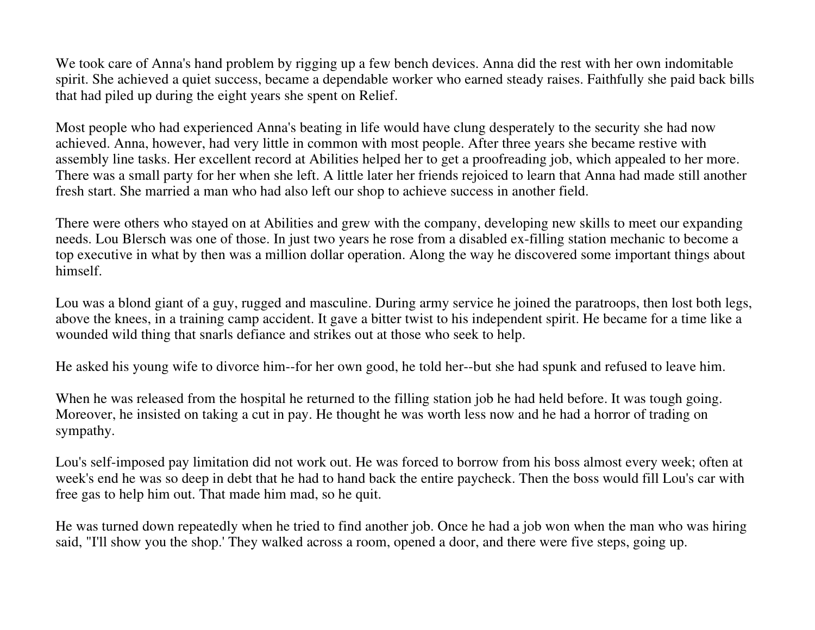We took care of Anna's hand problem by rigging up a few bench devices. Anna did the rest with her own indomitable spirit. She achieved a quiet success, became a dependable worker who earned steady raises. Faithfully she paid back bills that had piled up during the eight years she spent on Relief.

Most people who had experienced Anna's beating in life would have clung desperately to the security she had now achieved. Anna, however, had very little in common with most people. After three years she became restive with assembly line tasks. Her excellent record at Abilities helped her to get a proofreading job, which appealed to her more. There was a small party for her when she left. A little later her friends rejoiced to learn that Anna had made still another fresh start. She married a man who had also left our shop to achieve success in another field.

There were others who stayed on at Abilities and grew with the company, developing new skills to meet our expanding needs. Lou Blersch was one of those. In just two years he rose from a disabled ex-filling station mechanic to become a top executive in what by then was a million dollar operation. Along the way he discovered some important things about himself.

Lou was a blond giant of a guy, rugged and masculine. During army service he joined the paratroops, then lost both legs, above the knees, in a training camp accident. It gave a bitter twist to his independent spirit. He became for a time like a wounded wild thing that snarls defiance and strikes out at those who seek to help.

He asked his young wife to divorce him--for her own good, he told her--but she had spunk and refused to leave him.

When he was released from the hospital he returned to the filling station job he had held before. It was tough going. Moreover, he insisted on taking a cut in pay. He thought he was worth less now and he had a horror of trading on sympathy.

Lou's self-imposed pay limitation did not work out. He was forced to borrow from his boss almost every week; often at week's end he was so deep in debt that he had to hand back the entire paycheck. Then the boss would fill Lou's car with free gas to help him out. That made him mad, so he quit.

He was turned down repeatedly when he tried to find another job. Once he had a job won when the man who was hiring said, "I'll show you the shop.' They walked across a room, opened a door, and there were five steps, going up.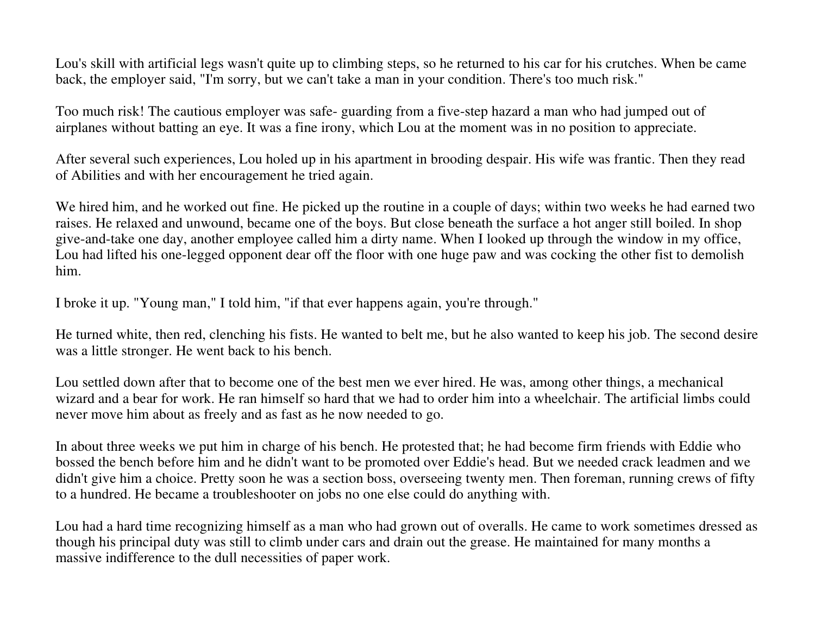Lou's skill with artificial legs wasn't quite up to climbing steps, so he returned to his car for his crutches. When be came back, the employer said, "I'm sorry, but we can't take a man in your condition. There's too much risk."

Too much risk! The cautious employer was safe- guarding from a five-step hazard a man who had jumped out of airplanes without batting an eye. It was a fine irony, which Lou at the moment was in no position to appreciate.

After several such experiences, Lou holed up in his apartment in brooding despair. His wife was frantic. Then they read of Abilities and with her encouragement he tried again.

We hired him, and he worked out fine. He picked up the routine in a couple of days; within two weeks he had earned two raises. He relaxed and unwound, became one of the boys. But close beneath the surface a hot anger still boiled. In shop give-and-take one day, another employee called him a dirty name. When I looked up through the window in my office, Lou had lifted his one-legged opponent dear off the floor with one huge paw and was cocking the other fist to demolish him.

I broke it up. "Young man," I told him, "if that ever happens again, you're through."

He turned white, then red, clenching his fists. He wanted to belt me, but he also wanted to keep his job. The second desire was a little stronger. He went back to his bench.

Lou settled down after that to become one of the best men we ever hired. He was, among other things, a mechanical wizard and a bear for work. He ran himself so hard that we had to order him into a wheelchair. The artificial limbs could never move him about as freely and as fast as he now needed to go.

In about three weeks we put him in charge of his bench. He protested that; he had become firm friends with Eddie who bossed the bench before him and he didn't want to be promoted over Eddie's head. But we needed crack leadmen and we didn't give him a choice. Pretty soon he was a section boss, overseeing twenty men. Then foreman, running crews of fifty to a hundred. He became a troubleshooter on jobs no one else could do anything with.

Lou had a hard time recognizing himself as a man who had grown out of overalls. He came to work sometimes dressed as though his principal duty was still to climb under cars and drain out the grease. He maintained for many months a massive indifference to the dull necessities of paper work.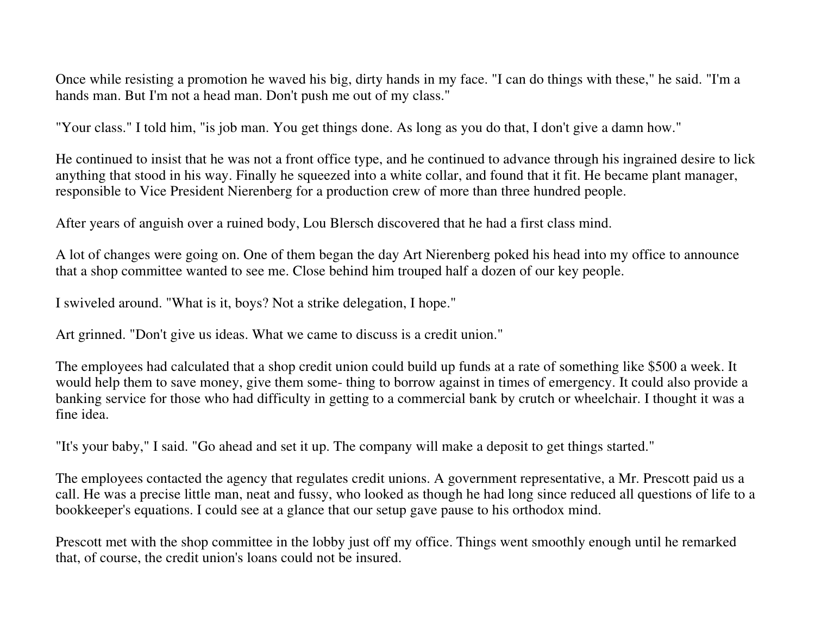Once while resisting a promotion he waved his big, dirty hands in my face. "I can do things with these," he said. "I'm a hands man. But I'm not a head man. Don't push me out of my class."

"Your class." I told him, "is job man. You get things done. As long as you do that, I don't give a damn how."

He continued to insist that he was not a front office type, and he continued to advance through his ingrained desire to lick anything that stood in his way. Finally he squeezed into a white collar, and found that it fit. He became plant manager, responsible to Vice President Nierenberg for a production crew of more than three hundred people.

After years of anguish over a ruined body, Lou Blersch discovered that he had a first class mind.

A lot of changes were going on. One of them began the day Art Nierenberg poked his head into my office to announce that a shop committee wanted to see me. Close behind him trouped half a dozen of our key people.

I swiveled around. "What is it, boys? Not a strike delegation, I hope."

Art grinned. "Don't give us ideas. What we came to discuss is a credit union."

The employees had calculated that a shop credit union could build up funds at a rate of something like \$500 a week. It would help them to save money, give them some- thing to borrow against in times of emergency. It could also provide a banking service for those who had difficulty in getting to a commercial bank by crutch or wheelchair. I thought it was a fine idea.

"It's your baby," I said. "Go ahead and set it up. The company will make a deposit to get things started."

The employees contacted the agency that regulates credit unions. A government representative, a Mr. Prescott paid us a call. He was a precise little man, neat and fussy, who looked as though he had long since reduced all questions of life to a bookkeeper's equations. I could see at a glance that our setup gave pause to his orthodox mind.

Prescott met with the shop committee in the lobby just off my office. Things went smoothly enough until he remarked that, of course, the credit union's loans could not be insured.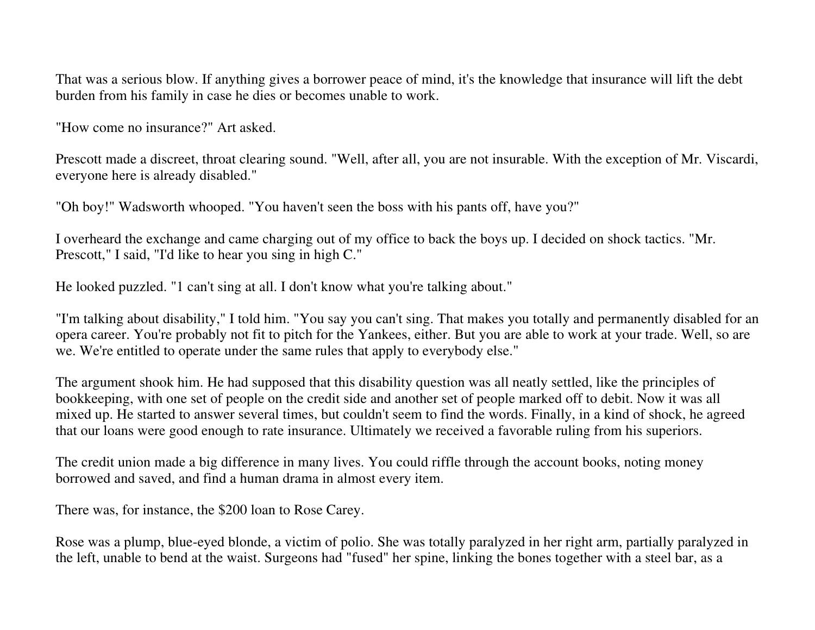That was a serious blow. If anything gives a borrower peace of mind, it's the knowledge that insurance will lift the debt burden from his family in case he dies or becomes unable to work.

"How come no insurance?" Art asked.

Prescott made a discreet, throat clearing sound. "Well, after all, you are not insurable. With the exception of Mr. Viscardi, everyone here is already disabled."

"Oh boy!" Wadsworth whooped. "You haven't seen the boss with his pants off, have you?"

I overheard the exchange and came charging out of my office to back the boys up. I decided on shock tactics. "Mr. Prescott," I said, "I'd like to hear you sing in high C."

He looked puzzled. "1 can't sing at all. I don't know what you're talking about."

"I'm talking about disability," I told him. "You say you can't sing. That makes you totally and permanently disabled for an opera career. You're probably not fit to pitch for the Yankees, either. But you are able to work at your trade. Well, so are we. We're entitled to operate under the same rules that apply to everybody else."

The argument shook him. He had supposed that this disability question was all neatly settled, like the principles of bookkeeping, with one set of people on the credit side and another set of people marked off to debit. Now it was all mixed up. He started to answer several times, but couldn't seem to find the words. Finally, in a kind of shock, he agreed that our loans were good enough to rate insurance. Ultimately we received a favorable ruling from his superiors.

The credit union made a big difference in many lives. You could riffle through the account books, noting money borrowed and saved, and find a human drama in almost every item.

There was, for instance, the \$200 loan to Rose Carey.

Rose was a plump, blue-eyed blonde, a victim of polio. She was totally paralyzed in her right arm, partially paralyzed in the left, unable to bend at the waist. Surgeons had "fused" her spine, linking the bones together with a steel bar, as a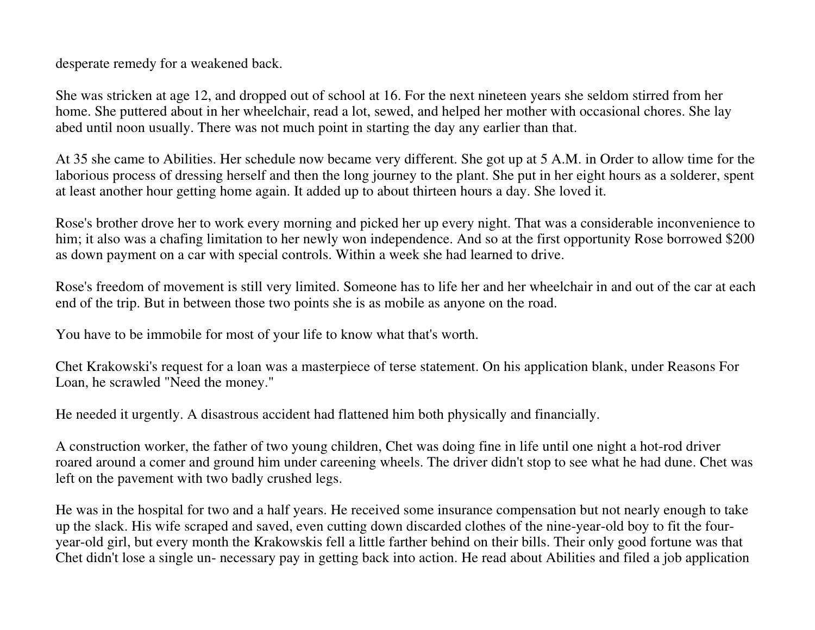desperate remedy for a weakened back.

She was stricken at age 12, and dropped out of school at 16. For the next nineteen years she seldom stirred from her home. She puttered about in her wheelchair, read a lot, sewed, and helped her mother with occasional chores. She lay abed until noon usually. There was not much point in starting the day any earlier than that.

At 35 she came to Abilities. Her schedule now became very different. She got up at 5 A.M. in Order to allow time for the laborious process of dressing herself and then the long journey to the plant. She put in her eight hours as a solderer, spent at least another hour getting home again. It added up to about thirteen hours a day. She loved it.

Rose's brother drove her to work every morning and picked her up every night. That was a considerable inconvenience to him; it also was a chafing limitation to her newly won independence. And so at the first opportunity Rose borrowed \$200 as down payment on a car with special controls. Within a week she had learned to drive.

Rose's freedom of movement is still very limited. Someone has to life her and her wheelchair in and out of the car at each end of the trip. But in between those two points she is as mobile as anyone on the road.

You have to be immobile for most of your life to know what that's worth.

Chet Krakowski's request for a loan was a masterpiece of terse statement. On his application blank, under Reasons For Loan, he scrawled "Need the money."

He needed it urgently. A disastrous accident had flattened him both physically and financially.

A construction worker, the father of two young children, Chet was doing fine in life until one night a hot-rod driver roared around a comer and ground him under careening wheels. The driver didn't stop to see what he had dune. Chet was left on the pavement with two badly crushed legs.

He was in the hospital for two and a half years. He received some insurance compensation but not nearly enough to take up the slack. His wife scraped and saved, even cutting down discarded clothes of the nine-year-old boy to fit the fouryear-old girl, but every month the Krakowskis fell a little farther behind on their bills. Their only good fortune was that Chet didn't lose a single un- necessary pay in getting back into action. He read about Abilities and filed a job application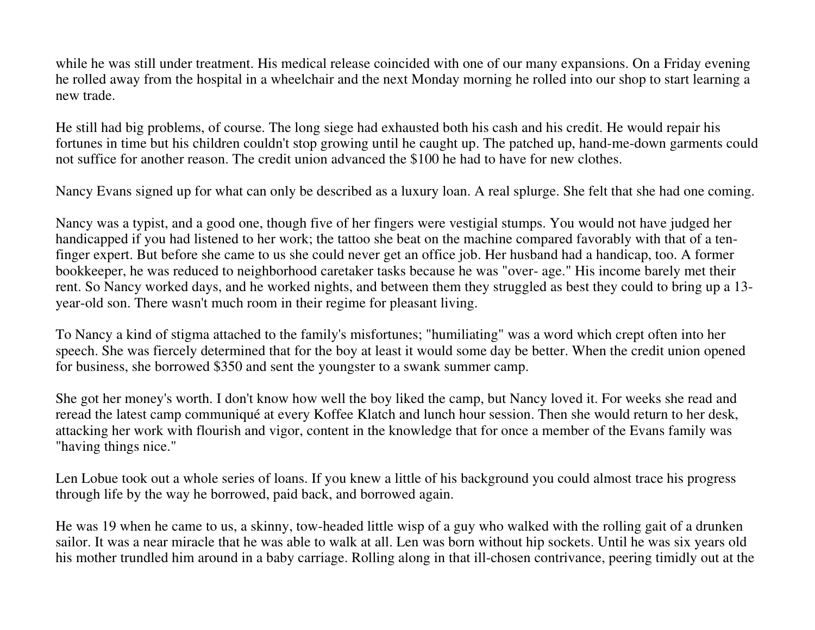while he was still under treatment. His medical release coincided with one of our many expansions. On a Friday evening he rolled away from the hospital in a wheelchair and the next Monday morning he rolled into our shop to start learning a new trade.

He still had big problems, of course. The long siege had exhausted both his cash and his credit. He would repair his fortunes in time but his children couldn't stop growing until he caught up. The patched up, hand-me-down garments could not suffice for another reason. The credit union advanced the \$100 he had to have for new clothes.

Nancy Evans signed up for what can only be described as a luxury loan. A real splurge. She felt that she had one coming.

Nancy was a typist, and a good one, though five of her fingers were vestigial stumps. You would not have judged her handicapped if you had listened to her work; the tattoo she beat on the machine compared favorably with that of a tenfinger expert. But before she came to us she could never get an office job. Her husband had a handicap, too. A former bookkeeper, he was reduced to neighborhood caretaker tasks because he was "over- age." His income barely met their rent. So Nancy worked days, and he worked nights, and between them they struggled as best they could to bring up a 13year-old son. There wasn't much room in their regime for pleasant living.

To Nancy a kind of stigma attached to the family's misfortunes; "humiliating" was a word which crept often into her speech. She was fiercely determined that for the boy at least it would some day be better. When the credit union opened for business, she borrowed \$350 and sent the youngster to a swank summer camp.

She got her money's worth. I don't know how well the boy liked the camp, but Nancy loved it. For weeks she read and reread the latest camp communiqué at every Koffee Klatch and lunch hour session. Then she would return to her desk, attacking her work with flourish and vigor, content in the knowledge that for once a member of the Evans family was "having things nice."

Len Lobue took out a whole series of loans. If you knew a little of his background you could almost trace his progress through life by the way he borrowed, paid back, and borrowed again.

He was 19 when he came to us, a skinny, tow-headed little wisp of a guy who walked with the rolling gait of a drunken sailor. It was a near miracle that he was able to walk at all. Len was born without hip sockets. Until he was six years old his mother trundled him around in a baby carriage. Rolling along in that ill-chosen contrivance, peering timidly out at the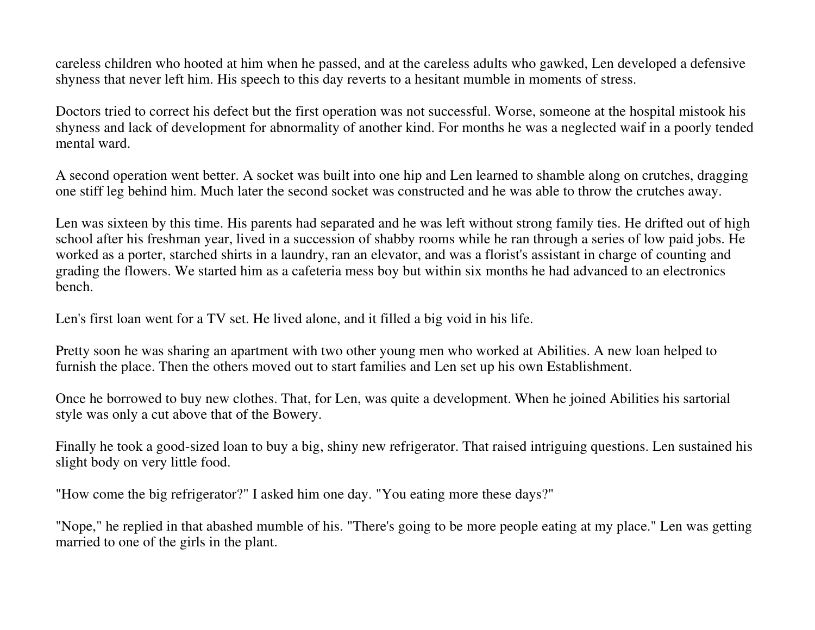careless children who hooted at him when he passed, and at the careless adults who gawked, Len developed a defensive shyness that never left him. His speech to this day reverts to a hesitant mumble in moments of stress.

Doctors tried to correct his defect but the first operation was not successful. Worse, someone at the hospital mistook his shyness and lack of development for abnormality of another kind. For months he was a neglected waif in a poorly tended mental ward.

A second operation went better. A socket was built into one hip and Len learned to shamble along on crutches, dragging one stiff leg behind him. Much later the second socket was constructed and he was able to throw the crutches away.

Len was sixteen by this time. His parents had separated and he was left without strong family ties. He drifted out of high school after his freshman year, lived in a succession of shabby rooms while he ran through a series of low paid jobs. He worked as a porter, starched shirts in a laundry, ran an elevator, and was a florist's assistant in charge of counting and grading the flowers. We started him as a cafeteria mess boy but within six months he had advanced to an electronics bench.

Len's first loan went for a TV set. He lived alone, and it filled a big void in his life.

Pretty soon he was sharing an apartment with two other young men who worked at Abilities. A new loan helped to furnish the place. Then the others moved out to start families and Len set up his own Establishment.

Once he borrowed to buy new clothes. That, for Len, was quite a development. When he joined Abilities his sartorial style was only a cut above that of the Bowery.

Finally he took a good-sized loan to buy a big, shiny new refrigerator. That raised intriguing questions. Len sustained his slight body on very little food.

"How come the big refrigerator?" I asked him one day. "You eating more these days?"

"Nope," he replied in that abashed mumble of his. "There's going to be more people eating at my place." Len was getting married to one of the girls in the plant.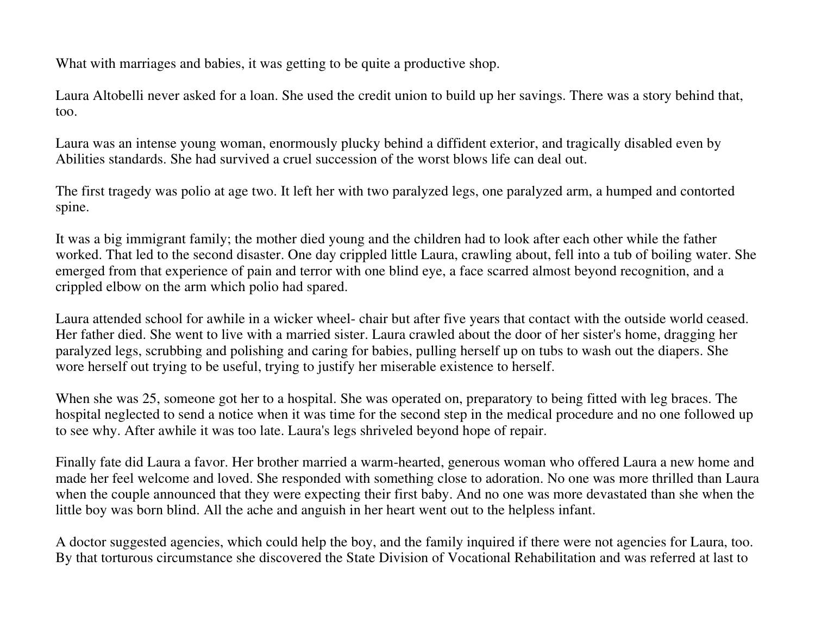What with marriages and babies, it was getting to be quite a productive shop.

Laura Altobelli never asked for a loan. She used the credit union to build up her savings. There was a story behind that, too.

Laura was an intense young woman, enormously plucky behind a diffident exterior, and tragically disabled even by Abilities standards. She had survived a cruel succession of the worst blows life can deal out.

The first tragedy was polio at age two. It left her with two paralyzed legs, one paralyzed arm, a humped and contorted spine.

It was a big immigrant family; the mother died young and the children had to look after each other while the father worked. That led to the second disaster. One day crippled little Laura, crawling about, fell into a tub of boiling water. She emerged from that experience of pain and terror with one blind eye, a face scarred almost beyond recognition, and a crippled elbow on the arm which polio had spared.

Laura attended school for awhile in a wicker wheel- chair but after five years that contact with the outside world ceased. Her father died. She went to live with a married sister. Laura crawled about the door of her sister's home, dragging her paralyzed legs, scrubbing and polishing and caring for babies, pulling herself up on tubs to wash out the diapers. She wore herself out trying to be useful, trying to justify her miserable existence to herself.

When she was 25, someone got her to a hospital. She was operated on, preparatory to being fitted with leg braces. The hospital neglected to send a notice when it was time for the second step in the medical procedure and no one followed up to see why. After awhile it was too late. Laura's legs shriveled beyond hope of repair.

Finally fate did Laura a favor. Her brother married a warm-hearted, generous woman who offered Laura a new home and made her feel welcome and loved. She responded with something close to adoration. No one was more thrilled than Laura when the couple announced that they were expecting their first baby. And no one was more devastated than she when the little boy was born blind. All the ache and anguish in her heart went out to the helpless infant.

A doctor suggested agencies, which could help the boy, and the family inquired if there were not agencies for Laura, too. By that torturous circumstance she discovered the State Division of Vocational Rehabilitation and was referred at last to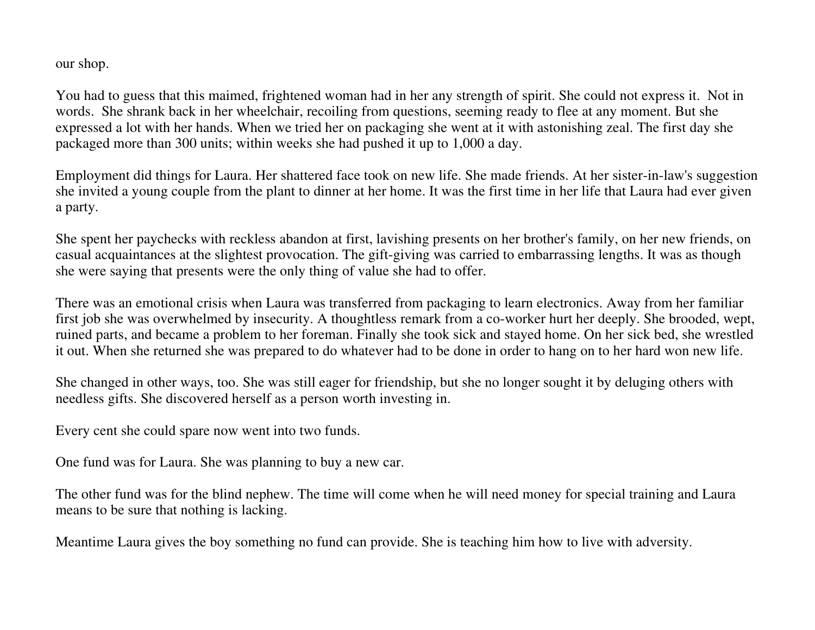our shop.

You had to guess that this maimed, frightened woman had in her any strength of spirit. She could not express it. Not in words. She shrank back in her wheelchair, recoiling from questions, seeming ready to flee at any moment. But she expressed a lot with her hands. When we tried her on packaging she went at it with astonishing zeal. The first day she packaged more than 300 units; within weeks she had pushed it up to 1,000 a day.

Employment did things for Laura. Her shattered face took on new life. She made friends. At her sister-in-law's suggestion she invited a young couple from the plant to dinner at her home. It was the first time in her life that Laura had ever given a party.

She spent her paychecks with reckless abandon at first, lavishing presents on her brother's family, on her new friends, on casual acquaintances at the slightest provocation. The gift-giving was carried to embarrassing lengths. It was as though she were saying that presents were the only thing of value she had to offer.

There was an emotional crisis when Laura was transferred from packaging to learn electronics. Away from her familiar first job she was overwhelmed by insecurity. A thoughtless remark from a co-worker hurt her deeply. She brooded, wept, ruined parts, and became a problem to her foreman. Finally she took sick and stayed home. On her sick bed, she wrestled it out. When she returned she was prepared to do whatever had to be done in order to hang on to her hard won new life.

She changed in other ways, too. She was still eager for friendship, but she no longer sought it by deluging others with needless gifts. She discovered herself as a person worth investing in.

Every cent she could spare now went into two funds.

One fund was for Laura. She was planning to buy a new car.

The other fund was for the blind nephew. The time will come when he will need money for special training and Laura means to be sure that nothing is lacking.

Meantime Laura gives the boy something no fund can provide. She is teaching him how to live with adversity.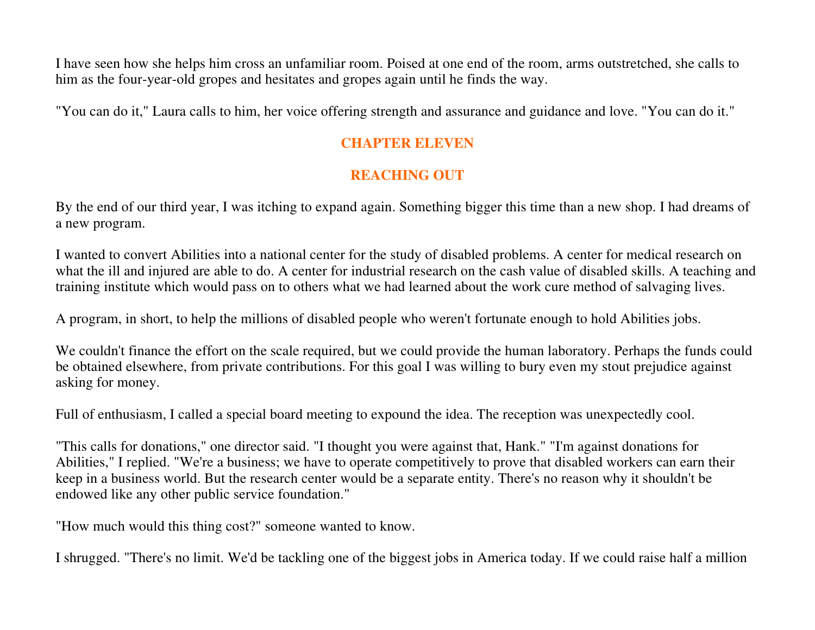I have seen how she helps him cross an unfamiliar room. Poised at one end of the room, arms outstretched, she calls to him as the four-year-old gropes and hesitates and gropes again until he finds the way.

"You can do it," Laura calls to him, her voice offering strength and assurance and guidance and love. "You can do it."

## **CHAPTER ELEVEN**

## **REACHING OUT**

By the end of our third year, I was itching to expand again. Something bigger this time than a new shop. I had dreams of a new program.

I wanted to convert Abilities into a national center for the study of disabled problems. A center for medical research on what the ill and injured are able to do. A center for industrial research on the cash value of disabled skills. A teaching and training institute which would pass on to others what we had learned about the work cure method of salvaging lives.

A program, in short, to help the millions of disabled people who weren't fortunate enough to hold Abilities jobs.

We couldn't finance the effort on the scale required, but we could provide the human laboratory. Perhaps the funds could be obtained elsewhere, from private contributions. For this goal I was willing to bury even my stout prejudice against asking for money.

Full of enthusiasm, I called a special board meeting to expound the idea. The reception was unexpectedly cool.

"This calls for donations," one director said. "I thought you were against that, Hank." "I'm against donations for Abilities," I replied. "We're a business; we have to operate competitively to prove that disabled workers can earn their keep in a business world. But the research center would be a separate entity. There's no reason why it shouldn't be endowed like any other public service foundation."

"How much would this thing cost?" someone wanted to know.

I shrugged. "There's no limit. We'd be tackling one of the biggest jobs in America today. If we could raise half a million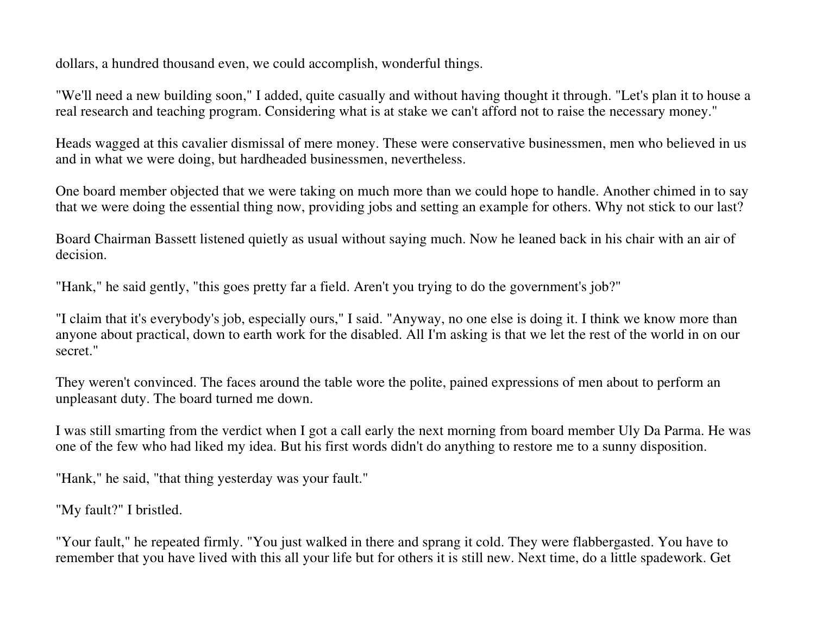dollars, a hundred thousand even, we could accomplish, wonderful things.

"We'll need a new building soon," I added, quite casually and without having thought it through. "Let's plan it to house a real research and teaching program. Considering what is at stake we can't afford not to raise the necessary money."

Heads wagged at this cavalier dismissal of mere money. These were conservative businessmen, men who believed in us and in what we were doing, but hardheaded businessmen, nevertheless.

One board member objected that we were taking on much more than we could hope to handle. Another chimed in to say that we were doing the essential thing now, providing jobs and setting an example for others. Why not stick to our last?

Board Chairman Bassett listened quietly as usual without saying much. Now he leaned back in his chair with an air of decision.

"Hank," he said gently, "this goes pretty far a field. Aren't you trying to do the government's job?"

"I claim that it's everybody's job, especially ours," I said. "Anyway, no one else is doing it. I think we know more than anyone about practical, down to earth work for the disabled. All I'm asking is that we let the rest of the world in on our secret."

They weren't convinced. The faces around the table wore the polite, pained expressions of men about to perform an unpleasant duty. The board turned me down.

I was still smarting from the verdict when I got a call early the next morning from board member Uly Da Parma. He was one of the few who had liked my idea. But his first words didn't do anything to restore me to a sunny disposition.

"Hank," he said, "that thing yesterday was your fault."

"My fault?" I bristled.

"Your fault," he repeated firmly. "You just walked in there and sprang it cold. They were flabbergasted. You have to remember that you have lived with this all your life but for others it is still new. Next time, do a little spadework. Get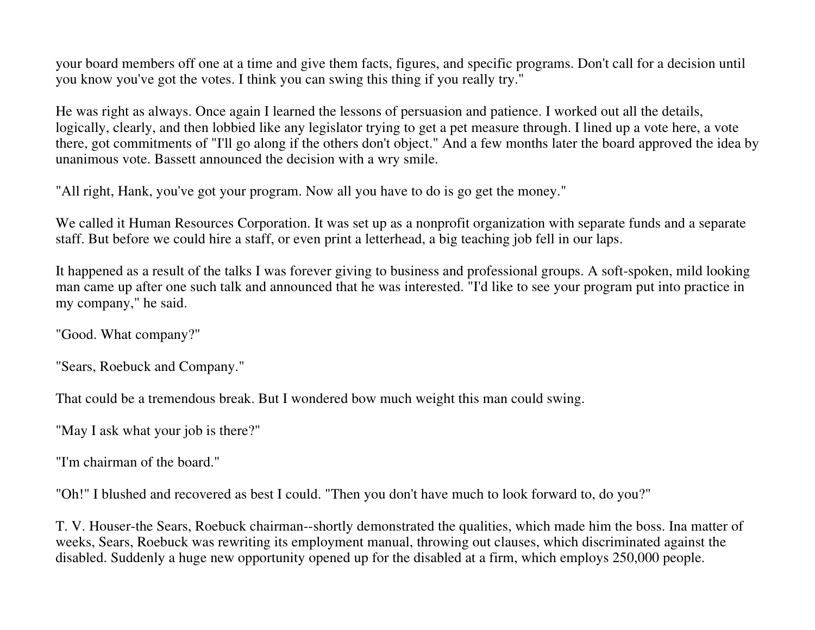your board members off one at a time and give them facts, figures, and specific programs. Don't call for a decision until you know you've got the votes. I think you can swing this thing if you really try."

He was right as always. Once again I learned the lessons of persuasion and patience. I worked out all the details, logically, clearly, and then lobbied like any legislator trying to get a pet measure through. I lined up a vote here, a vote there, got commitments of "I'll go along if the others don't object." And a few months later the board approved the idea by unanimous vote. Bassett announced the decision with a wry smile.

"All right, Hank, you've got your program. Now all you have to do is go get the money."

We called it Human Resources Corporation. It was set up as a nonprofit organization with separate funds and a separate staff. But before we could hire a staff, or even print a letterhead, a big teaching job fell in our laps.

It happened as a result of the talks I was forever giving to business and professional groups. A soft-spoken, mild looking man came up after one such talk and announced that he was interested. "I'd like to see your program put into practice in my company," he said.

"Good. What company?"

```
"Sears, Roebuck and Company."
```
That could be a tremendous break. But I wondered bow much weight this man could swing.

"May I ask what your job is there?"

"I'm chairman of the board."

"Oh!" I blushed and recovered as best I could. "Then you don't have much to look forward to, do you?"

T. V. Houser-the Sears, Roebuck chairman--shortly demonstrated the qualities, which made him the boss. Ina matter of weeks, Sears, Roebuck was rewriting its employment manual, throwing out clauses, which discriminated against the disabled. Suddenly a huge new opportunity opened up for the disabled at a firm, which employs 250,000 people.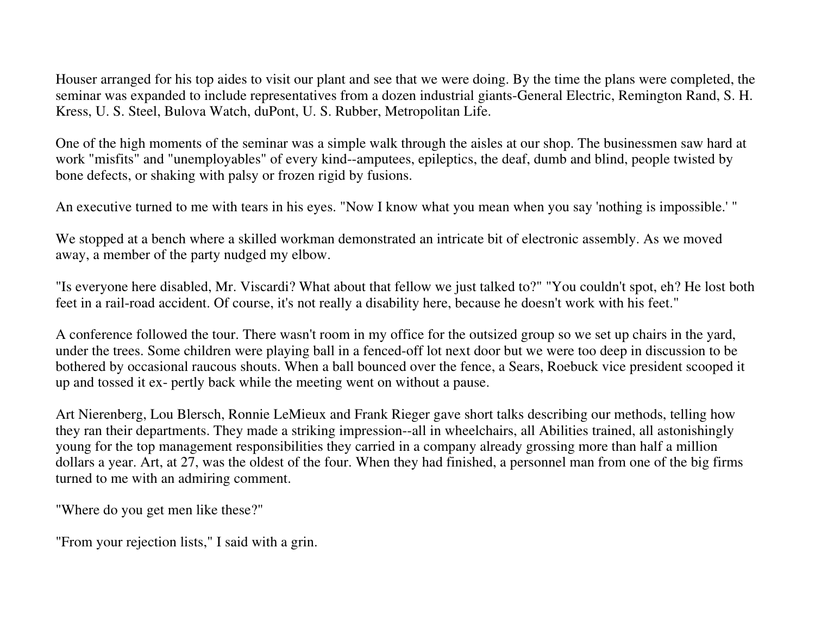Houser arranged for his top aides to visit our plant and see that we were doing. By the time the plans were completed, the seminar was expanded to include representatives from a dozen industrial giants-General Electric, Remington Rand, S. H. Kress, U. S. Steel, Bulova Watch, duPont, U. S. Rubber, Metropolitan Life.

One of the high moments of the seminar was a simple walk through the aisles at our shop. The businessmen saw hard at work "misfits" and "unemployables" of every kind--amputees, epileptics, the deaf, dumb and blind, people twisted by bone defects, or shaking with palsy or frozen rigid by fusions.

An executive turned to me with tears in his eyes. "Now I know what you mean when you say 'nothing is impossible.' "

We stopped at a bench where a skilled workman demonstrated an intricate bit of electronic assembly. As we moved away, a member of the party nudged my elbow.

"Is everyone here disabled, Mr. Viscardi? What about that fellow we just talked to?" "You couldn't spot, eh? He lost both feet in a rail-road accident. Of course, it's not really a disability here, because he doesn't work with his feet."

A conference followed the tour. There wasn't room in my office for the outsized group so we set up chairs in the yard, under the trees. Some children were playing ball in a fenced-off lot next door but we were too deep in discussion to be bothered by occasional raucous shouts. When a ball bounced over the fence, a Sears, Roebuck vice president scooped it up and tossed it ex- pertly back while the meeting went on without a pause.

Art Nierenberg, Lou Blersch, Ronnie LeMieux and Frank Rieger gave short talks describing our methods, telling how they ran their departments. They made a striking impression--all in wheelchairs, all Abilities trained, all astonishingly young for the top management responsibilities they carried in a company already grossing more than half a million dollars a year. Art, at 27, was the oldest of the four. When they had finished, a personnel man from one of the big firms turned to me with an admiring comment.

"Where do you get men like these?"

"From your rejection lists," I said with a grin.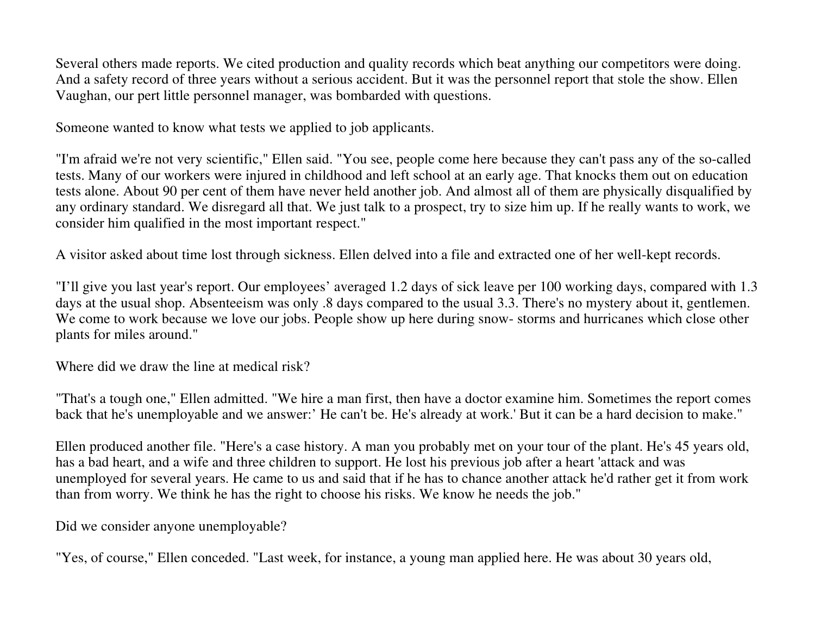Several others made reports. We cited production and quality records which beat anything our competitors were doing. And a safety record of three years without a serious accident. But it was the personnel report that stole the show. Ellen Vaughan, our pert little personnel manager, was bombarded with questions.

Someone wanted to know what tests we applied to job applicants.

"I'm afraid we're not very scientific," Ellen said. "You see, people come here because they can't pass any of the so-called tests. Many of our workers were injured in childhood and left school at an early age. That knocks them out on education tests alone. About 90 per cent of them have never held another job. And almost all of them are physically disqualified by any ordinary standard. We disregard all that. We just talk to a prospect, try to size him up. If he really wants to work, we consider him qualified in the most important respect."

A visitor asked about time lost through sickness. Ellen delved into a file and extracted one of her well-kept records.

"I'll give you last year's report. Our employees' averaged 1.2 days of sick leave per 100 working days, compared with 1.3 days at the usual shop. Absenteeism was only .8 days compared to the usual 3.3. There's no mystery about it, gentlemen. We come to work because we love our jobs. People show up here during snow- storms and hurricanes which close other plants for miles around."

Where did we draw the line at medical risk?

"That's a tough one," Ellen admitted. "We hire a man first, then have a doctor examine him. Sometimes the report comes back that he's unemployable and we answer:' He can't be. He's already at work.' But it can be a hard decision to make."

Ellen produced another file. "Here's a case history. A man you probably met on your tour of the plant. He's 45 years old, has a bad heart, and a wife and three children to support. He lost his previous job after a heart 'attack and was unemployed for several years. He came to us and said that if he has to chance another attack he'd rather get it from work than from worry. We think he has the right to choose his risks. We know he needs the job."

Did we consider anyone unemployable?

"Yes, of course," Ellen conceded. "Last week, for instance, a young man applied here. He was about 30 years old,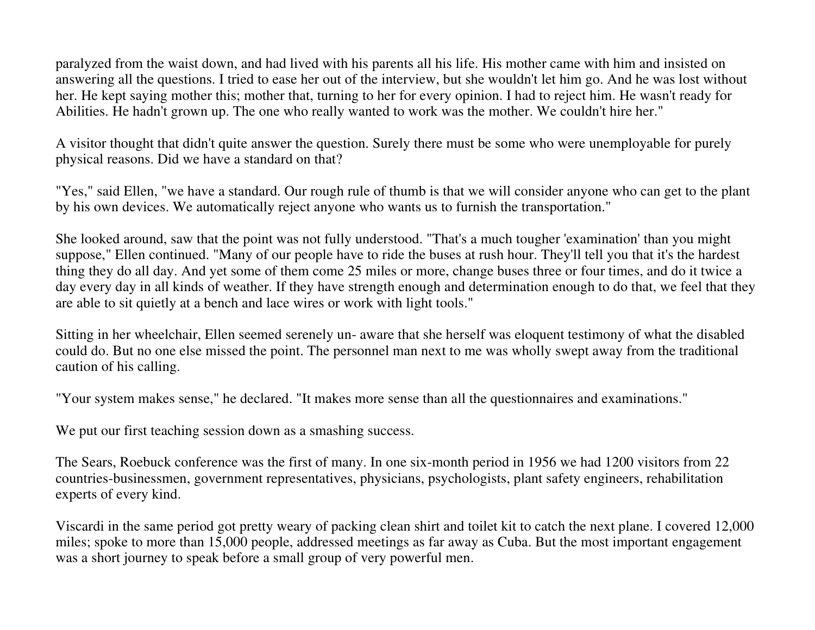paralyzed from the waist down, and had lived with his parents all his life. His mother came with him and insisted on answering all the questions. I tried to ease her out of the interview, but she wouldn't let him go. And he was lost without her. He kept saying mother this; mother that, turning to her for every opinion. I had to reject him. He wasn't ready for Abilities. He hadn't grown up. The one who really wanted to work was the mother. We couldn't hire her."

A visitor thought that didn't quite answer the question. Surely there must be some who were unemployable for purely physical reasons. Did we have a standard on that?

"Yes," said Ellen, "we have a standard. Our rough rule of thumb is that we will consider anyone who can get to the plant by his own devices. We automatically reject anyone who wants us to furnish the transportation."

She looked around, saw that the point was not fully understood. "That's a much tougher 'examination' than you might suppose," Ellen continued. "Many of our people have to ride the buses at rush hour. They'll tell you that it's the hardest thing they do all day. And yet some of them come 25 miles or more, change buses three or four times, and do it twice a day every day in all kinds of weather. If they have strength enough and determination enough to do that, we feel that they are able to sit quietly at a bench and lace wires or work with light tools."

Sitting in her wheelchair, Ellen seemed serenely un- aware that she herself was eloquent testimony of what the disabled could do. But no one else missed the point. The personnel man next to me was wholly swept away from the traditional caution of his calling.

"Your system makes sense," he declared. "It makes more sense than all the questionnaires and examinations."

We put our first teaching session down as a smashing success.

The Sears, Roebuck conference was the first of many. In one six-month period in 1956 we had 1200 visitors from 22 countries-businessmen, government representatives, physicians, psychologists, plant safety engineers, rehabilitation experts of every kind.

Viscardi in the same period got pretty weary of packing clean shirt and toilet kit to catch the next plane. I covered 12,000 miles; spoke to more than 15,000 people, addressed meetings as far away as Cuba. But the most important engagement was a short journey to speak before a small group of very powerful men.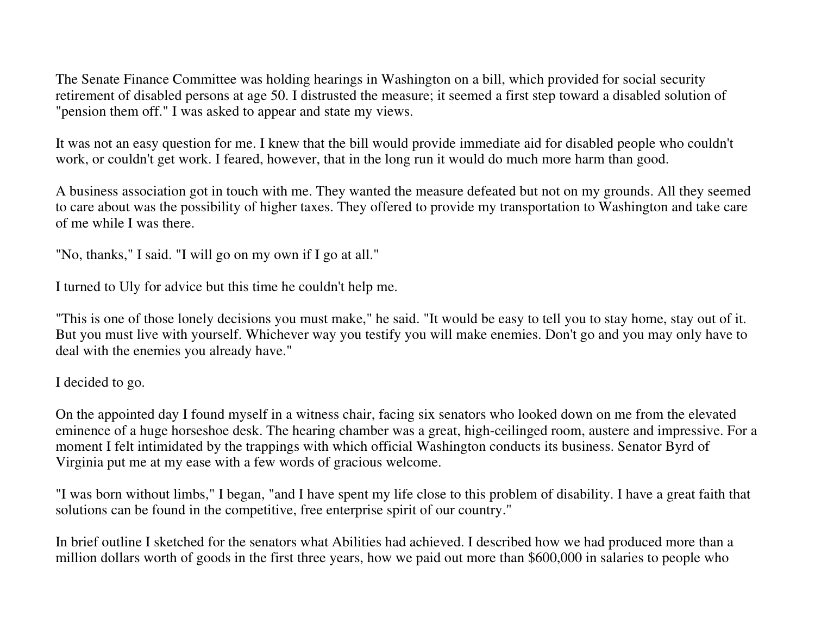The Senate Finance Committee was holding hearings in Washington on a bill, which provided for social security retirement of disabled persons at age 50. I distrusted the measure; it seemed a first step toward a disabled solution of "pension them off." I was asked to appear and state my views.

It was not an easy question for me. I knew that the bill would provide immediate aid for disabled people who couldn't work, or couldn't get work. I feared, however, that in the long run it would do much more harm than good.

A business association got in touch with me. They wanted the measure defeated but not on my grounds. All they seemed to care about was the possibility of higher taxes. They offered to provide my transportation to Washington and take care of me while I was there.

"No, thanks," I said. "I will go on my own if I go at all."

I turned to Uly for advice but this time he couldn't help me.

"This is one of those lonely decisions you must make," he said. "It would be easy to tell you to stay home, stay out of it. But you must live with yourself. Whichever way you testify you will make enemies. Don't go and you may only have to deal with the enemies you already have."

I decided to go.

On the appointed day I found myself in a witness chair, facing six senators who looked down on me from the elevated eminence of a huge horseshoe desk. The hearing chamber was a great, high-ceilinged room, austere and impressive. For a moment I felt intimidated by the trappings with which official Washington conducts its business. Senator Byrd of Virginia put me at my ease with a few words of gracious welcome.

"I was born without limbs," I began, "and I have spent my life close to this problem of disability. I have a great faith that solutions can be found in the competitive, free enterprise spirit of our country."

In brief outline I sketched for the senators what Abilities had achieved. I described how we had produced more than a million dollars worth of goods in the first three years, how we paid out more than \$600,000 in salaries to people who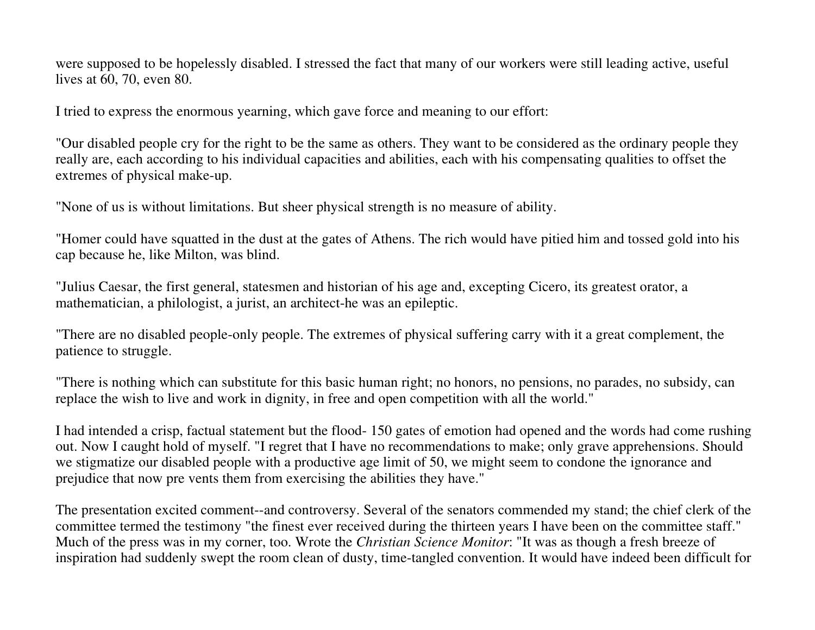were supposed to be hopelessly disabled. I stressed the fact that many of our workers were still leading active, useful lives at 60, 70, even 80.

I tried to express the enormous yearning, which gave force and meaning to our effort:

"Our disabled people cry for the right to be the same as others. They want to be considered as the ordinary people they really are, each according to his individual capacities and abilities, each with his compensating qualities to offset the extremes of physical make-up.

"None of us is without limitations. But sheer physical strength is no measure of ability.

"Homer could have squatted in the dust at the gates of Athens. The rich would have pitied him and tossed gold into his cap because he, like Milton, was blind.

"Julius Caesar, the first general, statesmen and historian of his age and, excepting Cicero, its greatest orator, a mathematician, a philologist, a jurist, an architect-he was an epileptic.

"There are no disabled people-only people. The extremes of physical suffering carry with it a great complement, the patience to struggle.

"There is nothing which can substitute for this basic human right; no honors, no pensions, no parades, no subsidy, can replace the wish to live and work in dignity, in free and open competition with all the world."

I had intended a crisp, factual statement but the flood- 150 gates of emotion had opened and the words had come rushing out. Now I caught hold of myself. "I regret that I have no recommendations to make; only grave apprehensions. Should we stigmatize our disabled people with a productive age limit of 50, we might seem to condone the ignorance and prejudice that now pre vents them from exercising the abilities they have."

The presentation excited comment--and controversy. Several of the senators commended my stand; the chief clerk of the committee termed the testimony "the finest ever received during the thirteen years I have been on the committee staff." Much of the press was in my corner, too. Wrote the *Christian Science Monitor*: "It was as though a fresh breeze of inspiration had suddenly swept the room clean of dusty, time-tangled convention. It would have indeed been difficult for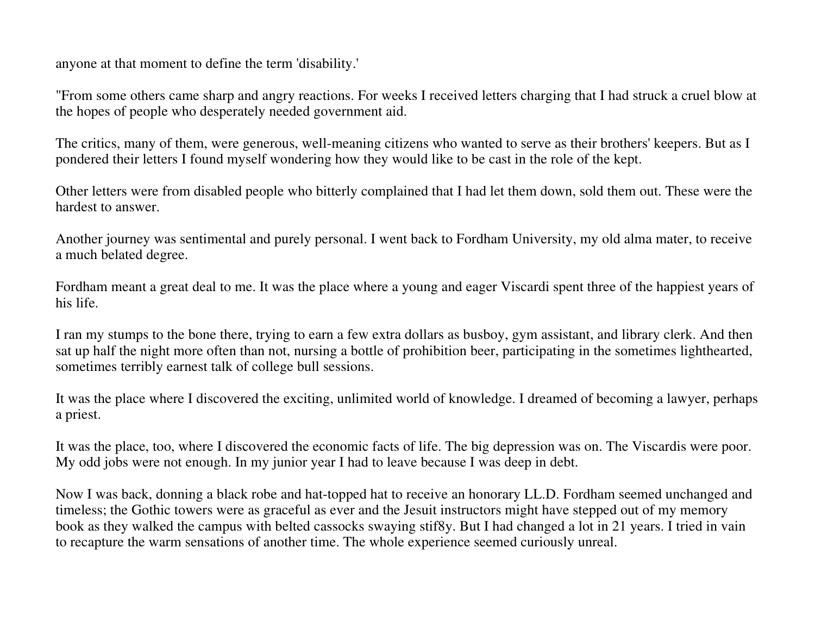anyone at that moment to define the term 'disability.'

"From some others came sharp and angry reactions. For weeks I received letters charging that I had struck a cruel blow at the hopes of people who desperately needed government aid.

The critics, many of them, were generous, well-meaning citizens who wanted to serve as their brothers' keepers. But as I pondered their letters I found myself wondering how they would like to be cast in the role of the kept.

Other letters were from disabled people who bitterly complained that I had let them down, sold them out. These were the hardest to answer.

Another journey was sentimental and purely personal. I went back to Fordham University, my old alma mater, to receive a much belated degree.

Fordham meant a great deal to me. It was the place where a young and eager Viscardi spent three of the happiest years of his life.

I ran my stumps to the bone there, trying to earn a few extra dollars as busboy, gym assistant, and library clerk. And then sat up half the night more often than not, nursing a bottle of prohibition beer, participating in the sometimes lighthearted, sometimes terribly earnest talk of college bull sessions.

It was the place where I discovered the exciting, unlimited world of knowledge. I dreamed of becoming a lawyer, perhaps a priest.

It was the place, too, where I discovered the economic facts of life. The big depression was on. The Viscardis were poor. My odd jobs were not enough. In my junior year I had to leave because I was deep in debt.

Now I was back, donning a black robe and hat-topped hat to receive an honorary LL.D. Fordham seemed unchanged and timeless; the Gothic towers were as graceful as ever and the Jesuit instructors might have stepped out of my memory book as they walked the campus with belted cassocks swaying stif8y. But I had changed a lot in 21 years. I tried in vain to recapture the warm sensations of another time. The whole experience seemed curiously unreal.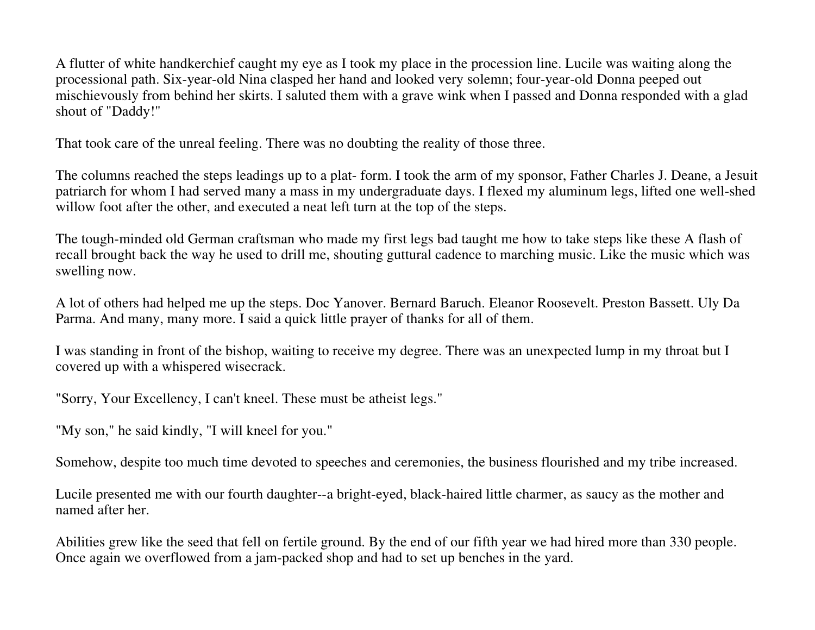A flutter of white handkerchief caught my eye as I took my place in the procession line. Lucile was waiting along the processional path. Six-year-old Nina clasped her hand and looked very solemn; four-year-old Donna peeped out mischievously from behind her skirts. I saluted them with a grave wink when I passed and Donna responded with a glad shout of "Daddy!"

That took care of the unreal feeling. There was no doubting the reality of those three.

The columns reached the steps leadings up to a plat- form. I took the arm of my sponsor, Father Charles J. Deane, a Jesuit patriarch for whom I had served many a mass in my undergraduate days. I flexed my aluminum legs, lifted one well-shed willow foot after the other, and executed a neat left turn at the top of the steps.

The tough-minded old German craftsman who made my first legs bad taught me how to take steps like these A flash of recall brought back the way he used to drill me, shouting guttural cadence to marching music. Like the music which was swelling now.

A lot of others had helped me up the steps. Doc Yanover. Bernard Baruch. Eleanor Roosevelt. Preston Bassett. Uly Da Parma. And many, many more. I said a quick little prayer of thanks for all of them.

I was standing in front of the bishop, waiting to receive my degree. There was an unexpected lump in my throat but I covered up with a whispered wisecrack.

"Sorry, Your Excellency, I can't kneel. These must be atheist legs."

"My son," he said kindly, "I will kneel for you."

Somehow, despite too much time devoted to speeches and ceremonies, the business flourished and my tribe increased.

Lucile presented me with our fourth daughter--a bright-eyed, black-haired little charmer, as saucy as the mother and named after her.

Abilities grew like the seed that fell on fertile ground. By the end of our fifth year we had hired more than 330 people. Once again we overflowed from a jam-packed shop and had to set up benches in the yard.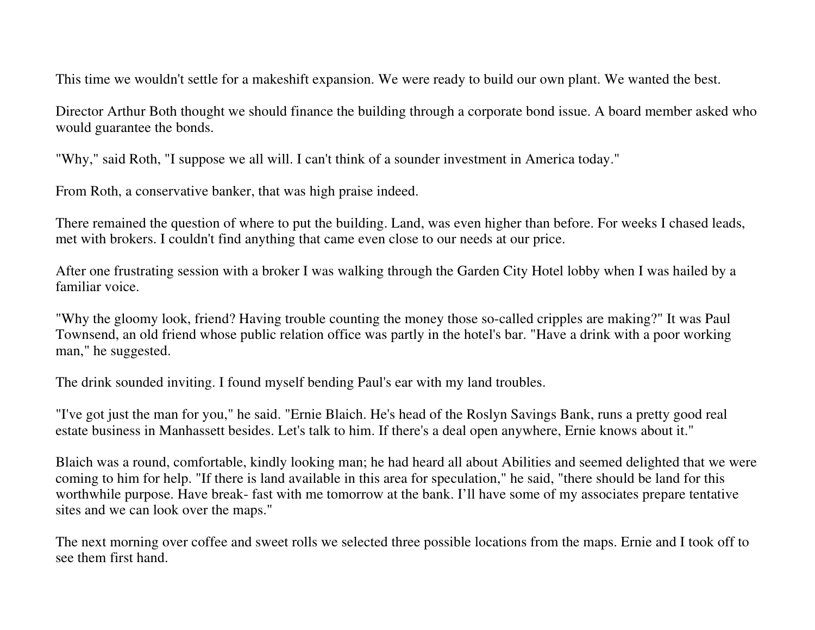This time we wouldn't settle for a makeshift expansion. We were ready to build our own plant. We wanted the best.

Director Arthur Both thought we should finance the building through a corporate bond issue. A board member asked who would guarantee the bonds.

"Why," said Roth, "I suppose we all will. I can't think of a sounder investment in America today."

From Roth, a conservative banker, that was high praise indeed.

There remained the question of where to put the building. Land, was even higher than before. For weeks I chased leads, met with brokers. I couldn't find anything that came even close to our needs at our price.

After one frustrating session with a broker I was walking through the Garden City Hotel lobby when I was hailed by a familiar voice.

"Why the gloomy look, friend? Having trouble counting the money those so-called cripples are making?" It was Paul Townsend, an old friend whose public relation office was partly in the hotel's bar. "Have a drink with a poor working man," he suggested.

The drink sounded inviting. I found myself bending Paul's ear with my land troubles.

"I've got just the man for you," he said. "Ernie Blaich. He's head of the Roslyn Savings Bank, runs a pretty good real estate business in Manhassett besides. Let's talk to him. If there's a deal open anywhere, Ernie knows about it."

Blaich was a round, comfortable, kindly looking man; he had heard all about Abilities and seemed delighted that we were coming to him for help. "If there is land available in this area for speculation," he said, "there should be land for this worthwhile purpose. Have break- fast with me tomorrow at the bank. I'll have some of my associates prepare tentative sites and we can look over the maps."

The next morning over coffee and sweet rolls we selected three possible locations from the maps. Ernie and I took off to see them first hand.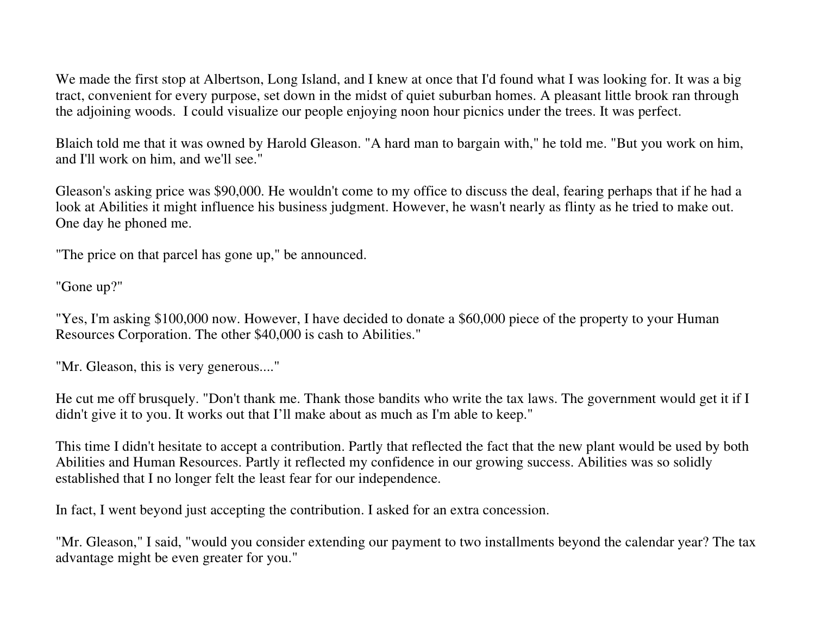We made the first stop at Albertson, Long Island, and I knew at once that I'd found what I was looking for. It was a big tract, convenient for every purpose, set down in the midst of quiet suburban homes. A pleasant little brook ran through the adjoining woods. I could visualize our people enjoying noon hour picnics under the trees. It was perfect.

Blaich told me that it was owned by Harold Gleason. "A hard man to bargain with," he told me. "But you work on him, and I'll work on him, and we'll see."

Gleason's asking price was \$90,000. He wouldn't come to my office to discuss the deal, fearing perhaps that if he had a look at Abilities it might influence his business judgment. However, he wasn't nearly as flinty as he tried to make out. One day he phoned me.

"The price on that parcel has gone up," be announced.

"Gone up?"

"Yes, I'm asking \$100,000 now. However, I have decided to donate a \$60,000 piece of the property to your Human Resources Corporation. The other \$40,000 is cash to Abilities."

"Mr. Gleason, this is very generous...."

He cut me off brusquely. "Don't thank me. Thank those bandits who write the tax laws. The government would get it if I didn't give it to you. It works out that I'll make about as much as I'm able to keep."

This time I didn't hesitate to accept a contribution. Partly that reflected the fact that the new plant would be used by both Abilities and Human Resources. Partly it reflected my confidence in our growing success. Abilities was so solidly established that I no longer felt the least fear for our independence.

In fact, I went beyond just accepting the contribution. I asked for an extra concession.

"Mr. Gleason," I said, "would you consider extending our payment to two installments beyond the calendar year? The tax advantage might be even greater for you."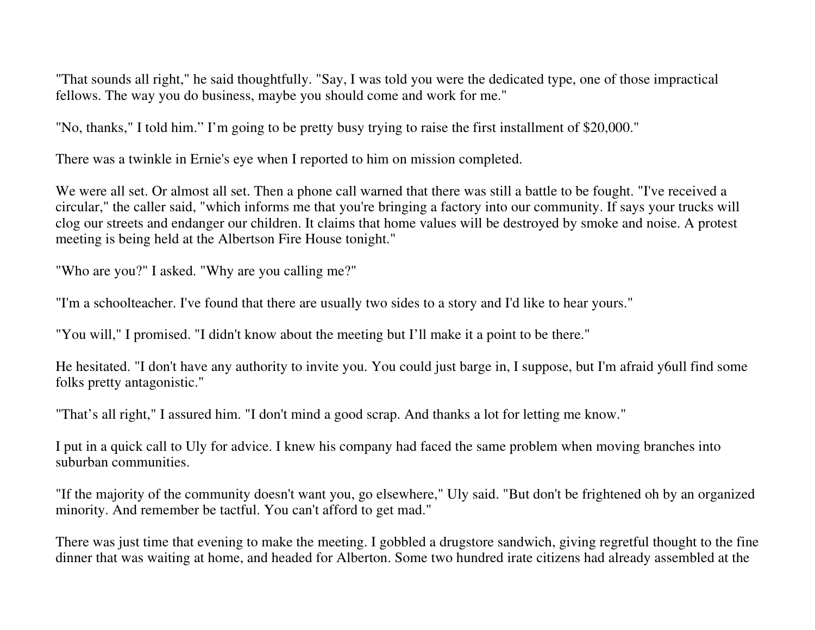"That sounds all right," he said thoughtfully. "Say, I was told you were the dedicated type, one of those impractical fellows. The way you do business, maybe you should come and work for me."

"No, thanks," I told him." I'm going to be pretty busy trying to raise the first installment of \$20,000."

There was a twinkle in Ernie's eye when I reported to him on mission completed.

We were all set. Or almost all set. Then a phone call warned that there was still a battle to be fought. "I've received a circular," the caller said, "which informs me that you're bringing a factory into our community. If says your trucks will clog our streets and endanger our children. It claims that home values will be destroyed by smoke and noise. A protest meeting is being held at the Albertson Fire House tonight."

"Who are you?" I asked. "Why are you calling me?"

"I'm a schoolteacher. I've found that there are usually two sides to a story and I'd like to hear yours."

"You will," I promised. "I didn't know about the meeting but I'll make it a point to be there."

He hesitated. "I don't have any authority to invite you. You could just barge in, I suppose, but I'm afraid y6ull find some folks pretty antagonistic."

"That's all right," I assured him. "I don't mind a good scrap. And thanks a lot for letting me know."

I put in a quick call to Uly for advice. I knew his company had faced the same problem when moving branches into suburban communities.

"If the majority of the community doesn't want you, go elsewhere," Uly said. "But don't be frightened oh by an organized minority. And remember be tactful. You can't afford to get mad."

There was just time that evening to make the meeting. I gobbled a drugstore sandwich, giving regretful thought to the fine dinner that was waiting at home, and headed for Alberton. Some two hundred irate citizens had already assembled at the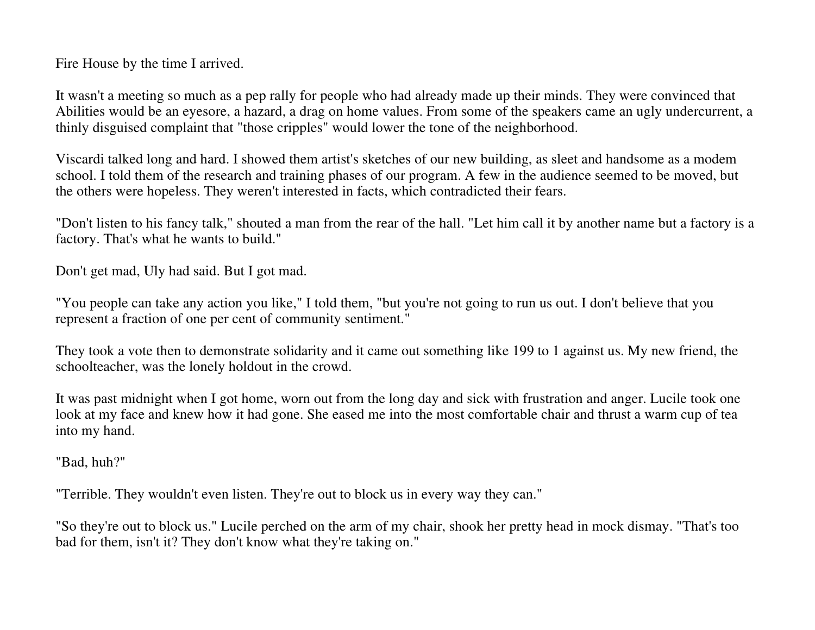Fire House by the time I arrived.

It wasn't a meeting so much as a pep rally for people who had already made up their minds. They were convinced that Abilities would be an eyesore, a hazard, a drag on home values. From some of the speakers came an ugly undercurrent, a thinly disguised complaint that "those cripples" would lower the tone of the neighborhood.

Viscardi talked long and hard. I showed them artist's sketches of our new building, as sleet and handsome as a modem school. I told them of the research and training phases of our program. A few in the audience seemed to be moved, but the others were hopeless. They weren't interested in facts, which contradicted their fears.

"Don't listen to his fancy talk," shouted a man from the rear of the hall. "Let him call it by another name but a factory is a factory. That's what he wants to build."

Don't get mad, Uly had said. But I got mad.

"You people can take any action you like," I told them, "but you're not going to run us out. I don't believe that you represent a fraction of one per cent of community sentiment."

They took a vote then to demonstrate solidarity and it came out something like 199 to 1 against us. My new friend, the schoolteacher, was the lonely holdout in the crowd.

It was past midnight when I got home, worn out from the long day and sick with frustration and anger. Lucile took one look at my face and knew how it had gone. She eased me into the most comfortable chair and thrust a warm cup of tea into my hand.

"Bad, huh?"

"Terrible. They wouldn't even listen. They're out to block us in every way they can."

"So they're out to block us." Lucile perched on the arm of my chair, shook her pretty head in mock dismay. "That's too bad for them, isn't it? They don't know what they're taking on."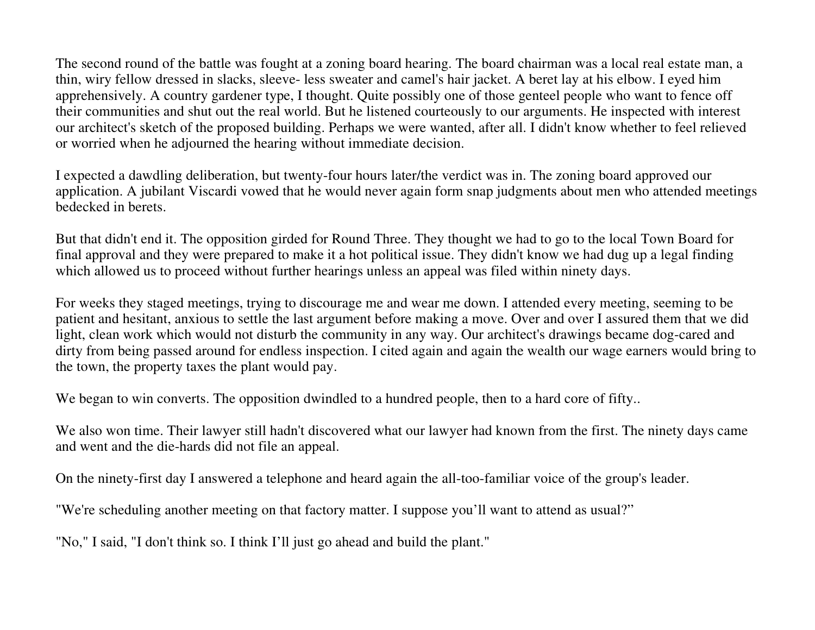The second round of the battle was fought at a zoning board hearing. The board chairman was a local real estate man, a thin, wiry fellow dressed in slacks, sleeve- less sweater and camel's hair jacket. A beret lay at his elbow. I eyed him apprehensively. A country gardener type, I thought. Quite possibly one of those genteel people who want to fence off their communities and shut out the real world. But he listened courteously to our arguments. He inspected with interest our architect's sketch of the proposed building. Perhaps we were wanted, after all. I didn't know whether to feel relieved or worried when he adjourned the hearing without immediate decision.

I expected a dawdling deliberation, but twenty-four hours later/the verdict was in. The zoning board approved our application. A jubilant Viscardi vowed that he would never again form snap judgments about men who attended meetings bedecked in berets.

But that didn't end it. The opposition girded for Round Three. They thought we had to go to the local Town Board for final approval and they were prepared to make it a hot political issue. They didn't know we had dug up a legal finding which allowed us to proceed without further hearings unless an appeal was filed within ninety days.

For weeks they staged meetings, trying to discourage me and wear me down. I attended every meeting, seeming to be patient and hesitant, anxious to settle the last argument before making a move. Over and over I assured them that we did light, clean work which would not disturb the community in any way. Our architect's drawings became dog-cared and dirty from being passed around for endless inspection. I cited again and again the wealth our wage earners would bring to the town, the property taxes the plant would pay.

We began to win converts. The opposition dwindled to a hundred people, then to a hard core of fifty..

We also won time. Their lawyer still hadn't discovered what our lawyer had known from the first. The ninety days came and went and the die-hards did not file an appeal.

On the ninety-first day I answered a telephone and heard again the all-too-familiar voice of the group's leader.

"We're scheduling another meeting on that factory matter. I suppose you'll want to attend as usual?"

"No," I said, "I don't think so. I think I'll just go ahead and build the plant."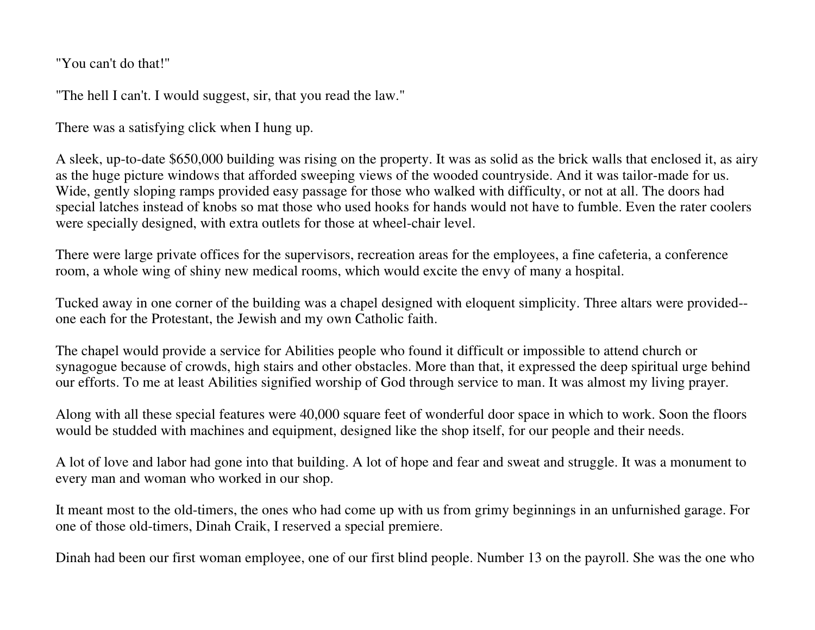"You can't do that!"

"The hell I can't. I would suggest, sir, that you read the law."

There was a satisfying click when I hung up.

A sleek, up-to-date \$650,000 building was rising on the property. It was as solid as the brick walls that enclosed it, as airy as the huge picture windows that afforded sweeping views of the wooded countryside. And it was tailor-made for us. Wide, gently sloping ramps provided easy passage for those who walked with difficulty, or not at all. The doors had special latches instead of knobs so mat those who used hooks for hands would not have to fumble. Even the rater coolers were specially designed, with extra outlets for those at wheel-chair level.

There were large private offices for the supervisors, recreation areas for the employees, a fine cafeteria, a conference room, a whole wing of shiny new medical rooms, which would excite the envy of many a hospital.

Tucked away in one corner of the building was a chapel designed with eloquent simplicity. Three altars were provided-one each for the Protestant, the Jewish and my own Catholic faith.

The chapel would provide a service for Abilities people who found it difficult or impossible to attend church or synagogue because of crowds, high stairs and other obstacles. More than that, it expressed the deep spiritual urge behind our efforts. To me at least Abilities signified worship of God through service to man. It was almost my living prayer.

Along with all these special features were 40,000 square feet of wonderful door space in which to work. Soon the floors would be studded with machines and equipment, designed like the shop itself, for our people and their needs.

A lot of love and labor had gone into that building. A lot of hope and fear and sweat and struggle. It was a monument to every man and woman who worked in our shop.

It meant most to the old-timers, the ones who had come up with us from grimy beginnings in an unfurnished garage. For one of those old-timers, Dinah Craik, I reserved a special premiere.

Dinah had been our first woman employee, one of our first blind people. Number 13 on the payroll. She was the one who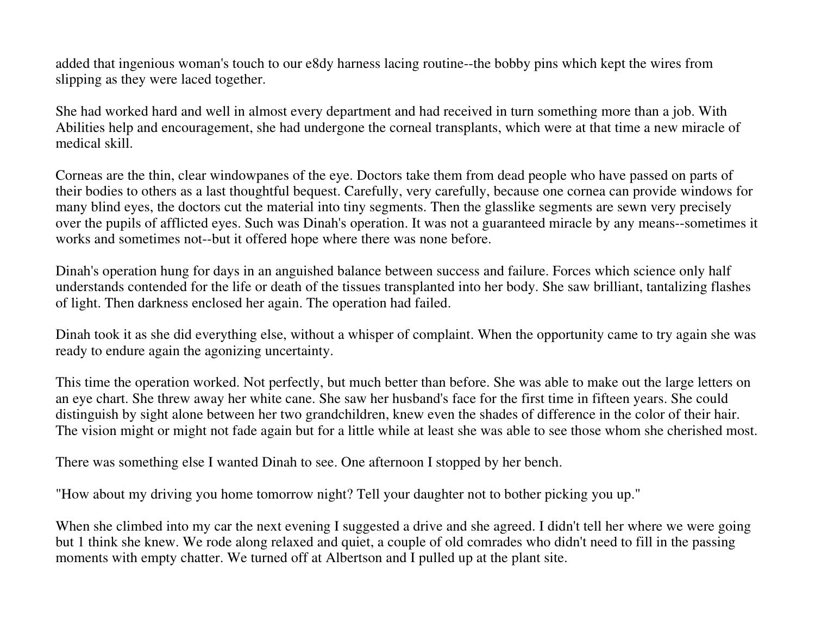added that ingenious woman's touch to our e8dy harness lacing routine--the bobby pins which kept the wires from slipping as they were laced together.

She had worked hard and well in almost every department and had received in turn something more than a job. With Abilities help and encouragement, she had undergone the corneal transplants, which were at that time a new miracle of medical skill.

Corneas are the thin, clear windowpanes of the eye. Doctors take them from dead people who have passed on parts of their bodies to others as a last thoughtful bequest. Carefully, very carefully, because one cornea can provide windows for many blind eyes, the doctors cut the material into tiny segments. Then the glasslike segments are sewn very precisely over the pupils of afflicted eyes. Such was Dinah's operation. It was not a guaranteed miracle by any means--sometimes it works and sometimes not--but it offered hope where there was none before.

Dinah's operation hung for days in an anguished balance between success and failure. Forces which science only half understands contended for the life or death of the tissues transplanted into her body. She saw brilliant, tantalizing flashes of light. Then darkness enclosed her again. The operation had failed.

Dinah took it as she did everything else, without a whisper of complaint. When the opportunity came to try again she was ready to endure again the agonizing uncertainty.

This time the operation worked. Not perfectly, but much better than before. She was able to make out the large letters on an eye chart. She threw away her white cane. She saw her husband's face for the first time in fifteen years. She could distinguish by sight alone between her two grandchildren, knew even the shades of difference in the color of their hair. The vision might or might not fade again but for a little while at least she was able to see those whom she cherished most.

There was something else I wanted Dinah to see. One afternoon I stopped by her bench.

"How about my driving you home tomorrow night? Tell your daughter not to bother picking you up."

When she climbed into my car the next evening I suggested a drive and she agreed. I didn't tell her where we were going but 1 think she knew. We rode along relaxed and quiet, a couple of old comrades who didn't need to fill in the passing moments with empty chatter. We turned off at Albertson and I pulled up at the plant site.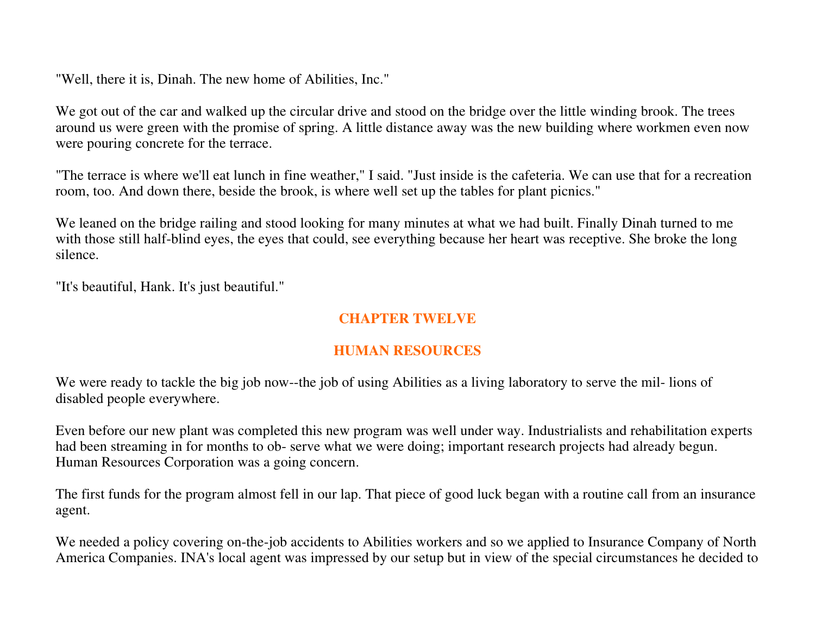"Well, there it is, Dinah. The new home of Abilities, Inc."

We got out of the car and walked up the circular drive and stood on the bridge over the little winding brook. The trees around us were green with the promise of spring. A little distance away was the new building where workmen even now were pouring concrete for the terrace.

"The terrace is where we'll eat lunch in fine weather," I said. "Just inside is the cafeteria. We can use that for a recreation room, too. And down there, beside the brook, is where well set up the tables for plant picnics."

We leaned on the bridge railing and stood looking for many minutes at what we had built. Finally Dinah turned to me with those still half-blind eyes, the eyes that could, see everything because her heart was receptive. She broke the long silence.

"It's beautiful, Hank. It's just beautiful."

# **CHAPTER TWELVE**

# **HUMAN RESOURCES**

We were ready to tackle the big job now--the job of using Abilities as a living laboratory to serve the mil-lions of disabled people everywhere.

Even before our new plant was completed this new program was well under way. Industrialists and rehabilitation experts had been streaming in for months to ob- serve what we were doing; important research projects had already begun. Human Resources Corporation was a going concern.

The first funds for the program almost fell in our lap. That piece of good luck began with a routine call from an insurance agent.

We needed a policy covering on-the-job accidents to Abilities workers and so we applied to Insurance Company of North America Companies. INA's local agent was impressed by our setup but in view of the special circumstances he decided to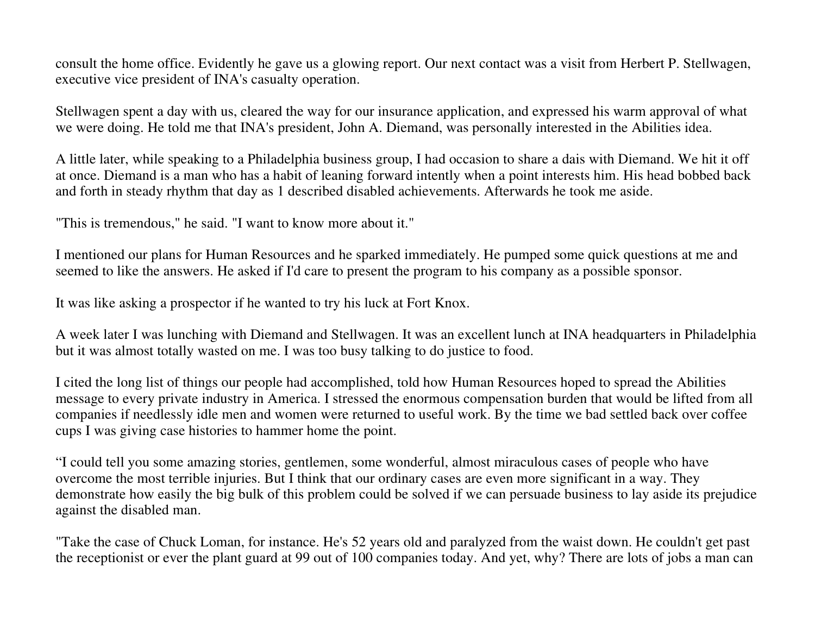consult the home office. Evidently he gave us a glowing report. Our next contact was a visit from Herbert P. Stellwagen, executive vice president of INA's casualty operation.

Stellwagen spent a day with us, cleared the way for our insurance application, and expressed his warm approval of what we were doing. He told me that INA's president, John A. Diemand, was personally interested in the Abilities idea.

A little later, while speaking to a Philadelphia business group, I had occasion to share a dais with Diemand. We hit it off at once. Diemand is a man who has a habit of leaning forward intently when a point interests him. His head bobbed back and forth in steady rhythm that day as 1 described disabled achievements. Afterwards he took me aside.

"This is tremendous," he said. "I want to know more about it."

I mentioned our plans for Human Resources and he sparked immediately. He pumped some quick questions at me and seemed to like the answers. He asked if I'd care to present the program to his company as a possible sponsor.

It was like asking a prospector if he wanted to try his luck at Fort Knox.

A week later I was lunching with Diemand and Stellwagen. It was an excellent lunch at INA headquarters in Philadelphia but it was almost totally wasted on me. I was too busy talking to do justice to food.

I cited the long list of things our people had accomplished, told how Human Resources hoped to spread the Abilities message to every private industry in America. I stressed the enormous compensation burden that would be lifted from all companies if needlessly idle men and women were returned to useful work. By the time we bad settled back over coffee cups I was giving case histories to hammer home the point.

"I could tell you some amazing stories, gentlemen, some wonderful, almost miraculous cases of people who have overcome the most terrible injuries. But I think that our ordinary cases are even more significant in a way. They demonstrate how easily the big bulk of this problem could be solved if we can persuade business to lay aside its prejudice against the disabled man.

"Take the case of Chuck Loman, for instance. He's 52 years old and paralyzed from the waist down. He couldn't get past the receptionist or ever the plant guard at 99 out of 100 companies today. And yet, why? There are lots of jobs a man can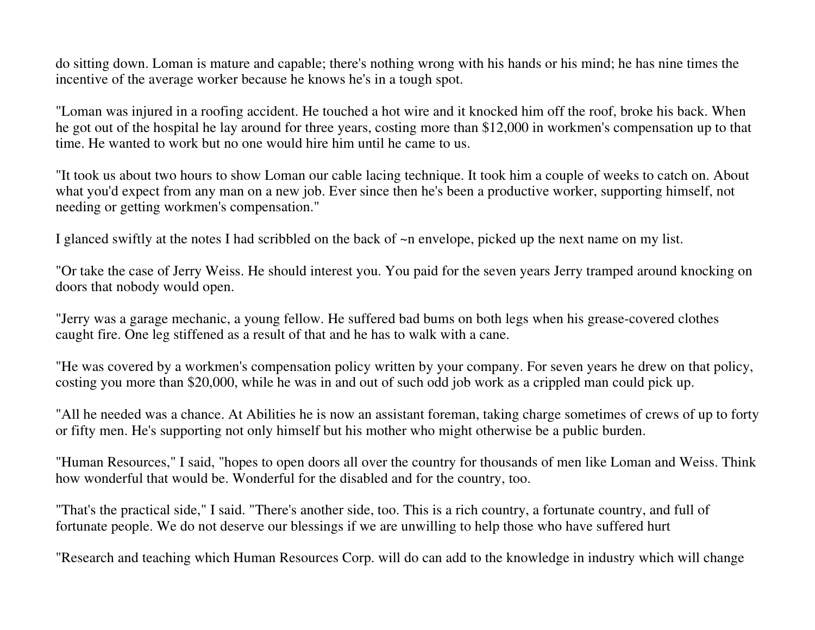do sitting down. Loman is mature and capable; there's nothing wrong with his hands or his mind; he has nine times the incentive of the average worker because he knows he's in a tough spot.

"Loman was injured in a roofing accident. He touched a hot wire and it knocked him off the roof, broke his back. When he got out of the hospital he lay around for three years, costing more than \$12,000 in workmen's compensation up to that time. He wanted to work but no one would hire him until he came to us.

"It took us about two hours to show Loman our cable lacing technique. It took him a couple of weeks to catch on. About what you'd expect from any man on a new job. Ever since then he's been a productive worker, supporting himself, not needing or getting workmen's compensation."

I glanced swiftly at the notes I had scribbled on the back of ~n envelope, picked up the next name on my list.

"Or take the case of Jerry Weiss. He should interest you. You paid for the seven years Jerry tramped around knocking on doors that nobody would open.

"Jerry was a garage mechanic, a young fellow. He suffered bad bums on both legs when his grease-covered clothes caught fire. One leg stiffened as a result of that and he has to walk with a cane.

"He was covered by a workmen's compensation policy written by your company. For seven years he drew on that policy, costing you more than \$20,000, while he was in and out of such odd job work as a crippled man could pick up.

"All he needed was a chance. At Abilities he is now an assistant foreman, taking charge sometimes of crews of up to forty or fifty men. He's supporting not only himself but his mother who might otherwise be a public burden.

"Human Resources," I said, "hopes to open doors all over the country for thousands of men like Loman and Weiss. Think how wonderful that would be. Wonderful for the disabled and for the country, too.

"That's the practical side," I said. "There's another side, too. This is a rich country, a fortunate country, and full of fortunate people. We do not deserve our blessings if we are unwilling to help those who have suffered hurt

"Research and teaching which Human Resources Corp. will do can add to the knowledge in industry which will change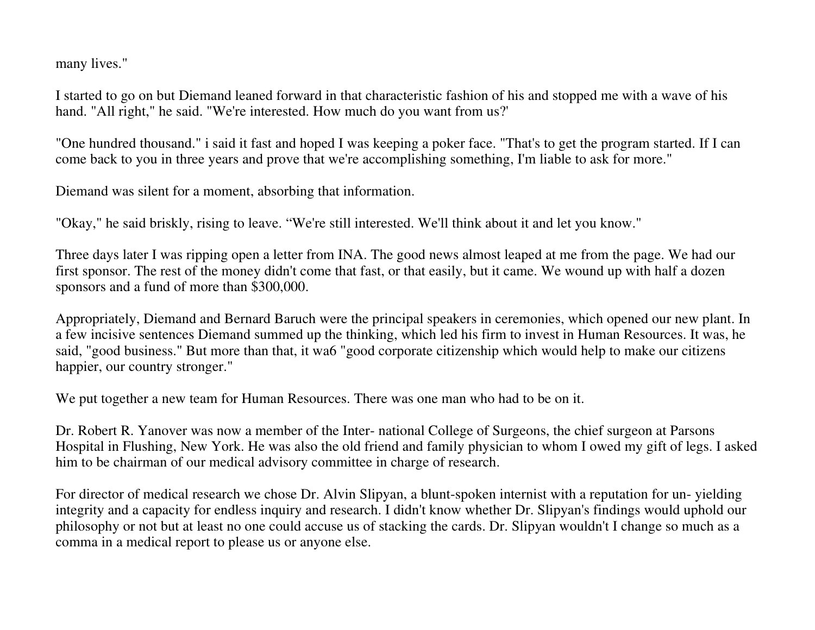many lives."

I started to go on but Diemand leaned forward in that characteristic fashion of his and stopped me with a wave of his hand. "All right," he said. "We're interested. How much do you want from us?'

"One hundred thousand." i said it fast and hoped I was keeping a poker face. "That's to get the program started. If I can come back to you in three years and prove that we're accomplishing something, I'm liable to ask for more."

Diemand was silent for a moment, absorbing that information.

"Okay," he said briskly, rising to leave. "We're still interested. We'll think about it and let you know."

Three days later I was ripping open a letter from INA. The good news almost leaped at me from the page. We had our first sponsor. The rest of the money didn't come that fast, or that easily, but it came. We wound up with half a dozen sponsors and a fund of more than \$300,000.

Appropriately, Diemand and Bernard Baruch were the principal speakers in ceremonies, which opened our new plant. In a few incisive sentences Diemand summed up the thinking, which led his firm to invest in Human Resources. It was, he said, "good business." But more than that, it wa6 "good corporate citizenship which would help to make our citizens happier, our country stronger."

We put together a new team for Human Resources. There was one man who had to be on it.

Dr. Robert R. Yanover was now a member of the Inter- national College of Surgeons, the chief surgeon at Parsons Hospital in Flushing, New York. He was also the old friend and family physician to whom I owed my gift of legs. I asked him to be chairman of our medical advisory committee in charge of research.

For director of medical research we chose Dr. Alvin Slipyan, a blunt-spoken internist with a reputation for un- yielding integrity and a capacity for endless inquiry and research. I didn't know whether Dr. Slipyan's findings would uphold our philosophy or not but at least no one could accuse us of stacking the cards. Dr. Slipyan wouldn't I change so much as a comma in a medical report to please us or anyone else.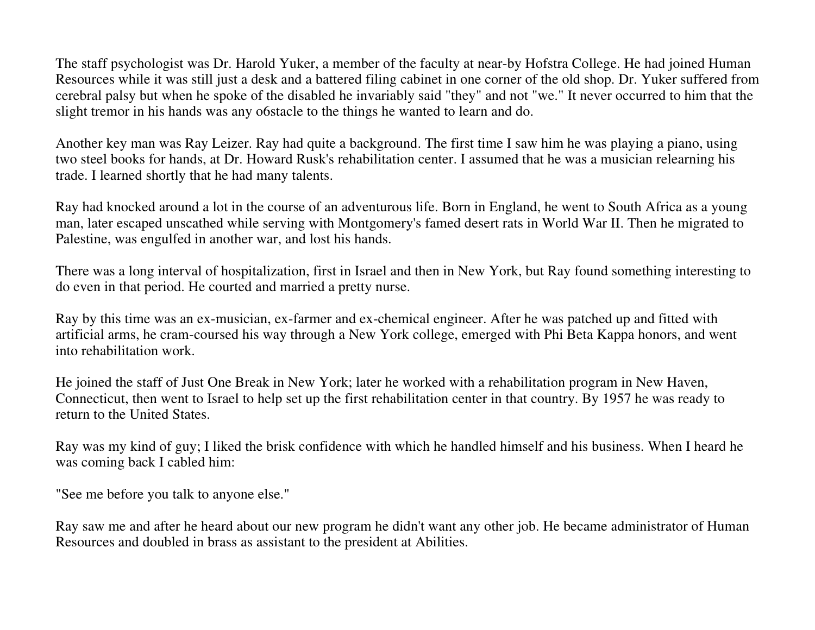The staff psychologist was Dr. Harold Yuker, a member of the faculty at near-by Hofstra College. He had joined Human Resources while it was still just a desk and a battered filing cabinet in one corner of the old shop. Dr. Yuker suffered from cerebral palsy but when he spoke of the disabled he invariably said "they" and not "we." It never occurred to him that the slight tremor in his hands was any o6stacle to the things he wanted to learn and do.

Another key man was Ray Leizer. Ray had quite a background. The first time I saw him he was playing a piano, using two steel books for hands, at Dr. Howard Rusk's rehabilitation center. I assumed that he was a musician relearning his trade. I learned shortly that he had many talents.

Ray had knocked around a lot in the course of an adventurous life. Born in England, he went to South Africa as a young man, later escaped unscathed while serving with Montgomery's famed desert rats in World War II. Then he migrated to Palestine, was engulfed in another war, and lost his hands.

There was a long interval of hospitalization, first in Israel and then in New York, but Ray found something interesting to do even in that period. He courted and married a pretty nurse.

Ray by this time was an ex-musician, ex-farmer and ex-chemical engineer. After he was patched up and fitted with artificial arms, he cram-coursed his way through a New York college, emerged with Phi Beta Kappa honors, and went into rehabilitation work.

He joined the staff of Just One Break in New York; later he worked with a rehabilitation program in New Haven, Connecticut, then went to Israel to help set up the first rehabilitation center in that country. By 1957 he was ready to return to the United States.

Ray was my kind of guy; I liked the brisk confidence with which he handled himself and his business. When I heard he was coming back I cabled him:

"See me before you talk to anyone else."

Ray saw me and after he heard about our new program he didn't want any other job. He became administrator of Human Resources and doubled in brass as assistant to the president at Abilities.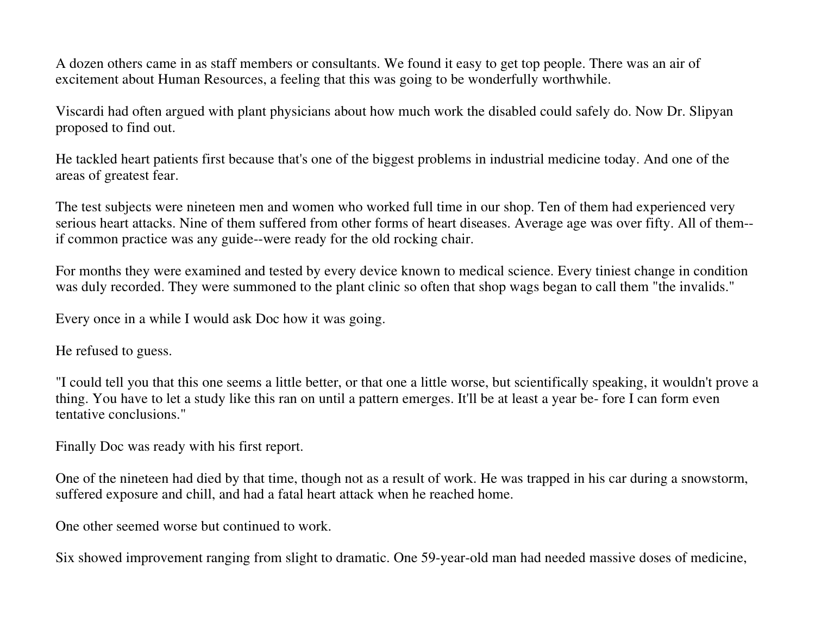A dozen others came in as staff members or consultants. We found it easy to get top people. There was an air of excitement about Human Resources, a feeling that this was going to be wonderfully worthwhile.

Viscardi had often argued with plant physicians about how much work the disabled could safely do. Now Dr. Slipyan proposed to find out.

He tackled heart patients first because that's one of the biggest problems in industrial medicine today. And one of the areas of greatest fear.

The test subjects were nineteen men and women who worked full time in our shop. Ten of them had experienced very serious heart attacks. Nine of them suffered from other forms of heart diseases. Average age was over fifty. All of them-if common practice was any guide--were ready for the old rocking chair.

For months they were examined and tested by every device known to medical science. Every tiniest change in condition was duly recorded. They were summoned to the plant clinic so often that shop wags began to call them "the invalids."

Every once in a while I would ask Doc how it was going.

He refused to guess.

"I could tell you that this one seems a little better, or that one a little worse, but scientifically speaking, it wouldn't prove a thing. You have to let a study like this ran on until a pattern emerges. It'll be at least a year be- fore I can form even tentative conclusions."

Finally Doc was ready with his first report.

One of the nineteen had died by that time, though not as a result of work. He was trapped in his car during a snowstorm, suffered exposure and chill, and had a fatal heart attack when he reached home.

One other seemed worse but continued to work.

Six showed improvement ranging from slight to dramatic. One 59-year-old man had needed massive doses of medicine,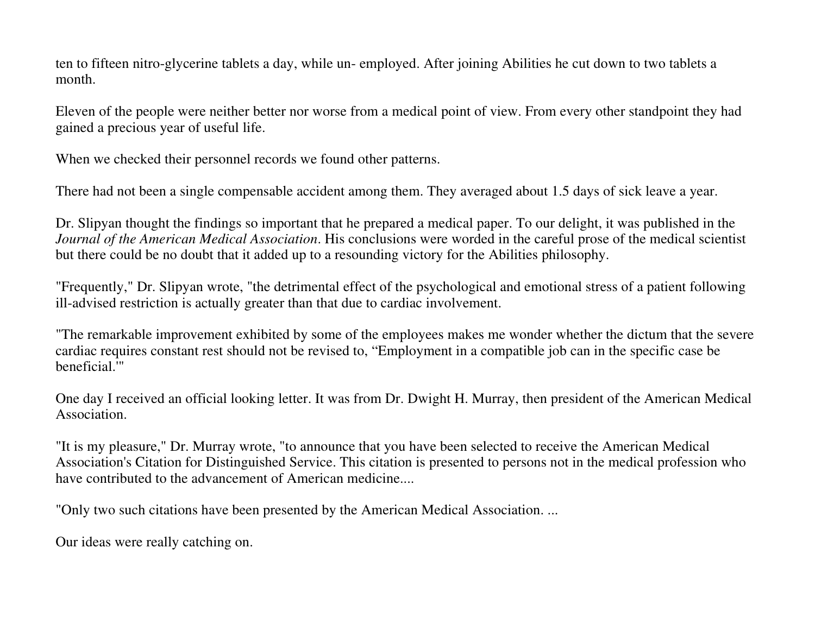ten to fifteen nitro-glycerine tablets a day, while un- employed. After joining Abilities he cut down to two tablets a month.

Eleven of the people were neither better nor worse from a medical point of view. From every other standpoint they had gained a precious year of useful life.

When we checked their personnel records we found other patterns.

There had not been a single compensable accident among them. They averaged about 1.5 days of sick leave a year.

Dr. Slipyan thought the findings so important that he prepared a medical paper. To our delight, it was published in the *Journal of the American Medical Association*. His conclusions were worded in the careful prose of the medical scientist but there could be no doubt that it added up to a resounding victory for the Abilities philosophy.

"Frequently," Dr. Slipyan wrote, "the detrimental effect of the psychological and emotional stress of a patient following ill-advised restriction is actually greater than that due to cardiac involvement.

"The remarkable improvement exhibited by some of the employees makes me wonder whether the dictum that the severe cardiac requires constant rest should not be revised to, "Employment in a compatible job can in the specific case be beneficial.'"

One day I received an official looking letter. It was from Dr. Dwight H. Murray, then president of the American Medical Association.

"It is my pleasure," Dr. Murray wrote, "to announce that you have been selected to receive the American Medical Association's Citation for Distinguished Service. This citation is presented to persons not in the medical profession who have contributed to the advancement of American medicine....

"Only two such citations have been presented by the American Medical Association. ...

Our ideas were really catching on.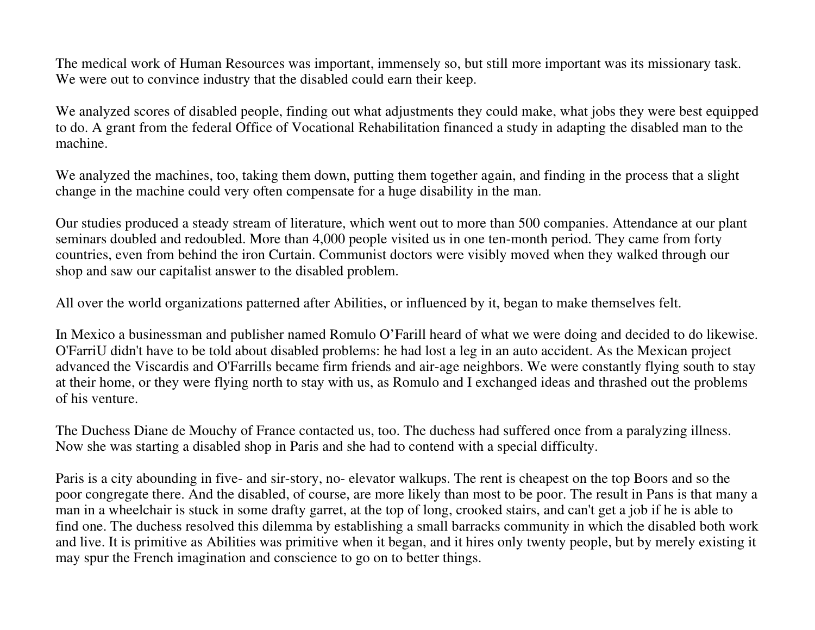The medical work of Human Resources was important, immensely so, but still more important was its missionary task. We were out to convince industry that the disabled could earn their keep.

We analyzed scores of disabled people, finding out what adjustments they could make, what jobs they were best equipped to do. A grant from the federal Office of Vocational Rehabilitation financed a study in adapting the disabled man to the machine.

We analyzed the machines, too, taking them down, putting them together again, and finding in the process that a slight change in the machine could very often compensate for a huge disability in the man.

Our studies produced a steady stream of literature, which went out to more than 500 companies. Attendance at our plant seminars doubled and redoubled. More than 4,000 people visited us in one ten-month period. They came from forty countries, even from behind the iron Curtain. Communist doctors were visibly moved when they walked through our shop and saw our capitalist answer to the disabled problem.

All over the world organizations patterned after Abilities, or influenced by it, began to make themselves felt.

In Mexico a businessman and publisher named Romulo O'Farill heard of what we were doing and decided to do likewise. O'FarriU didn't have to be told about disabled problems: he had lost a leg in an auto accident. As the Mexican project advanced the Viscardis and O'Farrills became firm friends and air-age neighbors. We were constantly flying south to stay at their home, or they were flying north to stay with us, as Romulo and I exchanged ideas and thrashed out the problems of his venture.

The Duchess Diane de Mouchy of France contacted us, too. The duchess had suffered once from a paralyzing illness. Now she was starting a disabled shop in Paris and she had to contend with a special difficulty.

Paris is a city abounding in five- and sir-story, no- elevator walkups. The rent is cheapest on the top Boors and so the poor congregate there. And the disabled, of course, are more likely than most to be poor. The result in Pans is that many a man in a wheelchair is stuck in some drafty garret, at the top of long, crooked stairs, and can't get a job if he is able to find one. The duchess resolved this dilemma by establishing a small barracks community in which the disabled both work and live. It is primitive as Abilities was primitive when it began, and it hires only twenty people, but by merely existing it may spur the French imagination and conscience to go on to better things.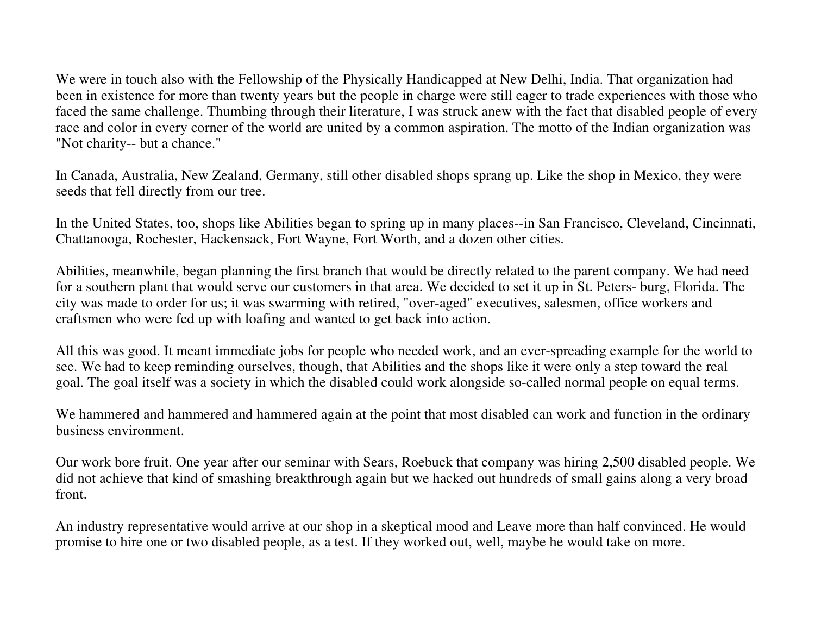We were in touch also with the Fellowship of the Physically Handicapped at New Delhi, India. That organization had been in existence for more than twenty years but the people in charge were still eager to trade experiences with those who faced the same challenge. Thumbing through their literature, I was struck anew with the fact that disabled people of every race and color in every corner of the world are united by a common aspiration. The motto of the Indian organization was "Not charity-- but a chance."

In Canada, Australia, New Zealand, Germany, still other disabled shops sprang up. Like the shop in Mexico, they were seeds that fell directly from our tree.

In the United States, too, shops like Abilities began to spring up in many places--in San Francisco, Cleveland, Cincinnati, Chattanooga, Rochester, Hackensack, Fort Wayne, Fort Worth, and a dozen other cities.

Abilities, meanwhile, began planning the first branch that would be directly related to the parent company. We had need for a southern plant that would serve our customers in that area. We decided to set it up in St. Peters- burg, Florida. The city was made to order for us; it was swarming with retired, "over-aged" executives, salesmen, office workers and craftsmen who were fed up with loafing and wanted to get back into action.

All this was good. It meant immediate jobs for people who needed work, and an ever-spreading example for the world to see. We had to keep reminding ourselves, though, that Abilities and the shops like it were only a step toward the real goal. The goal itself was a society in which the disabled could work alongside so-called normal people on equal terms.

We hammered and hammered and hammered again at the point that most disabled can work and function in the ordinary business environment.

Our work bore fruit. One year after our seminar with Sears, Roebuck that company was hiring 2,500 disabled people. We did not achieve that kind of smashing breakthrough again but we hacked out hundreds of small gains along a very broad front.

An industry representative would arrive at our shop in a skeptical mood and Leave more than half convinced. He would promise to hire one or two disabled people, as a test. If they worked out, well, maybe he would take on more.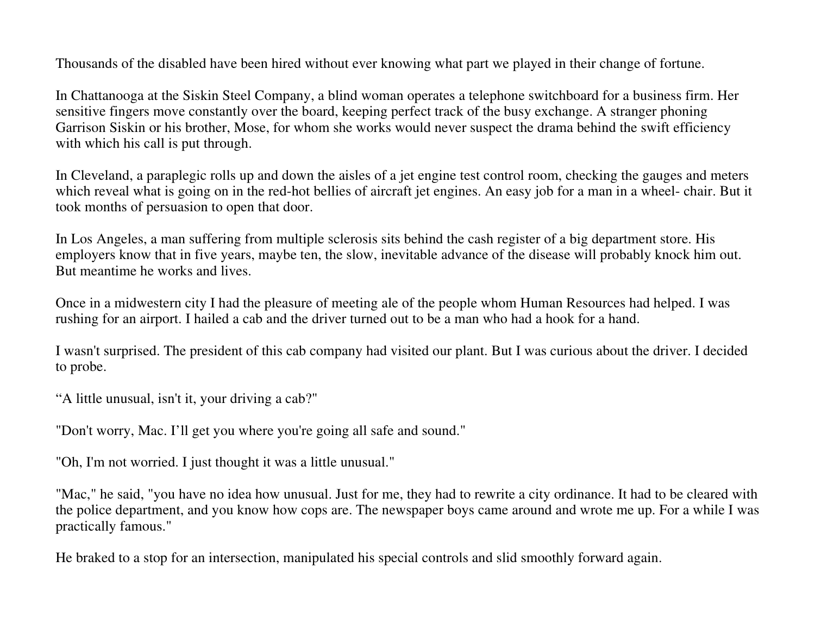Thousands of the disabled have been hired without ever knowing what part we played in their change of fortune.

In Chattanooga at the Siskin Steel Company, a blind woman operates a telephone switchboard for a business firm. Her sensitive fingers move constantly over the board, keeping perfect track of the busy exchange. A stranger phoning Garrison Siskin or his brother, Mose, for whom she works would never suspect the drama behind the swift efficiency with which his call is put through.

In Cleveland, a paraplegic rolls up and down the aisles of a jet engine test control room, checking the gauges and meters which reveal what is going on in the red-hot bellies of aircraft jet engines. An easy job for a man in a wheel- chair. But it took months of persuasion to open that door.

In Los Angeles, a man suffering from multiple sclerosis sits behind the cash register of a big department store. His employers know that in five years, maybe ten, the slow, inevitable advance of the disease will probably knock him out. But meantime he works and lives.

Once in a midwestern city I had the pleasure of meeting ale of the people whom Human Resources had helped. I was rushing for an airport. I hailed a cab and the driver turned out to be a man who had a hook for a hand.

I wasn't surprised. The president of this cab company had visited our plant. But I was curious about the driver. I decided to probe.

"A little unusual, isn't it, your driving a cab?"

"Don't worry, Mac. I'll get you where you're going all safe and sound."

"Oh, I'm not worried. I just thought it was a little unusual."

"Mac," he said, "you have no idea how unusual. Just for me, they had to rewrite a city ordinance. It had to be cleared with the police department, and you know how cops are. The newspaper boys came around and wrote me up. For a while I was practically famous."

He braked to a stop for an intersection, manipulated his special controls and slid smoothly forward again.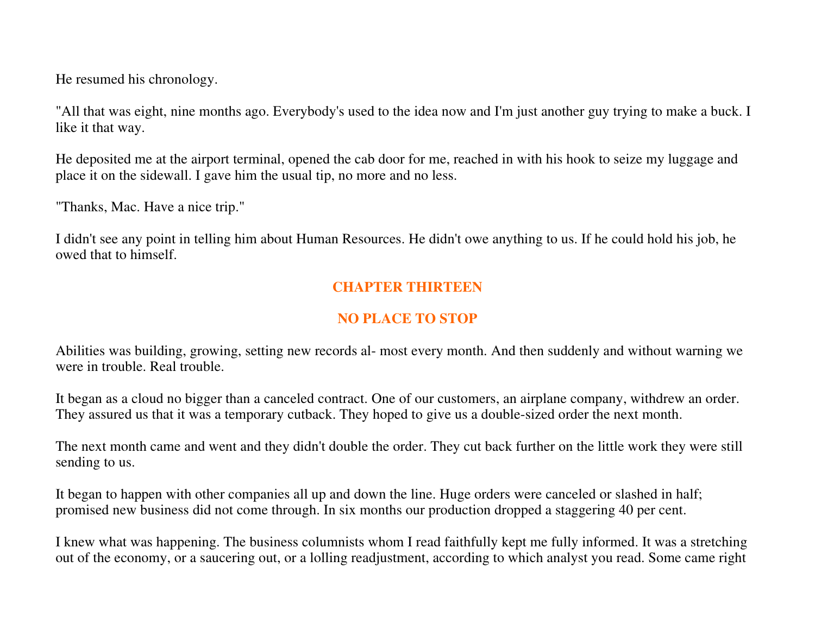He resumed his chronology.

"All that was eight, nine months ago. Everybody's used to the idea now and I'm just another guy trying to make a buck. I like it that way.

He deposited me at the airport terminal, opened the cab door for me, reached in with his hook to seize my luggage and place it on the sidewall. I gave him the usual tip, no more and no less.

"Thanks, Mac. Have a nice trip."

I didn't see any point in telling him about Human Resources. He didn't owe anything to us. If he could hold his job, he owed that to himself.

### **CHAPTER THIRTEEN**

# **NO PLACE TO STOP**

Abilities was building, growing, setting new records al- most every month. And then suddenly and without warning we were in trouble. Real trouble.

It began as a cloud no bigger than a canceled contract. One of our customers, an airplane company, withdrew an order. They assured us that it was a temporary cutback. They hoped to give us a double-sized order the next month.

The next month came and went and they didn't double the order. They cut back further on the little work they were still sending to us.

It began to happen with other companies all up and down the line. Huge orders were canceled or slashed in half; promised new business did not come through. In six months our production dropped a staggering 40 per cent.

I knew what was happening. The business columnists whom I read faithfully kept me fully informed. It was a stretching out of the economy, or a saucering out, or a lolling readjustment, according to which analyst you read. Some came right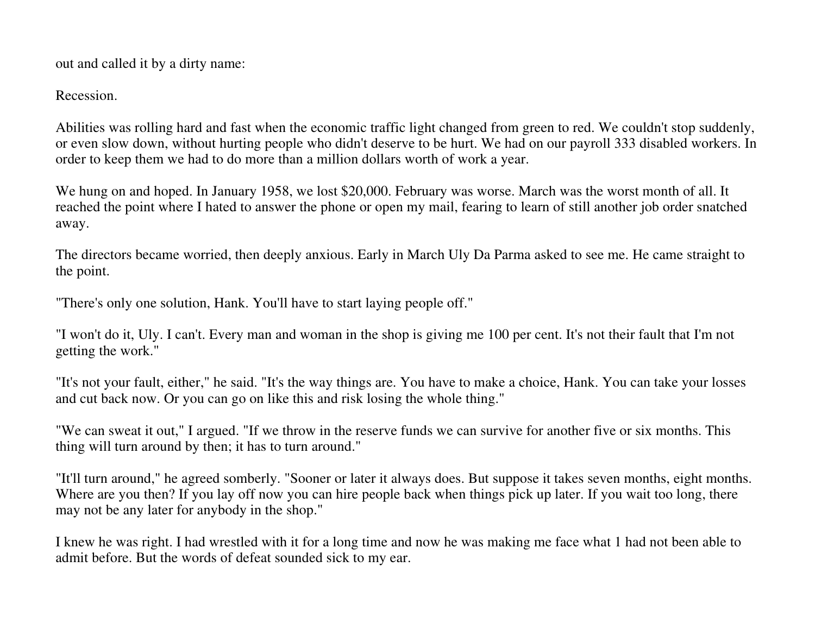out and called it by a dirty name:

Recession.

Abilities was rolling hard and fast when the economic traffic light changed from green to red. We couldn't stop suddenly, or even slow down, without hurting people who didn't deserve to be hurt. We had on our payroll 333 disabled workers. In order to keep them we had to do more than a million dollars worth of work a year.

We hung on and hoped. In January 1958, we lost \$20,000. February was worse. March was the worst month of all. It reached the point where I hated to answer the phone or open my mail, fearing to learn of still another job order snatched away.

The directors became worried, then deeply anxious. Early in March Uly Da Parma asked to see me. He came straight to the point.

"There's only one solution, Hank. You'll have to start laying people off."

"I won't do it, Uly. I can't. Every man and woman in the shop is giving me 100 per cent. It's not their fault that I'm not getting the work."

"It's not your fault, either," he said. "It's the way things are. You have to make a choice, Hank. You can take your losses and cut back now. Or you can go on like this and risk losing the whole thing."

"We can sweat it out," I argued. "If we throw in the reserve funds we can survive for another five or six months. This thing will turn around by then; it has to turn around."

"It'll turn around," he agreed somberly. "Sooner or later it always does. But suppose it takes seven months, eight months. Where are you then? If you lay off now you can hire people back when things pick up later. If you wait too long, there may not be any later for anybody in the shop."

I knew he was right. I had wrestled with it for a long time and now he was making me face what 1 had not been able to admit before. But the words of defeat sounded sick to my ear.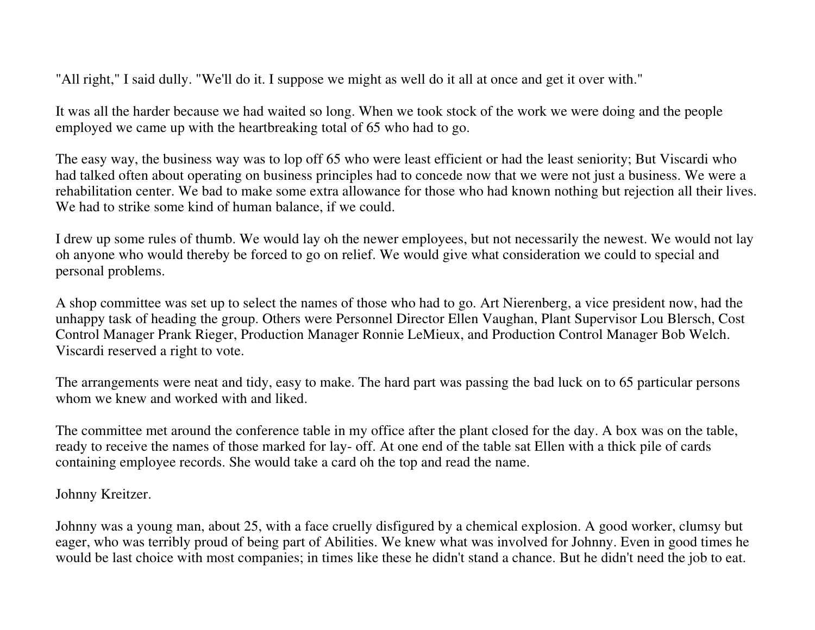"All right," I said dully. "We'll do it. I suppose we might as well do it all at once and get it over with."

It was all the harder because we had waited so long. When we took stock of the work we were doing and the people employed we came up with the heartbreaking total of 65 who had to go.

The easy way, the business way was to lop off 65 who were least efficient or had the least seniority; But Viscardi who had talked often about operating on business principles had to concede now that we were not just a business. We were a rehabilitation center. We bad to make some extra allowance for those who had known nothing but rejection all their lives. We had to strike some kind of human balance, if we could.

I drew up some rules of thumb. We would lay oh the newer employees, but not necessarily the newest. We would not lay oh anyone who would thereby be forced to go on relief. We would give what consideration we could to special and personal problems.

A shop committee was set up to select the names of those who had to go. Art Nierenberg, a vice president now, had the unhappy task of heading the group. Others were Personnel Director Ellen Vaughan, Plant Supervisor Lou Blersch, Cost Control Manager Prank Rieger, Production Manager Ronnie LeMieux, and Production Control Manager Bob Welch. Viscardi reserved a right to vote.

The arrangements were neat and tidy, easy to make. The hard part was passing the bad luck on to 65 particular persons whom we knew and worked with and liked.

The committee met around the conference table in my office after the plant closed for the day. A box was on the table, ready to receive the names of those marked for lay- off. At one end of the table sat Ellen with a thick pile of cards containing employee records. She would take a card oh the top and read the name.

Johnny Kreitzer.

Johnny was a young man, about 25, with a face cruelly disfigured by a chemical explosion. A good worker, clumsy but eager, who was terribly proud of being part of Abilities. We knew what was involved for Johnny. Even in good times he would be last choice with most companies; in times like these he didn't stand a chance. But he didn't need the job to eat.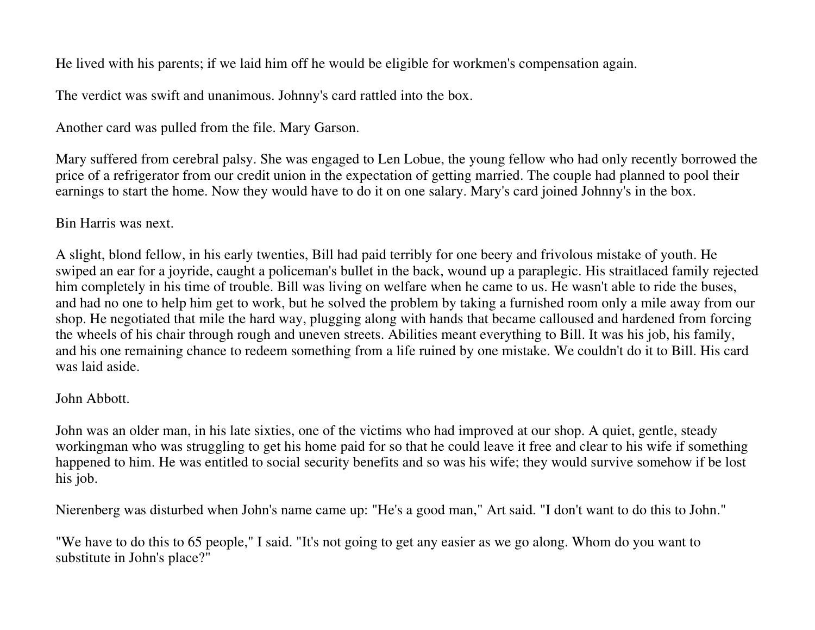He lived with his parents; if we laid him off he would be eligible for workmen's compensation again.

The verdict was swift and unanimous. Johnny's card rattled into the box.

Another card was pulled from the file. Mary Garson.

Mary suffered from cerebral palsy. She was engaged to Len Lobue, the young fellow who had only recently borrowed the price of a refrigerator from our credit union in the expectation of getting married. The couple had planned to pool their earnings to start the home. Now they would have to do it on one salary. Mary's card joined Johnny's in the box.

### Bin Harris was next.

A slight, blond fellow, in his early twenties, Bill had paid terribly for one beery and frivolous mistake of youth. He swiped an ear for a joyride, caught a policeman's bullet in the back, wound up a paraplegic. His straitlaced family rejected him completely in his time of trouble. Bill was living on welfare when he came to us. He wasn't able to ride the buses, and had no one to help him get to work, but he solved the problem by taking a furnished room only a mile away from our shop. He negotiated that mile the hard way, plugging along with hands that became calloused and hardened from forcing the wheels of his chair through rough and uneven streets. Abilities meant everything to Bill. It was his job, his family, and his one remaining chance to redeem something from a life ruined by one mistake. We couldn't do it to Bill. His card was laid aside.

### John Abbott.

John was an older man, in his late sixties, one of the victims who had improved at our shop. A quiet, gentle, steady workingman who was struggling to get his home paid for so that he could leave it free and clear to his wife if something happened to him. He was entitled to social security benefits and so was his wife; they would survive somehow if be lost his job.

Nierenberg was disturbed when John's name came up: "He's a good man," Art said. "I don't want to do this to John."

"We have to do this to 65 people," I said. "It's not going to get any easier as we go along. Whom do you want to substitute in John's place?"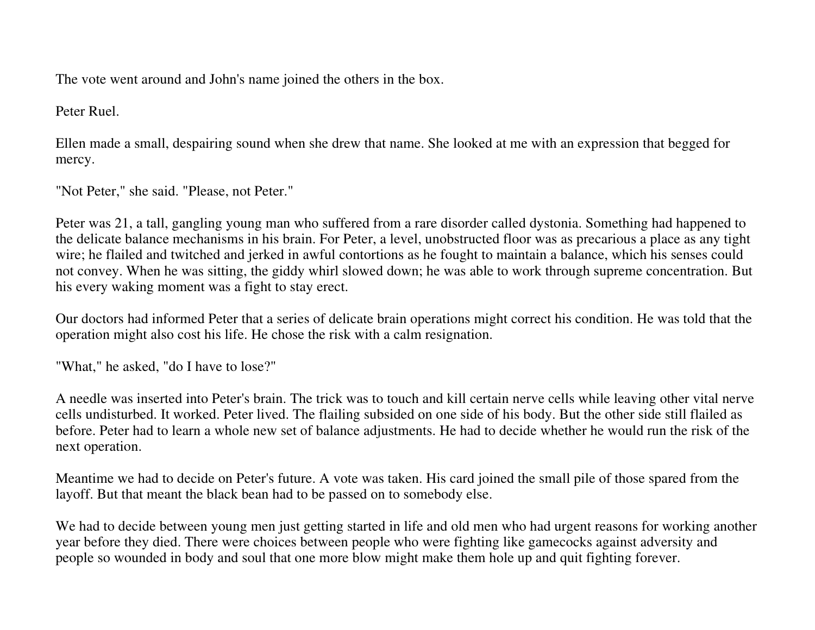The vote went around and John's name joined the others in the box.

Peter Ruel.

Ellen made a small, despairing sound when she drew that name. She looked at me with an expression that begged for mercy.

"Not Peter," she said. "Please, not Peter."

Peter was 21, a tall, gangling young man who suffered from a rare disorder called dystonia. Something had happened to the delicate balance mechanisms in his brain. For Peter, a level, unobstructed floor was as precarious a place as any tight wire; he flailed and twitched and jerked in awful contortions as he fought to maintain a balance, which his senses could not convey. When he was sitting, the giddy whirl slowed down; he was able to work through supreme concentration. But his every waking moment was a fight to stay erect.

Our doctors had informed Peter that a series of delicate brain operations might correct his condition. He was told that the operation might also cost his life. He chose the risk with a calm resignation.

"What," he asked, "do I have to lose?"

A needle was inserted into Peter's brain. The trick was to touch and kill certain nerve cells while leaving other vital nerve cells undisturbed. It worked. Peter lived. The flailing subsided on one side of his body. But the other side still flailed as before. Peter had to learn a whole new set of balance adjustments. He had to decide whether he would run the risk of the next operation.

Meantime we had to decide on Peter's future. A vote was taken. His card joined the small pile of those spared from the layoff. But that meant the black bean had to be passed on to somebody else.

We had to decide between young men just getting started in life and old men who had urgent reasons for working another year before they died. There were choices between people who were fighting like gamecocks against adversity and people so wounded in body and soul that one more blow might make them hole up and quit fighting forever.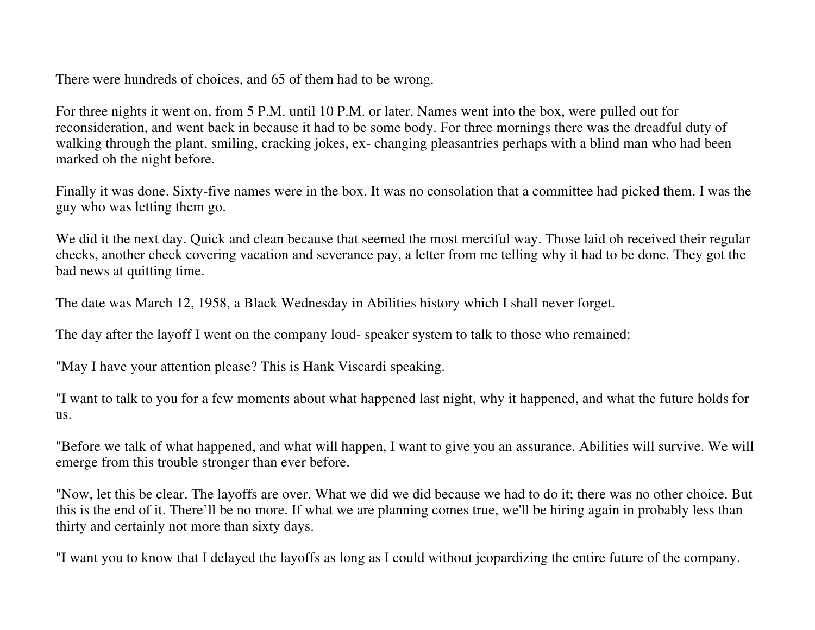There were hundreds of choices, and 65 of them had to be wrong.

For three nights it went on, from 5 P.M. until 10 P.M. or later. Names went into the box, were pulled out for reconsideration, and went back in because it had to be some body. For three mornings there was the dreadful duty of walking through the plant, smiling, cracking jokes, ex- changing pleasantries perhaps with a blind man who had been marked oh the night before.

Finally it was done. Sixty-five names were in the box. It was no consolation that a committee had picked them. I was the guy who was letting them go.

We did it the next day. Quick and clean because that seemed the most merciful way. Those laid oh received their regular checks, another check covering vacation and severance pay, a letter from me telling why it had to be done. They got the bad news at quitting time.

The date was March 12, 1958, a Black Wednesday in Abilities history which I shall never forget.

The day after the layoff I went on the company loud- speaker system to talk to those who remained:

"May I have your attention please? This is Hank Viscardi speaking.

"I want to talk to you for a few moments about what happened last night, why it happened, and what the future holds for us.

"Before we talk of what happened, and what will happen, I want to give you an assurance. Abilities will survive. We will emerge from this trouble stronger than ever before.

"Now, let this be clear. The layoffs are over. What we did we did because we had to do it; there was no other choice. But this is the end of it. There'll be no more. If what we are planning comes true, we'll be hiring again in probably less than thirty and certainly not more than sixty days.

"I want you to know that I delayed the layoffs as long as I could without jeopardizing the entire future of the company.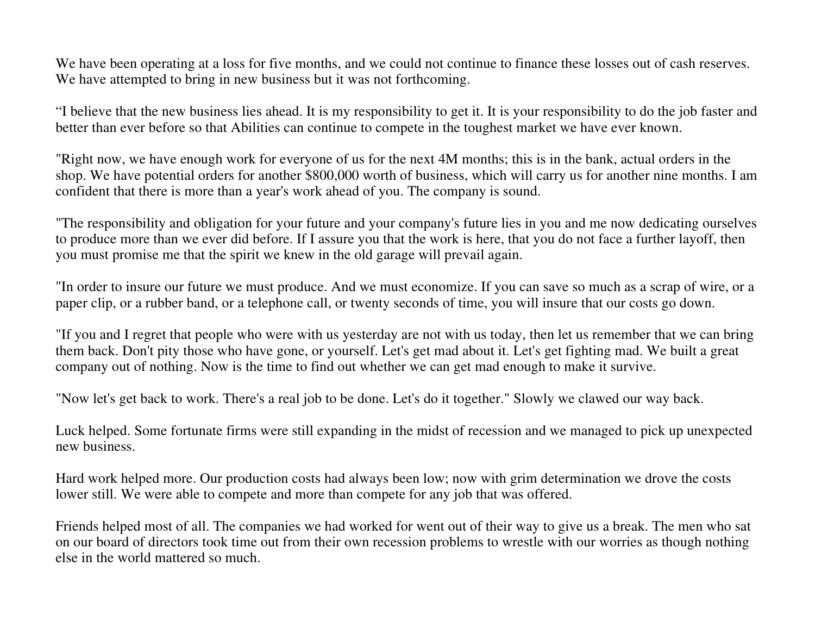We have been operating at a loss for five months, and we could not continue to finance these losses out of cash reserves. We have attempted to bring in new business but it was not forthcoming.

"I believe that the new business lies ahead. It is my responsibility to get it. It is your responsibility to do the job faster and better than ever before so that Abilities can continue to compete in the toughest market we have ever known.

"Right now, we have enough work for everyone of us for the next 4M months; this is in the bank, actual orders in the shop. We have potential orders for another \$800,000 worth of business, which will carry us for another nine months. I am confident that there is more than a year's work ahead of you. The company is sound.

"The responsibility and obligation for your future and your company's future lies in you and me now dedicating ourselves to produce more than we ever did before. If I assure you that the work is here, that you do not face a further layoff, then you must promise me that the spirit we knew in the old garage will prevail again.

"In order to insure our future we must produce. And we must economize. If you can save so much as a scrap of wire, or a paper clip, or a rubber band, or a telephone call, or twenty seconds of time, you will insure that our costs go down.

"If you and I regret that people who were with us yesterday are not with us today, then let us remember that we can bring them back. Don't pity those who have gone, or yourself. Let's get mad about it. Let's get fighting mad. We built a great company out of nothing. Now is the time to find out whether we can get mad enough to make it survive.

"Now let's get back to work. There's a real job to be done. Let's do it together." Slowly we clawed our way back.

Luck helped. Some fortunate firms were still expanding in the midst of recession and we managed to pick up unexpected new business.

Hard work helped more. Our production costs had always been low; now with grim determination we drove the costs lower still. We were able to compete and more than compete for any job that was offered.

Friends helped most of all. The companies we had worked for went out of their way to give us a break. The men who sat on our board of directors took time out from their own recession problems to wrestle with our worries as though nothing else in the world mattered so much.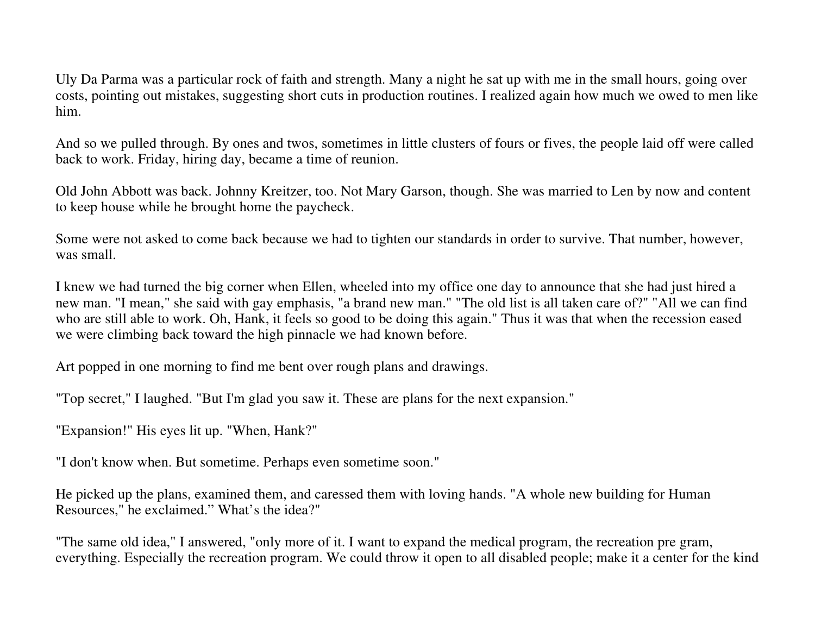Uly Da Parma was a particular rock of faith and strength. Many a night he sat up with me in the small hours, going over costs, pointing out mistakes, suggesting short cuts in production routines. I realized again how much we owed to men like him.

And so we pulled through. By ones and twos, sometimes in little clusters of fours or fives, the people laid off were called back to work. Friday, hiring day, became a time of reunion.

Old John Abbott was back. Johnny Kreitzer, too. Not Mary Garson, though. She was married to Len by now and content to keep house while he brought home the paycheck.

Some were not asked to come back because we had to tighten our standards in order to survive. That number, however, was small.

I knew we had turned the big corner when Ellen, wheeled into my office one day to announce that she had just hired a new man. "I mean," she said with gay emphasis, "a brand new man." "The old list is all taken care of?" "All we can find who are still able to work. Oh, Hank, it feels so good to be doing this again." Thus it was that when the recession eased we were climbing back toward the high pinnacle we had known before.

Art popped in one morning to find me bent over rough plans and drawings.

"Top secret," I laughed. "But I'm glad you saw it. These are plans for the next expansion."

"Expansion!" His eyes lit up. "When, Hank?"

"I don't know when. But sometime. Perhaps even sometime soon."

He picked up the plans, examined them, and caressed them with loving hands. "A whole new building for Human Resources," he exclaimed." What's the idea?"

"The same old idea," I answered, "only more of it. I want to expand the medical program, the recreation pre gram, everything. Especially the recreation program. We could throw it open to all disabled people; make it a center for the kind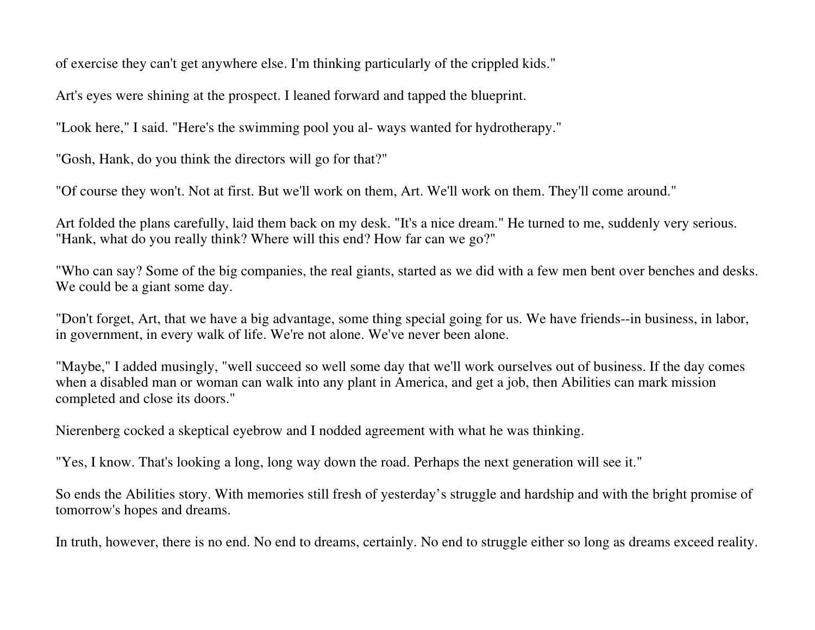of exercise they can't get anywhere else. I'm thinking particularly of the crippled kids."

Art's eyes were shining at the prospect. I leaned forward and tapped the blueprint.

"Look here," I said. "Here's the swimming pool you al- ways wanted for hydrotherapy."

"Gosh, Hank, do you think the directors will go for that?"

"Of course they won't. Not at first. But we'll work on them, Art. We'll work on them. They'll come around."

Art folded the plans carefully, laid them back on my desk. "It's a nice dream." He turned to me, suddenly very serious. "Hank, what do you really think? Where will this end? How far can we go?"

"Who can say? Some of the big companies, the real giants, started as we did with a few men bent over benches and desks. We could be a giant some day.

"Don't forget, Art, that we have a big advantage, some thing special going for us. We have friends--in business, in labor, in government, in every walk of life. We're not alone. We've never been alone.

"Maybe," I added musingly, "well succeed so well some day that we'll work ourselves out of business. If the day comes when a disabled man or woman can walk into any plant in America, and get a job, then Abilities can mark mission completed and close its doors."

Nierenberg cocked a skeptical eyebrow and I nodded agreement with what he was thinking.

"Yes, I know. That's looking a long, long way down the road. Perhaps the next generation will see it."

So ends the Abilities story. With memories still fresh of yesterday's struggle and hardship and with the bright promise of tomorrow's hopes and dreams.

In truth, however, there is no end. No end to dreams, certainly. No end to struggle either so long as dreams exceed reality.